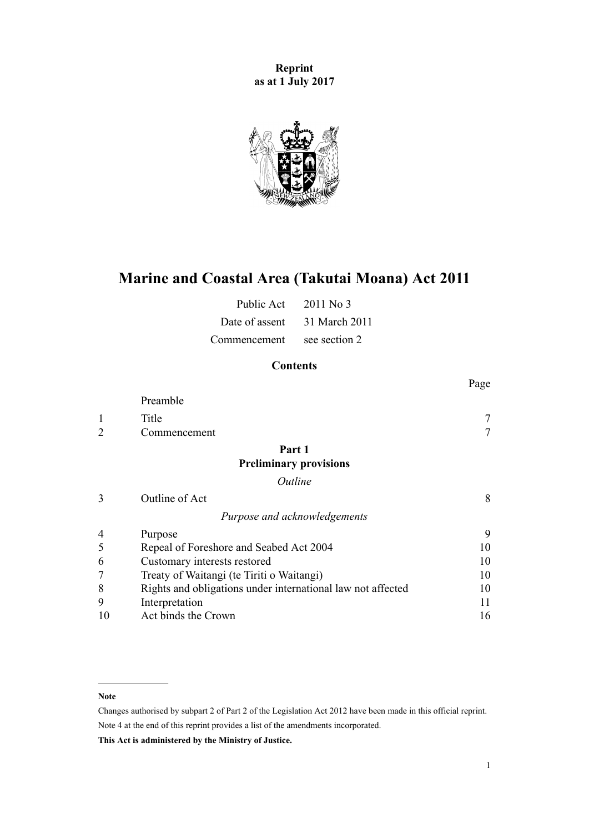**Reprint as at 1 July 2017**



# **Marine and Coastal Area (Takutai Moana) Act 2011**

| Public Act     | $2011$ No 3   |
|----------------|---------------|
| Date of assent | 31 March 2011 |
| Commencement   | see section 2 |

# **Contents**

|                             |                                                             | Page |
|-----------------------------|-------------------------------------------------------------|------|
|                             | Preamble                                                    |      |
| 1                           | Title                                                       |      |
| $\mathcal{D}_{\mathcal{L}}$ | Commencement                                                |      |
|                             | Part 1                                                      |      |
|                             | <b>Preliminary provisions</b>                               |      |
|                             | Outline                                                     |      |
| 3                           | Outline of Act                                              | 8    |
|                             | Purpose and acknowledgements                                |      |
| 4                           | Purpose                                                     | 9    |
| 5                           | Repeal of Foreshore and Seabed Act 2004                     | 10   |
| 6                           | Customary interests restored                                | 10   |
|                             | Treaty of Waitangi (te Tiriti o Waitangi)                   | 10   |
| 8                           | Rights and obligations under international law not affected | 10   |
| 9                           | Interpretation                                              | 11   |
| 10                          | Act binds the Crown                                         | 16   |

#### **Note**

Changes authorised by [subpart 2](http://prd-lgnz-nlb.prd.pco.net.nz/pdflink.aspx?id=DLM2998524) of Part 2 of the Legislation Act 2012 have been made in this official reprint. Note 4 at the end of this reprint provides a list of the amendments incorporated.

**This Act is administered by the Ministry of Justice.**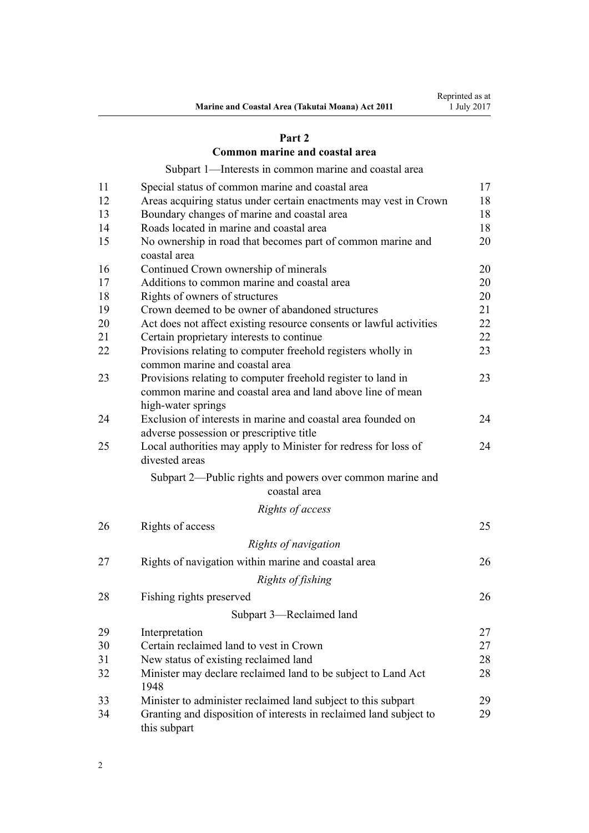# **[Part 2](#page-16-0)**

# **[Common marine and coastal area](#page-16-0)**

[Subpart 1—Interests in common marine and coastal area](#page-16-0)

| 11 | Special status of common marine and coastal area                                               | 17 |
|----|------------------------------------------------------------------------------------------------|----|
| 12 | Areas acquiring status under certain enactments may vest in Crown                              | 18 |
| 13 | Boundary changes of marine and coastal area                                                    | 18 |
| 14 | Roads located in marine and coastal area                                                       | 18 |
| 15 | No ownership in road that becomes part of common marine and<br>coastal area                    | 20 |
| 16 | Continued Crown ownership of minerals                                                          | 20 |
| 17 | Additions to common marine and coastal area                                                    | 20 |
| 18 | Rights of owners of structures                                                                 | 20 |
| 19 | Crown deemed to be owner of abandoned structures                                               | 21 |
| 20 | Act does not affect existing resource consents or lawful activities                            | 22 |
| 21 | Certain proprietary interests to continue                                                      | 22 |
| 22 | Provisions relating to computer freehold registers wholly in<br>common marine and coastal area | 23 |
| 23 | Provisions relating to computer freehold register to land in                                   | 23 |
|    | common marine and coastal area and land above line of mean<br>high-water springs               |    |
| 24 | Exclusion of interests in marine and coastal area founded on                                   | 24 |
|    | adverse possession or prescriptive title                                                       |    |
| 25 | Local authorities may apply to Minister for redress for loss of<br>divested areas              | 24 |
|    | Subpart 2—Public rights and powers over common marine and<br>coastal area                      |    |
|    | Rights of access                                                                               |    |
| 26 | Rights of access                                                                               | 25 |
|    | Rights of navigation                                                                           |    |
|    |                                                                                                |    |
| 27 | Rights of navigation within marine and coastal area                                            | 26 |
|    | Rights of fishing                                                                              |    |
| 28 | Fishing rights preserved                                                                       | 26 |
|    | Subpart 3—Reclaimed land                                                                       |    |
| 29 | Interpretation                                                                                 | 27 |
| 30 | Certain reclaimed land to vest in Crown                                                        | 27 |
| 31 | New status of existing reclaimed land                                                          | 28 |
| 32 | Minister may declare reclaimed land to be subject to Land Act<br>1948                          | 28 |
| 33 | Minister to administer reclaimed land subject to this subpart                                  | 29 |
| 34 | Granting and disposition of interests in reclaimed land subject to<br>this subpart             | 29 |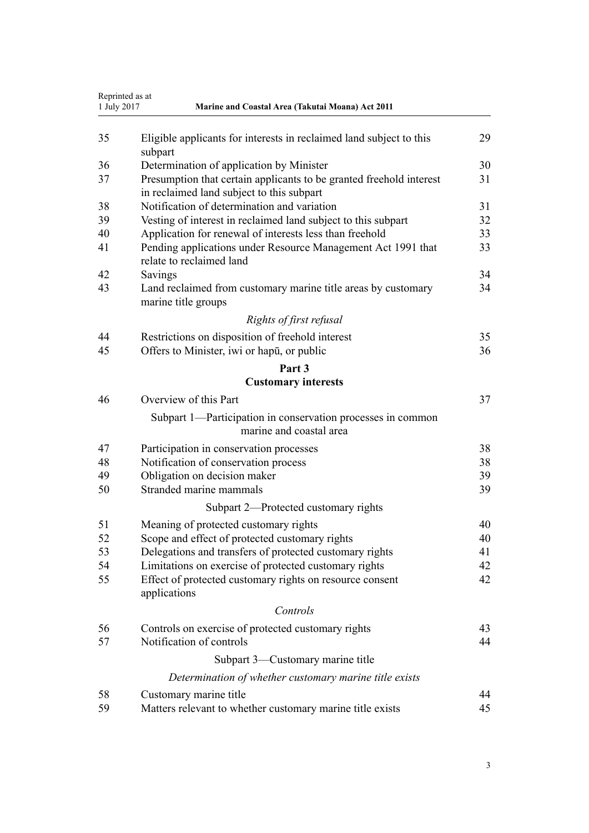| Reprinted as at<br>1 July 2017<br>Marine and Coastal Area (Takutai Moana) Act 2011 |                                                                                                                  |    |
|------------------------------------------------------------------------------------|------------------------------------------------------------------------------------------------------------------|----|
| 35                                                                                 | Eligible applicants for interests in reclaimed land subject to this<br>subpart                                   | 29 |
| 36                                                                                 | Determination of application by Minister                                                                         | 30 |
| 37                                                                                 | Presumption that certain applicants to be granted freehold interest<br>in reclaimed land subject to this subpart | 31 |
| 38                                                                                 | Notification of determination and variation                                                                      | 31 |
| 39                                                                                 | Vesting of interest in reclaimed land subject to this subpart                                                    | 32 |
| 40                                                                                 | Application for renewal of interests less than freehold                                                          | 33 |
| 41                                                                                 | Pending applications under Resource Management Act 1991 that<br>relate to reclaimed land                         | 33 |
| 42                                                                                 | Savings                                                                                                          | 34 |
| 43                                                                                 | Land reclaimed from customary marine title areas by customary<br>marine title groups                             | 34 |
|                                                                                    | Rights of first refusal                                                                                          |    |
| 44                                                                                 | Restrictions on disposition of freehold interest                                                                 | 35 |
| 45                                                                                 | Offers to Minister, iwi or hapu, or public                                                                       | 36 |
|                                                                                    | Part 3                                                                                                           |    |
|                                                                                    | <b>Customary interests</b>                                                                                       |    |
| 46                                                                                 | Overview of this Part                                                                                            | 37 |
|                                                                                    | Subpart 1—Participation in conservation processes in common<br>marine and coastal area                           |    |
| 47                                                                                 | Participation in conservation processes                                                                          | 38 |
| 48                                                                                 | Notification of conservation process                                                                             | 38 |
| 49                                                                                 | Obligation on decision maker                                                                                     | 39 |
| 50                                                                                 | Stranded marine mammals                                                                                          | 39 |
|                                                                                    | Subpart 2—Protected customary rights                                                                             |    |
| 51                                                                                 | Meaning of protected customary rights                                                                            | 40 |
| 52                                                                                 | Scope and effect of protected customary rights                                                                   | 40 |
| 53                                                                                 | Delegations and transfers of protected customary rights                                                          | 41 |
| 54                                                                                 | Limitations on exercise of protected customary rights                                                            | 42 |
| 55                                                                                 | Effect of protected customary rights on resource consent<br>applications                                         | 42 |
|                                                                                    | Controls                                                                                                         |    |
| 56                                                                                 | Controls on exercise of protected customary rights                                                               | 43 |
| 57                                                                                 | Notification of controls                                                                                         | 44 |
|                                                                                    | Subpart 3—Customary marine title                                                                                 |    |
|                                                                                    | Determination of whether customary marine title exists                                                           |    |
| 58                                                                                 | Customary marine title                                                                                           | 44 |
| 59                                                                                 | Matters relevant to whether customary marine title exists                                                        | 45 |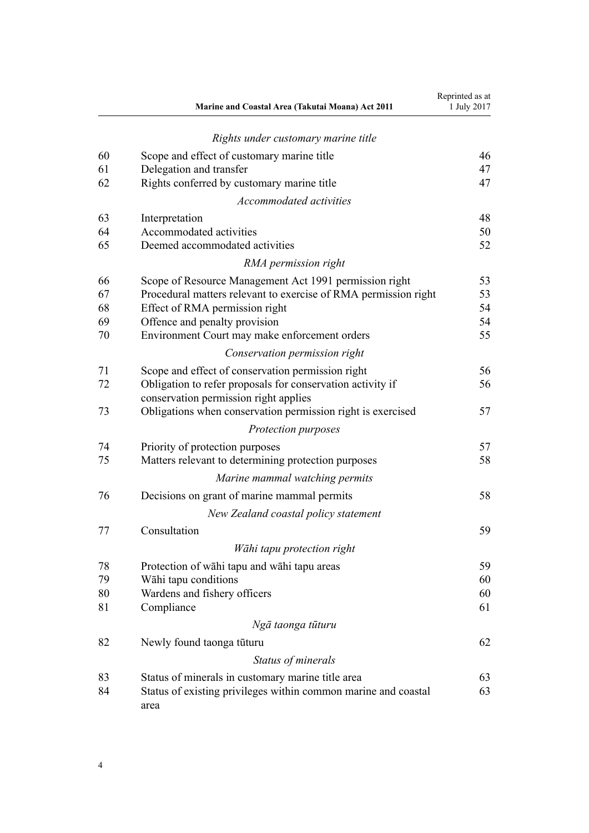|    | Marine and Coastal Area (Takutai Moana) Act 2011                       | Reprinted as at<br>1 July 2017 |
|----|------------------------------------------------------------------------|--------------------------------|
|    | Rights under customary marine title                                    |                                |
| 60 | Scope and effect of customary marine title                             | 46                             |
| 61 | Delegation and transfer                                                | 47                             |
| 62 | Rights conferred by customary marine title                             | 47                             |
|    | Accommodated activities                                                |                                |
| 63 | Interpretation                                                         | 48                             |
| 64 | Accommodated activities                                                | 50                             |
| 65 | Deemed accommodated activities                                         | 52                             |
|    | RMA permission right                                                   |                                |
| 66 | Scope of Resource Management Act 1991 permission right                 | 53                             |
| 67 | Procedural matters relevant to exercise of RMA permission right        | 53                             |
| 68 | Effect of RMA permission right                                         | 54                             |
| 69 | Offence and penalty provision                                          | 54                             |
| 70 | Environment Court may make enforcement orders                          | 55                             |
|    | Conservation permission right                                          |                                |
| 71 | Scope and effect of conservation permission right                      | 56                             |
| 72 | Obligation to refer proposals for conservation activity if             | 56                             |
|    | conservation permission right applies                                  |                                |
| 73 | Obligations when conservation permission right is exercised            | 57                             |
|    | Protection purposes                                                    |                                |
| 74 | Priority of protection purposes                                        | 57                             |
| 75 | Matters relevant to determining protection purposes                    | 58                             |
|    | Marine mammal watching permits                                         |                                |
| 76 | Decisions on grant of marine mammal permits                            | 58                             |
|    | New Zealand coastal policy statement                                   |                                |
| 77 | Consultation                                                           | 59                             |
|    | Wāhi tapu protection right                                             |                                |
| 78 | Protection of wahi tapu and wahi tapu areas                            | 59                             |
| 79 | Wāhi tapu conditions                                                   | 60                             |
| 80 | Wardens and fishery officers                                           | 60                             |
| 81 | Compliance                                                             | 61                             |
|    | Ngā taonga tūturu                                                      |                                |
| 82 | Newly found taonga tūturu                                              | 62                             |
|    | Status of minerals                                                     |                                |
| 83 | Status of minerals in customary marine title area                      | 63                             |
| 84 | Status of existing privileges within common marine and coastal<br>area | 63                             |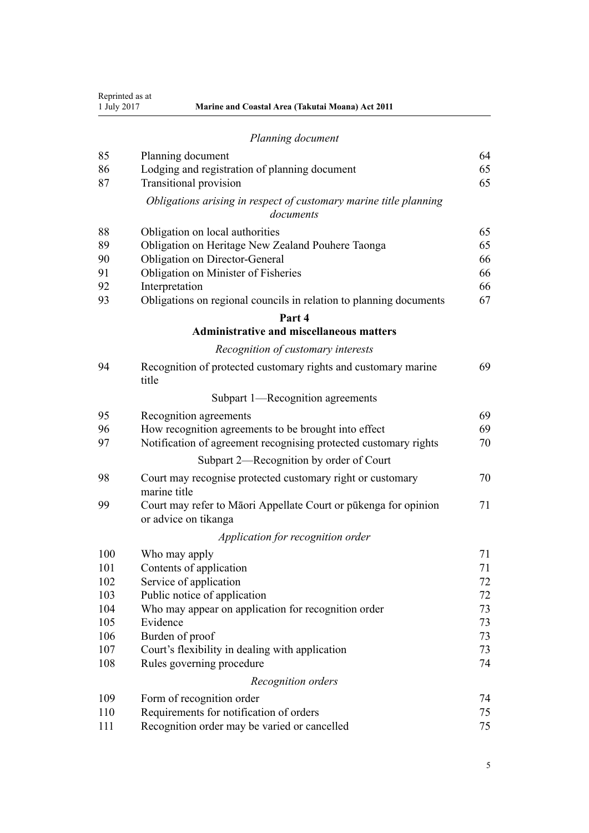|     | Planning document                                                                       |    |
|-----|-----------------------------------------------------------------------------------------|----|
| 85  | Planning document                                                                       | 64 |
| 86  | Lodging and registration of planning document                                           | 65 |
| 87  | <b>Transitional provision</b>                                                           | 65 |
|     | Obligations arising in respect of customary marine title planning<br>documents          |    |
| 88  | Obligation on local authorities                                                         | 65 |
| 89  | Obligation on Heritage New Zealand Pouhere Taonga                                       | 65 |
| 90  | Obligation on Director-General                                                          | 66 |
| 91  | Obligation on Minister of Fisheries                                                     | 66 |
| 92  | Interpretation                                                                          | 66 |
| 93  | Obligations on regional councils in relation to planning documents                      | 67 |
|     | Part 4                                                                                  |    |
|     | <b>Administrative and miscellaneous matters</b>                                         |    |
|     | Recognition of customary interests                                                      |    |
| 94  | Recognition of protected customary rights and customary marine<br>title                 | 69 |
|     | Subpart 1—Recognition agreements                                                        |    |
| 95  | Recognition agreements                                                                  | 69 |
| 96  | How recognition agreements to be brought into effect                                    | 69 |
| 97  | Notification of agreement recognising protected customary rights                        | 70 |
|     | Subpart 2—Recognition by order of Court                                                 |    |
| 98  | Court may recognise protected customary right or customary<br>marine title              | 70 |
| 99  | Court may refer to Māori Appellate Court or pūkenga for opinion<br>or advice on tikanga | 71 |
|     | Application for recognition order                                                       |    |
| 100 | Who may apply                                                                           | 71 |
| 101 | Contents of application                                                                 | 71 |
| 102 | Service of application                                                                  | 72 |
| 103 | Public notice of application                                                            | 72 |
| 104 | Who may appear on application for recognition order                                     | 73 |
| 105 | Evidence                                                                                | 73 |
| 106 | Burden of proof                                                                         | 73 |
| 107 | Court's flexibility in dealing with application                                         | 73 |
| 108 | Rules governing procedure                                                               | 74 |
|     | Recognition orders                                                                      |    |
| 109 | Form of recognition order                                                               | 74 |
| 110 | Requirements for notification of orders                                                 | 75 |
| 111 | Recognition order may be varied or cancelled                                            | 75 |

**Marine and Coastal Area (Takutai Moana) Act 2011** 

Reprinted as at<br>1 July 2017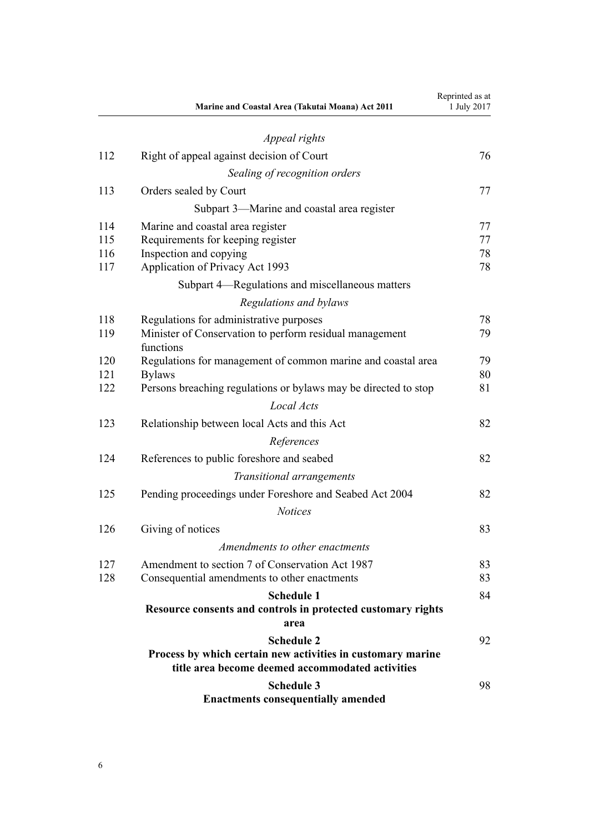|     | Marine and Coastal Area (Takutai Moana) Act 2011                     | Reprinted as at<br>1 July 2017 |
|-----|----------------------------------------------------------------------|--------------------------------|
|     | Appeal rights                                                        |                                |
| 112 | Right of appeal against decision of Court                            | 76                             |
|     | Sealing of recognition orders                                        |                                |
| 113 | Orders sealed by Court                                               | 77                             |
|     | Subpart 3—Marine and coastal area register                           |                                |
| 114 | Marine and coastal area register                                     | 77                             |
| 115 | Requirements for keeping register                                    | 77                             |
| 116 | Inspection and copying                                               | 78                             |
| 117 | Application of Privacy Act 1993                                      | 78                             |
|     | Subpart 4—Regulations and miscellaneous matters                      |                                |
|     | Regulations and bylaws                                               |                                |
| 118 | Regulations for administrative purposes                              | 78                             |
| 119 | Minister of Conservation to perform residual management<br>functions | 79                             |
| 120 | Regulations for management of common marine and coastal area         | 79                             |
| 121 | <b>Bylaws</b>                                                        | 80                             |
| 122 | Persons breaching regulations or bylaws may be directed to stop      | 81                             |
|     | Local Acts                                                           |                                |
| 123 | Relationship between local Acts and this Act                         | 82                             |
|     | References                                                           |                                |
| 124 | References to public foreshore and seabed                            | 82                             |
|     | Transitional arrangements                                            |                                |
| 125 | Pending proceedings under Foreshore and Seabed Act 2004              | 82                             |
|     | <b>Notices</b>                                                       |                                |
| 126 | Giving of notices                                                    | 83                             |
|     | Amendments to other enactments                                       |                                |
| 127 | Amendment to section 7 of Conservation Act 1987                      | 83                             |
| 128 | Consequential amendments to other enactments                         | 83                             |
|     | <b>Schedule 1</b>                                                    | 84                             |
|     | Resource consents and controls in protected customary rights         |                                |
|     | area                                                                 |                                |
|     | <b>Schedule 2</b>                                                    | 92                             |
|     | Process by which certain new activities in customary marine          |                                |
|     | title area become deemed accommodated activities                     |                                |
|     | <b>Schedule 3</b><br><b>Enactments consequentially amended</b>       | 98                             |
|     |                                                                      |                                |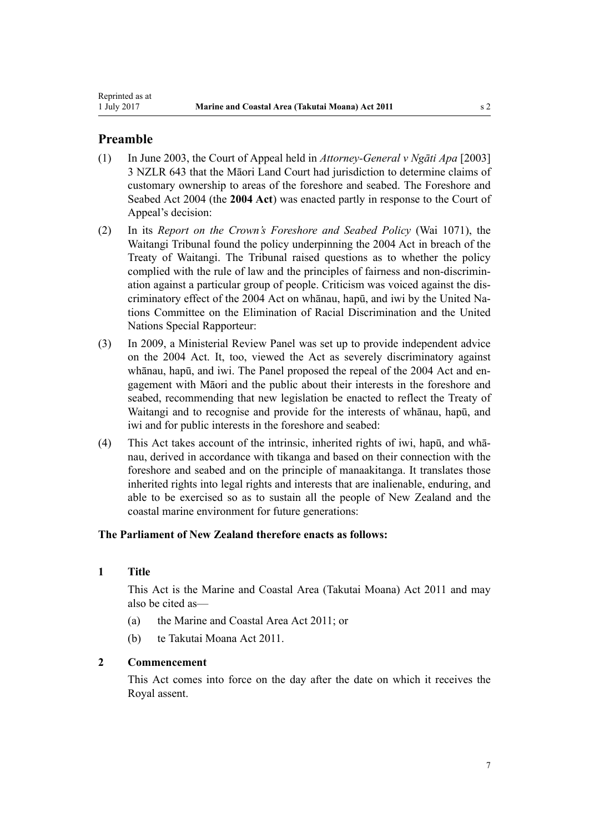# <span id="page-6-0"></span>**Preamble**

- (1) In June 2003, the Court of Appeal held in *Attorney-General v Ngāti Apa* [2003] 3 NZLR 643 that the Māori Land Court had jurisdiction to determine claims of customary ownership to areas of the foreshore and seabed. The [Foreshore and](http://prd-lgnz-nlb.prd.pco.net.nz/pdflink.aspx?id=DLM319838) [Seabed Act 2004](http://prd-lgnz-nlb.prd.pco.net.nz/pdflink.aspx?id=DLM319838) (the **2004 Act**) was enacted partly in response to the Court of Appeal's decision:
- (2) In its *Report on the Crown's Foreshore and Seabed Policy* (Wai 1071), the Waitangi Tribunal found the policy underpinning the [2004 Act](http://prd-lgnz-nlb.prd.pco.net.nz/pdflink.aspx?id=DLM319838) in breach of the Treaty of Waitangi. The Tribunal raised questions as to whether the policy complied with the rule of law and the principles of fairness and non-discrimination against a particular group of people. Criticism was voiced against the discriminatory effect of the 2004 Act on whānau, hapū, and iwi by the United Nations Committee on the Elimination of Racial Discrimination and the United Nations Special Rapporteur:
- (3) In 2009, a Ministerial Review Panel was set up to provide independent advice on the 2004 Act. It, too, viewed the Act as severely discriminatory against whānau, hapū, and iwi. The Panel proposed the repeal of the [2004 Act](http://prd-lgnz-nlb.prd.pco.net.nz/pdflink.aspx?id=DLM319838) and engagement with Māori and the public about their interests in the foreshore and seabed, recommending that new legislation be enacted to reflect the Treaty of Waitangi and to recognise and provide for the interests of whānau, hapū, and iwi and for public interests in the foreshore and seabed:
- (4) This Act takes account of the intrinsic, inherited rights of iwi, hapū, and whānau, derived in accordance with tikanga and based on their connection with the foreshore and seabed and on the principle of manaakitanga. It translates those inherited rights into legal rights and interests that are inalienable, enduring, and able to be exercised so as to sustain all the people of New Zealand and the coastal marine environment for future generations:

# **The Parliament of New Zealand therefore enacts as follows:**

# **1 Title**

This Act is the Marine and Coastal Area (Takutai Moana) Act 2011 and may also be cited as—

- (a) the Marine and Coastal Area Act 2011; or
- (b) te Takutai Moana Act 2011.

# **2 Commencement**

This Act comes into force on the day after the date on which it receives the Royal assent.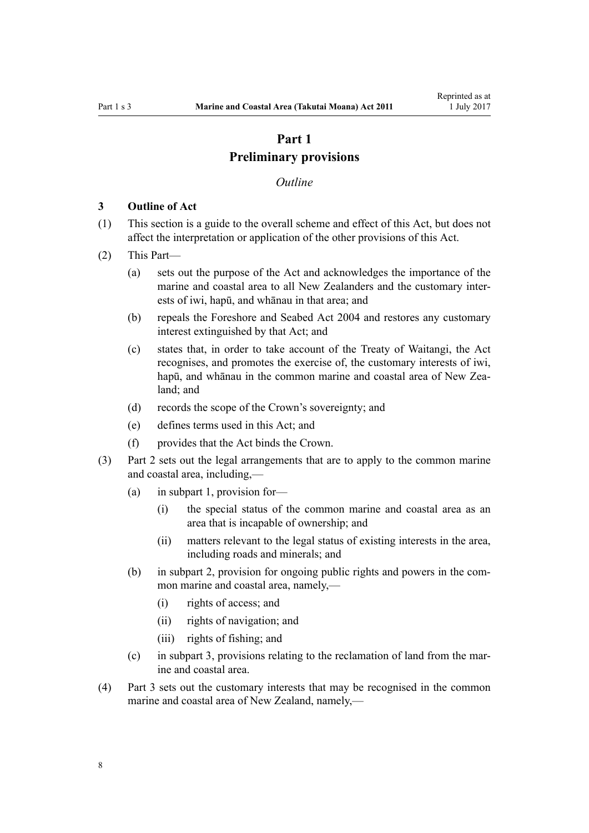# **Part 1 Preliminary provisions**

#### *Outline*

#### <span id="page-7-0"></span>**3 Outline of Act**

- (1) This section is a guide to the overall scheme and effect of this Act, but does not affect the interpretation or application of the other provisions of this Act.
- (2) This Part—
	- (a) sets out the purpose of the Act and acknowledges the importance of the marine and coastal area to all New Zealanders and the customary interests of iwi, hapū, and whānau in that area; and
	- (b) repeals the [Foreshore and Seabed Act 2004](http://prd-lgnz-nlb.prd.pco.net.nz/pdflink.aspx?id=DLM319838) and restores any customary interest extinguished by that Act; and
	- (c) states that, in order to take account of the Treaty of Waitangi, the Act recognises, and promotes the exercise of, the customary interests of iwi, hapū, and whānau in the common marine and coastal area of New Zealand; and
	- (d) records the scope of the Crown's sovereignty; and
	- (e) defines terms used in this Act; and
	- (f) provides that the Act binds the Crown.
- (3) [Part 2](#page-16-0) sets out the legal arrangements that are to apply to the common marine and coastal area, including,—
	- (a) in [subpart 1,](#page-16-0) provision for—
		- (i) the special status of the common marine and coastal area as an area that is incapable of ownership; and
		- (ii) matters relevant to the legal status of existing interests in the area, including roads and minerals; and
	- (b) in [subpart 2](#page-24-0), provision for ongoing public rights and powers in the common marine and coastal area, namely,—
		- (i) rights of access; and
		- (ii) rights of navigation; and
		- (iii) rights of fishing; and
	- (c) in [subpart 3](#page-26-0), provisions relating to the reclamation of land from the marine and coastal area.
- (4) [Part 3](#page-36-0) sets out the customary interests that may be recognised in the common marine and coastal area of New Zealand, namely,—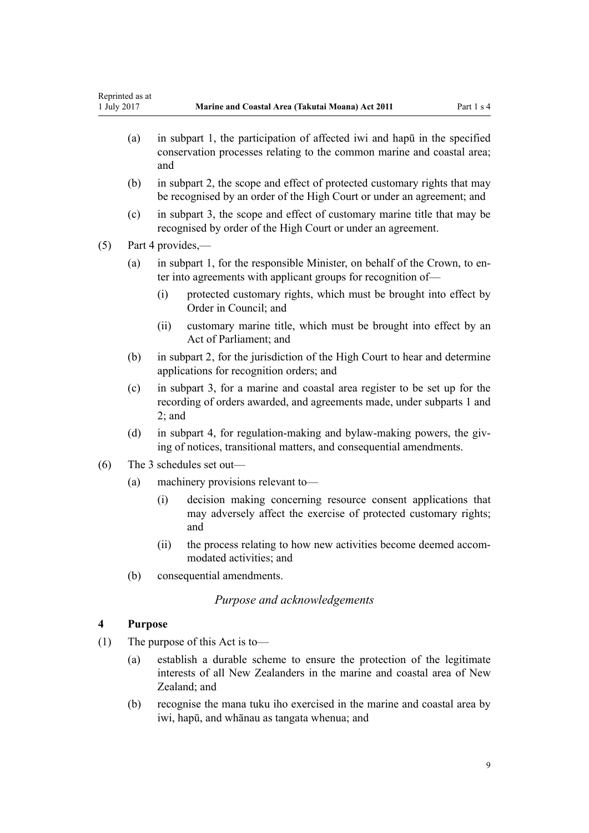- <span id="page-8-0"></span>(a) in [subpart 1,](#page-37-0) the participation of affected iwi and hapū in the specified conservation processes relating to the common marine and coastal area; and
- (b) in [subpart 2](#page-39-0), the scope and effect of protected customary rights that may be recognised by an order of the High Court or under an agreement; and
- (c) in [subpart 3](#page-43-0), the scope and effect of customary marine title that may be recognised by order of the High Court or under an agreement.

(5) [Part 4](#page-68-0) provides,—

- (a) in [subpart 1](#page-68-0), for the responsible Minister, on behalf of the Crown, to enter into agreements with applicant groups for recognition of—
	- (i) protected customary rights, which must be brought into effect by Order in Council; and
	- (ii) customary marine title, which must be brought into effect by an Act of Parliament; and
- (b) in [subpart 2](#page-69-0), for the jurisdiction of the High Court to hear and determine applications for recognition orders; and
- (c) in [subpart 3,](#page-76-0) for a marine and coastal area register to be set up for the recording of orders awarded, and agreements made, under [subparts 1](#page-68-0) and [2;](#page-69-0) and
- (d) in [subpart 4,](#page-77-0) for regulation-making and bylaw-making powers, the giving of notices, transitional matters, and consequential amendments.
- (6) The 3 schedules set out—
	- (a) machinery provisions relevant to—
		- (i) decision making concerning resource consent applications that may adversely affect the exercise of protected customary rights; and
		- (ii) the process relating to how new activities become deemed accommodated activities; and
	- (b) consequential amendments.

# *Purpose and acknowledgements*

# **4 Purpose**

- (1) The purpose of this Act is to—
	- (a) establish a durable scheme to ensure the protection of the legitimate interests of all New Zealanders in the marine and coastal area of New Zealand; and
	- (b) recognise the mana tuku iho exercised in the marine and coastal area by iwi, hapū, and whānau as tangata whenua; and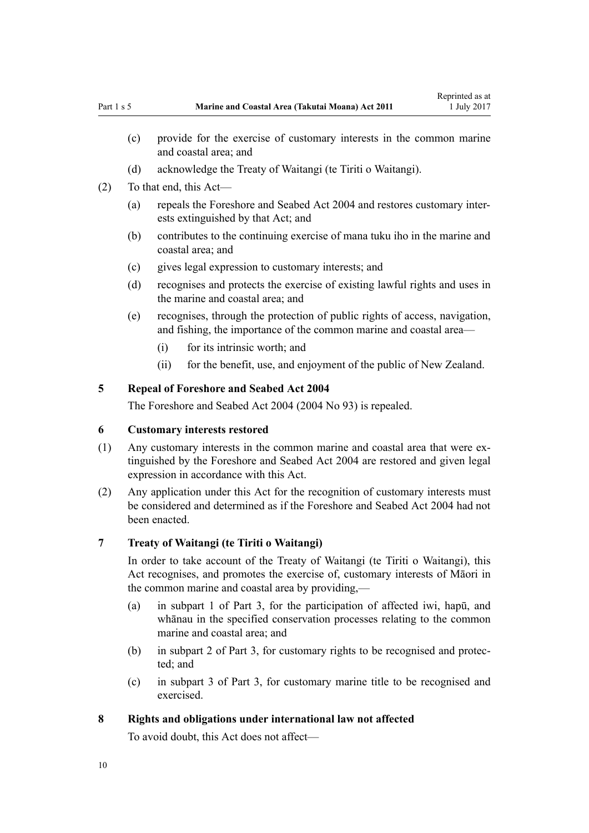- <span id="page-9-0"></span>(c) provide for the exercise of customary interests in the common marine and coastal area; and
- (d) acknowledge the Treaty of Waitangi (te Tiriti o Waitangi).
- (2) To that end, this Act—
	- (a) repeals the [Foreshore and Seabed Act 2004](http://prd-lgnz-nlb.prd.pco.net.nz/pdflink.aspx?id=DLM319838) and restores customary interests extinguished by that Act; and
	- (b) contributes to the continuing exercise of mana tuku iho in the marine and coastal area; and
	- (c) gives legal expression to customary interests; and
	- (d) recognises and protects the exercise of existing lawful rights and uses in the marine and coastal area; and
	- (e) recognises, through the protection of public rights of access, navigation, and fishing, the importance of the common marine and coastal area—
		- (i) for its intrinsic worth; and
		- (ii) for the benefit, use, and enjoyment of the public of New Zealand.

# **5 Repeal of Foreshore and Seabed Act 2004**

The [Foreshore and Seabed Act 2004](http://prd-lgnz-nlb.prd.pco.net.nz/pdflink.aspx?id=DLM319838) (2004 No 93) is repealed.

# **6 Customary interests restored**

- (1) Any customary interests in the common marine and coastal area that were extinguished by the [Foreshore and Seabed Act 2004](http://prd-lgnz-nlb.prd.pco.net.nz/pdflink.aspx?id=DLM319838) are restored and given legal expression in accordance with this Act.
- (2) Any application under this Act for the recognition of customary interests must be considered and determined as if the [Foreshore and Seabed Act 2004](http://prd-lgnz-nlb.prd.pco.net.nz/pdflink.aspx?id=DLM319838) had not been enacted.

#### **7 Treaty of Waitangi (te Tiriti o Waitangi)**

In order to take account of the Treaty of Waitangi (te Tiriti o Waitangi), this Act recognises, and promotes the exercise of, customary interests of Māori in the common marine and coastal area by providing,—

- (a) in [subpart 1 of Part 3,](#page-37-0) for the participation of affected iwi, hapū, and whānau in the specified conservation processes relating to the common marine and coastal area; and
- (b) in [subpart 2 of Part 3](#page-39-0), for customary rights to be recognised and protected; and
- (c) in [subpart 3 of Part 3](#page-43-0), for customary marine title to be recognised and exercised.

# **8 Rights and obligations under international law not affected**

To avoid doubt, this Act does not affect—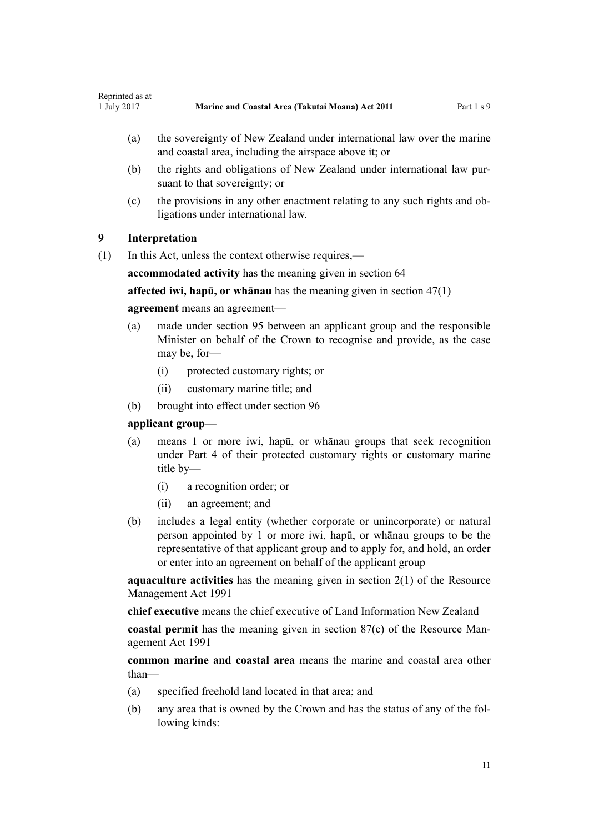- <span id="page-10-0"></span>(a) the sovereignty of New Zealand under international law over the marine and coastal area, including the airspace above it; or
- (b) the rights and obligations of New Zealand under international law pursuant to that sovereignty; or
- (c) the provisions in any other enactment relating to any such rights and obligations under international law.

# **9 Interpretation**

(1) In this Act, unless the context otherwise requires,—

**accommodated activity** has the meaning given in [section 64](#page-49-0)

**affected iwi, hapū, or whānau** has the meaning given in [section 47\(1\)](#page-37-0)

#### **agreement** means an agreement—

- (a) made under [section 95](#page-68-0) between an applicant group and the responsible Minister on behalf of the Crown to recognise and provide, as the case may be, for-
	- (i) protected customary rights; or
	- (ii) customary marine title; and
- (b) brought into effect under [section 96](#page-68-0)

# **applicant group**—

- (a) means 1 or more iwi, hapū, or whānau groups that seek recognition under [Part 4](#page-68-0) of their protected customary rights or customary marine title by—
	- (i) a recognition order; or
	- (ii) an agreement; and
- (b) includes a legal entity (whether corporate or unincorporate) or natural person appointed by 1 or more iwi, hapū, or whānau groups to be the representative of that applicant group and to apply for, and hold, an order or enter into an agreement on behalf of the applicant group

**aquaculture activities** has the meaning given in [section 2\(1\)](http://prd-lgnz-nlb.prd.pco.net.nz/pdflink.aspx?id=DLM230272) of the Resource Management Act 1991

**chief executive** means the chief executive of Land Information New Zealand

**coastal permit** has the meaning given in [section 87\(c\)](http://prd-lgnz-nlb.prd.pco.net.nz/pdflink.aspx?id=DLM233848) of the Resource Management Act 1991

**common marine and coastal area** means the marine and coastal area other than—

- (a) specified freehold land located in that area; and
- (b) any area that is owned by the Crown and has the status of any of the following kinds: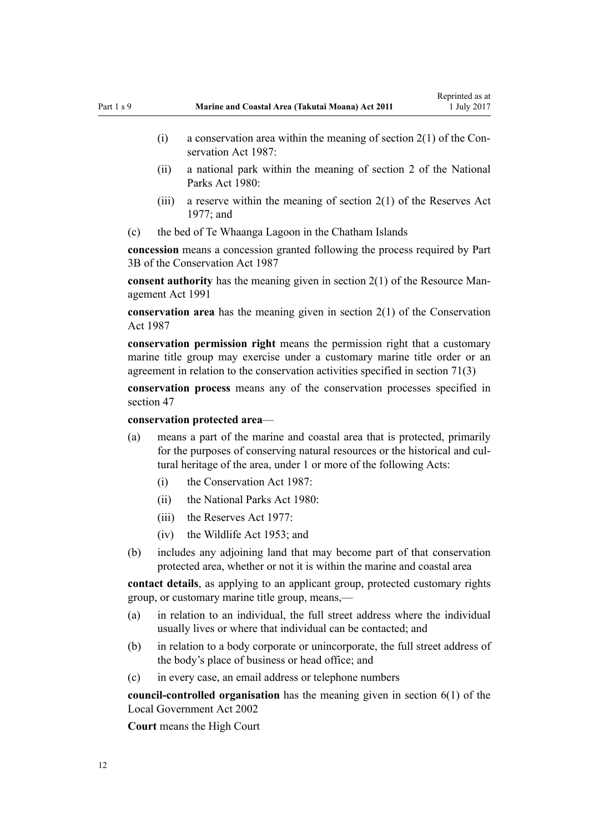- (i) a conservation area within the meaning of section  $2(1)$  of the Conservation Act 1987:
- (ii) a national park within the meaning of [section 2](http://prd-lgnz-nlb.prd.pco.net.nz/pdflink.aspx?id=DLM36968) of the National Parks Act 1980:
- (iii) a reserve within the meaning of section  $2(1)$  of the Reserves Act 1977; and
- (c) the bed of Te Whaanga Lagoon in the Chatham Islands

**concession** means a concession granted following the process required by [Part](http://prd-lgnz-nlb.prd.pco.net.nz/pdflink.aspx?id=DLM104633) [3B](http://prd-lgnz-nlb.prd.pco.net.nz/pdflink.aspx?id=DLM104633) of the Conservation Act 1987

**consent authority** has the meaning given in [section 2\(1\)](http://prd-lgnz-nlb.prd.pco.net.nz/pdflink.aspx?id=DLM230272) of the Resource Management Act 1991

**conservation area** has the meaning given in [section 2\(1\)](http://prd-lgnz-nlb.prd.pco.net.nz/pdflink.aspx?id=DLM103616) of the Conservation Act 1987

**conservation permission right** means the permission right that a customary marine title group may exercise under a customary marine title order or an agreement in relation to the conservation activities specified in [section 71\(3\)](#page-55-0)

**conservation process** means any of the conservation processes specified in [section 47](#page-37-0)

**conservation protected area**—

- (a) means a part of the marine and coastal area that is protected, primarily for the purposes of conserving natural resources or the historical and cultural heritage of the area, under 1 or more of the following Acts:
	- (i) the [Conservation Act 1987:](http://prd-lgnz-nlb.prd.pco.net.nz/pdflink.aspx?id=DLM103609)
	- (ii) the [National Parks Act 1980:](http://prd-lgnz-nlb.prd.pco.net.nz/pdflink.aspx?id=DLM36962)
	- $(iii)$  the [Reserves Act 1977](http://prd-lgnz-nlb.prd.pco.net.nz/pdflink.aspx?id=DLM444304).
	- (iv) the [Wildlife Act 1953](http://prd-lgnz-nlb.prd.pco.net.nz/pdflink.aspx?id=DLM276813); and
- (b) includes any adjoining land that may become part of that conservation protected area, whether or not it is within the marine and coastal area

**contact details**, as applying to an applicant group, protected customary rights group, or customary marine title group, means,—

- (a) in relation to an individual, the full street address where the individual usually lives or where that individual can be contacted; and
- (b) in relation to a body corporate or unincorporate, the full street address of the body's place of business or head office; and
- (c) in every case, an email address or telephone numbers

**council-controlled organisation** has the meaning given in [section 6\(1\)](http://prd-lgnz-nlb.prd.pco.net.nz/pdflink.aspx?id=DLM171482) of the Local Government Act 2002

**Court** means the High Court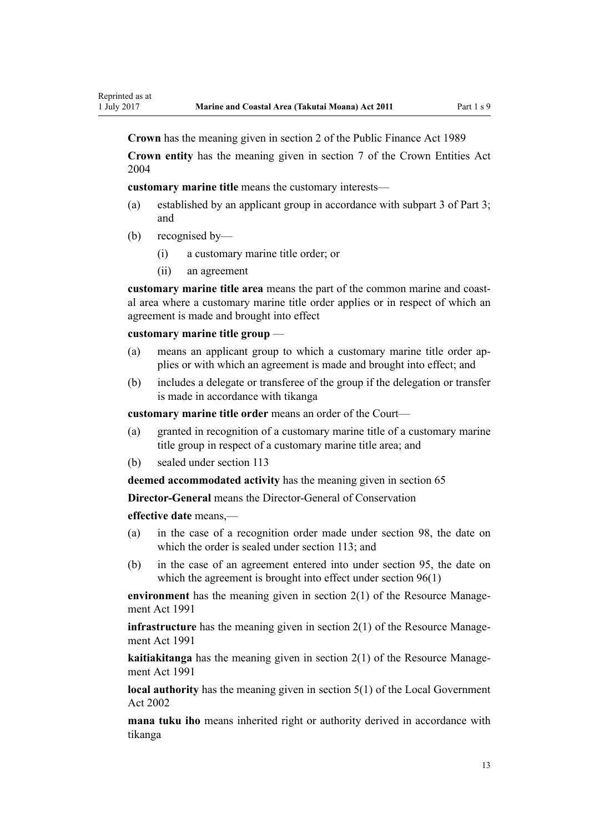**Crown** has the meaning given in [section 2](http://prd-lgnz-nlb.prd.pco.net.nz/pdflink.aspx?id=DLM160819) of the Public Finance Act 1989

**Crown entity** has the meaning given in [section 7](http://prd-lgnz-nlb.prd.pco.net.nz/pdflink.aspx?id=DLM329641) of the Crown Entities Act 2004

**customary marine title** means the customary interests—

- (a) established by an applicant group in accordance with [subpart 3 of Part 3;](#page-43-0) and
- (b) recognised by—
	- (i) a customary marine title order; or
	- (ii) an agreement

**customary marine title area** means the part of the common marine and coastal area where a customary marine title order applies or in respect of which an agreement is made and brought into effect

#### **customary marine title group** —

- (a) means an applicant group to which a customary marine title order applies or with which an agreement is made and brought into effect; and
- (b) includes a delegate or transferee of the group if the delegation or transfer is made in accordance with tikanga

**customary marine title order** means an order of the Court—

- (a) granted in recognition of a customary marine title of a customary marine title group in respect of a customary marine title area; and
- (b) sealed under [section 113](#page-76-0)

**deemed accommodated activity** has the meaning given in [section 65](#page-51-0)

**Director-General** means the Director-General of Conservation

**effective date** means,—

- (a) in the case of a recognition order made under [section 98,](#page-69-0) the date on which the order is sealed under [section 113;](#page-76-0) and
- (b) in the case of an agreement entered into under [section 95,](#page-68-0) the date on which the agreement is brought into effect under [section 96\(1\)](#page-68-0)

**environment** has the meaning given in [section 2\(1\)](http://prd-lgnz-nlb.prd.pco.net.nz/pdflink.aspx?id=DLM230272) of the Resource Management Act 1991

**infrastructure** has the meaning given in [section 2\(1\)](http://prd-lgnz-nlb.prd.pco.net.nz/pdflink.aspx?id=DLM230272) of the Resource Management Act 1991

**kaitiakitanga** has the meaning given in [section 2\(1\)](http://prd-lgnz-nlb.prd.pco.net.nz/pdflink.aspx?id=DLM230272) of the Resource Management Act 1991

**local authority** has the meaning given in [section 5\(1\)](http://prd-lgnz-nlb.prd.pco.net.nz/pdflink.aspx?id=DLM170881) of the Local Government Act 2002

**mana tuku iho** means inherited right or authority derived in accordance with tikanga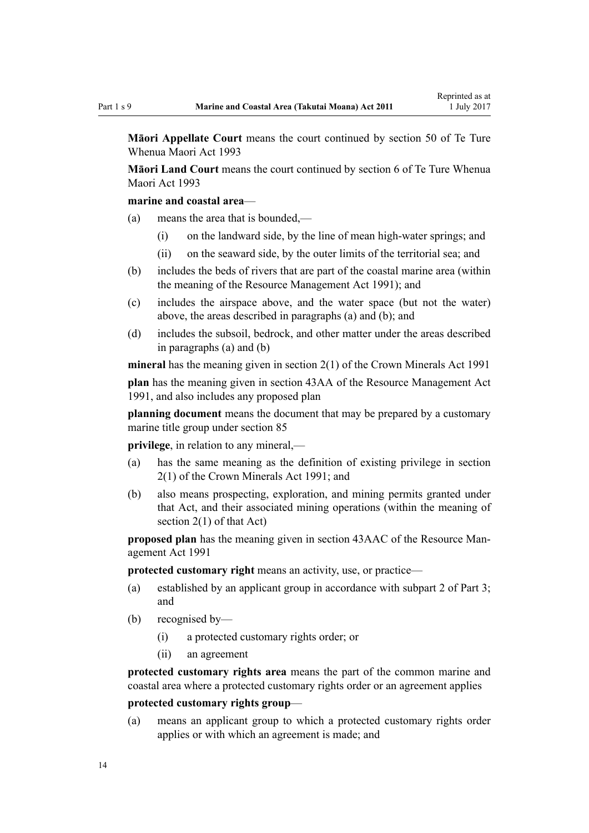**Māori Appellate Court** means the court continued by [section 50](http://prd-lgnz-nlb.prd.pco.net.nz/pdflink.aspx?id=DLM290929) of Te Ture Whenua Maori Act 1993

**Māori Land Court** means the court continued by [section 6](http://prd-lgnz-nlb.prd.pco.net.nz/pdflink.aspx?id=DLM290517) of Te Ture Whenua Maori Act 1993

# **marine and coastal area**—

- (a) means the area that is bounded,—
	- (i) on the landward side, by the line of mean high-water springs; and
	- (ii) on the seaward side, by the outer limits of the territorial sea; and
- (b) includes the beds of rivers that are part of the coastal marine area (within the meaning of the [Resource Management Act 1991](http://prd-lgnz-nlb.prd.pco.net.nz/pdflink.aspx?id=DLM230264)); and
- (c) includes the airspace above, and the water space (but not the water) above, the areas described in paragraphs (a) and (b); and
- (d) includes the subsoil, bedrock, and other matter under the areas described in paragraphs (a) and (b)

**mineral** has the meaning given in [section 2\(1\)](http://prd-lgnz-nlb.prd.pco.net.nz/pdflink.aspx?id=DLM242543) of the Crown Minerals Act 1991

**plan** has the meaning given in [section 43AA](http://prd-lgnz-nlb.prd.pco.net.nz/pdflink.aspx?id=DLM2412743) of the Resource Management Act 1991, and also includes any proposed plan

**planning document** means the document that may be prepared by a customary marine title group under [section 85](#page-63-0)

**privilege**, in relation to any mineral,—

- (a) has the same meaning as the definition of existing privilege in [section](http://prd-lgnz-nlb.prd.pco.net.nz/pdflink.aspx?id=DLM242543) [2\(1\)](http://prd-lgnz-nlb.prd.pco.net.nz/pdflink.aspx?id=DLM242543) of the Crown Minerals Act 1991; and
- (b) also means prospecting, exploration, and mining permits granted under that Act, and their associated mining operations (within the meaning of [section 2\(1\)](http://prd-lgnz-nlb.prd.pco.net.nz/pdflink.aspx?id=DLM242543) of that Act)

**proposed plan** has the meaning given in [section 43AAC](http://prd-lgnz-nlb.prd.pco.net.nz/pdflink.aspx?id=DLM2412769) of the Resource Management Act 1991

**protected customary right** means an activity, use, or practice—

- (a) established by an applicant group in accordance with [subpart 2 of Part 3;](#page-39-0) and
- (b) recognised by—
	- (i) a protected customary rights order; or
	- (ii) an agreement

**protected customary rights area** means the part of the common marine and coastal area where a protected customary rights order or an agreement applies

# **protected customary rights group**—

(a) means an applicant group to which a protected customary rights order applies or with which an agreement is made; and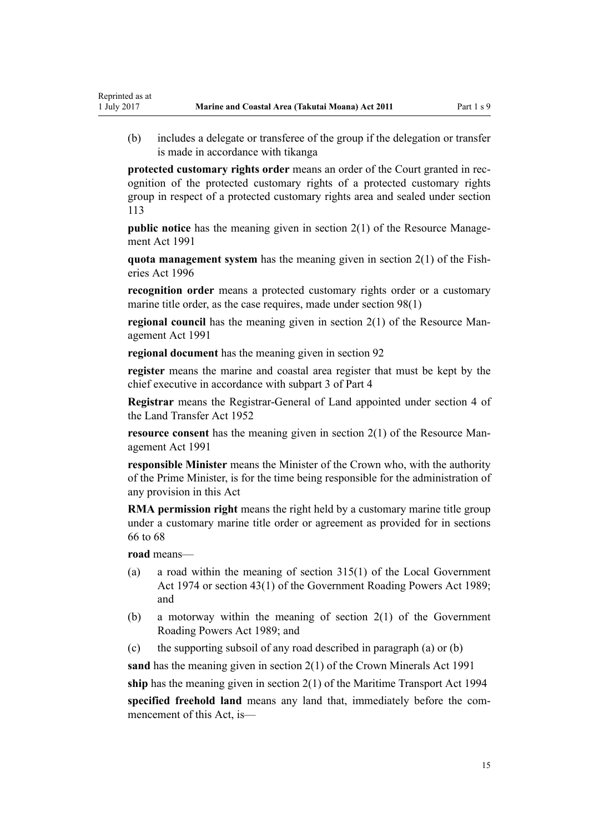(b) includes a delegate or transferee of the group if the delegation or transfer is made in accordance with tikanga

**protected customary rights order** means an order of the Court granted in recognition of the protected customary rights of a protected customary rights group in respect of a protected customary rights area and sealed under [section](#page-76-0) [113](#page-76-0)

**public notice** has the meaning given in [section 2\(1\)](http://prd-lgnz-nlb.prd.pco.net.nz/pdflink.aspx?id=DLM230272) of the Resource Management Act 1991

**quota management system** has the meaning given in [section 2\(1\)](http://prd-lgnz-nlb.prd.pco.net.nz/pdflink.aspx?id=DLM394199) of the Fisheries Act 1996

**recognition order** means a protected customary rights order or a customary marine title order, as the case requires, made under [section 98\(1\)](#page-69-0)

**regional council** has the meaning given in [section 2\(1\)](http://prd-lgnz-nlb.prd.pco.net.nz/pdflink.aspx?id=DLM230272) of the Resource Management Act 1991

**regional document** has the meaning given in [section 92](#page-65-0)

**register** means the marine and coastal area register that must be kept by the chief executive in accordance with [subpart 3 of Part 4](#page-76-0)

**Registrar** means the Registrar-General of Land appointed under [section 4](http://prd-lgnz-nlb.prd.pco.net.nz/pdflink.aspx?id=DLM270019) of the Land Transfer Act 1952

**resource consent** has the meaning given in [section 2\(1\)](http://prd-lgnz-nlb.prd.pco.net.nz/pdflink.aspx?id=DLM230272) of the Resource Management Act 1991

**responsible Minister** means the Minister of the Crown who, with the authority of the Prime Minister, is for the time being responsible for the administration of any provision in this Act

**RMA permission right** means the right held by a customary marine title group under a customary marine title order or agreement as provided for in [sections](#page-52-0) [66 to 68](#page-52-0)

**road** means—

Reprinted as at

- (a) a road within the meaning of [section 315\(1\)](http://prd-lgnz-nlb.prd.pco.net.nz/pdflink.aspx?id=DLM420326) of the Local Government Act 1974 or [section 43\(1\)](http://prd-lgnz-nlb.prd.pco.net.nz/pdflink.aspx?id=DLM175232) of the Government Roading Powers Act 1989; and
- (b) a motorway within the meaning of [section 2\(1\)](http://prd-lgnz-nlb.prd.pco.net.nz/pdflink.aspx?id=DLM173374) of the Government Roading Powers Act 1989; and
- (c) the supporting subsoil of any road described in paragraph (a) or (b)

**sand** has the meaning given in [section 2\(1\)](http://prd-lgnz-nlb.prd.pco.net.nz/pdflink.aspx?id=DLM242543) of the Crown Minerals Act 1991

**ship** has the meaning given in [section 2\(1\)](http://prd-lgnz-nlb.prd.pco.net.nz/pdflink.aspx?id=DLM334667) of the Maritime Transport Act 1994

**specified freehold land** means any land that, immediately before the commencement of this Act, is—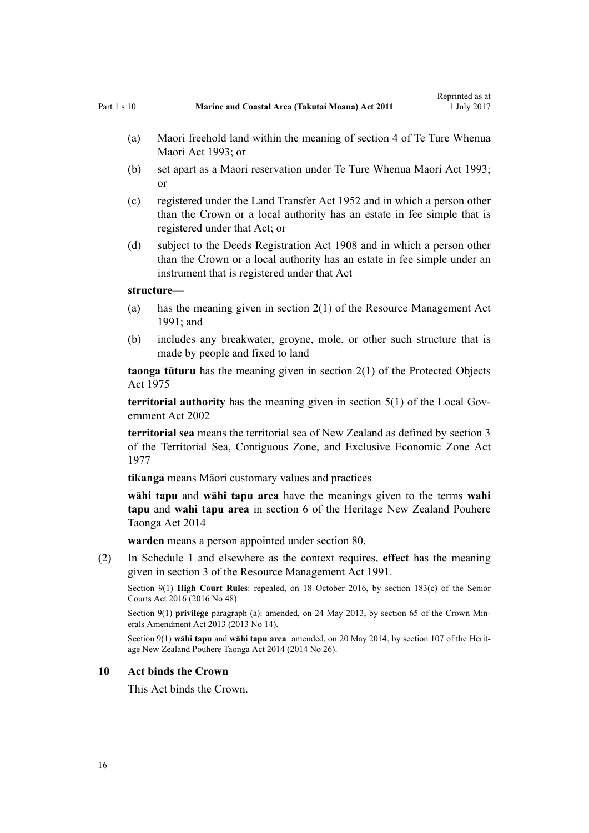- <span id="page-15-0"></span>(b) set apart as a Maori reservation under [Te Ture Whenua Maori Act 1993;](http://prd-lgnz-nlb.prd.pco.net.nz/pdflink.aspx?id=DLM289881) or
- (c) registered under the [Land Transfer Act 1952](http://prd-lgnz-nlb.prd.pco.net.nz/pdflink.aspx?id=DLM269031) and in which a person other than the Crown or a local authority has an estate in fee simple that is registered under that Act; or
- (d) subject to the [Deeds Registration Act 1908](http://prd-lgnz-nlb.prd.pco.net.nz/pdflink.aspx?id=DLM141134) and in which a person other than the Crown or a local authority has an estate in fee simple under an instrument that is registered under that Act

#### **structure**—

- (a) has the meaning given in [section 2\(1\)](http://prd-lgnz-nlb.prd.pco.net.nz/pdflink.aspx?id=DLM230272) of the Resource Management Act 1991; and
- (b) includes any breakwater, groyne, mole, or other such structure that is made by people and fixed to land

**taonga tūturu** has the meaning given in [section 2\(1\)](http://prd-lgnz-nlb.prd.pco.net.nz/pdflink.aspx?id=DLM432125) of the Protected Objects Act 1975

**territorial authority** has the meaning given in [section 5\(1\)](http://prd-lgnz-nlb.prd.pco.net.nz/pdflink.aspx?id=DLM170881) of the Local Government Act 2002

**territorial sea** means the territorial sea of New Zealand as defined by [section 3](http://prd-lgnz-nlb.prd.pco.net.nz/pdflink.aspx?id=DLM442665) of the Territorial Sea, Contiguous Zone, and Exclusive Economic Zone Act 1977

**tikanga** means Māori customary values and practices

**wāhi tapu** and **wāhi tapu area** have the meanings given to the terms **wahi tapu** and **wahi tapu area** in [section 6](http://prd-lgnz-nlb.prd.pco.net.nz/pdflink.aspx?id=DLM4005423) of the Heritage New Zealand Pouhere Taonga Act 2014

**warden** means a person appointed under [section 80](#page-59-0).

(2) In [Schedule 1](#page-83-0) and elsewhere as the context requires, **effect** has the meaning given in [section 3](http://prd-lgnz-nlb.prd.pco.net.nz/pdflink.aspx?id=DLM231795) of the Resource Management Act 1991.

Section 9(1) **High Court Rules**: repealed, on 18 October 2016, by [section 183\(c\)](http://prd-lgnz-nlb.prd.pco.net.nz/pdflink.aspx?id=DLM5759564) of the Senior Courts Act 2016 (2016 No 48).

Section 9(1) **privilege** paragraph (a): amended, on 24 May 2013, by [section 65](http://prd-lgnz-nlb.prd.pco.net.nz/pdflink.aspx?id=DLM5081570) of the Crown Minerals Amendment Act 2013 (2013 No 14).

Section 9(1) **wāhi tapu** and **wāhi tapu area**: amended, on 20 May 2014, by [section 107](http://prd-lgnz-nlb.prd.pco.net.nz/pdflink.aspx?id=DLM4005646) of the Heritage New Zealand Pouhere Taonga Act 2014 (2014 No 26).

#### **10 Act binds the Crown**

This Act binds the Crown.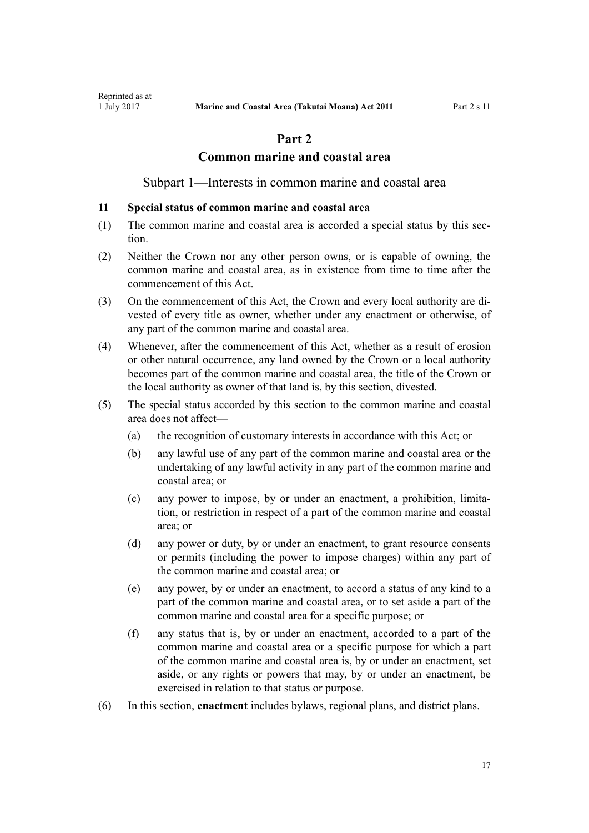# **Part 2**

# **Common marine and coastal area**

Subpart 1—Interests in common marine and coastal area

#### <span id="page-16-0"></span>**11 Special status of common marine and coastal area**

- (1) The common marine and coastal area is accorded a special status by this section.
- (2) Neither the Crown nor any other person owns, or is capable of owning, the common marine and coastal area, as in existence from time to time after the commencement of this Act.
- (3) On the commencement of this Act, the Crown and every local authority are divested of every title as owner, whether under any enactment or otherwise, of any part of the common marine and coastal area.
- (4) Whenever, after the commencement of this Act, whether as a result of erosion or other natural occurrence, any land owned by the Crown or a local authority becomes part of the common marine and coastal area, the title of the Crown or the local authority as owner of that land is, by this section, divested.
- (5) The special status accorded by this section to the common marine and coastal area does not affect—
	- (a) the recognition of customary interests in accordance with this Act; or
	- (b) any lawful use of any part of the common marine and coastal area or the undertaking of any lawful activity in any part of the common marine and coastal area; or
	- (c) any power to impose, by or under an enactment, a prohibition, limitation, or restriction in respect of a part of the common marine and coastal area; or
	- (d) any power or duty, by or under an enactment, to grant resource consents or permits (including the power to impose charges) within any part of the common marine and coastal area; or
	- (e) any power, by or under an enactment, to accord a status of any kind to a part of the common marine and coastal area, or to set aside a part of the common marine and coastal area for a specific purpose; or
	- (f) any status that is, by or under an enactment, accorded to a part of the common marine and coastal area or a specific purpose for which a part of the common marine and coastal area is, by or under an enactment, set aside, or any rights or powers that may, by or under an enactment, be exercised in relation to that status or purpose.
- (6) In this section, **enactment** includes bylaws, regional plans, and district plans.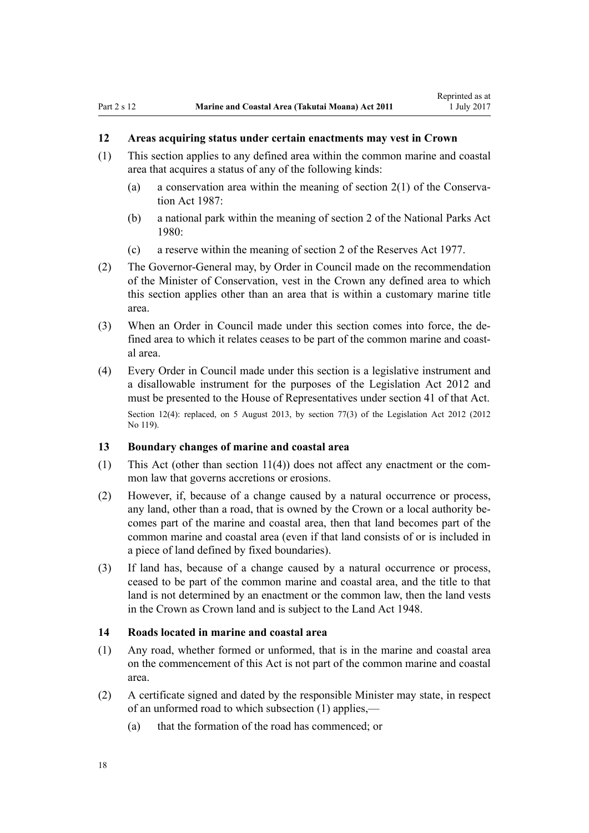# <span id="page-17-0"></span>**12 Areas acquiring status under certain enactments may vest in Crown**

- (1) This section applies to any defined area within the common marine and coastal area that acquires a status of any of the following kinds:
	- (a) a conservation area within the meaning of [section 2\(1\)](http://prd-lgnz-nlb.prd.pco.net.nz/pdflink.aspx?id=DLM103616) of the Conservation Act 1987:
	- (b) a national park within the meaning of [section 2](http://prd-lgnz-nlb.prd.pco.net.nz/pdflink.aspx?id=DLM36968) of the National Parks Act 1980:
	- (c) a reserve within the meaning of [section 2](http://prd-lgnz-nlb.prd.pco.net.nz/pdflink.aspx?id=DLM444310) of the Reserves Act 1977.
- (2) The Governor-General may, by Order in Council made on the recommendation of the Minister of Conservation, vest in the Crown any defined area to which this section applies other than an area that is within a customary marine title area.
- (3) When an Order in Council made under this section comes into force, the defined area to which it relates ceases to be part of the common marine and coastal area.
- (4) Every Order in Council made under this section is a legislative instrument and a disallowable instrument for the purposes of the [Legislation Act 2012](http://prd-lgnz-nlb.prd.pco.net.nz/pdflink.aspx?id=DLM2997643) and must be presented to the House of Representatives under [section 41](http://prd-lgnz-nlb.prd.pco.net.nz/pdflink.aspx?id=DLM2998573) of that Act. Section 12(4): replaced, on 5 August 2013, by [section 77\(3\)](http://prd-lgnz-nlb.prd.pco.net.nz/pdflink.aspx?id=DLM2998633) of the Legislation Act 2012 (2012) No 119).

#### **13 Boundary changes of marine and coastal area**

- (1) This Act (other than [section 11\(4\)](#page-16-0)) does not affect any enactment or the common law that governs accretions or erosions.
- (2) However, if, because of a change caused by a natural occurrence or process, any land, other than a road, that is owned by the Crown or a local authority becomes part of the marine and coastal area, then that land becomes part of the common marine and coastal area (even if that land consists of or is included in a piece of land defined by fixed boundaries).
- (3) If land has, because of a change caused by a natural occurrence or process, ceased to be part of the common marine and coastal area, and the title to that land is not determined by an enactment or the common law, then the land vests in the Crown as Crown land and is subject to the [Land Act 1948.](http://prd-lgnz-nlb.prd.pco.net.nz/pdflink.aspx?id=DLM250585)

### **14 Roads located in marine and coastal area**

- (1) Any road, whether formed or unformed, that is in the marine and coastal area on the commencement of this Act is not part of the common marine and coastal area.
- (2) A certificate signed and dated by the responsible Minister may state, in respect of an unformed road to which subsection (1) applies,—
	- (a) that the formation of the road has commenced; or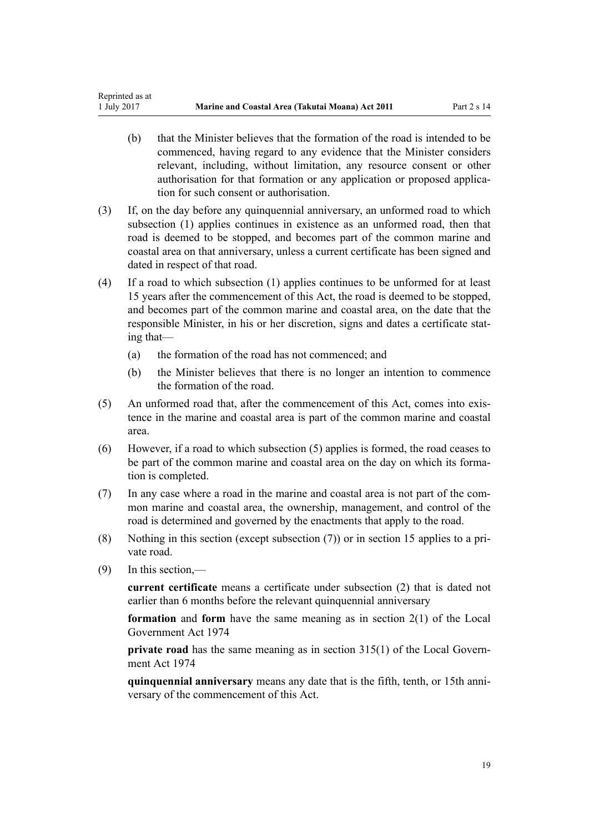- (b) that the Minister believes that the formation of the road is intended to be commenced, having regard to any evidence that the Minister considers relevant, including, without limitation, any resource consent or other authorisation for that formation or any application or proposed application for such consent or authorisation.
- (3) If, on the day before any quinquennial anniversary, an unformed road to which subsection (1) applies continues in existence as an unformed road, then that road is deemed to be stopped, and becomes part of the common marine and coastal area on that anniversary, unless a current certificate has been signed and dated in respect of that road.
- (4) If a road to which subsection (1) applies continues to be unformed for at least 15 years after the commencement of this Act, the road is deemed to be stopped, and becomes part of the common marine and coastal area, on the date that the responsible Minister, in his or her discretion, signs and dates a certificate stating that—
	- (a) the formation of the road has not commenced; and
	- (b) the Minister believes that there is no longer an intention to commence the formation of the road.
- (5) An unformed road that, after the commencement of this Act, comes into existence in the marine and coastal area is part of the common marine and coastal area.
- (6) However, if a road to which subsection (5) applies is formed, the road ceases to be part of the common marine and coastal area on the day on which its formation is completed.
- (7) In any case where a road in the marine and coastal area is not part of the common marine and coastal area, the ownership, management, and control of the road is determined and governed by the enactments that apply to the road.
- (8) Nothing in this section (except subsection (7)) or in [section 15](#page-19-0) applies to a private road.
- (9) In this section,—

**current certificate** means a certificate under subsection (2) that is dated not earlier than 6 months before the relevant quinquennial anniversary

**formation** and **form** have the same meaning as in [section 2\(1\)](http://prd-lgnz-nlb.prd.pco.net.nz/pdflink.aspx?id=DLM415539) of the Local Government Act 1974

**private road** has the same meaning as in [section 315\(1\)](http://prd-lgnz-nlb.prd.pco.net.nz/pdflink.aspx?id=DLM420326) of the Local Government Act 1974

**quinquennial anniversary** means any date that is the fifth, tenth, or 15th anniversary of the commencement of this Act.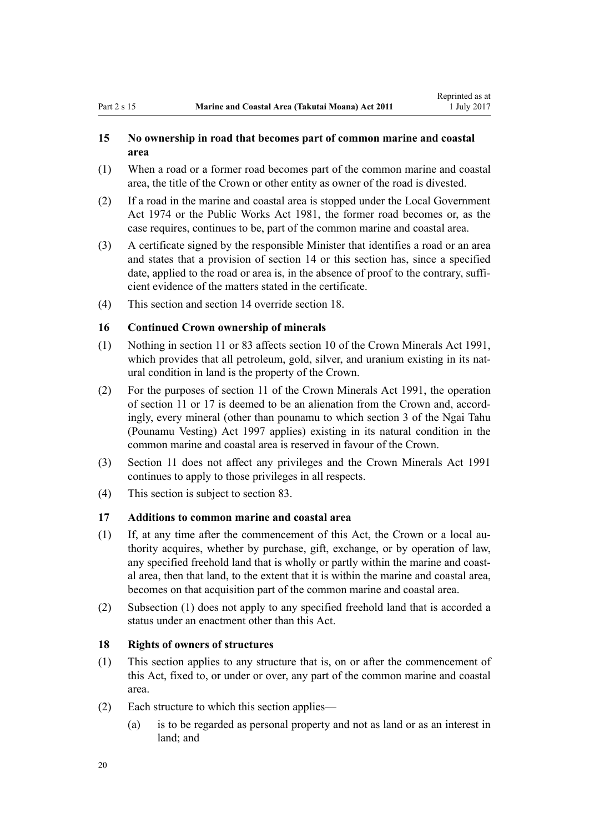# <span id="page-19-0"></span>**15 No ownership in road that becomes part of common marine and coastal area**

- (1) When a road or a former road becomes part of the common marine and coastal area, the title of the Crown or other entity as owner of the road is divested.
- (2) If a road in the marine and coastal area is stopped under the [Local Government](http://prd-lgnz-nlb.prd.pco.net.nz/pdflink.aspx?id=DLM415531) [Act 1974](http://prd-lgnz-nlb.prd.pco.net.nz/pdflink.aspx?id=DLM415531) or the [Public Works Act 1981](http://prd-lgnz-nlb.prd.pco.net.nz/pdflink.aspx?id=DLM45426), the former road becomes or, as the case requires, continues to be, part of the common marine and coastal area.
- (3) A certificate signed by the responsible Minister that identifies a road or an area and states that a provision of [section 14](#page-17-0) or this section has, since a specified date, applied to the road or area is, in the absence of proof to the contrary, sufficient evidence of the matters stated in the certificate.
- (4) This section and [section 14](#page-17-0) override section 18.

# **16 Continued Crown ownership of minerals**

- (1) Nothing in [section 11](#page-16-0) or [83](#page-62-0) affects [section 10](http://prd-lgnz-nlb.prd.pco.net.nz/pdflink.aspx?id=DLM246310) of the Crown Minerals Act 1991, which provides that all petroleum, gold, silver, and uranium existing in its natural condition in land is the property of the Crown.
- (2) For the purposes of [section 11](http://prd-lgnz-nlb.prd.pco.net.nz/pdflink.aspx?id=DLM246311) of the Crown Minerals Act 1991, the operation of [section 11](#page-16-0) or 17 is deemed to be an alienation from the Crown and, accordingly, every mineral (other than pounamu to which [section 3](http://prd-lgnz-nlb.prd.pco.net.nz/pdflink.aspx?id=DLM413605) of the Ngai Tahu (Pounamu Vesting) Act 1997 applies) existing in its natural condition in the common marine and coastal area is reserved in favour of the Crown.
- (3) [Section 11](#page-16-0) does not affect any privileges and the [Crown Minerals Act 1991](http://prd-lgnz-nlb.prd.pco.net.nz/pdflink.aspx?id=DLM242535) continues to apply to those privileges in all respects.
- (4) This section is subject to [section 83.](#page-62-0)

# **17 Additions to common marine and coastal area**

- (1) If, at any time after the commencement of this Act, the Crown or a local authority acquires, whether by purchase, gift, exchange, or by operation of law, any specified freehold land that is wholly or partly within the marine and coastal area, then that land, to the extent that it is within the marine and coastal area, becomes on that acquisition part of the common marine and coastal area.
- (2) Subsection (1) does not apply to any specified freehold land that is accorded a status under an enactment other than this Act.

### **18 Rights of owners of structures**

- (1) This section applies to any structure that is, on or after the commencement of this Act, fixed to, or under or over, any part of the common marine and coastal area.
- (2) Each structure to which this section applies—
	- (a) is to be regarded as personal property and not as land or as an interest in land; and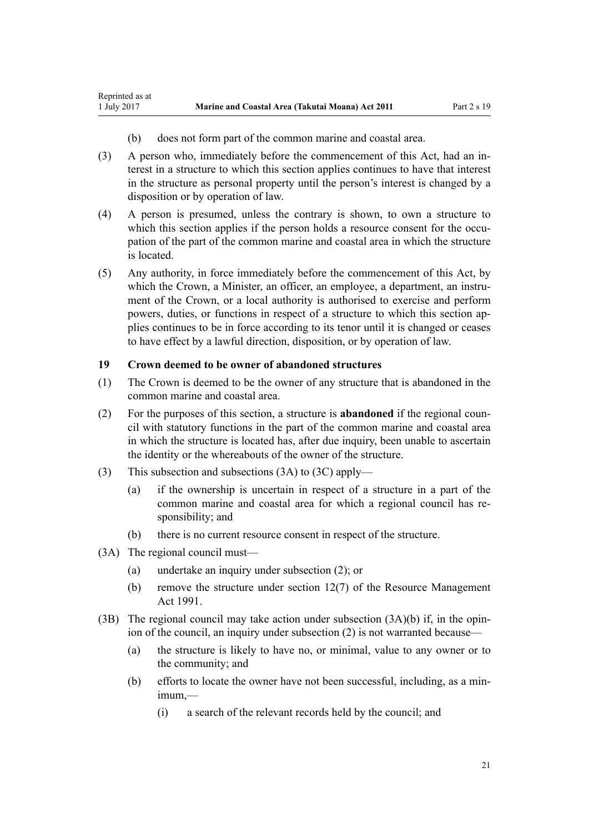- (b) does not form part of the common marine and coastal area.
- (3) A person who, immediately before the commencement of this Act, had an interest in a structure to which this section applies continues to have that interest in the structure as personal property until the person's interest is changed by a disposition or by operation of law.
- (4) A person is presumed, unless the contrary is shown, to own a structure to which this section applies if the person holds a resource consent for the occupation of the part of the common marine and coastal area in which the structure is located.
- (5) Any authority, in force immediately before the commencement of this Act, by which the Crown, a Minister, an officer, an employee, a department, an instrument of the Crown, or a local authority is authorised to exercise and perform powers, duties, or functions in respect of a structure to which this section applies continues to be in force according to its tenor until it is changed or ceases to have effect by a lawful direction, disposition, or by operation of law.

# **19 Crown deemed to be owner of abandoned structures**

- (1) The Crown is deemed to be the owner of any structure that is abandoned in the common marine and coastal area.
- (2) For the purposes of this section, a structure is **abandoned** if the regional council with statutory functions in the part of the common marine and coastal area in which the structure is located has, after due inquiry, been unable to ascertain the identity or the whereabouts of the owner of the structure.
- (3) This subsection and subsections (3A) to (3C) apply—
	- (a) if the ownership is uncertain in respect of a structure in a part of the common marine and coastal area for which a regional council has responsibility; and
	- (b) there is no current resource consent in respect of the structure.
- (3A) The regional council must—

<span id="page-20-0"></span>Reprinted as at

- (a) undertake an inquiry under subsection (2); or
- (b) remove the structure under [section 12\(7\)](http://prd-lgnz-nlb.prd.pco.net.nz/pdflink.aspx?id=DLM231949) of the Resource Management Act 1991.
- (3B) The regional council may take action under subsection  $(3A)(b)$  if, in the opinion of the council, an inquiry under subsection (2) is not warranted because—
	- (a) the structure is likely to have no, or minimal, value to any owner or to the community; and
	- (b) efforts to locate the owner have not been successful, including, as a minimum,—
		- (i) a search of the relevant records held by the council; and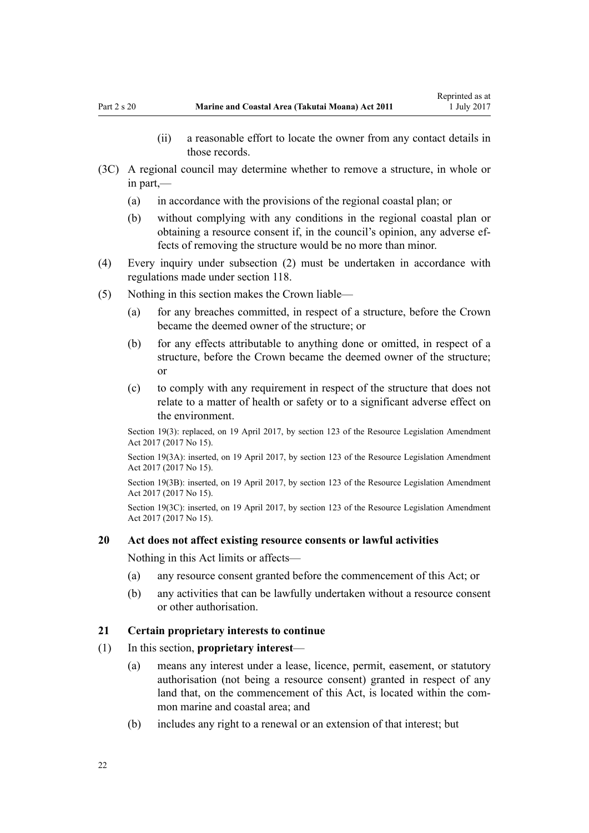- (ii) a reasonable effort to locate the owner from any contact details in those records.
- <span id="page-21-0"></span>(3C) A regional council may determine whether to remove a structure, in whole or in part,—
	- (a) in accordance with the provisions of the regional coastal plan; or
	- (b) without complying with any conditions in the regional coastal plan or obtaining a resource consent if, in the council's opinion, any adverse effects of removing the structure would be no more than minor.
- (4) Every inquiry under subsection (2) must be undertaken in accordance with regulations made under [section 118](#page-77-0).
- (5) Nothing in this section makes the Crown liable—
	- (a) for any breaches committed, in respect of a structure, before the Crown became the deemed owner of the structure; or
	- (b) for any effects attributable to anything done or omitted, in respect of a structure, before the Crown became the deemed owner of the structure; or
	- (c) to comply with any requirement in respect of the structure that does not relate to a matter of health or safety or to a significant adverse effect on the environment.

Section 19(3): replaced, on 19 April 2017, by [section 123](http://prd-lgnz-nlb.prd.pco.net.nz/pdflink.aspx?id=DLM6669356) of the Resource Legislation Amendment Act 2017 (2017 No 15).

Section 19(3A): inserted, on 19 April 2017, by [section 123](http://prd-lgnz-nlb.prd.pco.net.nz/pdflink.aspx?id=DLM6669356) of the Resource Legislation Amendment Act 2017 (2017 No 15).

Section 19(3B): inserted, on 19 April 2017, by [section 123](http://prd-lgnz-nlb.prd.pco.net.nz/pdflink.aspx?id=DLM6669356) of the Resource Legislation Amendment Act 2017 (2017 No 15).

Section 19(3C): inserted, on 19 April 2017, by [section 123](http://prd-lgnz-nlb.prd.pco.net.nz/pdflink.aspx?id=DLM6669356) of the Resource Legislation Amendment Act 2017 (2017 No 15).

#### **20 Act does not affect existing resource consents or lawful activities**

Nothing in this Act limits or affects—

- (a) any resource consent granted before the commencement of this Act; or
- (b) any activities that can be lawfully undertaken without a resource consent or other authorisation.

#### **21 Certain proprietary interests to continue**

- (1) In this section, **proprietary interest**
	- (a) means any interest under a lease, licence, permit, easement, or statutory authorisation (not being a resource consent) granted in respect of any land that, on the commencement of this Act, is located within the common marine and coastal area; and
	- (b) includes any right to a renewal or an extension of that interest; but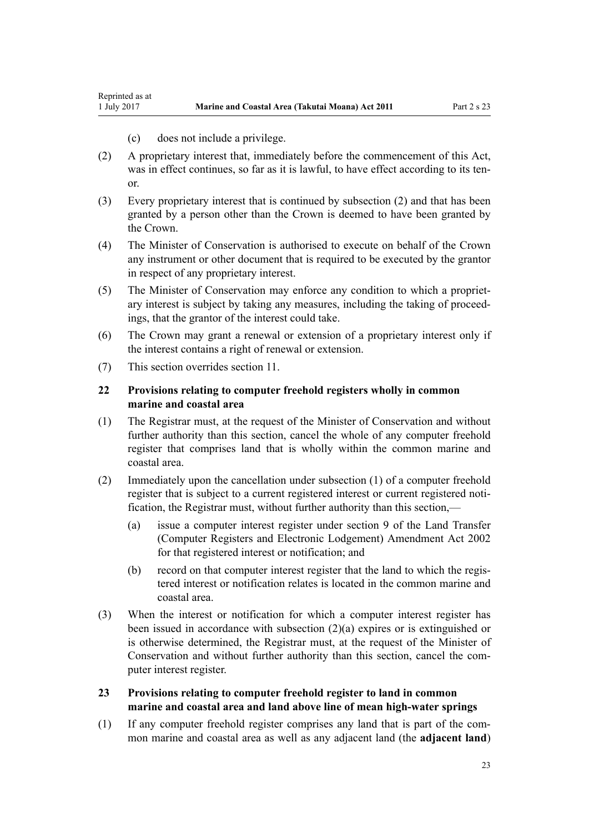- (c) does not include a privilege.
- <span id="page-22-0"></span>(2) A proprietary interest that, immediately before the commencement of this Act, was in effect continues, so far as it is lawful, to have effect according to its tenor.
- (3) Every proprietary interest that is continued by subsection (2) and that has been granted by a person other than the Crown is deemed to have been granted by the Crown.
- (4) The Minister of Conservation is authorised to execute on behalf of the Crown any instrument or other document that is required to be executed by the grantor in respect of any proprietary interest.
- (5) The Minister of Conservation may enforce any condition to which a proprietary interest is subject by taking any measures, including the taking of proceedings, that the grantor of the interest could take.
- (6) The Crown may grant a renewal or extension of a proprietary interest only if the interest contains a right of renewal or extension.
- (7) This section overrides [section 11](#page-16-0).

# **22 Provisions relating to computer freehold registers wholly in common marine and coastal area**

- (1) The Registrar must, at the request of the Minister of Conservation and without further authority than this section, cancel the whole of any computer freehold register that comprises land that is wholly within the common marine and coastal area.
- (2) Immediately upon the cancellation under subsection (1) of a computer freehold register that is subject to a current registered interest or current registered notification, the Registrar must, without further authority than this section,—
	- (a) issue a computer interest register under [section 9](http://prd-lgnz-nlb.prd.pco.net.nz/pdflink.aspx?id=DLM140179) of the Land Transfer (Computer Registers and Electronic Lodgement) Amendment Act 2002 for that registered interest or notification; and
	- (b) record on that computer interest register that the land to which the registered interest or notification relates is located in the common marine and coastal area.
- (3) When the interest or notification for which a computer interest register has been issued in accordance with subsection (2)(a) expires or is extinguished or is otherwise determined, the Registrar must, at the request of the Minister of Conservation and without further authority than this section, cancel the computer interest register.
- **23 Provisions relating to computer freehold register to land in common marine and coastal area and land above line of mean high-water springs**
- (1) If any computer freehold register comprises any land that is part of the common marine and coastal area as well as any adjacent land (the **adjacent land**)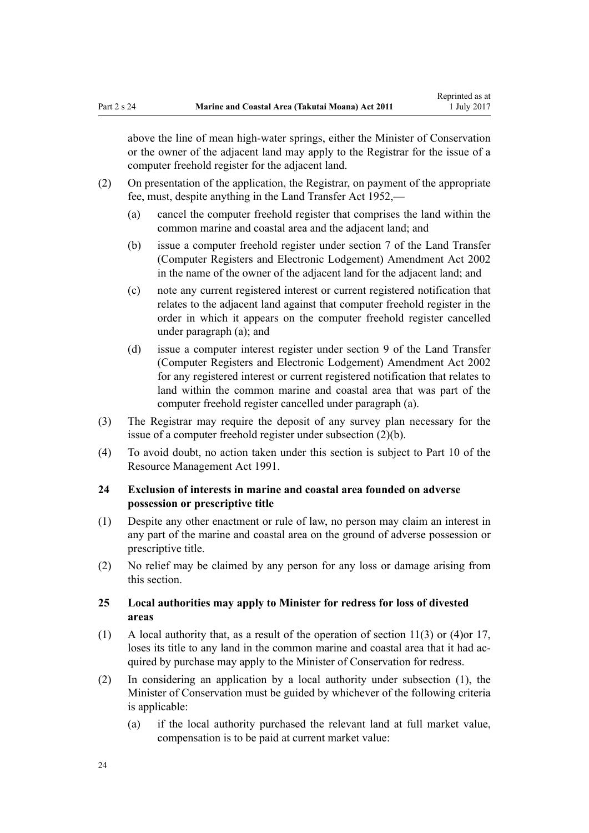<span id="page-23-0"></span>above the line of mean high-water springs, either the Minister of Conservation or the owner of the adjacent land may apply to the Registrar for the issue of a computer freehold register for the adjacent land.

- (2) On presentation of the application, the Registrar, on payment of the appropriate fee, must, despite anything in the [Land Transfer Act 1952,](http://prd-lgnz-nlb.prd.pco.net.nz/pdflink.aspx?id=DLM269031)—
	- (a) cancel the computer freehold register that comprises the land within the common marine and coastal area and the adjacent land; and
	- (b) issue a computer freehold register under [section 7](http://prd-lgnz-nlb.prd.pco.net.nz/pdflink.aspx?id=DLM140177) of the Land Transfer (Computer Registers and Electronic Lodgement) Amendment Act 2002 in the name of the owner of the adjacent land for the adjacent land; and
	- (c) note any current registered interest or current registered notification that relates to the adjacent land against that computer freehold register in the order in which it appears on the computer freehold register cancelled under paragraph (a); and
	- (d) issue a computer interest register under [section 9](http://prd-lgnz-nlb.prd.pco.net.nz/pdflink.aspx?id=DLM140179) of the Land Transfer (Computer Registers and Electronic Lodgement) Amendment Act 2002 for any registered interest or current registered notification that relates to land within the common marine and coastal area that was part of the computer freehold register cancelled under paragraph (a).
- (3) The Registrar may require the deposit of any survey plan necessary for the issue of a computer freehold register under subsection (2)(b).
- (4) To avoid doubt, no action taken under this section is subject to [Part 10](http://prd-lgnz-nlb.prd.pco.net.nz/pdflink.aspx?id=DLM236786) of the Resource Management Act 1991.

# **24 Exclusion of interests in marine and coastal area founded on adverse possession or prescriptive title**

- (1) Despite any other enactment or rule of law, no person may claim an interest in any part of the marine and coastal area on the ground of adverse possession or prescriptive title.
- (2) No relief may be claimed by any person for any loss or damage arising from this section.

# **25 Local authorities may apply to Minister for redress for loss of divested areas**

- (1) A local authority that, as a result of the operation of [section 11\(3\) or \(4\)o](#page-16-0)r [17](#page-19-0), loses its title to any land in the common marine and coastal area that it had acquired by purchase may apply to the Minister of Conservation for redress.
- (2) In considering an application by a local authority under subsection (1), the Minister of Conservation must be guided by whichever of the following criteria is applicable:
	- (a) if the local authority purchased the relevant land at full market value, compensation is to be paid at current market value: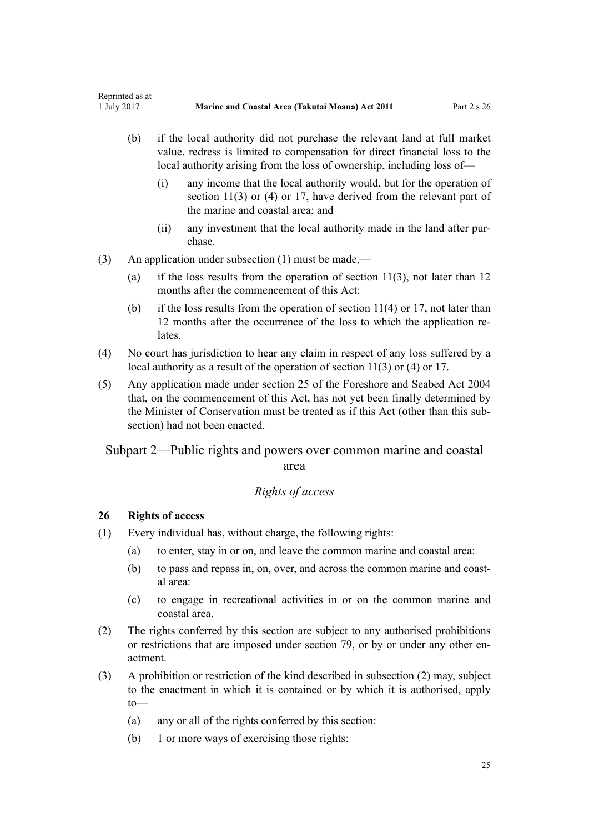- <span id="page-24-0"></span>(b) if the local authority did not purchase the relevant land at full market value, redress is limited to compensation for direct financial loss to the local authority arising from the loss of ownership, including loss of—
	- (i) any income that the local authority would, but for the operation of [section 11\(3\) or \(4\)](#page-16-0) or [17](#page-19-0), have derived from the relevant part of the marine and coastal area; and
	- (ii) any investment that the local authority made in the land after purchase.
- (3) An application under subsection (1) must be made,—
	- (a) if the loss results from the operation of [section 11\(3\),](#page-16-0) not later than 12 months after the commencement of this Act:
	- (b) if the loss results from the operation of section  $11(4)$  or [17](#page-19-0), not later than 12 months after the occurrence of the loss to which the application relates.
- (4) No court has jurisdiction to hear any claim in respect of any loss suffered by a local authority as a result of the operation of [section 11\(3\) or \(4\)](#page-16-0) or [17](#page-19-0).
- (5) Any application made under [section 25](http://prd-lgnz-nlb.prd.pco.net.nz/pdflink.aspx?id=DLM320246) of the Foreshore and Seabed Act 2004 that, on the commencement of this Act, has not yet been finally determined by the Minister of Conservation must be treated as if this Act (other than this subsection) had not been enacted.

# Subpart 2—Public rights and powers over common marine and coastal area

# *Rights of access*

# **26 Rights of access**

- (1) Every individual has, without charge, the following rights:
	- (a) to enter, stay in or on, and leave the common marine and coastal area:
	- (b) to pass and repass in, on, over, and across the common marine and coastal area:
	- (c) to engage in recreational activities in or on the common marine and coastal area.
- (2) The rights conferred by this section are subject to any authorised prohibitions or restrictions that are imposed under [section 79,](#page-59-0) or by or under any other enactment.
- (3) A prohibition or restriction of the kind described in subsection (2) may, subject to the enactment in which it is contained or by which it is authorised, apply to—
	- (a) any or all of the rights conferred by this section:
	- (b) 1 or more ways of exercising those rights: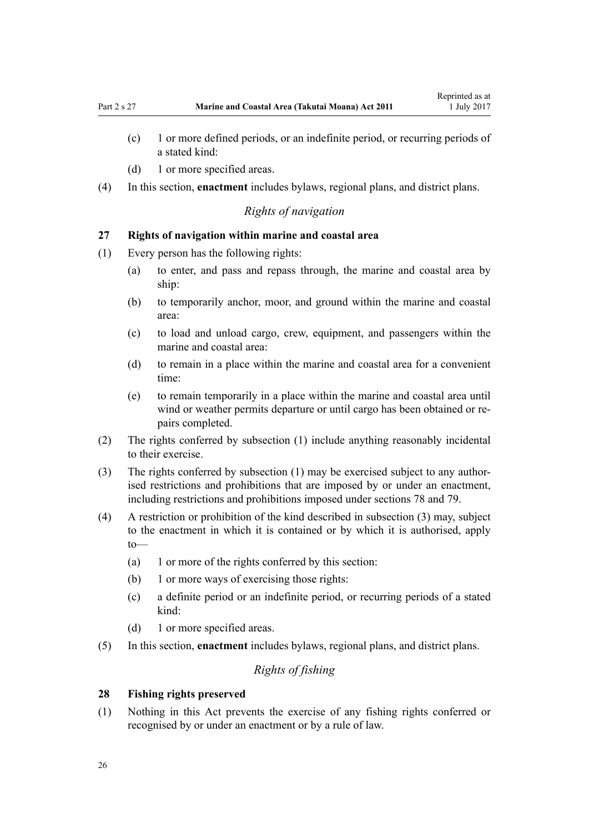- <span id="page-25-0"></span>(c) 1 or more defined periods, or an indefinite period, or recurring periods of a stated kind:
- (d) 1 or more specified areas.
- (4) In this section, **enactment** includes bylaws, regional plans, and district plans.

# *Rights of navigation*

# **27 Rights of navigation within marine and coastal area**

- (1) Every person has the following rights:
	- (a) to enter, and pass and repass through, the marine and coastal area by ship:
	- (b) to temporarily anchor, moor, and ground within the marine and coastal area:
	- (c) to load and unload cargo, crew, equipment, and passengers within the marine and coastal area:
	- (d) to remain in a place within the marine and coastal area for a convenient time:
	- (e) to remain temporarily in a place within the marine and coastal area until wind or weather permits departure or until cargo has been obtained or repairs completed.
- (2) The rights conferred by subsection (1) include anything reasonably incidental to their exercise.
- (3) The rights conferred by subsection (1) may be exercised subject to any authorised restrictions and prohibitions that are imposed by or under an enactment, including restrictions and prohibitions imposed under [sections 78](#page-58-0) and [79.](#page-59-0)
- (4) A restriction or prohibition of the kind described in subsection (3) may, subject to the enactment in which it is contained or by which it is authorised, apply to—
	- (a) 1 or more of the rights conferred by this section:
	- (b) 1 or more ways of exercising those rights:
	- (c) a definite period or an indefinite period, or recurring periods of a stated kind:
	- (d) 1 or more specified areas.
- (5) In this section, **enactment** includes bylaws, regional plans, and district plans.

# *Rights of fishing*

#### **28 Fishing rights preserved**

(1) Nothing in this Act prevents the exercise of any fishing rights conferred or recognised by or under an enactment or by a rule of law.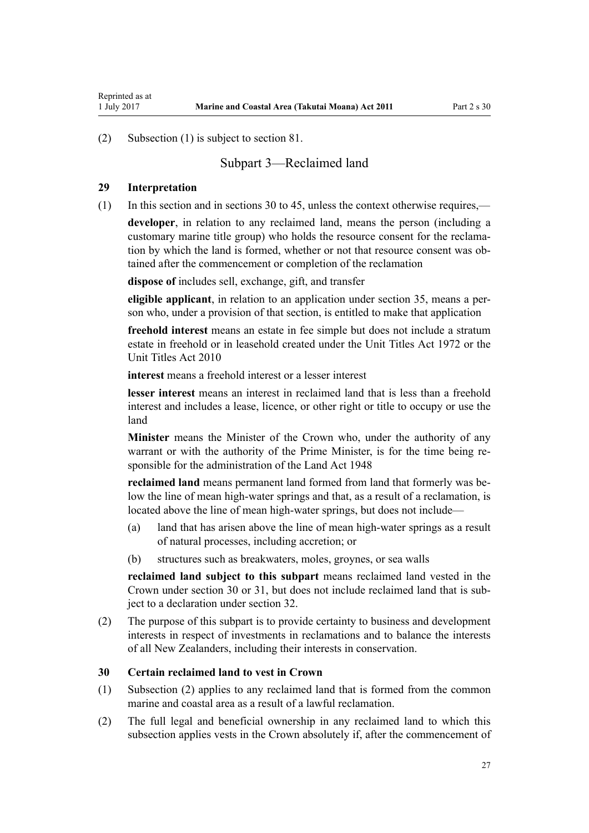<span id="page-26-0"></span>(2) Subsection (1) is subject to [section 81.](#page-60-0)

# Subpart 3—Reclaimed land

#### **29 Interpretation**

(1) In this section and in sections 30 to 45, unless the context otherwise requires,—

**developer**, in relation to any reclaimed land, means the person (including a customary marine title group) who holds the resource consent for the reclamation by which the land is formed, whether or not that resource consent was obtained after the commencement or completion of the reclamation

**dispose of** includes sell, exchange, gift, and transfer

**eligible applicant**, in relation to an application under [section 35,](#page-28-0) means a person who, under a provision of that section, is entitled to make that application

**freehold interest** means an estate in fee simple but does not include a stratum estate in freehold or in leasehold created under the [Unit Titles Act 1972](http://prd-lgnz-nlb.prd.pco.net.nz/pdflink.aspx?id=DLM405590) or the [Unit Titles Act 2010](http://prd-lgnz-nlb.prd.pco.net.nz/pdflink.aspx?id=DLM1160400)

**interest** means a freehold interest or a lesser interest

**lesser interest** means an interest in reclaimed land that is less than a freehold interest and includes a lease, licence, or other right or title to occupy or use the land

**Minister** means the Minister of the Crown who, under the authority of any warrant or with the authority of the Prime Minister, is for the time being responsible for the administration of the [Land Act 1948](http://prd-lgnz-nlb.prd.pco.net.nz/pdflink.aspx?id=DLM250585)

**reclaimed land** means permanent land formed from land that formerly was below the line of mean high-water springs and that, as a result of a reclamation, is located above the line of mean high-water springs, but does not include—

- (a) land that has arisen above the line of mean high-water springs as a result of natural processes, including accretion; or
- (b) structures such as breakwaters, moles, groynes, or sea walls

**reclaimed land subject to this subpart** means reclaimed land vested in the Crown under section 30 or [31,](#page-27-0) but does not include reclaimed land that is subject to a declaration under [section 32](#page-27-0).

(2) The purpose of this subpart is to provide certainty to business and development interests in respect of investments in reclamations and to balance the interests of all New Zealanders, including their interests in conservation.

#### **30 Certain reclaimed land to vest in Crown**

- (1) Subsection (2) applies to any reclaimed land that is formed from the common marine and coastal area as a result of a lawful reclamation.
- (2) The full legal and beneficial ownership in any reclaimed land to which this subsection applies vests in the Crown absolutely if, after the commencement of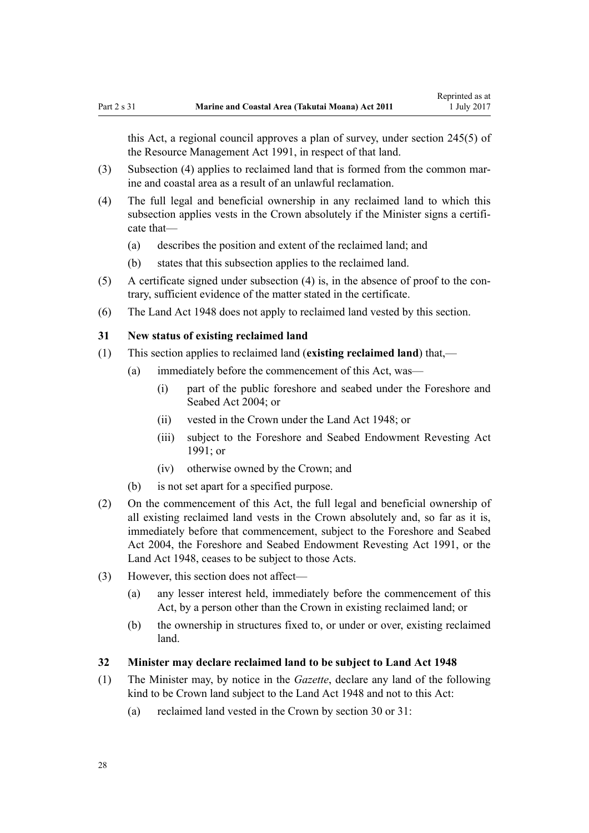<span id="page-27-0"></span>this Act, a regional council approves a plan of survey, under [section 245\(5\)](http://prd-lgnz-nlb.prd.pco.net.nz/pdflink.aspx?id=DLM237630) of the Resource Management Act 1991, in respect of that land.

- (3) Subsection (4) applies to reclaimed land that is formed from the common marine and coastal area as a result of an unlawful reclamation.
- (4) The full legal and beneficial ownership in any reclaimed land to which this subsection applies vests in the Crown absolutely if the Minister signs a certificate that—
	- (a) describes the position and extent of the reclaimed land; and
	- (b) states that this subsection applies to the reclaimed land.
- (5) A certificate signed under subsection (4) is, in the absence of proof to the contrary, sufficient evidence of the matter stated in the certificate.
- (6) The [Land Act 1948](http://prd-lgnz-nlb.prd.pco.net.nz/pdflink.aspx?id=DLM250585) does not apply to reclaimed land vested by this section.

#### **31 New status of existing reclaimed land**

- (1) This section applies to reclaimed land (**existing reclaimed land**) that,—
	- (a) immediately before the commencement of this Act, was—
		- (i) part of the public foreshore and seabed under the [Foreshore and](http://prd-lgnz-nlb.prd.pco.net.nz/pdflink.aspx?id=DLM319838) [Seabed Act 2004;](http://prd-lgnz-nlb.prd.pco.net.nz/pdflink.aspx?id=DLM319838) or
		- (ii) vested in the Crown under the [Land Act 1948](http://prd-lgnz-nlb.prd.pco.net.nz/pdflink.aspx?id=DLM250585); or
		- (iii) subject to the Foreshore and Seabed Endowment Revesting Act 1991; or
		- (iv) otherwise owned by the Crown; and
	- (b) is not set apart for a specified purpose.
- (2) On the commencement of this Act, the full legal and beneficial ownership of all existing reclaimed land vests in the Crown absolutely and, so far as it is, immediately before that commencement, subject to the [Foreshore and Seabed](http://prd-lgnz-nlb.prd.pco.net.nz/pdflink.aspx?id=DLM319838) [Act 2004](http://prd-lgnz-nlb.prd.pco.net.nz/pdflink.aspx?id=DLM319838), the Foreshore and Seabed Endowment Revesting Act 1991, or the [Land Act 1948](http://prd-lgnz-nlb.prd.pco.net.nz/pdflink.aspx?id=DLM250585), ceases to be subject to those Acts.
- (3) However, this section does not affect—
	- (a) any lesser interest held, immediately before the commencement of this Act, by a person other than the Crown in existing reclaimed land; or
	- (b) the ownership in structures fixed to, or under or over, existing reclaimed land.

#### **32 Minister may declare reclaimed land to be subject to Land Act 1948**

- (1) The Minister may, by notice in the *Gazette*, declare any land of the following kind to be Crown land subject to the [Land Act 1948](http://prd-lgnz-nlb.prd.pco.net.nz/pdflink.aspx?id=DLM250585) and not to this Act:
	- (a) reclaimed land vested in the Crown by [section 30](#page-26-0) or 31: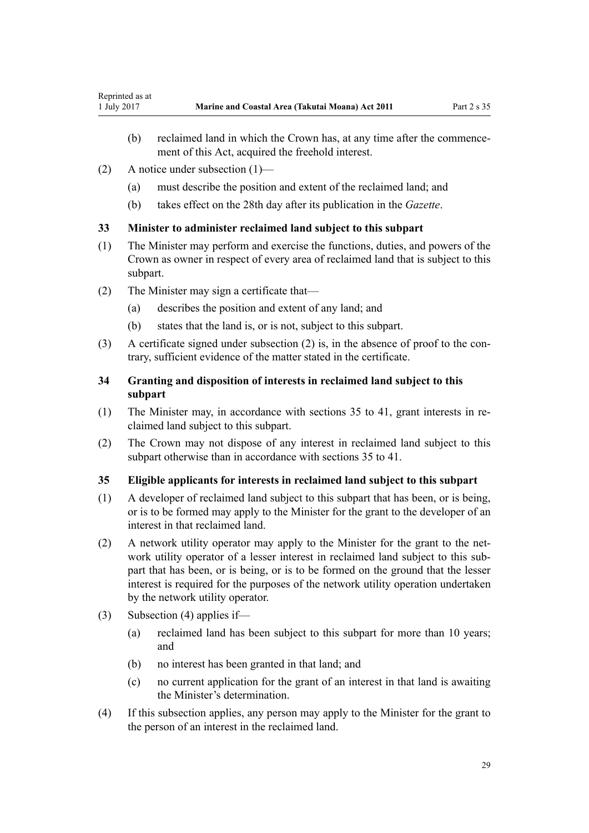- <span id="page-28-0"></span>(b) reclaimed land in which the Crown has, at any time after the commencement of this Act, acquired the freehold interest.
- (2) A notice under subsection (1)—
	- (a) must describe the position and extent of the reclaimed land; and
	- (b) takes effect on the 28th day after its publication in the *Gazette*.

# **33 Minister to administer reclaimed land subject to this subpart**

- (1) The Minister may perform and exercise the functions, duties, and powers of the Crown as owner in respect of every area of reclaimed land that is subject to this subpart.
- (2) The Minister may sign a certificate that—
	- (a) describes the position and extent of any land; and
	- (b) states that the land is, or is not, subject to this subpart.
- (3) A certificate signed under subsection (2) is, in the absence of proof to the contrary, sufficient evidence of the matter stated in the certificate.

# **34 Granting and disposition of interests in reclaimed land subject to this subpart**

- (1) The Minister may, in accordance with sections 35 to 41, grant interests in reclaimed land subject to this subpart.
- (2) The Crown may not dispose of any interest in reclaimed land subject to this subpart otherwise than in accordance with sections 35 to 41.

### **35 Eligible applicants for interests in reclaimed land subject to this subpart**

- (1) A developer of reclaimed land subject to this subpart that has been, or is being, or is to be formed may apply to the Minister for the grant to the developer of an interest in that reclaimed land.
- (2) A network utility operator may apply to the Minister for the grant to the network utility operator of a lesser interest in reclaimed land subject to this subpart that has been, or is being, or is to be formed on the ground that the lesser interest is required for the purposes of the network utility operation undertaken by the network utility operator.
- (3) Subsection (4) applies if—
	- (a) reclaimed land has been subject to this subpart for more than 10 years; and
	- (b) no interest has been granted in that land; and
	- (c) no current application for the grant of an interest in that land is awaiting the Minister's determination.
- (4) If this subsection applies, any person may apply to the Minister for the grant to the person of an interest in the reclaimed land.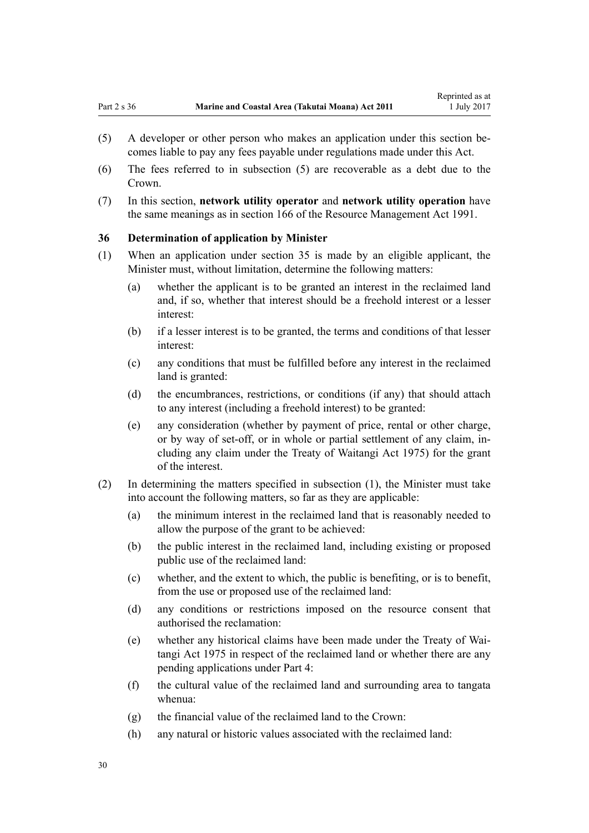- <span id="page-29-0"></span>(5) A developer or other person who makes an application under this section becomes liable to pay any fees payable under regulations made under this Act.
- (6) The fees referred to in subsection (5) are recoverable as a debt due to the Crown.
- (7) In this section, **network utility operator** and **network utility operation** have the same meanings as in [section 166](http://prd-lgnz-nlb.prd.pco.net.nz/pdflink.aspx?id=DLM236206) of the Resource Management Act 1991.

### **36 Determination of application by Minister**

- (1) When an application under [section 35](#page-28-0) is made by an eligible applicant, the Minister must, without limitation, determine the following matters:
	- (a) whether the applicant is to be granted an interest in the reclaimed land and, if so, whether that interest should be a freehold interest or a lesser interest:
	- (b) if a lesser interest is to be granted, the terms and conditions of that lesser interest:
	- (c) any conditions that must be fulfilled before any interest in the reclaimed land is granted:
	- (d) the encumbrances, restrictions, or conditions (if any) that should attach to any interest (including a freehold interest) to be granted:
	- (e) any consideration (whether by payment of price, rental or other charge, or by way of set-off, or in whole or partial settlement of any claim, including any claim under the [Treaty of Waitangi Act 1975\)](http://prd-lgnz-nlb.prd.pco.net.nz/pdflink.aspx?id=DLM435367) for the grant of the interest.
- (2) In determining the matters specified in subsection (1), the Minister must take into account the following matters, so far as they are applicable:
	- (a) the minimum interest in the reclaimed land that is reasonably needed to allow the purpose of the grant to be achieved:
	- (b) the public interest in the reclaimed land, including existing or proposed public use of the reclaimed land:
	- (c) whether, and the extent to which, the public is benefiting, or is to benefit, from the use or proposed use of the reclaimed land:
	- (d) any conditions or restrictions imposed on the resource consent that authorised the reclamation:
	- (e) whether any historical claims have been made under the [Treaty of Wai](http://prd-lgnz-nlb.prd.pco.net.nz/pdflink.aspx?id=DLM435367)[tangi Act 1975](http://prd-lgnz-nlb.prd.pco.net.nz/pdflink.aspx?id=DLM435367) in respect of the reclaimed land or whether there are any pending applications under [Part 4:](#page-68-0)
	- (f) the cultural value of the reclaimed land and surrounding area to tangata whenua:
	- (g) the financial value of the reclaimed land to the Crown:
	- (h) any natural or historic values associated with the reclaimed land: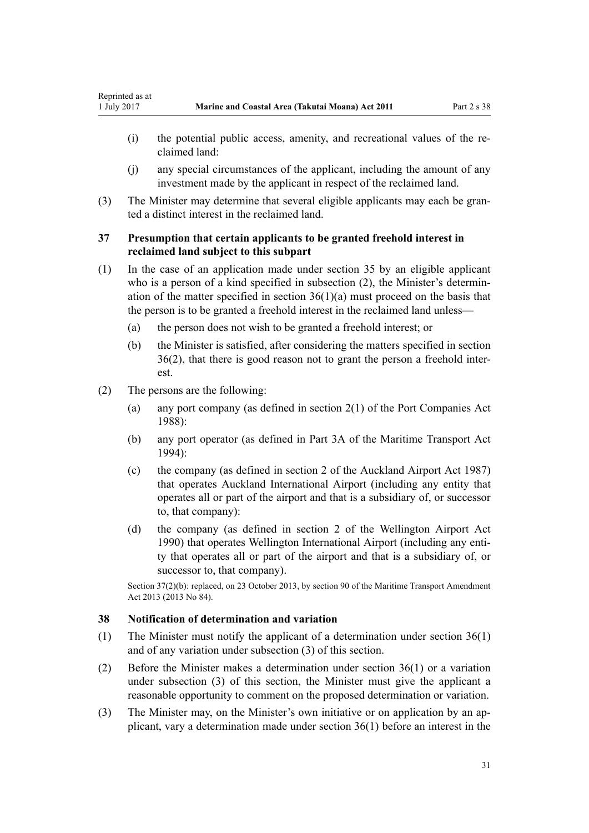- <span id="page-30-0"></span>(i) the potential public access, amenity, and recreational values of the reclaimed land:
- (j) any special circumstances of the applicant, including the amount of any investment made by the applicant in respect of the reclaimed land.
- (3) The Minister may determine that several eligible applicants may each be granted a distinct interest in the reclaimed land.

# **37 Presumption that certain applicants to be granted freehold interest in reclaimed land subject to this subpart**

- (1) In the case of an application made under [section 35](#page-28-0) by an eligible applicant who is a person of a kind specified in subsection (2), the Minister's determination of the matter specified in section  $36(1)(a)$  must proceed on the basis that the person is to be granted a freehold interest in the reclaimed land unless—
	- (a) the person does not wish to be granted a freehold interest; or
	- (b) the Minister is satisfied, after considering the matters specified in [section](#page-29-0) [36\(2\)](#page-29-0), that there is good reason not to grant the person a freehold interest.
- (2) The persons are the following:
	- (a) any port company (as defined in [section 2\(1\)](http://prd-lgnz-nlb.prd.pco.net.nz/pdflink.aspx?id=DLM131688) of the Port Companies Act 1988):
	- (b) any port operator (as defined in [Part 3A](http://prd-lgnz-nlb.prd.pco.net.nz/pdflink.aspx?id=DLM5689750) of the Maritime Transport Act  $1994$
	- (c) the company (as defined in [section 2](http://prd-lgnz-nlb.prd.pco.net.nz/pdflink.aspx?id=DLM125376) of the Auckland Airport Act 1987) that operates Auckland International Airport (including any entity that operates all or part of the airport and that is a subsidiary of, or successor to, that company):
	- (d) the company (as defined in [section 2](http://prd-lgnz-nlb.prd.pco.net.nz/pdflink.aspx?id=DLM211896) of the Wellington Airport Act 1990) that operates Wellington International Airport (including any entity that operates all or part of the airport and that is a subsidiary of, or successor to, that company).

Section 37(2)(b): replaced, on 23 October 2013, by [section 90](http://prd-lgnz-nlb.prd.pco.net.nz/pdflink.aspx?id=DLM4698973) of the Maritime Transport Amendment Act 2013 (2013 No 84).

### **38 Notification of determination and variation**

- (1) The Minister must notify the applicant of a determination under [section 36\(1\)](#page-29-0) and of any variation under subsection (3) of this section.
- (2) Before the Minister makes a determination under [section 36\(1\)](#page-29-0) or a variation under subsection (3) of this section, the Minister must give the applicant a reasonable opportunity to comment on the proposed determination or variation.
- (3) The Minister may, on the Minister's own initiative or on application by an applicant, vary a determination made under [section 36\(1\)](#page-29-0) before an interest in the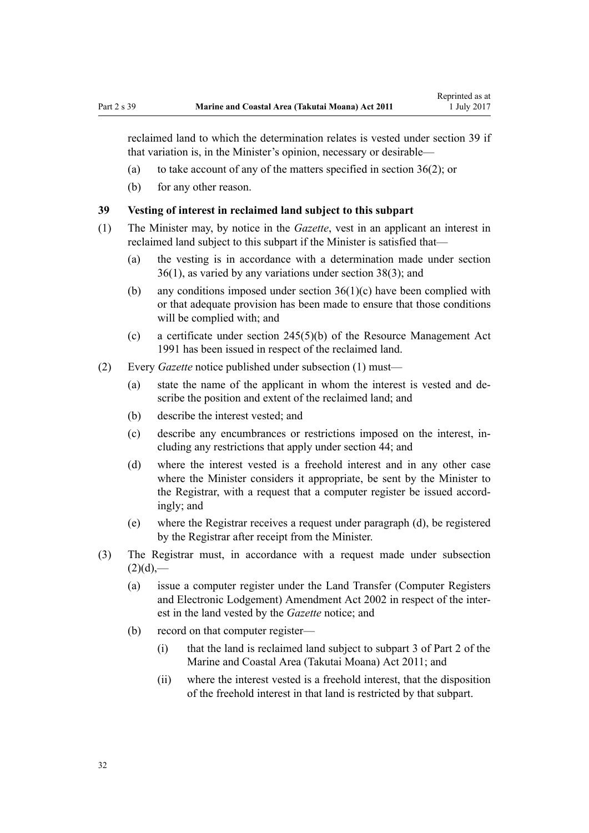<span id="page-31-0"></span>reclaimed land to which the determination relates is vested under section 39 if that variation is, in the Minister's opinion, necessary or desirable—

- (a) to take account of any of the matters specified in [section 36\(2\)](#page-29-0); or
- (b) for any other reason.

## **39 Vesting of interest in reclaimed land subject to this subpart**

- (1) The Minister may, by notice in the *Gazette*, vest in an applicant an interest in reclaimed land subject to this subpart if the Minister is satisfied that—
	- (a) the vesting is in accordance with a determination made under [section](#page-29-0) [36\(1\)](#page-29-0), as varied by any variations under [section 38\(3\)](#page-30-0); and
	- (b) any conditions imposed under [section 36\(1\)\(c\)](#page-29-0) have been complied with or that adequate provision has been made to ensure that those conditions will be complied with; and
	- (c) a certificate under [section 245\(5\)\(b\)](http://prd-lgnz-nlb.prd.pco.net.nz/pdflink.aspx?id=DLM237630) of the Resource Management Act 1991 has been issued in respect of the reclaimed land.
- (2) Every *Gazette* notice published under subsection (1) must—
	- (a) state the name of the applicant in whom the interest is vested and describe the position and extent of the reclaimed land; and
	- (b) describe the interest vested; and
	- (c) describe any encumbrances or restrictions imposed on the interest, including any restrictions that apply under [section 44;](#page-34-0) and
	- (d) where the interest vested is a freehold interest and in any other case where the Minister considers it appropriate, be sent by the Minister to the Registrar, with a request that a computer register be issued accordingly; and
	- (e) where the Registrar receives a request under paragraph (d), be registered by the Registrar after receipt from the Minister.
- (3) The Registrar must, in accordance with a request made under subsection  $(2)(d)$ ,—
	- (a) issue a computer register under the [Land Transfer \(Computer Registers](http://prd-lgnz-nlb.prd.pco.net.nz/pdflink.aspx?id=DLM140136) [and Electronic Lodgement\) Amendment Act 2002](http://prd-lgnz-nlb.prd.pco.net.nz/pdflink.aspx?id=DLM140136) in respect of the interest in the land vested by the *Gazette* notice; and
	- (b) record on that computer register—
		- (i) that the land is reclaimed land subject to [subpart 3 of Part 2](#page-26-0) of the Marine and Coastal Area (Takutai Moana) Act 2011; and
		- (ii) where the interest vested is a freehold interest, that the disposition of the freehold interest in that land is restricted by that subpart.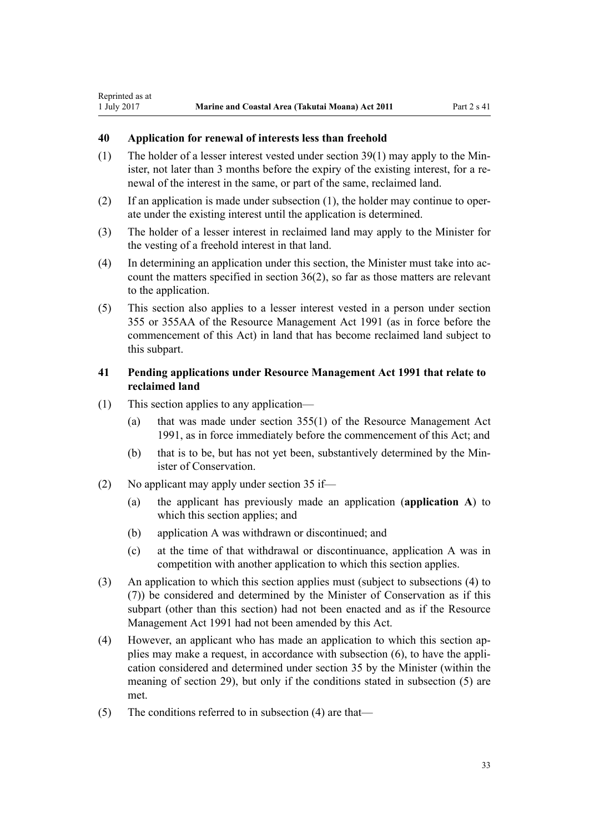# <span id="page-32-0"></span>**40 Application for renewal of interests less than freehold**

- (1) The holder of a lesser interest vested under [section 39\(1\)](#page-31-0) may apply to the Minister, not later than 3 months before the expiry of the existing interest, for a renewal of the interest in the same, or part of the same, reclaimed land.
- (2) If an application is made under subsection (1), the holder may continue to operate under the existing interest until the application is determined.
- (3) The holder of a lesser interest in reclaimed land may apply to the Minister for the vesting of a freehold interest in that land.
- (4) In determining an application under this section, the Minister must take into account the matters specified in [section 36\(2\)](#page-29-0), so far as those matters are relevant to the application.
- (5) This section also applies to a lesser interest vested in a person under [section](http://prd-lgnz-nlb.prd.pco.net.nz/pdflink.aspx?id=DLM239322) [355](http://prd-lgnz-nlb.prd.pco.net.nz/pdflink.aspx?id=DLM239322) or [355AA](http://prd-lgnz-nlb.prd.pco.net.nz/pdflink.aspx?id=DLM239326) of the Resource Management Act 1991 (as in force before the commencement of this Act) in land that has become reclaimed land subject to this subpart.

# **41 Pending applications under Resource Management Act 1991 that relate to reclaimed land**

- (1) This section applies to any application—
	- (a) that was made under [section 355\(1\)](http://prd-lgnz-nlb.prd.pco.net.nz/pdflink.aspx?id=DLM239322) of the Resource Management Act 1991, as in force immediately before the commencement of this Act; and
	- (b) that is to be, but has not yet been, substantively determined by the Minister of Conservation.
- (2) No applicant may apply under [section 35](#page-28-0) if—
	- (a) the applicant has previously made an application (**application A**) to which this section applies; and
	- (b) application A was withdrawn or discontinued; and
	- (c) at the time of that withdrawal or discontinuance, application A was in competition with another application to which this section applies.
- (3) An application to which this section applies must (subject to subsections (4) to (7)) be considered and determined by the Minister of Conservation as if this subpart (other than this section) had not been enacted and as if the [Resource](http://prd-lgnz-nlb.prd.pco.net.nz/pdflink.aspx?id=DLM230264) [Management Act 1991](http://prd-lgnz-nlb.prd.pco.net.nz/pdflink.aspx?id=DLM230264) had not been amended by this Act.
- (4) However, an applicant who has made an application to which this section applies may make a request, in accordance with subsection (6), to have the application considered and determined under [section 35](#page-28-0) by the Minister (within the meaning of [section 29](#page-26-0)), but only if the conditions stated in subsection (5) are met.
- (5) The conditions referred to in subsection (4) are that—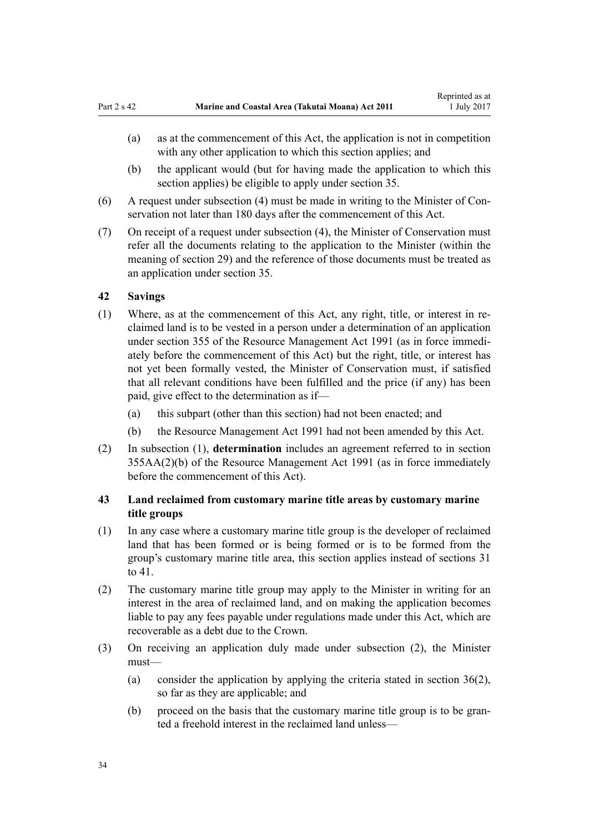- <span id="page-33-0"></span>(a) as at the commencement of this Act, the application is not in competition with any other application to which this section applies; and
- (b) the applicant would (but for having made the application to which this section applies) be eligible to apply under [section 35](#page-28-0).
- (6) A request under subsection (4) must be made in writing to the Minister of Conservation not later than 180 days after the commencement of this Act.
- (7) On receipt of a request under subsection (4), the Minister of Conservation must refer all the documents relating to the application to the Minister (within the meaning of [section 29](#page-26-0)) and the reference of those documents must be treated as an application under [section 35.](#page-28-0)

### **42 Savings**

- (1) Where, as at the commencement of this Act, any right, title, or interest in reclaimed land is to be vested in a person under a determination of an application under [section 355](http://prd-lgnz-nlb.prd.pco.net.nz/pdflink.aspx?id=DLM239322) of the Resource Management Act 1991 (as in force immediately before the commencement of this Act) but the right, title, or interest has not yet been formally vested, the Minister of Conservation must, if satisfied that all relevant conditions have been fulfilled and the price (if any) has been paid, give effect to the determination as if—
	- (a) this subpart (other than this section) had not been enacted; and
	- (b) the [Resource Management Act 1991](http://prd-lgnz-nlb.prd.pco.net.nz/pdflink.aspx?id=DLM230264) had not been amended by this Act.
- (2) In subsection (1), **determination** includes an agreement referred to in [section](http://prd-lgnz-nlb.prd.pco.net.nz/pdflink.aspx?id=DLM239326) [355AA\(2\)\(b\)](http://prd-lgnz-nlb.prd.pco.net.nz/pdflink.aspx?id=DLM239326) of the Resource Management Act 1991 (as in force immediately before the commencement of this Act).

# **43 Land reclaimed from customary marine title areas by customary marine title groups**

- (1) In any case where a customary marine title group is the developer of reclaimed land that has been formed or is being formed or is to be formed from the group's customary marine title area, this section applies instead of [sections 31](#page-27-0) [to 41.](#page-27-0)
- (2) The customary marine title group may apply to the Minister in writing for an interest in the area of reclaimed land, and on making the application becomes liable to pay any fees payable under regulations made under this Act, which are recoverable as a debt due to the Crown.
- (3) On receiving an application duly made under subsection (2), the Minister must—
	- (a) consider the application by applying the criteria stated in [section 36\(2\)](#page-29-0), so far as they are applicable; and
	- (b) proceed on the basis that the customary marine title group is to be granted a freehold interest in the reclaimed land unless—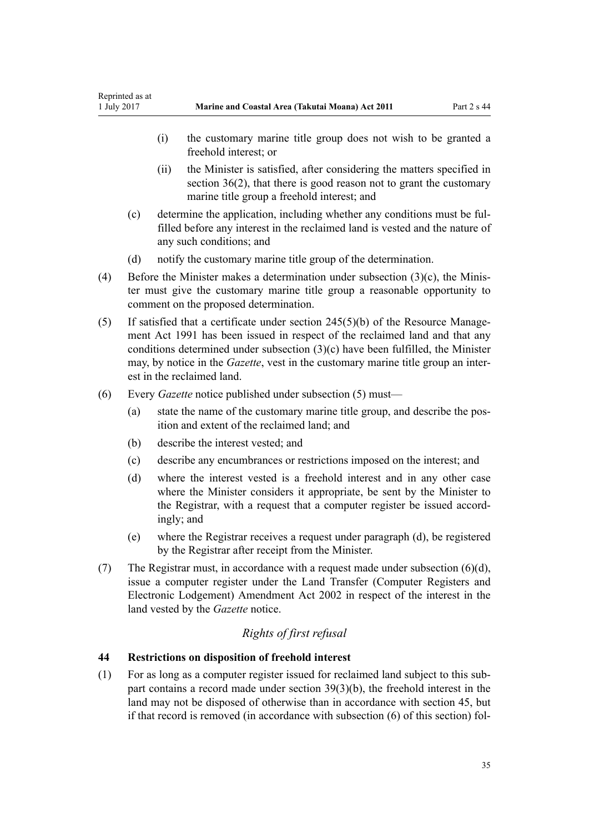- <span id="page-34-0"></span>(i) the customary marine title group does not wish to be granted a freehold interest; or
- (ii) the Minister is satisfied, after considering the matters specified in [section 36\(2\),](#page-29-0) that there is good reason not to grant the customary marine title group a freehold interest; and
- (c) determine the application, including whether any conditions must be fulfilled before any interest in the reclaimed land is vested and the nature of any such conditions; and
- (d) notify the customary marine title group of the determination.
- (4) Before the Minister makes a determination under subsection (3)(c), the Minister must give the customary marine title group a reasonable opportunity to comment on the proposed determination.
- (5) If satisfied that a certificate under [section 245\(5\)\(b\)](http://prd-lgnz-nlb.prd.pco.net.nz/pdflink.aspx?id=DLM237630) of the Resource Management Act 1991 has been issued in respect of the reclaimed land and that any conditions determined under subsection (3)(c) have been fulfilled, the Minister may, by notice in the *Gazette*, vest in the customary marine title group an interest in the reclaimed land.
- (6) Every *Gazette* notice published under subsection (5) must—
	- (a) state the name of the customary marine title group, and describe the position and extent of the reclaimed land; and
	- (b) describe the interest vested; and
	- (c) describe any encumbrances or restrictions imposed on the interest; and
	- (d) where the interest vested is a freehold interest and in any other case where the Minister considers it appropriate, be sent by the Minister to the Registrar, with a request that a computer register be issued accordingly; and
	- (e) where the Registrar receives a request under paragraph (d), be registered by the Registrar after receipt from the Minister.
- (7) The Registrar must, in accordance with a request made under subsection  $(6)(d)$ , issue a computer register under the [Land Transfer \(Computer Registers and](http://prd-lgnz-nlb.prd.pco.net.nz/pdflink.aspx?id=DLM140136) [Electronic Lodgement\) Amendment Act 2002](http://prd-lgnz-nlb.prd.pco.net.nz/pdflink.aspx?id=DLM140136) in respect of the interest in the land vested by the *Gazette* notice.

# *Rights of first refusal*

# **44 Restrictions on disposition of freehold interest**

(1) For as long as a computer register issued for reclaimed land subject to this subpart contains a record made under [section 39\(3\)\(b\)](#page-31-0), the freehold interest in the land may not be disposed of otherwise than in accordance with [section 45](#page-35-0), but if that record is removed (in accordance with subsection (6) of this section) fol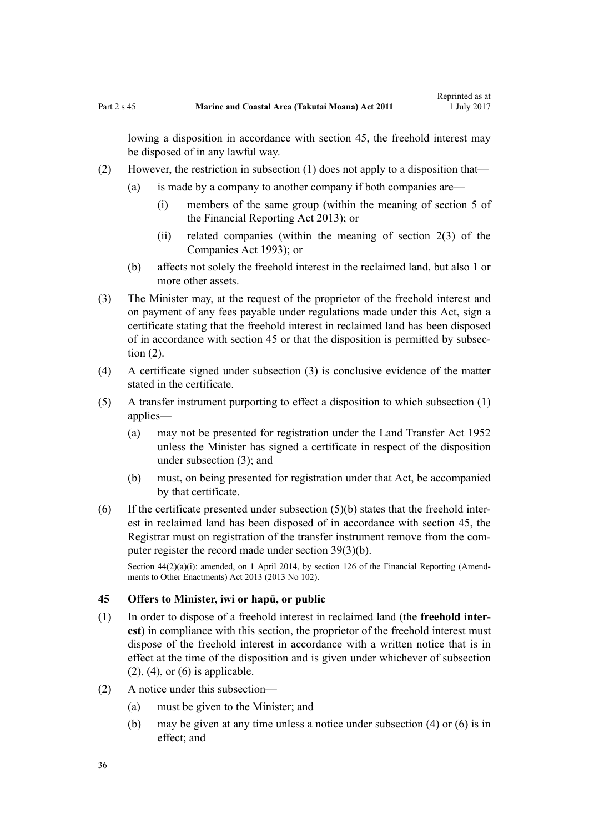<span id="page-35-0"></span>lowing a disposition in accordance with section 45, the freehold interest may be disposed of in any lawful way.

- (2) However, the restriction in subsection (1) does not apply to a disposition that—
	- (a) is made by a company to another company if both companies are—
		- (i) members of the same group (within the meaning of [section 5](http://prd-lgnz-nlb.prd.pco.net.nz/pdflink.aspx?id=DLM4632837) of the Financial Reporting Act 2013); or
		- (ii) related companies (within the meaning of [section 2\(3\)](http://prd-lgnz-nlb.prd.pco.net.nz/pdflink.aspx?id=DLM319576) of the Companies Act 1993); or
	- (b) affects not solely the freehold interest in the reclaimed land, but also 1 or more other assets.
- (3) The Minister may, at the request of the proprietor of the freehold interest and on payment of any fees payable under regulations made under this Act, sign a certificate stating that the freehold interest in reclaimed land has been disposed of in accordance with section 45 or that the disposition is permitted by subsection (2).
- (4) A certificate signed under subsection (3) is conclusive evidence of the matter stated in the certificate.
- (5) A transfer instrument purporting to effect a disposition to which subsection (1) applies—
	- (a) may not be presented for registration under the [Land Transfer Act 1952](http://prd-lgnz-nlb.prd.pco.net.nz/pdflink.aspx?id=DLM269031) unless the Minister has signed a certificate in respect of the disposition under subsection (3); and
	- (b) must, on being presented for registration under that Act, be accompanied by that certificate.
- $(6)$  If the certificate presented under subsection  $(5)(b)$  states that the freehold interest in reclaimed land has been disposed of in accordance with section 45, the Registrar must on registration of the transfer instrument remove from the computer register the record made under [section 39\(3\)\(b\).](#page-31-0)

Section  $44(2)(a)(i)$ : amended, on 1 April 2014, by [section 126](http://prd-lgnz-nlb.prd.pco.net.nz/pdflink.aspx?id=DLM5740665) of the Financial Reporting (Amendments to Other Enactments) Act 2013 (2013 No 102).

#### **45 Offers to Minister, iwi or hapū, or public**

- (1) In order to dispose of a freehold interest in reclaimed land (the **freehold interest**) in compliance with this section, the proprietor of the freehold interest must dispose of the freehold interest in accordance with a written notice that is in effect at the time of the disposition and is given under whichever of subsection  $(2)$ ,  $(4)$ , or  $(6)$  is applicable.
- (2) A notice under this subsection—
	- (a) must be given to the Minister; and
	- (b) may be given at any time unless a notice under subsection (4) or (6) is in effect; and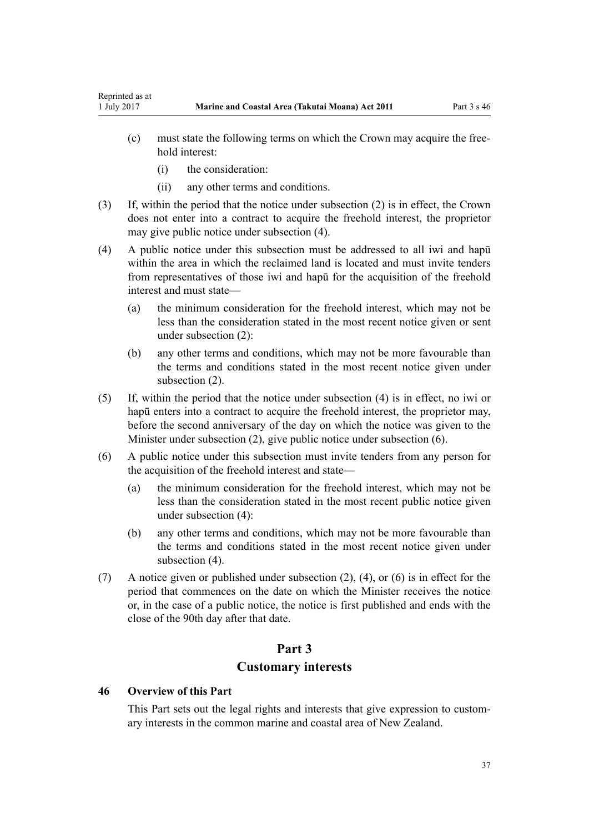- (c) must state the following terms on which the Crown may acquire the freehold interest:
	- (i) the consideration:

Reprinted as at

- (ii) any other terms and conditions.
- (3) If, within the period that the notice under subsection (2) is in effect, the Crown does not enter into a contract to acquire the freehold interest, the proprietor may give public notice under subsection (4).
- (4) A public notice under this subsection must be addressed to all iwi and hapū within the area in which the reclaimed land is located and must invite tenders from representatives of those iwi and hapū for the acquisition of the freehold interest and must state—
	- (a) the minimum consideration for the freehold interest, which may not be less than the consideration stated in the most recent notice given or sent under subsection (2):
	- (b) any other terms and conditions, which may not be more favourable than the terms and conditions stated in the most recent notice given under subsection (2).
- (5) If, within the period that the notice under subsection (4) is in effect, no iwi or hapū enters into a contract to acquire the freehold interest, the proprietor may, before the second anniversary of the day on which the notice was given to the Minister under subsection (2), give public notice under subsection (6).
- (6) A public notice under this subsection must invite tenders from any person for the acquisition of the freehold interest and state—
	- (a) the minimum consideration for the freehold interest, which may not be less than the consideration stated in the most recent public notice given under subsection (4):
	- (b) any other terms and conditions, which may not be more favourable than the terms and conditions stated in the most recent notice given under subsection  $(4)$ .
- (7) A notice given or published under subsection (2), (4), or (6) is in effect for the period that commences on the date on which the Minister receives the notice or, in the case of a public notice, the notice is first published and ends with the close of the 90th day after that date.

# **Part 3 Customary interests**

#### **46 Overview of this Part**

This Part sets out the legal rights and interests that give expression to customary interests in the common marine and coastal area of New Zealand.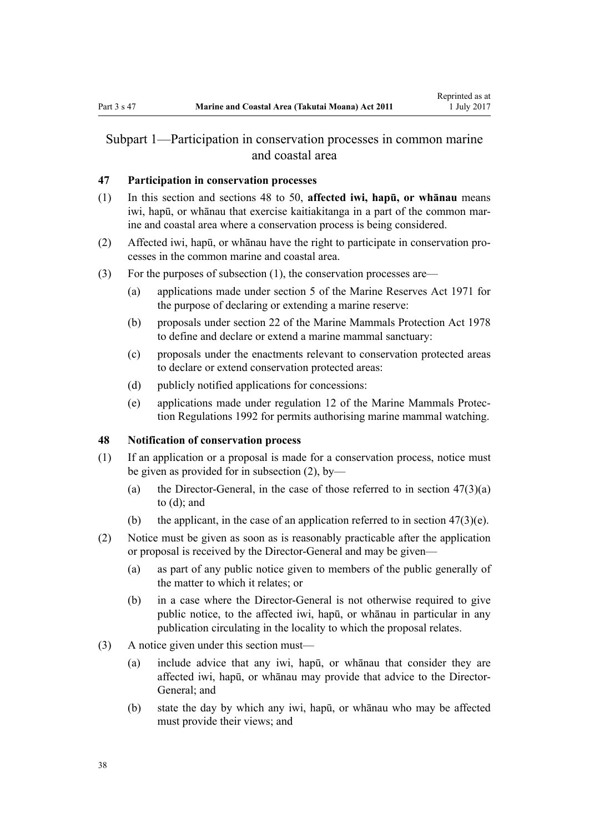# <span id="page-37-0"></span>Subpart 1—Participation in conservation processes in common marine and coastal area

## **47 Participation in conservation processes**

- (1) In this section and sections 48 to 50, **affected iwi, hapū, or whānau** means iwi, hapū, or whānau that exercise kaitiakitanga in a part of the common marine and coastal area where a conservation process is being considered.
- (2) Affected iwi, hapū, or whānau have the right to participate in conservation processes in the common marine and coastal area.
- (3) For the purposes of subsection (1), the conservation processes are—
	- (a) applications made under [section 5](http://prd-lgnz-nlb.prd.pco.net.nz/pdflink.aspx?id=DLM398113) of the Marine Reserves Act 1971 for the purpose of declaring or extending a marine reserve:
	- (b) proposals under [section 22](http://prd-lgnz-nlb.prd.pco.net.nz/pdflink.aspx?id=DLM25372) of the Marine Mammals Protection Act 1978 to define and declare or extend a marine mammal sanctuary:
	- (c) proposals under the enactments relevant to conservation protected areas to declare or extend conservation protected areas:
	- (d) publicly notified applications for concessions:
	- (e) applications made under [regulation 12](http://prd-lgnz-nlb.prd.pco.net.nz/pdflink.aspx?id=DLM168830) of the Marine Mammals Protection Regulations 1992 for permits authorising marine mammal watching.

# **48 Notification of conservation process**

- (1) If an application or a proposal is made for a conservation process, notice must be given as provided for in subsection (2), by—
	- (a) the Director-General, in the case of those referred to in section  $47(3)(a)$ to (d); and
	- (b) the applicant, in the case of an application referred to in section  $47(3)(e)$ .
- (2) Notice must be given as soon as is reasonably practicable after the application or proposal is received by the Director-General and may be given—
	- (a) as part of any public notice given to members of the public generally of the matter to which it relates; or
	- (b) in a case where the Director-General is not otherwise required to give public notice, to the affected iwi, hapū, or whānau in particular in any publication circulating in the locality to which the proposal relates.
- (3) A notice given under this section must—
	- (a) include advice that any iwi, hapū, or whānau that consider they are affected iwi, hapū, or whānau may provide that advice to the Director-General; and
	- (b) state the day by which any iwi, hapū, or whānau who may be affected must provide their views; and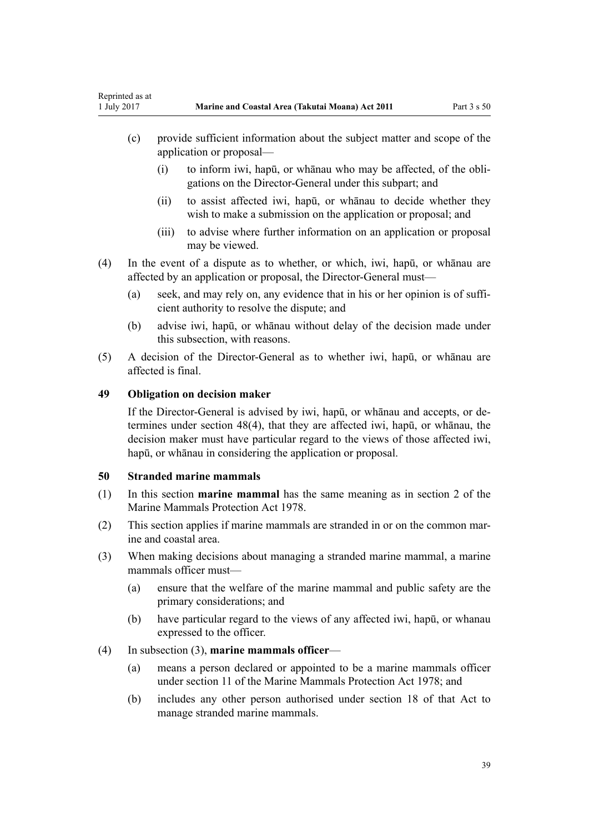- (c) provide sufficient information about the subject matter and scope of the application or proposal—
	- (i) to inform iwi, hapū, or whānau who may be affected, of the obligations on the Director-General under this subpart; and
	- (ii) to assist affected iwi, hapū, or whānau to decide whether they wish to make a submission on the application or proposal; and
	- (iii) to advise where further information on an application or proposal may be viewed.
- (4) In the event of a dispute as to whether, or which, iwi, hapū, or whānau are affected by an application or proposal, the Director-General must—
	- (a) seek, and may rely on, any evidence that in his or her opinion is of sufficient authority to resolve the dispute; and
	- (b) advise iwi, hapū, or whānau without delay of the decision made under this subsection, with reasons.
- (5) A decision of the Director-General as to whether iwi, hapū, or whānau are affected is final.

## **49 Obligation on decision maker**

If the Director-General is advised by iwi, hapū, or whānau and accepts, or determines under [section 48\(4\)](#page-37-0), that they are affected iwi, hapū, or whānau, the decision maker must have particular regard to the views of those affected iwi, hapū, or whānau in considering the application or proposal.

#### **50 Stranded marine mammals**

- (1) In this section **marine mammal** has the same meaning as in [section 2](http://prd-lgnz-nlb.prd.pco.net.nz/pdflink.aspx?id=DLM25116) of the Marine Mammals Protection Act 1978.
- (2) This section applies if marine mammals are stranded in or on the common marine and coastal area.
- (3) When making decisions about managing a stranded marine mammal, a marine mammals officer must—
	- (a) ensure that the welfare of the marine mammal and public safety are the primary considerations; and
	- (b) have particular regard to the views of any affected iwi, hapū, or whanau expressed to the officer.

#### (4) In subsection (3), **marine mammals officer**—

- (a) means a person declared or appointed to be a marine mammals officer under [section 11](http://prd-lgnz-nlb.prd.pco.net.nz/pdflink.aspx?id=DLM25336) of the Marine Mammals Protection Act 1978; and
- (b) includes any other person authorised under [section 18](http://prd-lgnz-nlb.prd.pco.net.nz/pdflink.aspx?id=DLM25362) of that Act to manage stranded marine mammals.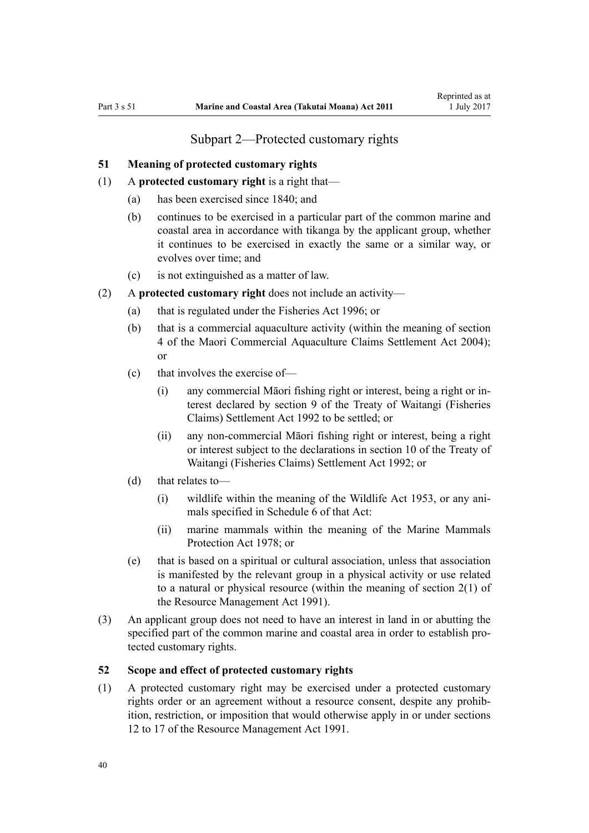# Subpart 2—Protected customary rights

#### <span id="page-39-0"></span>**51 Meaning of protected customary rights**

- (1) A **protected customary right** is a right that—
	- (a) has been exercised since 1840; and
	- (b) continues to be exercised in a particular part of the common marine and coastal area in accordance with tikanga by the applicant group, whether it continues to be exercised in exactly the same or a similar way, or evolves over time; and
	- (c) is not extinguished as a matter of law.
- (2) A **protected customary right** does not include an activity—
	- (a) that is regulated under the [Fisheries Act 1996](http://prd-lgnz-nlb.prd.pco.net.nz/pdflink.aspx?id=DLM394191); or
	- (b) that is a commercial aquaculture activity (within the meaning of [section](http://prd-lgnz-nlb.prd.pco.net.nz/pdflink.aspx?id=DLM324356) [4](http://prd-lgnz-nlb.prd.pco.net.nz/pdflink.aspx?id=DLM324356) of the Maori Commercial Aquaculture Claims Settlement Act 2004); or
	- (c) that involves the exercise of—
		- (i) any commercial Māori fishing right or interest, being a right or interest declared by [section 9](http://prd-lgnz-nlb.prd.pco.net.nz/pdflink.aspx?id=DLM281460) of the Treaty of Waitangi (Fisheries Claims) Settlement Act 1992 to be settled; or
		- (ii) any non-commercial Māori fishing right or interest, being a right or interest subject to the declarations in [section 10](http://prd-lgnz-nlb.prd.pco.net.nz/pdflink.aspx?id=DLM281461) of the Treaty of Waitangi (Fisheries Claims) Settlement Act 1992; or
	- (d) that relates to—
		- (i) wildlife within the meaning of the [Wildlife Act 1953](http://prd-lgnz-nlb.prd.pco.net.nz/pdflink.aspx?id=DLM276813), or any animals specified in [Schedule 6](http://prd-lgnz-nlb.prd.pco.net.nz/pdflink.aspx?id=DLM278592) of that Act:
		- (ii) marine mammals within the meaning of the [Marine Mammals](http://prd-lgnz-nlb.prd.pco.net.nz/pdflink.aspx?id=DLM25110) [Protection Act 1978;](http://prd-lgnz-nlb.prd.pco.net.nz/pdflink.aspx?id=DLM25110) or
	- (e) that is based on a spiritual or cultural association, unless that association is manifested by the relevant group in a physical activity or use related to a natural or physical resource (within the meaning of [section 2\(1\)](http://prd-lgnz-nlb.prd.pco.net.nz/pdflink.aspx?id=DLM230272) of the Resource Management Act 1991).
- (3) An applicant group does not need to have an interest in land in or abutting the specified part of the common marine and coastal area in order to establish protected customary rights.

#### **52 Scope and effect of protected customary rights**

(1) A protected customary right may be exercised under a protected customary rights order or an agreement without a resource consent, despite any prohibition, restriction, or imposition that would otherwise apply in or under [sections](http://prd-lgnz-nlb.prd.pco.net.nz/pdflink.aspx?id=DLM231949) [12 to 17](http://prd-lgnz-nlb.prd.pco.net.nz/pdflink.aspx?id=DLM231949) of the Resource Management Act 1991.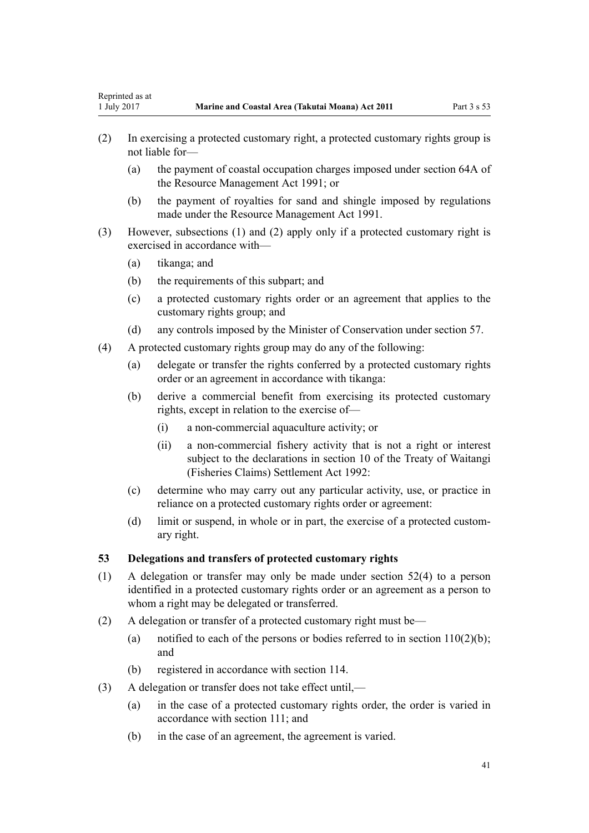- (2) In exercising a protected customary right, a protected customary rights group is not liable for—
	- (a) the payment of coastal occupation charges imposed under [section 64A](http://prd-lgnz-nlb.prd.pco.net.nz/pdflink.aspx?id=DLM233610) of the Resource Management Act 1991; or
	- (b) the payment of royalties for sand and shingle imposed by regulations made under the [Resource Management Act 1991](http://prd-lgnz-nlb.prd.pco.net.nz/pdflink.aspx?id=DLM230264).
- (3) However, subsections (1) and (2) apply only if a protected customary right is exercised in accordance with—
	- (a) tikanga; and
	- (b) the requirements of this subpart; and
	- (c) a protected customary rights order or an agreement that applies to the customary rights group; and
	- (d) any controls imposed by the Minister of Conservation under [section 57](#page-43-0).
- (4) A protected customary rights group may do any of the following:
	- (a) delegate or transfer the rights conferred by a protected customary rights order or an agreement in accordance with tikanga:
	- (b) derive a commercial benefit from exercising its protected customary rights, except in relation to the exercise of—
		- (i) a non-commercial aquaculture activity; or
		- (ii) a non-commercial fishery activity that is not a right or interest subject to the declarations in [section 10](http://prd-lgnz-nlb.prd.pco.net.nz/pdflink.aspx?id=DLM281461) of the Treaty of Waitangi (Fisheries Claims) Settlement Act 1992:
	- (c) determine who may carry out any particular activity, use, or practice in reliance on a protected customary rights order or agreement:
	- (d) limit or suspend, in whole or in part, the exercise of a protected customary right.

#### **53 Delegations and transfers of protected customary rights**

- (1) A delegation or transfer may only be made under [section 52\(4\)](#page-39-0) to a person identified in a protected customary rights order or an agreement as a person to whom a right may be delegated or transferred.
- (2) A delegation or transfer of a protected customary right must be—
	- (a) notified to each of the persons or bodies referred to in section  $110(2)(b)$ ; and
	- (b) registered in accordance with [section 114](#page-76-0).
- (3) A delegation or transfer does not take effect until,—
	- (a) in the case of a protected customary rights order, the order is varied in accordance with [section 111;](#page-74-0) and
	- (b) in the case of an agreement, the agreement is varied.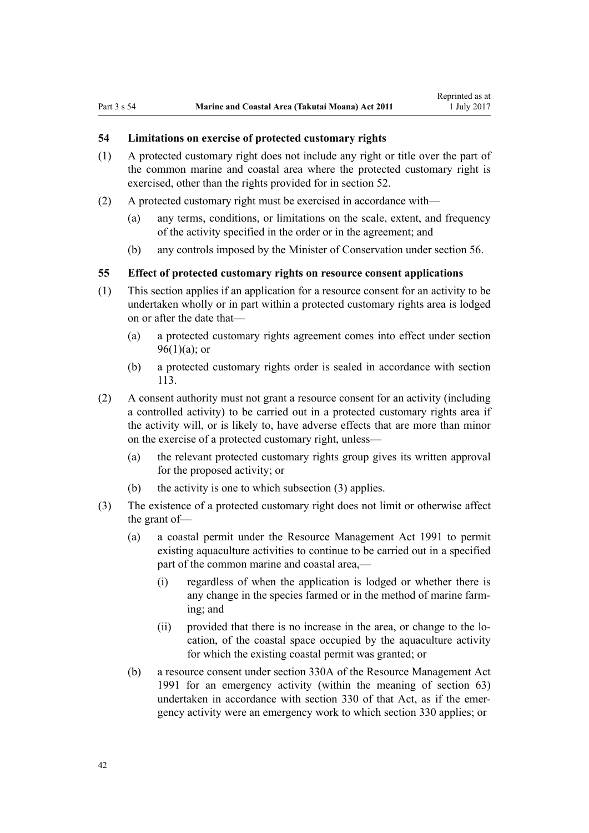# **54 Limitations on exercise of protected customary rights**

- (1) A protected customary right does not include any right or title over the part of the common marine and coastal area where the protected customary right is exercised, other than the rights provided for in [section 52](#page-39-0).
- (2) A protected customary right must be exercised in accordance with—
	- (a) any terms, conditions, or limitations on the scale, extent, and frequency of the activity specified in the order or in the agreement; and
	- (b) any controls imposed by the Minister of Conservation under [section 56](#page-42-0).

## **55 Effect of protected customary rights on resource consent applications**

- (1) This section applies if an application for a resource consent for an activity to be undertaken wholly or in part within a protected customary rights area is lodged on or after the date that—
	- (a) a protected customary rights agreement comes into effect under [section](#page-68-0)  $96(1)(a)$ ; or
	- (b) a protected customary rights order is sealed in accordance with [section](#page-76-0) [113](#page-76-0).
- (2) A consent authority must not grant a resource consent for an activity (including a controlled activity) to be carried out in a protected customary rights area if the activity will, or is likely to, have adverse effects that are more than minor on the exercise of a protected customary right, unless—
	- (a) the relevant protected customary rights group gives its written approval for the proposed activity; or
	- (b) the activity is one to which subsection (3) applies.
- (3) The existence of a protected customary right does not limit or otherwise affect the grant of—
	- (a) a coastal permit under the [Resource Management Act 1991](http://prd-lgnz-nlb.prd.pco.net.nz/pdflink.aspx?id=DLM230264) to permit existing aquaculture activities to continue to be carried out in a specified part of the common marine and coastal area,-
		- (i) regardless of when the application is lodged or whether there is any change in the species farmed or in the method of marine farming; and
		- (ii) provided that there is no increase in the area, or change to the location, of the coastal space occupied by the aquaculture activity for which the existing coastal permit was granted; or
	- (b) a resource consent under [section 330A](http://prd-lgnz-nlb.prd.pco.net.nz/pdflink.aspx?id=DLM239008) of the Resource Management Act 1991 for an emergency activity (within the meaning of [section 63](#page-47-0)) undertaken in accordance with [section 330](http://prd-lgnz-nlb.prd.pco.net.nz/pdflink.aspx?id=DLM239003) of that Act, as if the emergency activity were an emergency work to which section 330 applies; or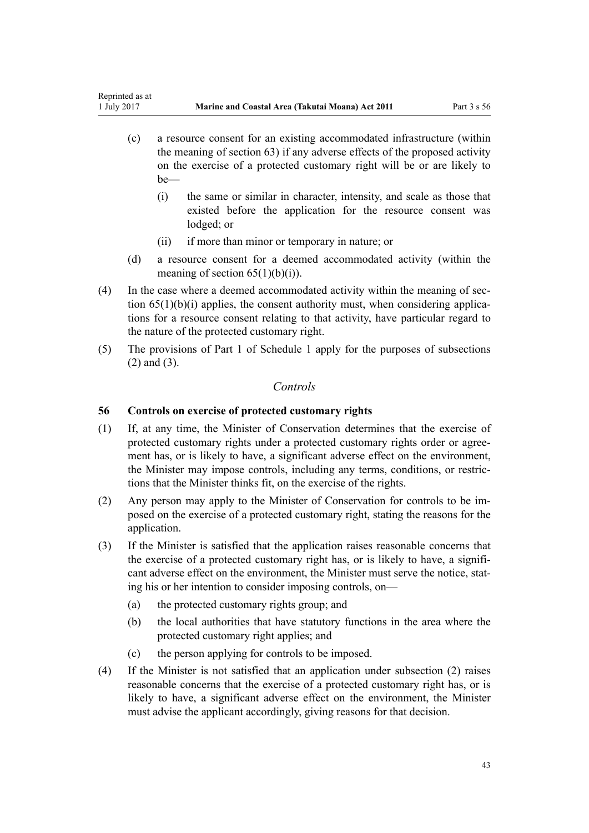- <span id="page-42-0"></span>(c) a resource consent for an existing accommodated infrastructure (within the meaning of [section 63\)](#page-47-0) if any adverse effects of the proposed activity on the exercise of a protected customary right will be or are likely to be—
	- (i) the same or similar in character, intensity, and scale as those that existed before the application for the resource consent was lodged; or
	- (ii) if more than minor or temporary in nature; or
- (d) a resource consent for a deemed accommodated activity (within the meaning of section  $65(1)(b)(i)$ .
- (4) In the case where a deemed accommodated activity within the meaning of [sec](#page-51-0)tion  $65(1)(b)(i)$  applies, the consent authority must, when considering applications for a resource consent relating to that activity, have particular regard to the nature of the protected customary right.
- (5) The provisions of [Part 1](#page-83-0) of Schedule 1 apply for the purposes of subsections (2) and (3).

# *Controls*

# **56 Controls on exercise of protected customary rights**

- (1) If, at any time, the Minister of Conservation determines that the exercise of protected customary rights under a protected customary rights order or agreement has, or is likely to have, a significant adverse effect on the environment, the Minister may impose controls, including any terms, conditions, or restrictions that the Minister thinks fit, on the exercise of the rights.
- (2) Any person may apply to the Minister of Conservation for controls to be imposed on the exercise of a protected customary right, stating the reasons for the application.
- (3) If the Minister is satisfied that the application raises reasonable concerns that the exercise of a protected customary right has, or is likely to have, a significant adverse effect on the environment, the Minister must serve the notice, stating his or her intention to consider imposing controls, on—
	- (a) the protected customary rights group; and
	- (b) the local authorities that have statutory functions in the area where the protected customary right applies; and
	- (c) the person applying for controls to be imposed.
- (4) If the Minister is not satisfied that an application under subsection (2) raises reasonable concerns that the exercise of a protected customary right has, or is likely to have, a significant adverse effect on the environment, the Minister must advise the applicant accordingly, giving reasons for that decision.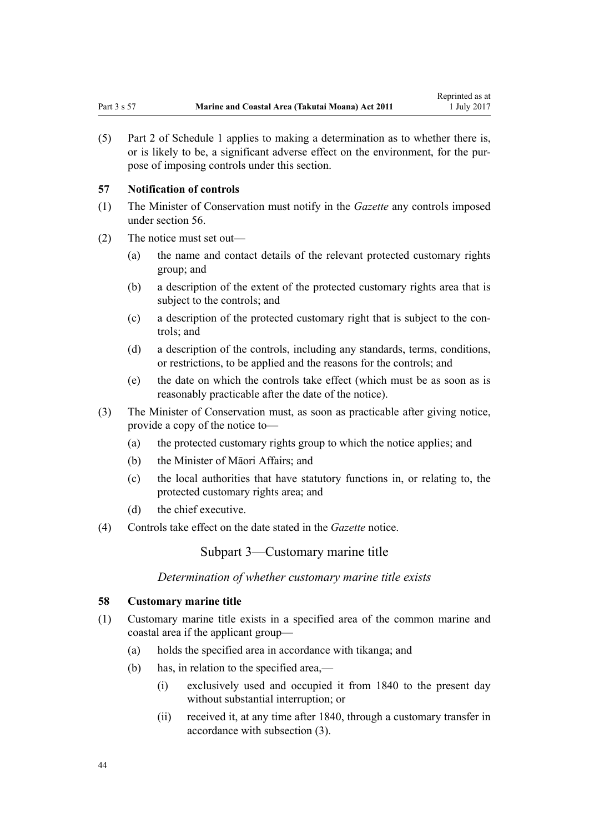<span id="page-43-0"></span>(5) [Part 2](#page-85-0) of Schedule 1 applies to making a determination as to whether there is, or is likely to be, a significant adverse effect on the environment, for the purpose of imposing controls under this section.

#### **57 Notification of controls**

- (1) The Minister of Conservation must notify in the *Gazette* any controls imposed under [section 56](#page-42-0).
- (2) The notice must set out—
	- (a) the name and contact details of the relevant protected customary rights group; and
	- (b) a description of the extent of the protected customary rights area that is subject to the controls; and
	- (c) a description of the protected customary right that is subject to the controls; and
	- (d) a description of the controls, including any standards, terms, conditions, or restrictions, to be applied and the reasons for the controls; and
	- (e) the date on which the controls take effect (which must be as soon as is reasonably practicable after the date of the notice).
- (3) The Minister of Conservation must, as soon as practicable after giving notice, provide a copy of the notice to—
	- (a) the protected customary rights group to which the notice applies; and
	- (b) the Minister of Māori Affairs; and
	- (c) the local authorities that have statutory functions in, or relating to, the protected customary rights area; and
	- (d) the chief executive.
- (4) Controls take effect on the date stated in the *Gazette* notice.

Subpart 3—Customary marine title

*Determination of whether customary marine title exists*

#### **58 Customary marine title**

- (1) Customary marine title exists in a specified area of the common marine and coastal area if the applicant group—
	- (a) holds the specified area in accordance with tikanga; and
	- (b) has, in relation to the specified area,—
		- (i) exclusively used and occupied it from 1840 to the present day without substantial interruption; or
		- (ii) received it, at any time after 1840, through a customary transfer in accordance with subsection (3).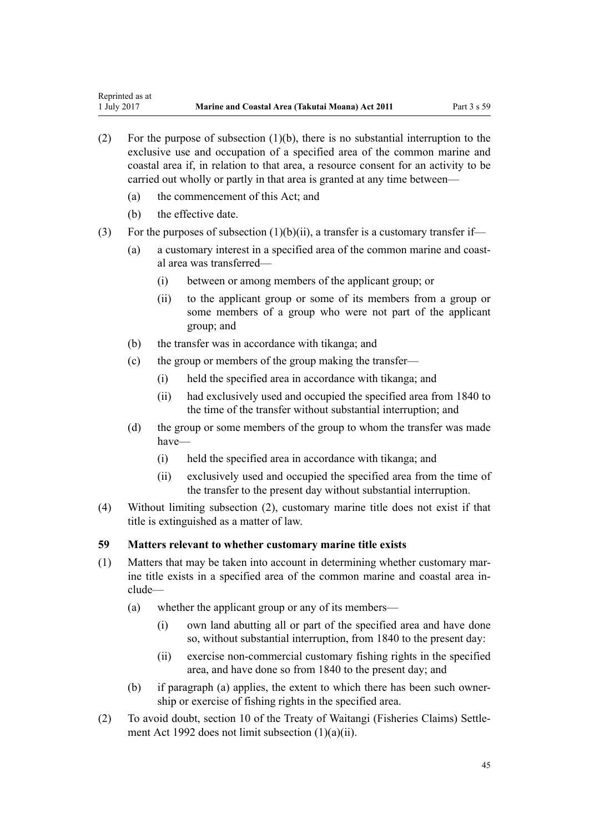- (2) For the purpose of subsection (1)(b), there is no substantial interruption to the exclusive use and occupation of a specified area of the common marine and coastal area if, in relation to that area, a resource consent for an activity to be carried out wholly or partly in that area is granted at any time between—
	- (a) the commencement of this Act; and
	- (b) the effective date.
- (3) For the purposes of subsection  $(1)(b)(ii)$ , a transfer is a customary transfer if—
	- (a) a customary interest in a specified area of the common marine and coastal area was transferred—
		- (i) between or among members of the applicant group; or
		- (ii) to the applicant group or some of its members from a group or some members of a group who were not part of the applicant group; and
	- (b) the transfer was in accordance with tikanga; and
	- (c) the group or members of the group making the transfer—
		- (i) held the specified area in accordance with tikanga; and
		- (ii) had exclusively used and occupied the specified area from 1840 to the time of the transfer without substantial interruption; and
	- (d) the group or some members of the group to whom the transfer was made have—
		- (i) held the specified area in accordance with tikanga; and
		- (ii) exclusively used and occupied the specified area from the time of the transfer to the present day without substantial interruption.
- (4) Without limiting subsection (2), customary marine title does not exist if that title is extinguished as a matter of law.

#### **59 Matters relevant to whether customary marine title exists**

- (1) Matters that may be taken into account in determining whether customary marine title exists in a specified area of the common marine and coastal area include—
	- (a) whether the applicant group or any of its members—
		- (i) own land abutting all or part of the specified area and have done so, without substantial interruption, from 1840 to the present day:
		- (ii) exercise non-commercial customary fishing rights in the specified area, and have done so from 1840 to the present day; and
	- (b) if paragraph (a) applies, the extent to which there has been such ownership or exercise of fishing rights in the specified area.
- (2) To avoid doubt, [section 10](http://prd-lgnz-nlb.prd.pco.net.nz/pdflink.aspx?id=DLM281461) of the Treaty of Waitangi (Fisheries Claims) Settlement Act 1992 does not limit subsection (1)(a)(ii).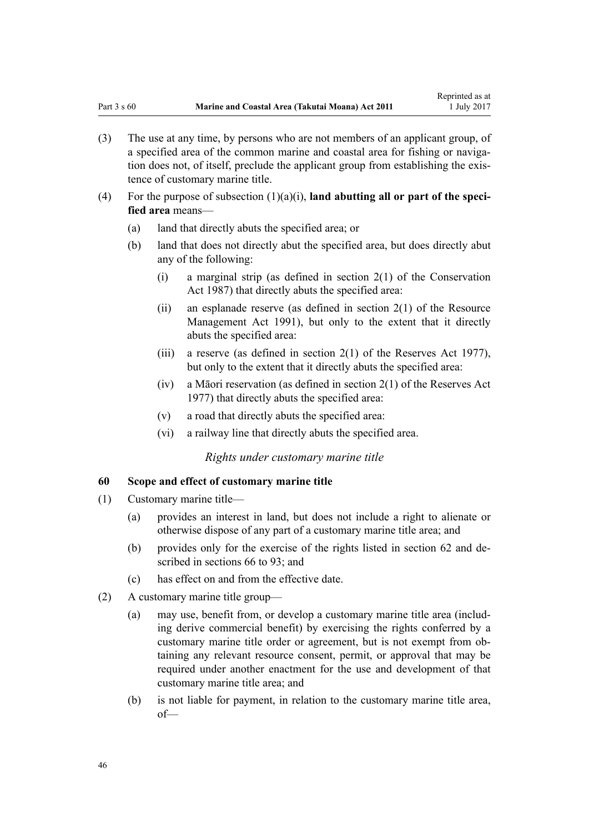- <span id="page-45-0"></span>(3) The use at any time, by persons who are not members of an applicant group, of a specified area of the common marine and coastal area for fishing or navigation does not, of itself, preclude the applicant group from establishing the existence of customary marine title.
- (4) For the purpose of subsection  $(1)(a)(i)$ , **land abutting all or part of the specified area** means—
	- (a) land that directly abuts the specified area; or
	- (b) land that does not directly abut the specified area, but does directly abut any of the following:
		- (i) a marginal strip (as defined in [section 2\(1\)](http://prd-lgnz-nlb.prd.pco.net.nz/pdflink.aspx?id=DLM103616) of the Conservation Act 1987) that directly abuts the specified area:
		- (ii) an esplanade reserve (as defined in section  $2(1)$  of the Resource Management Act 1991), but only to the extent that it directly abuts the specified area:
		- (iii) a reserve (as defined in [section 2\(1\)](http://prd-lgnz-nlb.prd.pco.net.nz/pdflink.aspx?id=DLM444310) of the Reserves Act 1977), but only to the extent that it directly abuts the specified area:
		- (iv) a Māori reservation (as defined in [section 2\(1\)](http://prd-lgnz-nlb.prd.pco.net.nz/pdflink.aspx?id=DLM444310) of the Reserves Act 1977) that directly abuts the specified area:
		- (v) a road that directly abuts the specified area:
		- (vi) a railway line that directly abuts the specified area.

#### *Rights under customary marine title*

#### **60 Scope and effect of customary marine title**

- (1) Customary marine title—
	- (a) provides an interest in land, but does not include a right to alienate or otherwise dispose of any part of a customary marine title area; and
	- (b) provides only for the exercise of the rights listed in [section 62](#page-46-0) and described in [sections 66 to 93;](#page-52-0) and
	- (c) has effect on and from the effective date.
- (2) A customary marine title group—
	- (a) may use, benefit from, or develop a customary marine title area (including derive commercial benefit) by exercising the rights conferred by a customary marine title order or agreement, but is not exempt from obtaining any relevant resource consent, permit, or approval that may be required under another enactment for the use and development of that customary marine title area; and
	- (b) is not liable for payment, in relation to the customary marine title area, of—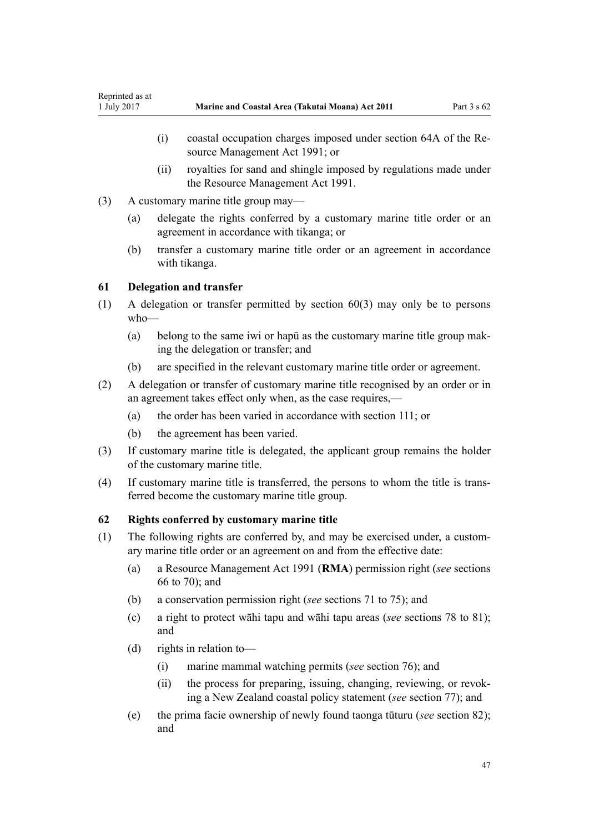- <span id="page-46-0"></span>(i) coastal occupation charges imposed under [section 64A](http://prd-lgnz-nlb.prd.pco.net.nz/pdflink.aspx?id=DLM233610) of the Resource Management Act 1991; or
- (ii) royalties for sand and shingle imposed by regulations made under the [Resource Management Act 1991](http://prd-lgnz-nlb.prd.pco.net.nz/pdflink.aspx?id=DLM230264).
- (3) A customary marine title group may—
	- (a) delegate the rights conferred by a customary marine title order or an agreement in accordance with tikanga; or
	- (b) transfer a customary marine title order or an agreement in accordance with tikanga.

## **61 Delegation and transfer**

- (1) A delegation or transfer permitted by [section 60\(3\)](#page-45-0) may only be to persons who—
	- (a) belong to the same iwi or hapū as the customary marine title group making the delegation or transfer; and
	- (b) are specified in the relevant customary marine title order or agreement.
- (2) A delegation or transfer of customary marine title recognised by an order or in an agreement takes effect only when, as the case requires,—
	- (a) the order has been varied in accordance with [section 111](#page-74-0); or
	- (b) the agreement has been varied.
- (3) If customary marine title is delegated, the applicant group remains the holder of the customary marine title.
- (4) If customary marine title is transferred, the persons to whom the title is transferred become the customary marine title group.

#### **62 Rights conferred by customary marine title**

- (1) The following rights are conferred by, and may be exercised under, a customary marine title order or an agreement on and from the effective date:
	- (a) a [Resource Management Act 1991](http://prd-lgnz-nlb.prd.pco.net.nz/pdflink.aspx?id=DLM230264) (**RMA**) permission right (*see* [sections](#page-52-0) [66 to 70\)](#page-52-0); and
	- (b) a conservation permission right (*see* [sections 71 to 75\)](#page-55-0); and
	- (c) a right to protect wāhi tapu and wāhi tapu areas (*see* [sections 78 to 81](#page-58-0)); and
	- (d) rights in relation to—
		- (i) marine mammal watching permits (*see* [section 76\)](#page-57-0); and
		- (ii) the process for preparing, issuing, changing, reviewing, or revoking a New Zealand coastal policy statement (*see* [section 77\)](#page-58-0); and
	- (e) the prima facie ownership of newly found taonga tūturu (*see* [section 82](#page-61-0)); and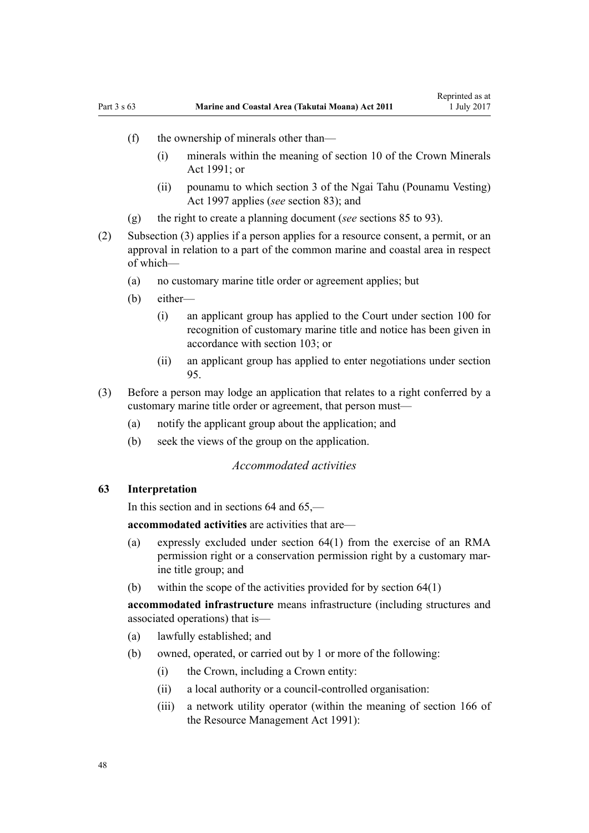- <span id="page-47-0"></span>(f) the ownership of minerals other than—
	- (i) minerals within the meaning of [section 10](http://prd-lgnz-nlb.prd.pco.net.nz/pdflink.aspx?id=DLM246310) of the Crown Minerals Act  $1991$ ; or
	- (ii) pounamu to which [section 3](http://prd-lgnz-nlb.prd.pco.net.nz/pdflink.aspx?id=DLM413605) of the Ngai Tahu (Pounamu Vesting) Act 1997 applies (*see* [section 83](#page-62-0)); and
- (g) the right to create a planning document (*see* [sections 85 to 93](#page-63-0)).
- (2) Subsection (3) applies if a person applies for a resource consent, a permit, or an approval in relation to a part of the common marine and coastal area in respect of which—
	- (a) no customary marine title order or agreement applies; but
	- (b) either—
		- (i) an applicant group has applied to the Court under [section 100](#page-70-0) for recognition of customary marine title and notice has been given in accordance with [section 103;](#page-71-0) or
		- (ii) an applicant group has applied to enter negotiations under [section](#page-68-0) [95.](#page-68-0)
- (3) Before a person may lodge an application that relates to a right conferred by a customary marine title order or agreement, that person must—
	- (a) notify the applicant group about the application; and
	- (b) seek the views of the group on the application.

## *Accommodated activities*

## **63 Interpretation**

In this section and in sections 64 and 65,—

**accommodated activities** are activities that are—

- (a) expressly excluded under [section 64\(1\)](#page-49-0) from the exercise of an RMA permission right or a conservation permission right by a customary marine title group; and
- (b) within the scope of the activities provided for by [section 64\(1\)](#page-49-0)

**accommodated infrastructure** means infrastructure (including structures and associated operations) that is—

- (a) lawfully established; and
- (b) owned, operated, or carried out by 1 or more of the following:
	- (i) the Crown, including a Crown entity:
	- (ii) a local authority or a council-controlled organisation:
	- (iii) a network utility operator (within the meaning of [section 166](http://prd-lgnz-nlb.prd.pco.net.nz/pdflink.aspx?id=DLM236206) of the Resource Management Act 1991):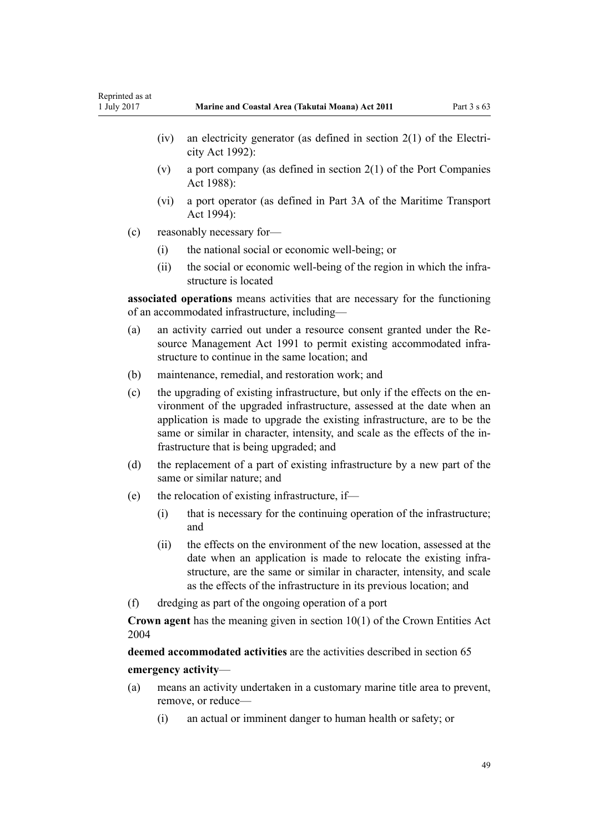- (iv) an electricity generator (as defined in [section 2\(1\)](http://prd-lgnz-nlb.prd.pco.net.nz/pdflink.aspx?id=DLM281866) of the Electricity Act 1992):
- (v) a port company (as defined in [section 2\(1\)](http://prd-lgnz-nlb.prd.pco.net.nz/pdflink.aspx?id=DLM131688) of the Port Companies Act 1988):
- (vi) a port operator (as defined in [Part 3A](http://prd-lgnz-nlb.prd.pco.net.nz/pdflink.aspx?id=DLM5689750) of the Maritime Transport Act 1994):
- (c) reasonably necessary for—
	- (i) the national social or economic well-being; or
	- (ii) the social or economic well-being of the region in which the infrastructure is located

**associated operations** means activities that are necessary for the functioning of an accommodated infrastructure, including—

- (a) an activity carried out under a resource consent granted under the [Re](http://prd-lgnz-nlb.prd.pco.net.nz/pdflink.aspx?id=DLM230264)[source Management Act 1991](http://prd-lgnz-nlb.prd.pco.net.nz/pdflink.aspx?id=DLM230264) to permit existing accommodated infrastructure to continue in the same location; and
- (b) maintenance, remedial, and restoration work; and
- (c) the upgrading of existing infrastructure, but only if the effects on the environment of the upgraded infrastructure, assessed at the date when an application is made to upgrade the existing infrastructure, are to be the same or similar in character, intensity, and scale as the effects of the infrastructure that is being upgraded; and
- (d) the replacement of a part of existing infrastructure by a new part of the same or similar nature; and
- (e) the relocation of existing infrastructure, if—
	- (i) that is necessary for the continuing operation of the infrastructure; and
	- (ii) the effects on the environment of the new location, assessed at the date when an application is made to relocate the existing infrastructure, are the same or similar in character, intensity, and scale as the effects of the infrastructure in its previous location; and
- (f) dredging as part of the ongoing operation of a port

**Crown agent** has the meaning given in [section 10\(1\)](http://prd-lgnz-nlb.prd.pco.net.nz/pdflink.aspx?id=DLM329649) of the Crown Entities Act 2004

**deemed accommodated activities** are the activities described in [section 65](#page-51-0) **emergency activity**—

- (a) means an activity undertaken in a customary marine title area to prevent, remove, or reduce—
	- (i) an actual or imminent danger to human health or safety; or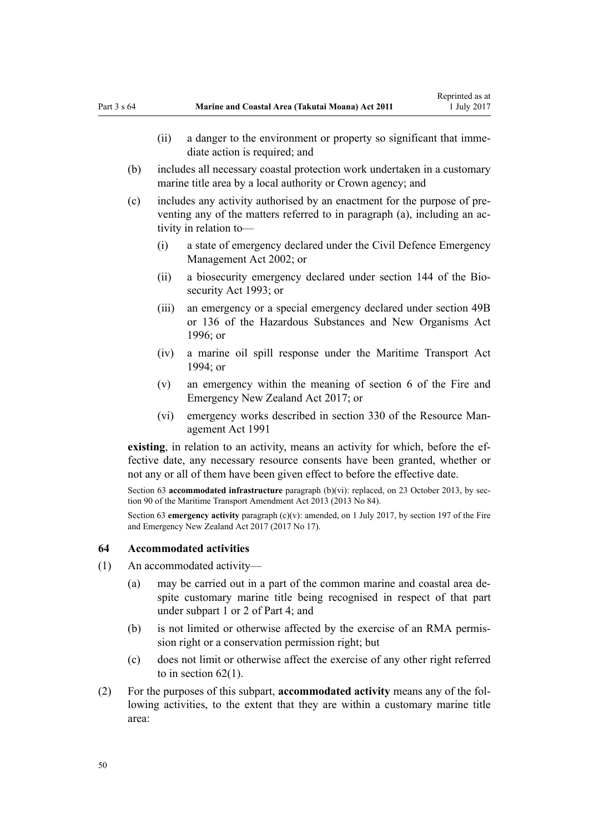- <span id="page-49-0"></span>(ii) a danger to the environment or property so significant that immediate action is required; and
- (b) includes all necessary coastal protection work undertaken in a customary marine title area by a local authority or Crown agency; and
- (c) includes any activity authorised by an enactment for the purpose of preventing any of the matters referred to in paragraph (a), including an activity in relation to—
	- (i) a state of emergency declared under the [Civil Defence Emergency](http://prd-lgnz-nlb.prd.pco.net.nz/pdflink.aspx?id=DLM149788) [Management Act 2002;](http://prd-lgnz-nlb.prd.pco.net.nz/pdflink.aspx?id=DLM149788) or
	- (ii) a biosecurity emergency declared under [section 144](http://prd-lgnz-nlb.prd.pco.net.nz/pdflink.aspx?id=DLM149788) of the Biosecurity Act 1993; or
	- (iii) an emergency or a special emergency declared under [section 49B](http://prd-lgnz-nlb.prd.pco.net.nz/pdflink.aspx?id=DLM384019) or [136](http://prd-lgnz-nlb.prd.pco.net.nz/pdflink.aspx?id=DLM384998) of the Hazardous Substances and New Organisms Act  $1996$ ; or
	- (iv) a marine oil spill response under the [Maritime Transport Act](http://prd-lgnz-nlb.prd.pco.net.nz/pdflink.aspx?id=DLM334659)  $1994$ ; or
	- (v) an emergency within the meaning of [section 6](http://prd-lgnz-nlb.prd.pco.net.nz/pdflink.aspx?id=DLM6678613) of the Fire and Emergency New Zealand Act 2017; or
	- (vi) emergency works described in [section 330](http://prd-lgnz-nlb.prd.pco.net.nz/pdflink.aspx?id=DLM239003) of the Resource Management Act 1991

**existing**, in relation to an activity, means an activity for which, before the effective date, any necessary resource consents have been granted, whether or not any or all of them have been given effect to before the effective date.

Section 63 **accommodated infrastructure** paragraph (b)(vi): replaced, on 23 October 2013, by [sec](http://prd-lgnz-nlb.prd.pco.net.nz/pdflink.aspx?id=DLM4698973)[tion 90](http://prd-lgnz-nlb.prd.pco.net.nz/pdflink.aspx?id=DLM4698973) of the Maritime Transport Amendment Act 2013 (2013 No 84).

Section 63 **emergency activity** paragraph (c)(v): amended, on 1 July 2017, by [section 197](http://prd-lgnz-nlb.prd.pco.net.nz/pdflink.aspx?id=DLM6678752) of the Fire and Emergency New Zealand Act 2017 (2017 No 17).

#### **64 Accommodated activities**

- (1) An accommodated activity—
	- (a) may be carried out in a part of the common marine and coastal area despite customary marine title being recognised in respect of that part under [subpart 1](#page-68-0) or [2](#page-69-0) of Part 4; and
	- (b) is not limited or otherwise affected by the exercise of an RMA permission right or a conservation permission right; but
	- (c) does not limit or otherwise affect the exercise of any other right referred to in section  $62(1)$ .
- (2) For the purposes of this subpart, **accommodated activity** means any of the following activities, to the extent that they are within a customary marine title area: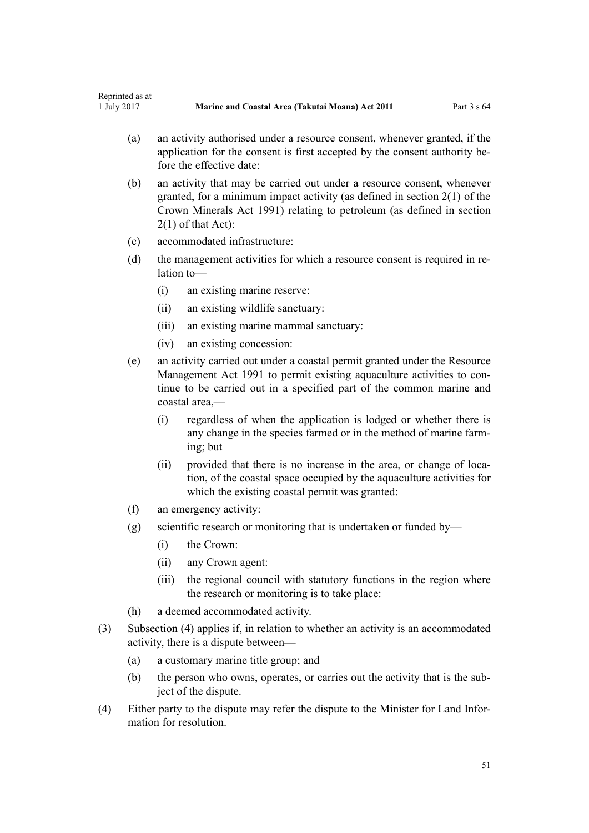- (a) an activity authorised under a resource consent, whenever granted, if the application for the consent is first accepted by the consent authority before the effective date:
- (b) an activity that may be carried out under a resource consent, whenever granted, for a minimum impact activity (as defined in [section 2\(1\)](http://prd-lgnz-nlb.prd.pco.net.nz/pdflink.aspx?id=DLM242543) of the Crown Minerals Act 1991) relating to petroleum (as defined in section 2(1) of that Act):
- (c) accommodated infrastructure:
- (d) the management activities for which a resource consent is required in relation to—
	- (i) an existing marine reserve:
	- (ii) an existing wildlife sanctuary:
	- (iii) an existing marine mammal sanctuary:
	- (iv) an existing concession:
- (e) an activity carried out under a coastal permit granted under the [Resource](http://prd-lgnz-nlb.prd.pco.net.nz/pdflink.aspx?id=DLM230264) [Management Act 1991](http://prd-lgnz-nlb.prd.pco.net.nz/pdflink.aspx?id=DLM230264) to permit existing aquaculture activities to continue to be carried out in a specified part of the common marine and coastal area,—
	- (i) regardless of when the application is lodged or whether there is any change in the species farmed or in the method of marine farming; but
	- (ii) provided that there is no increase in the area, or change of location, of the coastal space occupied by the aquaculture activities for which the existing coastal permit was granted:
- (f) an emergency activity:
- $(g)$  scientific research or monitoring that is undertaken or funded by—
	- (i) the Crown:
	- (ii) any Crown agent:
	- (iii) the regional council with statutory functions in the region where the research or monitoring is to take place:
- (h) a deemed accommodated activity.
- (3) Subsection (4) applies if, in relation to whether an activity is an accommodated activity, there is a dispute between—
	- (a) a customary marine title group; and
	- (b) the person who owns, operates, or carries out the activity that is the subject of the dispute.
- (4) Either party to the dispute may refer the dispute to the Minister for Land Information for resolution.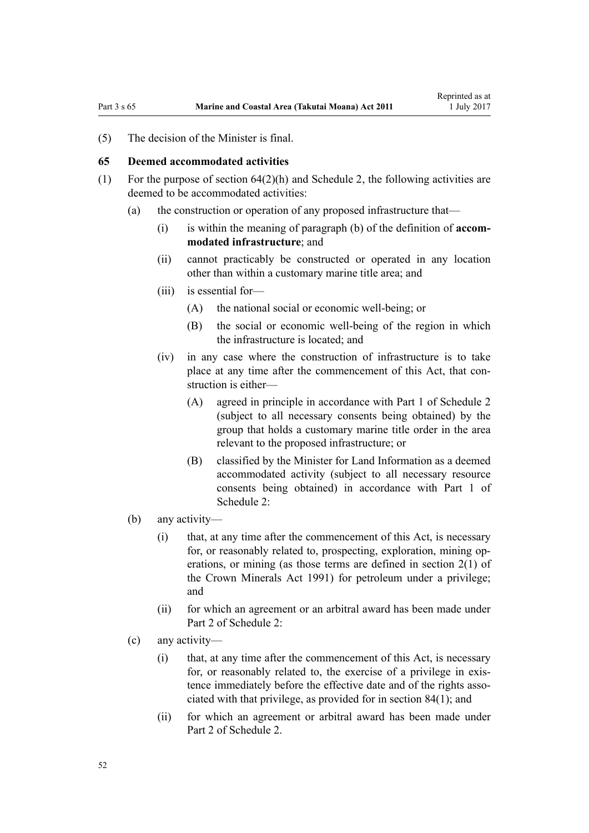<span id="page-51-0"></span>(5) The decision of the Minister is final.

#### **65 Deemed accommodated activities**

- (1) For the purpose of section  $64(2)(h)$  and [Schedule 2](#page-91-0), the following activities are deemed to be accommodated activities:
	- (a) the construction or operation of any proposed infrastructure that—
		- (i) is within the meaning of paragraph (b) of the definition of **accommodated infrastructure**; and
		- (ii) cannot practicably be constructed or operated in any location other than within a customary marine title area; and
		- (iii) is essential for—
			- (A) the national social or economic well-being; or
			- (B) the social or economic well-being of the region in which the infrastructure is located; and
		- (iv) in any case where the construction of infrastructure is to take place at any time after the commencement of this Act, that construction is either—
			- (A) agreed in principle in accordance with [Part 1](#page-91-0) of Schedule 2 (subject to all necessary consents being obtained) by the group that holds a customary marine title order in the area relevant to the proposed infrastructure; or
			- (B) classified by the Minister for Land Information as a deemed accommodated activity (subject to all necessary resource consents being obtained) in accordance with [Part 1](#page-91-0) of Schedule 2:
	- (b) any activity—
		- (i) that, at any time after the commencement of this Act, is necessary for, or reasonably related to, prospecting, exploration, mining operations, or mining (as those terms are defined in [section 2\(1\)](http://prd-lgnz-nlb.prd.pco.net.nz/pdflink.aspx?id=DLM242543) of the Crown Minerals Act 1991) for petroleum under a privilege; and
		- (ii) for which an agreement or an arbitral award has been made under [Part 2](#page-94-0) of Schedule 2:
	- (c) any activity—
		- (i) that, at any time after the commencement of this Act, is necessary for, or reasonably related to, the exercise of a privilege in existence immediately before the effective date and of the rights associated with that privilege, as provided for in [section 84\(1\)](#page-62-0); and
		- (ii) for which an agreement or arbitral award has been made under [Part 2](#page-94-0) of Schedule 2.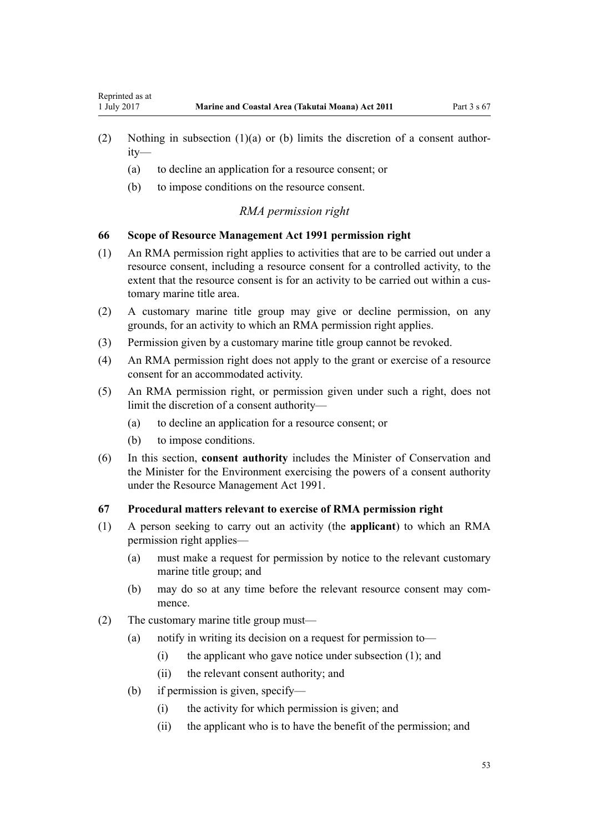- <span id="page-52-0"></span>(2) Nothing in subsection (1)(a) or (b) limits the discretion of a consent authority—
	- (a) to decline an application for a resource consent; or
	- (b) to impose conditions on the resource consent.

#### *RMA permission right*

#### **66 Scope of Resource Management Act 1991 permission right**

- (1) An RMA permission right applies to activities that are to be carried out under a resource consent, including a resource consent for a controlled activity, to the extent that the resource consent is for an activity to be carried out within a customary marine title area.
- (2) A customary marine title group may give or decline permission, on any grounds, for an activity to which an RMA permission right applies.
- (3) Permission given by a customary marine title group cannot be revoked.
- (4) An RMA permission right does not apply to the grant or exercise of a resource consent for an accommodated activity.
- (5) An RMA permission right, or permission given under such a right, does not limit the discretion of a consent authority—
	- (a) to decline an application for a resource consent; or
	- (b) to impose conditions.
- (6) In this section, **consent authority** includes the Minister of Conservation and the Minister for the Environment exercising the powers of a consent authority under the [Resource Management Act 1991](http://prd-lgnz-nlb.prd.pco.net.nz/pdflink.aspx?id=DLM230264).

## **67 Procedural matters relevant to exercise of RMA permission right**

- (1) A person seeking to carry out an activity (the **applicant**) to which an RMA permission right applies—
	- (a) must make a request for permission by notice to the relevant customary marine title group; and
	- (b) may do so at any time before the relevant resource consent may commence.
- (2) The customary marine title group must—
	- (a) notify in writing its decision on a request for permission to—
		- (i) the applicant who gave notice under subsection (1); and
		- (ii) the relevant consent authority; and
	- (b) if permission is given, specify—
		- (i) the activity for which permission is given; and
		- (ii) the applicant who is to have the benefit of the permission; and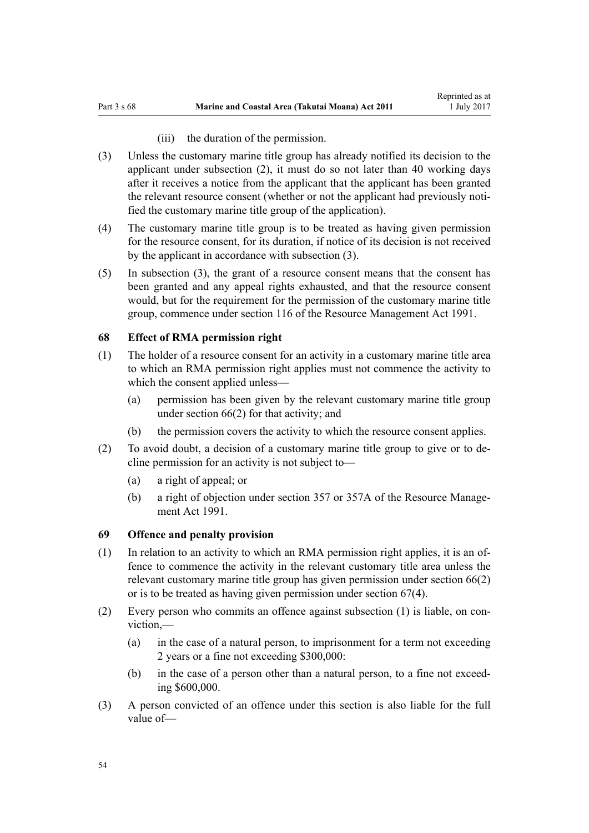#### (iii) the duration of the permission.

- (3) Unless the customary marine title group has already notified its decision to the applicant under subsection (2), it must do so not later than 40 working days after it receives a notice from the applicant that the applicant has been granted the relevant resource consent (whether or not the applicant had previously notified the customary marine title group of the application).
- (4) The customary marine title group is to be treated as having given permission for the resource consent, for its duration, if notice of its decision is not received by the applicant in accordance with subsection (3).
- (5) In subsection (3), the grant of a resource consent means that the consent has been granted and any appeal rights exhausted, and that the resource consent would, but for the requirement for the permission of the customary marine title group, commence under [section 116](http://prd-lgnz-nlb.prd.pco.net.nz/pdflink.aspx?id=DLM234865) of the Resource Management Act 1991.

#### **68 Effect of RMA permission right**

- (1) The holder of a resource consent for an activity in a customary marine title area to which an RMA permission right applies must not commence the activity to which the consent applied unless—
	- (a) permission has been given by the relevant customary marine title group under [section 66\(2\)](#page-52-0) for that activity; and
	- (b) the permission covers the activity to which the resource consent applies.
- (2) To avoid doubt, a decision of a customary marine title group to give or to decline permission for an activity is not subject to—
	- (a) a right of appeal; or
	- (b) a right of objection under [section 357](http://prd-lgnz-nlb.prd.pco.net.nz/pdflink.aspx?id=DLM239342) or [357A](http://prd-lgnz-nlb.prd.pco.net.nz/pdflink.aspx?id=DLM239356) of the Resource Management Act 1991.

#### **69 Offence and penalty provision**

- (1) In relation to an activity to which an RMA permission right applies, it is an offence to commence the activity in the relevant customary title area unless the relevant customary marine title group has given permission under [section 66\(2\)](#page-52-0) or is to be treated as having given permission under [section 67\(4\).](#page-52-0)
- (2) Every person who commits an offence against subsection (1) is liable, on conviction,—
	- (a) in the case of a natural person, to imprisonment for a term not exceeding 2 years or a fine not exceeding \$300,000:
	- (b) in the case of a person other than a natural person, to a fine not exceeding \$600,000.
- (3) A person convicted of an offence under this section is also liable for the full value of—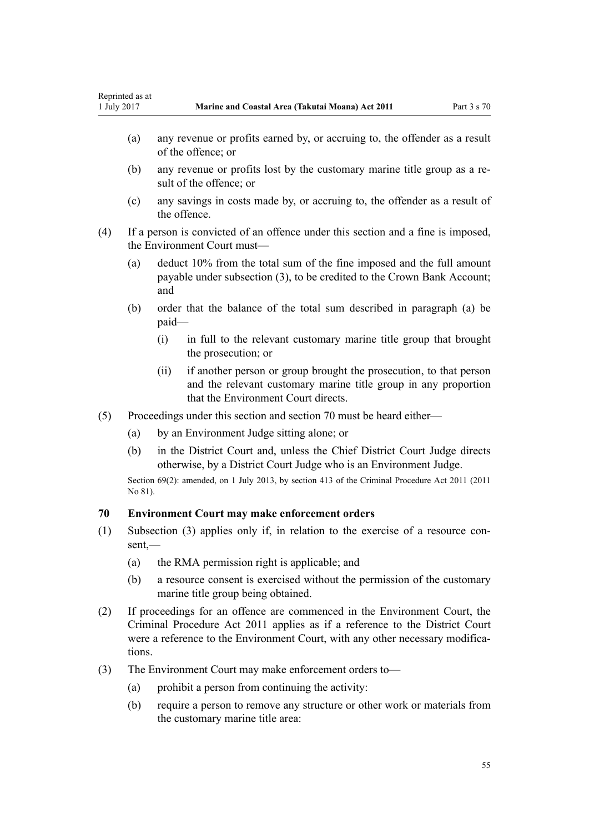- (a) any revenue or profits earned by, or accruing to, the offender as a result of the offence; or
- (b) any revenue or profits lost by the customary marine title group as a result of the offence; or
- (c) any savings in costs made by, or accruing to, the offender as a result of the offence.
- (4) If a person is convicted of an offence under this section and a fine is imposed, the Environment Court must—
	- (a) deduct 10% from the total sum of the fine imposed and the full amount payable under subsection (3), to be credited to the Crown Bank Account; and
	- (b) order that the balance of the total sum described in paragraph (a) be paid—
		- (i) in full to the relevant customary marine title group that brought the prosecution; or
		- (ii) if another person or group brought the prosecution, to that person and the relevant customary marine title group in any proportion that the Environment Court directs.
- (5) Proceedings under this section and section 70 must be heard either—
	- (a) by an Environment Judge sitting alone; or
	- (b) in the District Court and, unless the Chief District Court Judge directs otherwise, by a District Court Judge who is an Environment Judge.

Section 69(2): amended, on 1 July 2013, by [section 413](http://prd-lgnz-nlb.prd.pco.net.nz/pdflink.aspx?id=DLM3360714) of the Criminal Procedure Act 2011 (2011) No 81).

## **70 Environment Court may make enforcement orders**

- (1) Subsection (3) applies only if, in relation to the exercise of a resource consent,—
	- (a) the RMA permission right is applicable; and
	- (b) a resource consent is exercised without the permission of the customary marine title group being obtained.
- (2) If proceedings for an offence are commenced in the Environment Court, the [Criminal Procedure Act 2011](http://prd-lgnz-nlb.prd.pco.net.nz/pdflink.aspx?id=DLM3359902) applies as if a reference to the District Court were a reference to the Environment Court, with any other necessary modifications.
- (3) The Environment Court may make enforcement orders to—
	- (a) prohibit a person from continuing the activity:
	- (b) require a person to remove any structure or other work or materials from the customary marine title area: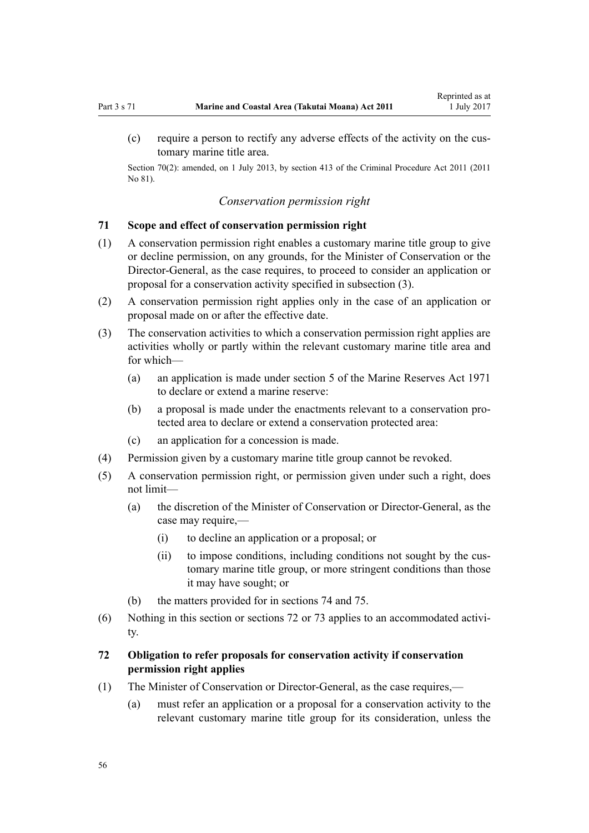<span id="page-55-0"></span>Section 70(2): amended, on 1 July 2013, by [section 413](http://prd-lgnz-nlb.prd.pco.net.nz/pdflink.aspx?id=DLM3360714) of the Criminal Procedure Act 2011 (2011) No 81).

#### *Conservation permission right*

#### **71 Scope and effect of conservation permission right**

- (1) A conservation permission right enables a customary marine title group to give or decline permission, on any grounds, for the Minister of Conservation or the Director-General, as the case requires, to proceed to consider an application or proposal for a conservation activity specified in subsection (3).
- (2) A conservation permission right applies only in the case of an application or proposal made on or after the effective date.
- (3) The conservation activities to which a conservation permission right applies are activities wholly or partly within the relevant customary marine title area and for which—
	- (a) an application is made under [section 5](http://prd-lgnz-nlb.prd.pco.net.nz/pdflink.aspx?id=DLM398113) of the Marine Reserves Act 1971 to declare or extend a marine reserve:
	- (b) a proposal is made under the enactments relevant to a conservation protected area to declare or extend a conservation protected area:
	- (c) an application for a concession is made.
- (4) Permission given by a customary marine title group cannot be revoked.
- (5) A conservation permission right, or permission given under such a right, does not limit—
	- (a) the discretion of the Minister of Conservation or Director-General, as the case may require,—
		- (i) to decline an application or a proposal; or
		- (ii) to impose conditions, including conditions not sought by the customary marine title group, or more stringent conditions than those it may have sought; or
	- (b) the matters provided for in [sections 74](#page-56-0) and [75](#page-57-0).
- (6) Nothing in this section or sections 72 or [73](#page-56-0) applies to an accommodated activity.

## **72 Obligation to refer proposals for conservation activity if conservation permission right applies**

- (1) The Minister of Conservation or Director-General, as the case requires,—
	- (a) must refer an application or a proposal for a conservation activity to the relevant customary marine title group for its consideration, unless the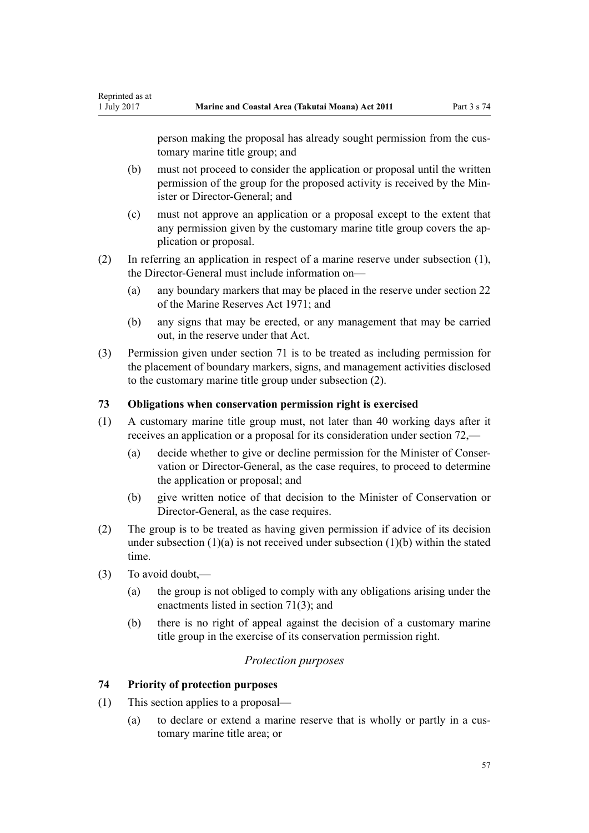person making the proposal has already sought permission from the customary marine title group; and

- (b) must not proceed to consider the application or proposal until the written permission of the group for the proposed activity is received by the Minister or Director-General; and
- (c) must not approve an application or a proposal except to the extent that any permission given by the customary marine title group covers the application or proposal.
- (2) In referring an application in respect of a marine reserve under subsection (1), the Director-General must include information on—
	- (a) any boundary markers that may be placed in the reserve under [section 22](http://prd-lgnz-nlb.prd.pco.net.nz/pdflink.aspx?id=DLM398410) of the Marine Reserves Act 1971; and
	- (b) any signs that may be erected, or any management that may be carried out, in the reserve under that Act.
- (3) Permission given under [section 71](#page-55-0) is to be treated as including permission for the placement of boundary markers, signs, and management activities disclosed to the customary marine title group under subsection (2).

## **73 Obligations when conservation permission right is exercised**

- (1) A customary marine title group must, not later than 40 working days after it receives an application or a proposal for its consideration under [section 72](#page-55-0),—
	- (a) decide whether to give or decline permission for the Minister of Conservation or Director-General, as the case requires, to proceed to determine the application or proposal; and
	- (b) give written notice of that decision to the Minister of Conservation or Director-General, as the case requires.
- (2) The group is to be treated as having given permission if advice of its decision under subsection  $(1)(a)$  is not received under subsection  $(1)(b)$  within the stated time.
- (3) To avoid doubt,—

<span id="page-56-0"></span>Reprinted as at

- (a) the group is not obliged to comply with any obligations arising under the enactments listed in [section 71\(3\);](#page-55-0) and
- (b) there is no right of appeal against the decision of a customary marine title group in the exercise of its conservation permission right.

#### *Protection purposes*

#### **74 Priority of protection purposes**

- (1) This section applies to a proposal—
	- (a) to declare or extend a marine reserve that is wholly or partly in a customary marine title area; or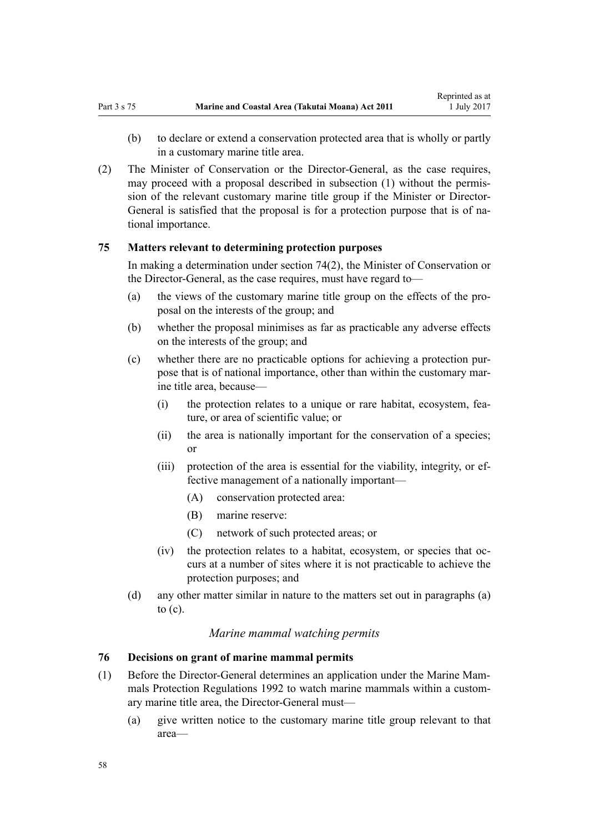- <span id="page-57-0"></span>(b) to declare or extend a conservation protected area that is wholly or partly in a customary marine title area.
- (2) The Minister of Conservation or the Director-General, as the case requires, may proceed with a proposal described in subsection (1) without the permission of the relevant customary marine title group if the Minister or Director-General is satisfied that the proposal is for a protection purpose that is of national importance.

#### **75 Matters relevant to determining protection purposes**

In making a determination under [section 74\(2\)](#page-56-0), the Minister of Conservation or the Director-General, as the case requires, must have regard to—

- (a) the views of the customary marine title group on the effects of the proposal on the interests of the group; and
- (b) whether the proposal minimises as far as practicable any adverse effects on the interests of the group; and
- (c) whether there are no practicable options for achieving a protection purpose that is of national importance, other than within the customary marine title area, because—
	- (i) the protection relates to a unique or rare habitat, ecosystem, feature, or area of scientific value; or
	- (ii) the area is nationally important for the conservation of a species; or
	- (iii) protection of the area is essential for the viability, integrity, or effective management of a nationally important—
		- (A) conservation protected area:
		- (B) marine reserve:
		- (C) network of such protected areas; or
	- (iv) the protection relates to a habitat, ecosystem, or species that occurs at a number of sites where it is not practicable to achieve the protection purposes; and
- (d) any other matter similar in nature to the matters set out in paragraphs (a) to (c).

#### *Marine mammal watching permits*

#### **76 Decisions on grant of marine mammal permits**

- (1) Before the Director-General determines an application under the [Marine Mam](http://prd-lgnz-nlb.prd.pco.net.nz/pdflink.aspx?id=DLM168285)[mals Protection Regulations 1992](http://prd-lgnz-nlb.prd.pco.net.nz/pdflink.aspx?id=DLM168285) to watch marine mammals within a customary marine title area, the Director-General must—
	- (a) give written notice to the customary marine title group relevant to that area—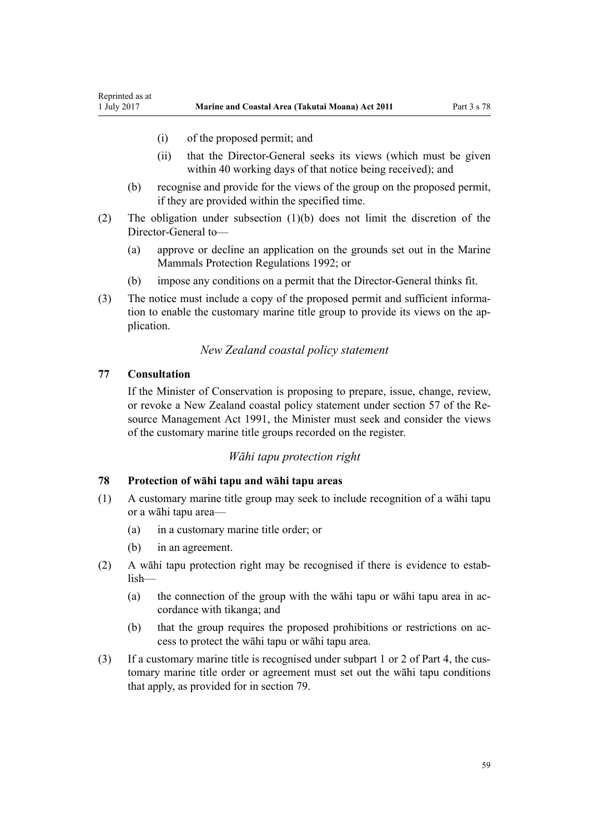- (i) of the proposed permit; and
- (ii) that the Director-General seeks its views (which must be given within 40 working days of that notice being received); and
- (b) recognise and provide for the views of the group on the proposed permit, if they are provided within the specified time.
- (2) The obligation under subsection (1)(b) does not limit the discretion of the Director-General to—
	- (a) approve or decline an application on the grounds set out in the [Marine](http://prd-lgnz-nlb.prd.pco.net.nz/pdflink.aspx?id=DLM168285) [Mammals Protection Regulations 1992](http://prd-lgnz-nlb.prd.pco.net.nz/pdflink.aspx?id=DLM168285); or
	- (b) impose any conditions on a permit that the Director-General thinks fit.
- (3) The notice must include a copy of the proposed permit and sufficient information to enable the customary marine title group to provide its views on the application.

#### *New Zealand coastal policy statement*

#### **77 Consultation**

<span id="page-58-0"></span>Reprinted as at

If the Minister of Conservation is proposing to prepare, issue, change, review, or revoke a New Zealand coastal policy statement under [section 57](http://prd-lgnz-nlb.prd.pco.net.nz/pdflink.aspx?id=DLM233379) of the Resource Management Act 1991, the Minister must seek and consider the views of the customary marine title groups recorded on the register.

## *Wāhi tapu protection right*

#### **78 Protection of wāhi tapu and wāhi tapu areas**

- (1) A customary marine title group may seek to include recognition of a wāhi tapu or a wāhi tapu area—
	- (a) in a customary marine title order; or
	- (b) in an agreement.
- (2) A wāhi tapu protection right may be recognised if there is evidence to establish—
	- (a) the connection of the group with the wāhi tapu or wāhi tapu area in accordance with tikanga; and
	- (b) that the group requires the proposed prohibitions or restrictions on access to protect the wāhi tapu or wāhi tapu area.
- (3) If a customary marine title is recognised under [subpart 1](#page-68-0) or [2](#page-69-0) of Part 4, the customary marine title order or agreement must set out the wāhi tapu conditions that apply, as provided for in [section 79](#page-59-0).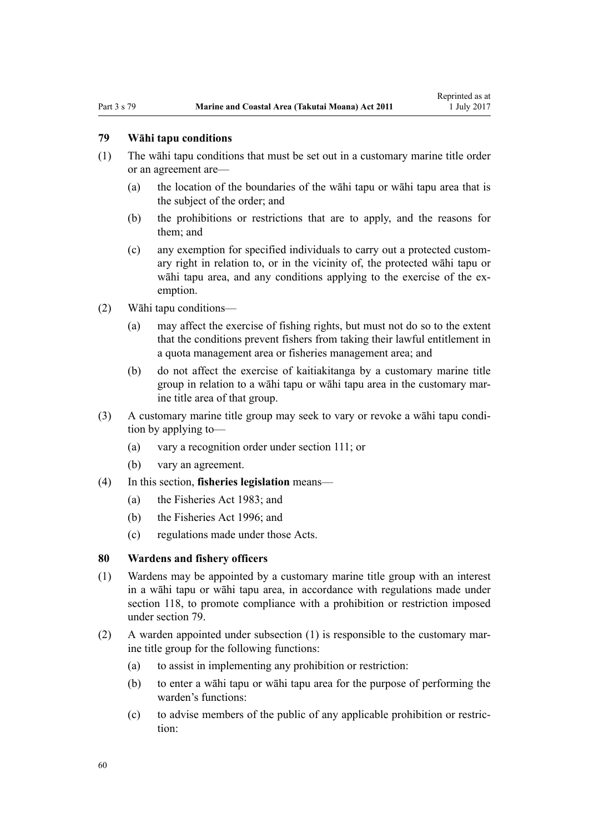# <span id="page-59-0"></span>**79 Wāhi tapu conditions**

- (1) The wāhi tapu conditions that must be set out in a customary marine title order or an agreement are—
	- (a) the location of the boundaries of the wāhi tapu or wāhi tapu area that is the subject of the order; and
	- (b) the prohibitions or restrictions that are to apply, and the reasons for them; and
	- (c) any exemption for specified individuals to carry out a protected customary right in relation to, or in the vicinity of, the protected wāhi tapu or wāhi tapu area, and any conditions applying to the exercise of the exemption.
- (2) Wāhi tapu conditions—
	- (a) may affect the exercise of fishing rights, but must not do so to the extent that the conditions prevent fishers from taking their lawful entitlement in a quota management area or fisheries management area; and
	- (b) do not affect the exercise of kaitiakitanga by a customary marine title group in relation to a wāhi tapu or wāhi tapu area in the customary marine title area of that group.
- (3) A customary marine title group may seek to vary or revoke a wāhi tapu condition by applying to—
	- (a) vary a recognition order under [section 111;](#page-74-0) or
	- (b) vary an agreement.
- (4) In this section, **fisheries legislation** means—
	- (a) the [Fisheries Act 1983](http://prd-lgnz-nlb.prd.pco.net.nz/pdflink.aspx?id=DLM66581); and
	- (b) the [Fisheries Act 1996](http://prd-lgnz-nlb.prd.pco.net.nz/pdflink.aspx?id=DLM394191); and
	- (c) regulations made under those Acts.

#### **80 Wardens and fishery officers**

- (1) Wardens may be appointed by a customary marine title group with an interest in a wāhi tapu or wāhi tapu area, in accordance with regulations made under [section 118,](#page-77-0) to promote compliance with a prohibition or restriction imposed under section 79.
- (2) A warden appointed under subsection (1) is responsible to the customary marine title group for the following functions:
	- (a) to assist in implementing any prohibition or restriction:
	- (b) to enter a wāhi tapu or wāhi tapu area for the purpose of performing the warden's functions:
	- (c) to advise members of the public of any applicable prohibition or restriction: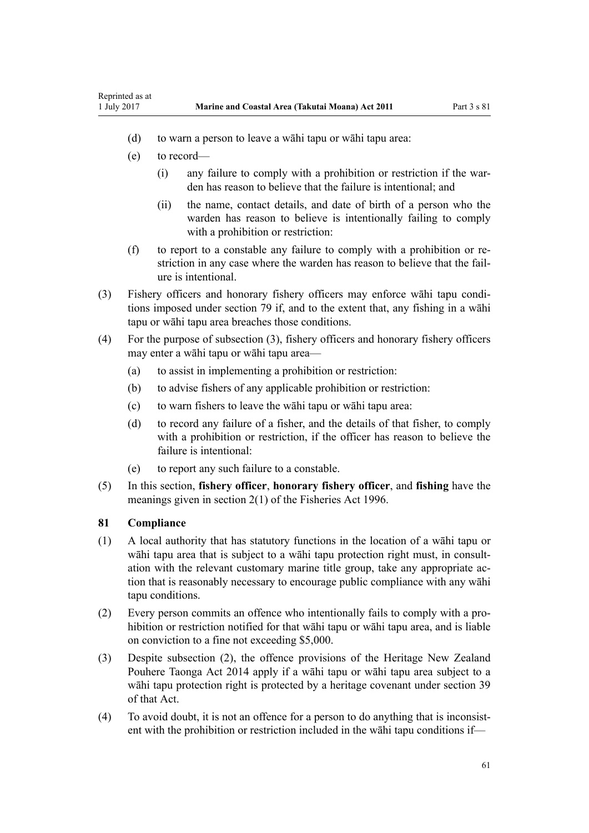- (d) to warn a person to leave a wāhi tapu or wāhi tapu area:
- (e) to record—

Reprinted as at

- (i) any failure to comply with a prohibition or restriction if the warden has reason to believe that the failure is intentional; and
- (ii) the name, contact details, and date of birth of a person who the warden has reason to believe is intentionally failing to comply with a prohibition or restriction:
- (f) to report to a constable any failure to comply with a prohibition or restriction in any case where the warden has reason to believe that the failure is intentional.
- (3) Fishery officers and honorary fishery officers may enforce wāhi tapu conditions imposed under [section 79](#page-59-0) if, and to the extent that, any fishing in a wāhi tapu or wāhi tapu area breaches those conditions.
- (4) For the purpose of subsection (3), fishery officers and honorary fishery officers may enter a wāhi tapu or wāhi tapu area—
	- (a) to assist in implementing a prohibition or restriction:
	- (b) to advise fishers of any applicable prohibition or restriction:
	- (c) to warn fishers to leave the wāhi tapu or wāhi tapu area:
	- (d) to record any failure of a fisher, and the details of that fisher, to comply with a prohibition or restriction, if the officer has reason to believe the failure is intentional:
	- (e) to report any such failure to a constable.
- (5) In this section, **fishery officer**, **honorary fishery officer**, and **fishing** have the meanings given in [section 2\(1\)](http://prd-lgnz-nlb.prd.pco.net.nz/pdflink.aspx?id=DLM394199) of the Fisheries Act 1996.

## **81 Compliance**

- (1) A local authority that has statutory functions in the location of a wāhi tapu or wāhi tapu area that is subject to a wāhi tapu protection right must, in consultation with the relevant customary marine title group, take any appropriate action that is reasonably necessary to encourage public compliance with any wāhi tapu conditions.
- (2) Every person commits an offence who intentionally fails to comply with a prohibition or restriction notified for that wāhi tapu or wāhi tapu area, and is liable on conviction to a fine not exceeding \$5,000.
- (3) Despite subsection (2), the offence provisions of the [Heritage New Zealand](http://prd-lgnz-nlb.prd.pco.net.nz/pdflink.aspx?id=DLM4005402) [Pouhere Taonga Act 2014](http://prd-lgnz-nlb.prd.pco.net.nz/pdflink.aspx?id=DLM4005402) apply if a wāhi tapu or wāhi tapu area subject to a wāhi tapu protection right is protected by a heritage covenant under [section 39](http://prd-lgnz-nlb.prd.pco.net.nz/pdflink.aspx?id=DLM4005548) of that Act.
- (4) To avoid doubt, it is not an offence for a person to do anything that is inconsistent with the prohibition or restriction included in the wāhi tapu conditions if—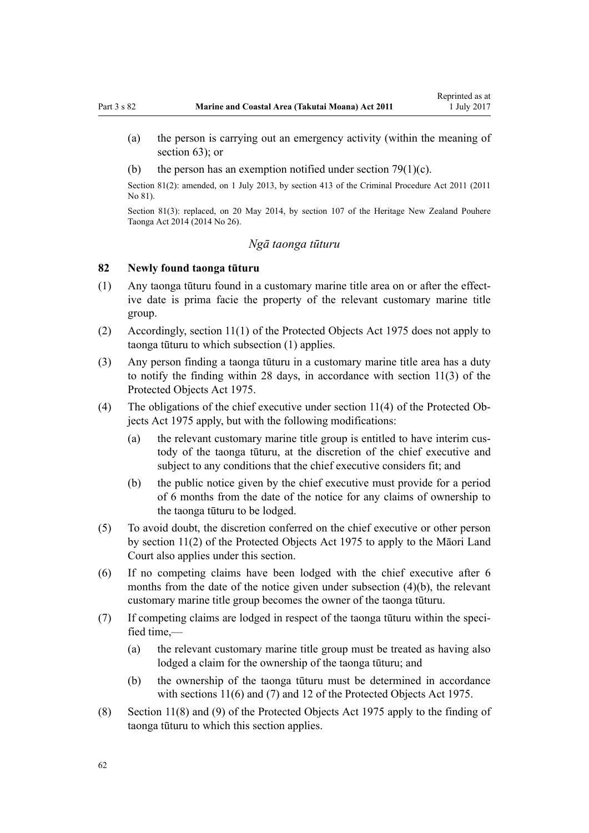- <span id="page-61-0"></span>(a) the person is carrying out an emergency activity (within the meaning of [section 63](#page-47-0)); or
- (b) the person has an exemption notified under section  $79(1)(c)$ .

Section 81(2): amended, on 1 July 2013, by [section 413](http://prd-lgnz-nlb.prd.pco.net.nz/pdflink.aspx?id=DLM3360714) of the Criminal Procedure Act 2011 (2011) No 81).

Section 81(3): replaced, on 20 May 2014, by [section 107](http://prd-lgnz-nlb.prd.pco.net.nz/pdflink.aspx?id=DLM4005646) of the Heritage New Zealand Pouhere Taonga Act 2014 (2014 No 26).

## *Ngā taonga tūturu*

#### **82 Newly found taonga tūturu**

- (1) Any taonga tūturu found in a customary marine title area on or after the effective date is prima facie the property of the relevant customary marine title group.
- (2) Accordingly, [section 11\(1\)](http://prd-lgnz-nlb.prd.pco.net.nz/pdflink.aspx?id=DLM432422) of the Protected Objects Act 1975 does not apply to taonga tūturu to which subsection (1) applies.
- (3) Any person finding a taonga tūturu in a customary marine title area has a duty to notify the finding within 28 days, in accordance with [section 11\(3\)](http://prd-lgnz-nlb.prd.pco.net.nz/pdflink.aspx?id=DLM432422) of the Protected Objects Act 1975.
- (4) The obligations of the chief executive under [section 11\(4\)](http://prd-lgnz-nlb.prd.pco.net.nz/pdflink.aspx?id=DLM432422) of the Protected Objects Act 1975 apply, but with the following modifications:
	- (a) the relevant customary marine title group is entitled to have interim custody of the taonga tūturu, at the discretion of the chief executive and subject to any conditions that the chief executive considers fit; and
	- (b) the public notice given by the chief executive must provide for a period of 6 months from the date of the notice for any claims of ownership to the taonga tūturu to be lodged.
- (5) To avoid doubt, the discretion conferred on the chief executive or other person by [section 11\(2\)](http://prd-lgnz-nlb.prd.pco.net.nz/pdflink.aspx?id=DLM432422) of the Protected Objects Act 1975 to apply to the Māori Land Court also applies under this section.
- (6) If no competing claims have been lodged with the chief executive after 6 months from the date of the notice given under subsection (4)(b), the relevant customary marine title group becomes the owner of the taonga tūturu.
- (7) If competing claims are lodged in respect of the taonga tūturu within the specified time,—
	- (a) the relevant customary marine title group must be treated as having also lodged a claim for the ownership of the taonga tūturu; and
	- (b) the ownership of the taonga tūturu must be determined in accordance with [sections 11\(6\) and \(7\)](http://prd-lgnz-nlb.prd.pco.net.nz/pdflink.aspx?id=DLM432422) and [12](http://prd-lgnz-nlb.prd.pco.net.nz/pdflink.aspx?id=DLM432435) of the Protected Objects Act 1975.
- (8) [Section 11\(8\) and \(9\)](http://prd-lgnz-nlb.prd.pco.net.nz/pdflink.aspx?id=DLM432422) of the Protected Objects Act 1975 apply to the finding of taonga tūturu to which this section applies.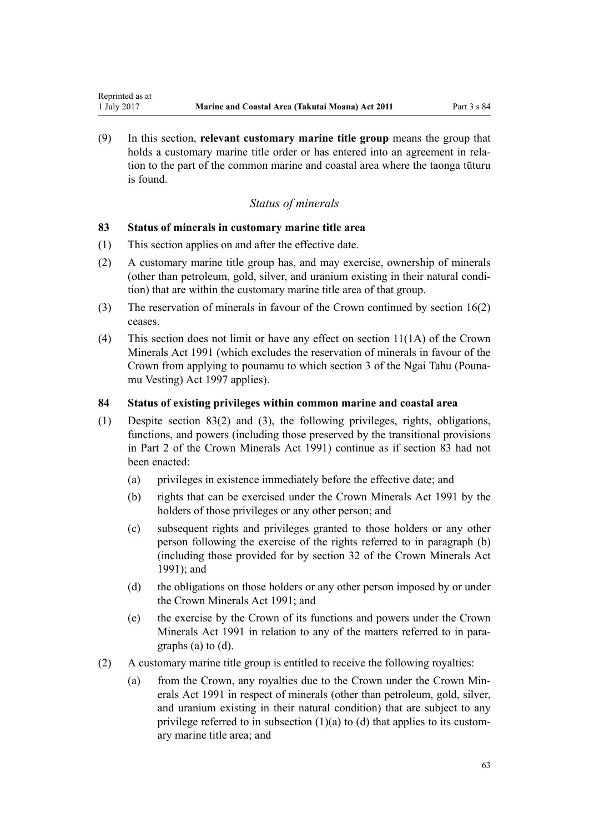<span id="page-62-0"></span>(9) In this section, **relevant customary marine title group** means the group that holds a customary marine title order or has entered into an agreement in relation to the part of the common marine and coastal area where the taonga tūturu is found.

# *Status of minerals*

## **83 Status of minerals in customary marine title area**

- (1) This section applies on and after the effective date.
- (2) A customary marine title group has, and may exercise, ownership of minerals (other than petroleum, gold, silver, and uranium existing in their natural condition) that are within the customary marine title area of that group.
- (3) The reservation of minerals in favour of the Crown continued by [section 16\(2\)](#page-19-0) ceases.
- (4) This section does not limit or have any effect on [section 11\(1A\)](http://prd-lgnz-nlb.prd.pco.net.nz/pdflink.aspx?id=DLM246311) of the Crown Minerals Act 1991 (which excludes the reservation of minerals in favour of the Crown from applying to pounamu to which [section 3](http://prd-lgnz-nlb.prd.pco.net.nz/pdflink.aspx?id=DLM413605) of the Ngai Tahu (Pounamu Vesting) Act 1997 applies).

## **84 Status of existing privileges within common marine and coastal area**

- (1) Despite section 83(2) and (3), the following privileges, rights, obligations, functions, and powers (including those preserved by the transitional provisions in [Part 2](http://prd-lgnz-nlb.prd.pco.net.nz/pdflink.aspx?id=DLM247305) of the Crown Minerals Act 1991) continue as if section 83 had not been enacted:
	- (a) privileges in existence immediately before the effective date; and
	- (b) rights that can be exercised under the [Crown Minerals Act 1991](http://prd-lgnz-nlb.prd.pco.net.nz/pdflink.aspx?id=DLM242535) by the holders of those privileges or any other person; and
	- (c) subsequent rights and privileges granted to those holders or any other person following the exercise of the rights referred to in paragraph (b) (including those provided for by [section 32](http://prd-lgnz-nlb.prd.pco.net.nz/pdflink.aspx?id=DLM246341) of the Crown Minerals Act 1991); and
	- (d) the obligations on those holders or any other person imposed by or under the [Crown Minerals Act 1991;](http://prd-lgnz-nlb.prd.pco.net.nz/pdflink.aspx?id=DLM242535) and
	- (e) the exercise by the Crown of its functions and powers under the [Crown](http://prd-lgnz-nlb.prd.pco.net.nz/pdflink.aspx?id=DLM242535) [Minerals Act 1991](http://prd-lgnz-nlb.prd.pco.net.nz/pdflink.aspx?id=DLM242535) in relation to any of the matters referred to in paragraphs (a) to (d).
- (2) A customary marine title group is entitled to receive the following royalties:
	- (a) from the Crown, any royalties due to the Crown under the [Crown Min](http://prd-lgnz-nlb.prd.pco.net.nz/pdflink.aspx?id=DLM242535)[erals Act 1991](http://prd-lgnz-nlb.prd.pco.net.nz/pdflink.aspx?id=DLM242535) in respect of minerals (other than petroleum, gold, silver, and uranium existing in their natural condition) that are subject to any privilege referred to in subsection  $(1)(a)$  to  $(d)$  that applies to its customary marine title area; and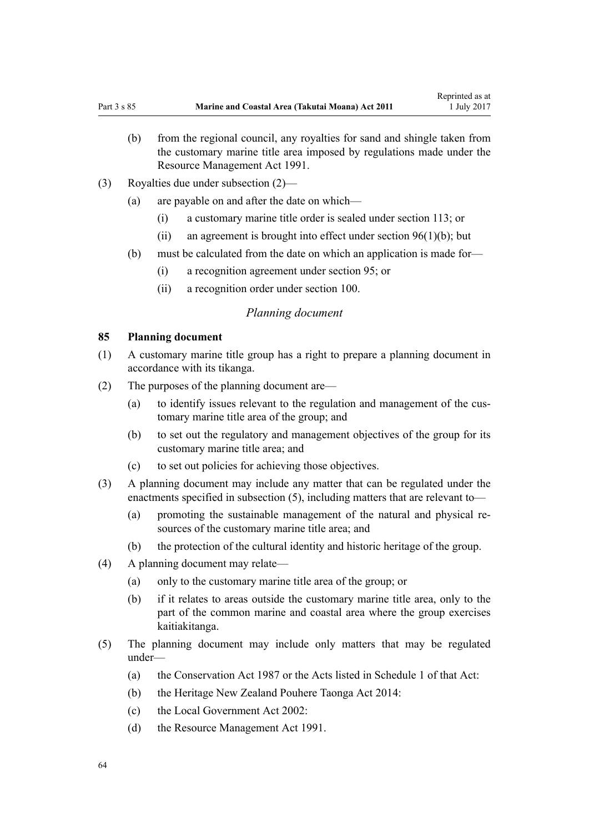- <span id="page-63-0"></span>(b) from the regional council, any royalties for sand and shingle taken from the customary marine title area imposed by regulations made under the [Resource Management Act 1991](http://prd-lgnz-nlb.prd.pco.net.nz/pdflink.aspx?id=DLM230264).
- (3) Royalties due under subsection (2)—
	- (a) are payable on and after the date on which—
		- (i) a customary marine title order is sealed under [section 113](#page-68-0); or
		- (ii) an agreement is brought into effect under section  $96(1)(b)$ ; but
	- (b) must be calculated from the date on which an application is made for—
		- (i) a recognition agreement under [section 95](#page-68-0); or
		- (ii) a recognition order under [section 100](#page-70-0).

#### *Planning document*

#### **85 Planning document**

- (1) A customary marine title group has a right to prepare a planning document in accordance with its tikanga.
- (2) The purposes of the planning document are—
	- (a) to identify issues relevant to the regulation and management of the customary marine title area of the group; and
	- (b) to set out the regulatory and management objectives of the group for its customary marine title area; and
	- (c) to set out policies for achieving those objectives.
- (3) A planning document may include any matter that can be regulated under the enactments specified in subsection (5), including matters that are relevant to—
	- (a) promoting the sustainable management of the natural and physical resources of the customary marine title area; and
	- (b) the protection of the cultural identity and historic heritage of the group.
- (4) A planning document may relate—
	- (a) only to the customary marine title area of the group; or
	- (b) if it relates to areas outside the customary marine title area, only to the part of the common marine and coastal area where the group exercises kaitiakitanga.
- (5) The planning document may include only matters that may be regulated under—
	- (a) the [Conservation Act 1987](http://prd-lgnz-nlb.prd.pco.net.nz/pdflink.aspx?id=DLM103609) or the Acts listed in [Schedule 1](http://prd-lgnz-nlb.prd.pco.net.nz/pdflink.aspx?id=DLM107200) of that Act:
	- (b) the [Heritage New Zealand Pouhere Taonga Act 2014:](http://prd-lgnz-nlb.prd.pco.net.nz/pdflink.aspx?id=DLM4005402)
	- (c) the [Local Government Act 2002](http://prd-lgnz-nlb.prd.pco.net.nz/pdflink.aspx?id=DLM170872):
	- (d) the [Resource Management Act 1991](http://prd-lgnz-nlb.prd.pco.net.nz/pdflink.aspx?id=DLM230264).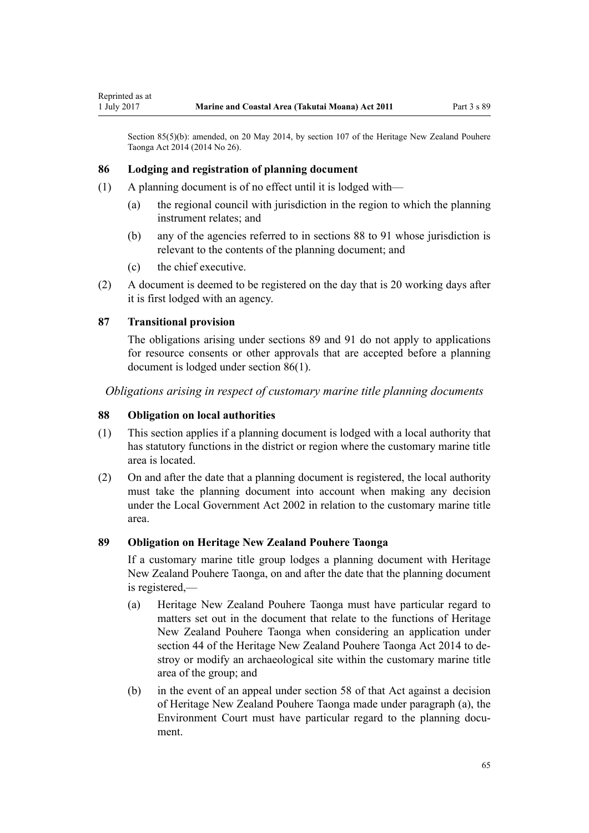<span id="page-64-0"></span>Section 85(5)(b): amended, on 20 May 2014, by [section 107](http://prd-lgnz-nlb.prd.pco.net.nz/pdflink.aspx?id=DLM4005646) of the Heritage New Zealand Pouhere Taonga Act 2014 (2014 No 26).

## **86 Lodging and registration of planning document**

- (1) A planning document is of no effect until it is lodged with—
	- (a) the regional council with jurisdiction in the region to which the planning instrument relates; and
	- (b) any of the agencies referred to in sections 88 to 91 whose jurisdiction is relevant to the contents of the planning document; and
	- (c) the chief executive.
- (2) A document is deemed to be registered on the day that is 20 working days after it is first lodged with an agency.

## **87 Transitional provision**

The obligations arising under sections 89 and [91](#page-65-0) do not apply to applications for resource consents or other approvals that are accepted before a planning document is lodged under section 86(1).

*Obligations arising in respect of customary marine title planning documents*

## **88 Obligation on local authorities**

- (1) This section applies if a planning document is lodged with a local authority that has statutory functions in the district or region where the customary marine title area is located.
- (2) On and after the date that a planning document is registered, the local authority must take the planning document into account when making any decision under the [Local Government Act 2002](http://prd-lgnz-nlb.prd.pco.net.nz/pdflink.aspx?id=DLM170872) in relation to the customary marine title area.

#### **89 Obligation on Heritage New Zealand Pouhere Taonga**

If a customary marine title group lodges a planning document with Heritage New Zealand Pouhere Taonga, on and after the date that the planning document is registered,—

- (a) Heritage New Zealand Pouhere Taonga must have particular regard to matters set out in the document that relate to the functions of Heritage New Zealand Pouhere Taonga when considering an application under [section 44](http://prd-lgnz-nlb.prd.pco.net.nz/pdflink.aspx?id=DLM4005562) of the Heritage New Zealand Pouhere Taonga Act 2014 to destroy or modify an archaeological site within the customary marine title area of the group; and
- (b) in the event of an appeal under [section 58](http://prd-lgnz-nlb.prd.pco.net.nz/pdflink.aspx?id=DLM4005583) of that Act against a decision of Heritage New Zealand Pouhere Taonga made under paragraph (a), the Environment Court must have particular regard to the planning document.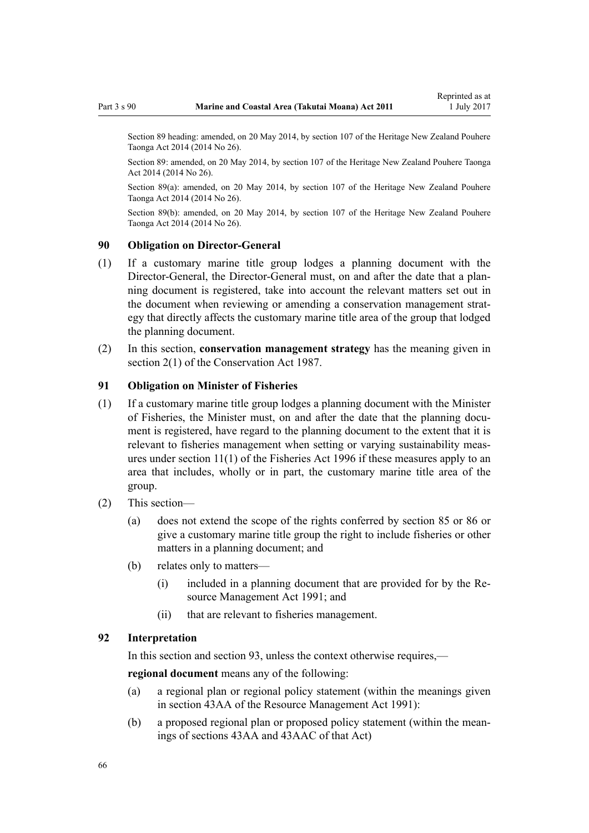<span id="page-65-0"></span>Section 89 heading: amended, on 20 May 2014, by [section 107](http://prd-lgnz-nlb.prd.pco.net.nz/pdflink.aspx?id=DLM4005646) of the Heritage New Zealand Pouhere Taonga Act 2014 (2014 No 26).

Section 89: amended, on 20 May 2014, by [section 107](http://prd-lgnz-nlb.prd.pco.net.nz/pdflink.aspx?id=DLM4005646) of the Heritage New Zealand Pouhere Taonga Act 2014 (2014 No 26).

Section 89(a): amended, on 20 May 2014, by [section 107](http://prd-lgnz-nlb.prd.pco.net.nz/pdflink.aspx?id=DLM4005646) of the Heritage New Zealand Pouhere Taonga Act 2014 (2014 No 26).

Section 89(b): amended, on 20 May 2014, by [section 107](http://prd-lgnz-nlb.prd.pco.net.nz/pdflink.aspx?id=DLM4005646) of the Heritage New Zealand Pouhere Taonga Act 2014 (2014 No 26).

## **90 Obligation on Director-General**

- (1) If a customary marine title group lodges a planning document with the Director-General, the Director-General must, on and after the date that a planning document is registered, take into account the relevant matters set out in the document when reviewing or amending a conservation management strategy that directly affects the customary marine title area of the group that lodged the planning document.
- (2) In this section, **conservation management strategy** has the meaning given in [section 2\(1\)](http://prd-lgnz-nlb.prd.pco.net.nz/pdflink.aspx?id=DLM103616) of the Conservation Act 1987.

#### **91 Obligation on Minister of Fisheries**

- (1) If a customary marine title group lodges a planning document with the Minister of Fisheries, the Minister must, on and after the date that the planning document is registered, have regard to the planning document to the extent that it is relevant to fisheries management when setting or varying sustainability measures under [section 11\(1\)](http://prd-lgnz-nlb.prd.pco.net.nz/pdflink.aspx?id=DLM395397) of the Fisheries Act 1996 if these measures apply to an area that includes, wholly or in part, the customary marine title area of the group.
- (2) This section—
	- (a) does not extend the scope of the rights conferred by [section 85](#page-63-0) or [86](#page-64-0) or give a customary marine title group the right to include fisheries or other matters in a planning document; and
	- (b) relates only to matters—
		- (i) included in a planning document that are provided for by the [Re](http://prd-lgnz-nlb.prd.pco.net.nz/pdflink.aspx?id=DLM230264)[source Management Act 1991](http://prd-lgnz-nlb.prd.pco.net.nz/pdflink.aspx?id=DLM230264); and
		- (ii) that are relevant to fisheries management.

#### **92 Interpretation**

In this section and section 93, unless the context otherwise requires,—

**regional document** means any of the following:

- (a) a regional plan or regional policy statement (within the meanings given in [section 43AA](http://prd-lgnz-nlb.prd.pco.net.nz/pdflink.aspx?id=DLM2412743) of the Resource Management Act 1991):
- (b) a proposed regional plan or proposed policy statement (within the meanings of [sections 43AA](http://prd-lgnz-nlb.prd.pco.net.nz/pdflink.aspx?id=DLM2412743) and [43AAC](http://prd-lgnz-nlb.prd.pco.net.nz/pdflink.aspx?id=DLM2412769) of that Act)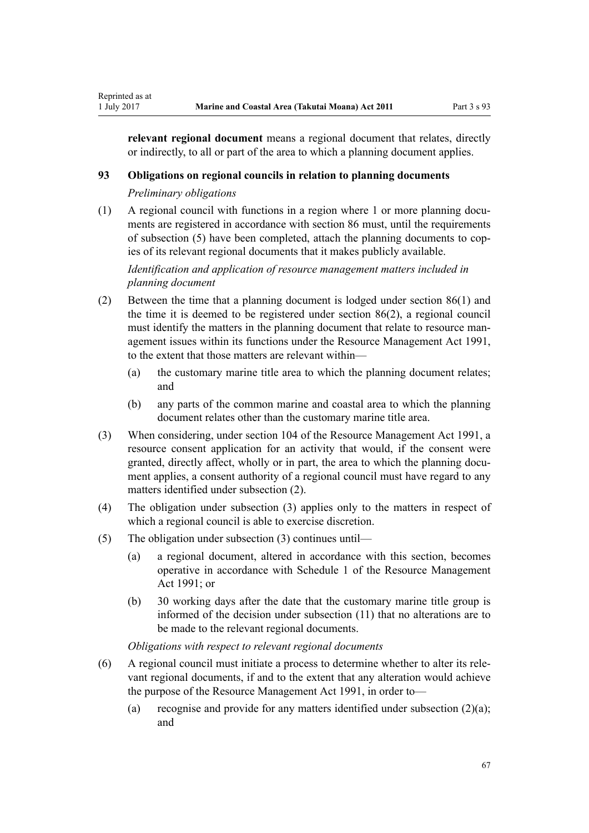**relevant regional document** means a regional document that relates, directly or indirectly, to all or part of the area to which a planning document applies.

#### **93 Obligations on regional councils in relation to planning documents**

*Preliminary obligations*

Reprinted as at

(1) A regional council with functions in a region where 1 or more planning documents are registered in accordance with [section 86](#page-64-0) must, until the requirements of subsection (5) have been completed, attach the planning documents to copies of its relevant regional documents that it makes publicly available.

*Identification and application of resource management matters included in planning document*

- (2) Between the time that a planning document is lodged under [section 86\(1\)](#page-64-0) and the time it is deemed to be registered under section 86(2), a regional council must identify the matters in the planning document that relate to resource management issues within its functions under the [Resource Management Act 1991](http://prd-lgnz-nlb.prd.pco.net.nz/pdflink.aspx?id=DLM230264), to the extent that those matters are relevant within—
	- (a) the customary marine title area to which the planning document relates; and
	- (b) any parts of the common marine and coastal area to which the planning document relates other than the customary marine title area.
- (3) When considering, under [section 104](http://prd-lgnz-nlb.prd.pco.net.nz/pdflink.aspx?id=DLM234355) of the Resource Management Act 1991, a resource consent application for an activity that would, if the consent were granted, directly affect, wholly or in part, the area to which the planning document applies, a consent authority of a regional council must have regard to any matters identified under subsection (2).
- (4) The obligation under subsection (3) applies only to the matters in respect of which a regional council is able to exercise discretion.
- (5) The obligation under subsection (3) continues until—
	- (a) a regional document, altered in accordance with this section, becomes operative in accordance with [Schedule 1](http://prd-lgnz-nlb.prd.pco.net.nz/pdflink.aspx?id=DLM240686) of the Resource Management Act 1991; or
	- (b) 30 working days after the date that the customary marine title group is informed of the decision under subsection (11) that no alterations are to be made to the relevant regional documents.

*Obligations with respect to relevant regional documents*

- (6) A regional council must initiate a process to determine whether to alter its relevant regional documents, if and to the extent that any alteration would achieve the purpose of the [Resource Management Act 1991,](http://prd-lgnz-nlb.prd.pco.net.nz/pdflink.aspx?id=DLM230264) in order to—
	- (a) recognise and provide for any matters identified under subsection  $(2)(a)$ ; and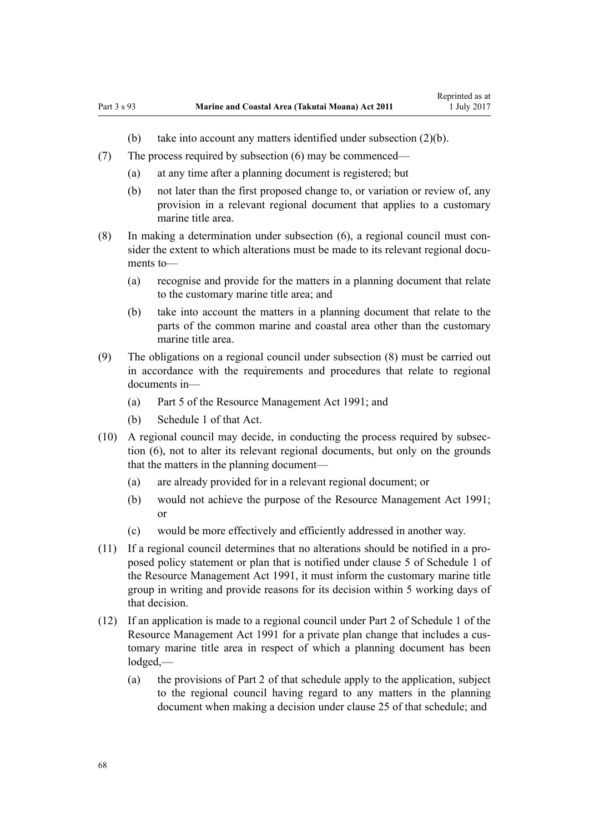- (b) take into account any matters identified under subsection (2)(b).
- (7) The process required by subsection (6) may be commenced—
	- (a) at any time after a planning document is registered; but
	- (b) not later than the first proposed change to, or variation or review of, any provision in a relevant regional document that applies to a customary marine title area.
- (8) In making a determination under subsection (6), a regional council must consider the extent to which alterations must be made to its relevant regional documents to—
	- (a) recognise and provide for the matters in a planning document that relate to the customary marine title area; and
	- (b) take into account the matters in a planning document that relate to the parts of the common marine and coastal area other than the customary marine title area.
- (9) The obligations on a regional council under subsection (8) must be carried out in accordance with the requirements and procedures that relate to regional documents in—
	- (a) [Part 5](http://prd-lgnz-nlb.prd.pco.net.nz/pdflink.aspx?id=DLM233301) of the Resource Management Act 1991; and
	- (b) [Schedule 1](http://prd-lgnz-nlb.prd.pco.net.nz/pdflink.aspx?id=DLM240686) of that Act.
- (10) A regional council may decide, in conducting the process required by subsection (6), not to alter its relevant regional documents, but only on the grounds that the matters in the planning document—
	- (a) are already provided for in a relevant regional document; or
	- (b) would not achieve the purpose of the [Resource Management Act 1991;](http://prd-lgnz-nlb.prd.pco.net.nz/pdflink.aspx?id=DLM230264) or
	- (c) would be more effectively and efficiently addressed in another way.
- (11) If a regional council determines that no alterations should be notified in a proposed policy statement or plan that is notified under [clause 5](http://prd-lgnz-nlb.prd.pco.net.nz/pdflink.aspx?id=DLM241213) of Schedule 1 of the Resource Management Act 1991, it must inform the customary marine title group in writing and provide reasons for its decision within 5 working days of that decision.
- (12) If an application is made to a regional council under [Part 2](http://prd-lgnz-nlb.prd.pco.net.nz/pdflink.aspx?id=DLM241513) of Schedule 1 of the Resource Management Act 1991 for a private plan change that includes a customary marine title area in respect of which a planning document has been lodged,—
	- (a) the provisions of [Part 2](http://prd-lgnz-nlb.prd.pco.net.nz/pdflink.aspx?id=DLM241513) of that schedule apply to the application, subject to the regional council having regard to any matters in the planning document when making a decision under [clause 25](http://prd-lgnz-nlb.prd.pco.net.nz/pdflink.aspx?id=DLM241526) of that schedule; and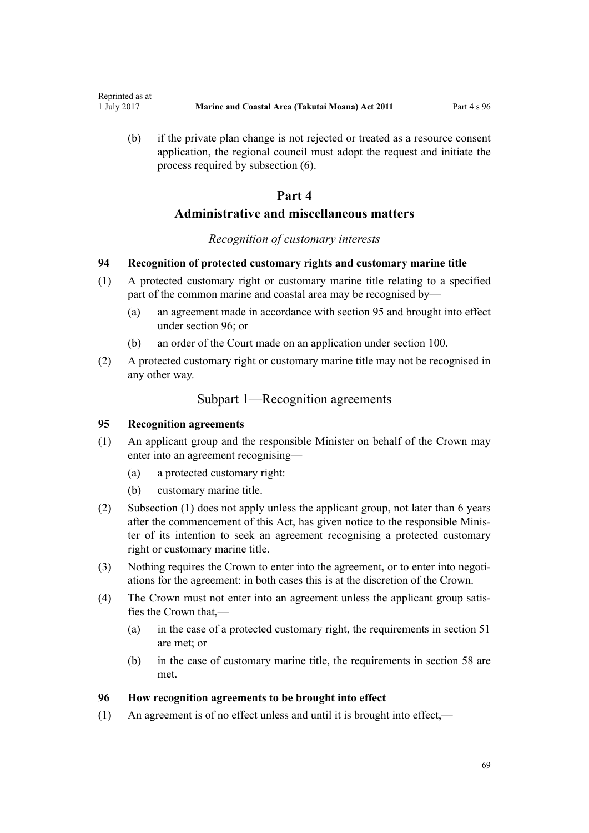(b) if the private plan change is not rejected or treated as a resource consent application, the regional council must adopt the request and initiate the process required by subsection (6).

# **Part 4**

# **Administrative and miscellaneous matters**

#### *Recognition of customary interests*

#### **94 Recognition of protected customary rights and customary marine title**

- (1) A protected customary right or customary marine title relating to a specified part of the common marine and coastal area may be recognised by—
	- (a) an agreement made in accordance with section 95 and brought into effect under section 96; or
	- (b) an order of the Court made on an application under [section 100](#page-70-0).
- (2) A protected customary right or customary marine title may not be recognised in any other way.

# Subpart 1—Recognition agreements

## **95 Recognition agreements**

<span id="page-68-0"></span>Reprinted as at

- (1) An applicant group and the responsible Minister on behalf of the Crown may enter into an agreement recognising—
	- (a) a protected customary right:
	- (b) customary marine title.
- (2) Subsection (1) does not apply unless the applicant group, not later than 6 years after the commencement of this Act, has given notice to the responsible Minister of its intention to seek an agreement recognising a protected customary right or customary marine title.
- (3) Nothing requires the Crown to enter into the agreement, or to enter into negotiations for the agreement: in both cases this is at the discretion of the Crown.
- (4) The Crown must not enter into an agreement unless the applicant group satisfies the Crown that,—
	- (a) in the case of a protected customary right, the requirements in [section 51](#page-39-0) are met; or
	- (b) in the case of customary marine title, the requirements in [section 58](#page-43-0) are met.

## **96 How recognition agreements to be brought into effect**

(1) An agreement is of no effect unless and until it is brought into effect,—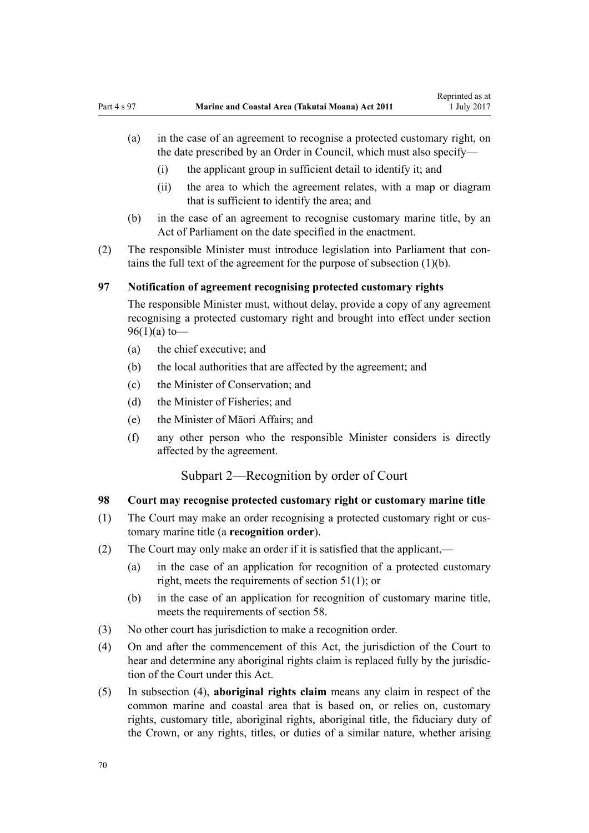- <span id="page-69-0"></span>(a) in the case of an agreement to recognise a protected customary right, on the date prescribed by an Order in Council, which must also specify—
	- (i) the applicant group in sufficient detail to identify it; and
	- (ii) the area to which the agreement relates, with a map or diagram that is sufficient to identify the area; and
- (b) in the case of an agreement to recognise customary marine title, by an Act of Parliament on the date specified in the enactment.
- (2) The responsible Minister must introduce legislation into Parliament that contains the full text of the agreement for the purpose of subsection (1)(b).

# **97 Notification of agreement recognising protected customary rights**

The responsible Minister must, without delay, provide a copy of any agreement recognising a protected customary right and brought into effect under [section](#page-68-0)  $96(1)(a)$  to —

- (a) the chief executive; and
- (b) the local authorities that are affected by the agreement; and
- (c) the Minister of Conservation; and
- (d) the Minister of Fisheries; and
- (e) the Minister of Māori Affairs; and
- (f) any other person who the responsible Minister considers is directly affected by the agreement.

# Subpart 2—Recognition by order of Court

## **98 Court may recognise protected customary right or customary marine title**

- (1) The Court may make an order recognising a protected customary right or customary marine title (a **recognition order**).
- (2) The Court may only make an order if it is satisfied that the applicant,—
	- (a) in the case of an application for recognition of a protected customary right, meets the requirements of [section 51\(1\)](#page-39-0); or
	- (b) in the case of an application for recognition of customary marine title, meets the requirements of [section 58](#page-43-0).
- (3) No other court has jurisdiction to make a recognition order.
- (4) On and after the commencement of this Act, the jurisdiction of the Court to hear and determine any aboriginal rights claim is replaced fully by the jurisdiction of the Court under this Act.
- (5) In subsection (4), **aboriginal rights claim** means any claim in respect of the common marine and coastal area that is based on, or relies on, customary rights, customary title, aboriginal rights, aboriginal title, the fiduciary duty of the Crown, or any rights, titles, or duties of a similar nature, whether arising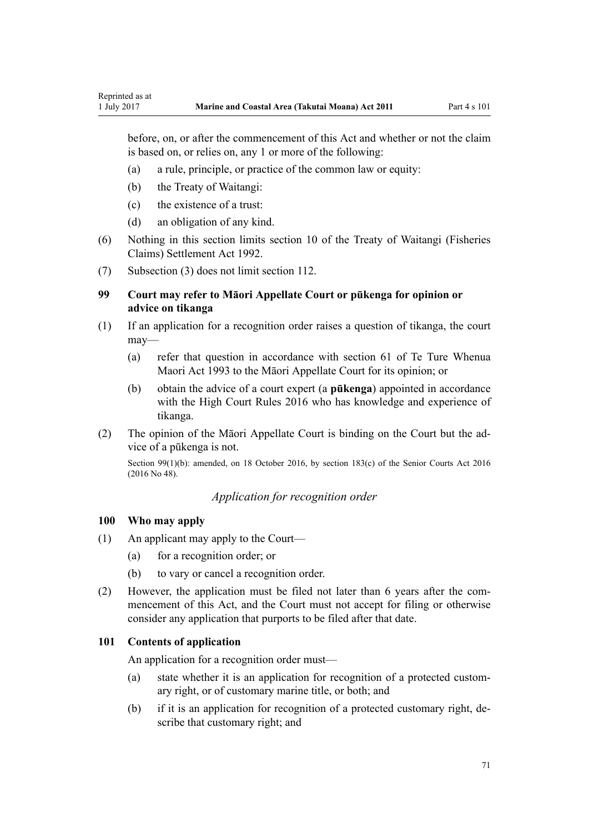<span id="page-70-0"></span>before, on, or after the commencement of this Act and whether or not the claim is based on, or relies on, any 1 or more of the following:

- (a) a rule, principle, or practice of the common law or equity:
- (b) the Treaty of Waitangi:
- (c) the existence of a trust:
- (d) an obligation of any kind.
- (6) Nothing in this section limits [section 10](http://prd-lgnz-nlb.prd.pco.net.nz/pdflink.aspx?id=DLM281461) of the Treaty of Waitangi (Fisheries Claims) Settlement Act 1992.
- (7) Subsection (3) does not limit [section 112](#page-75-0).

# **99 Court may refer to Māori Appellate Court or pūkenga for opinion or advice on tikanga**

- (1) If an application for a recognition order raises a question of tikanga, the court may—
	- (a) refer that question in accordance with [section 61](http://prd-lgnz-nlb.prd.pco.net.nz/pdflink.aspx?id=DLM290946) of Te Ture Whenua Maori Act 1993 to the Māori Appellate Court for its opinion; or
	- (b) obtain the advice of a court expert (a **pūkenga**) appointed in accordance with the [High Court Rules 2016](http://prd-lgnz-nlb.prd.pco.net.nz/pdflink.aspx?id=DLM6959800) who has knowledge and experience of tikanga.
- (2) The opinion of the Māori Appellate Court is binding on the Court but the advice of a pūkenga is not.

Section 99(1)(b): amended, on 18 October 2016, by [section 183\(c\)](http://prd-lgnz-nlb.prd.pco.net.nz/pdflink.aspx?id=DLM5759564) of the Senior Courts Act 2016 (2016 No 48).

# *Application for recognition order*

#### **100 Who may apply**

- (1) An applicant may apply to the Court—
	- (a) for a recognition order; or
	- (b) to vary or cancel a recognition order.
- (2) However, the application must be filed not later than 6 years after the commencement of this Act, and the Court must not accept for filing or otherwise consider any application that purports to be filed after that date.

#### **101 Contents of application**

An application for a recognition order must—

- (a) state whether it is an application for recognition of a protected customary right, or of customary marine title, or both; and
- (b) if it is an application for recognition of a protected customary right, describe that customary right; and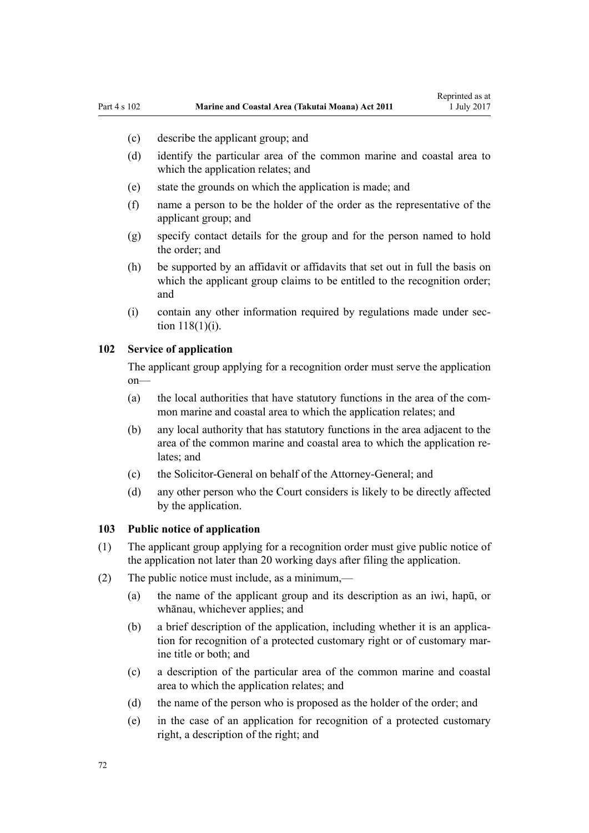- <span id="page-71-0"></span>(c) describe the applicant group; and
- (d) identify the particular area of the common marine and coastal area to which the application relates; and
- (e) state the grounds on which the application is made; and
- (f) name a person to be the holder of the order as the representative of the applicant group; and
- (g) specify contact details for the group and for the person named to hold the order; and
- (h) be supported by an affidavit or affidavits that set out in full the basis on which the applicant group claims to be entitled to the recognition order; and
- (i) contain any other information required by regulations made under [sec](#page-77-0)[tion 118\(1\)\(i\)](#page-77-0).

## **102 Service of application**

The applicant group applying for a recognition order must serve the application on—

- (a) the local authorities that have statutory functions in the area of the common marine and coastal area to which the application relates; and
- (b) any local authority that has statutory functions in the area adjacent to the area of the common marine and coastal area to which the application relates; and
- (c) the Solicitor-General on behalf of the Attorney-General; and
- (d) any other person who the Court considers is likely to be directly affected by the application.

## **103 Public notice of application**

- (1) The applicant group applying for a recognition order must give public notice of the application not later than 20 working days after filing the application.
- (2) The public notice must include, as a minimum,—
	- (a) the name of the applicant group and its description as an iwi, hapū, or whānau, whichever applies; and
	- (b) a brief description of the application, including whether it is an application for recognition of a protected customary right or of customary marine title or both; and
	- (c) a description of the particular area of the common marine and coastal area to which the application relates; and
	- (d) the name of the person who is proposed as the holder of the order; and
	- (e) in the case of an application for recognition of a protected customary right, a description of the right; and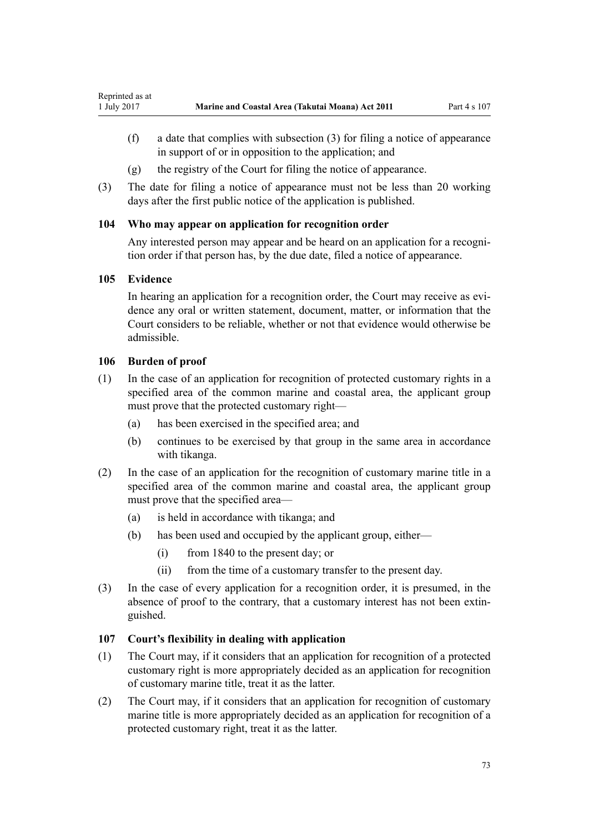- <span id="page-72-0"></span>(f) a date that complies with subsection (3) for filing a notice of appearance in support of or in opposition to the application; and
- (g) the registry of the Court for filing the notice of appearance.
- (3) The date for filing a notice of appearance must not be less than 20 working days after the first public notice of the application is published.

## **104 Who may appear on application for recognition order**

Any interested person may appear and be heard on an application for a recognition order if that person has, by the due date, filed a notice of appearance.

### **105 Evidence**

In hearing an application for a recognition order, the Court may receive as evidence any oral or written statement, document, matter, or information that the Court considers to be reliable, whether or not that evidence would otherwise be admissible.

### **106 Burden of proof**

- (1) In the case of an application for recognition of protected customary rights in a specified area of the common marine and coastal area, the applicant group must prove that the protected customary right—
	- (a) has been exercised in the specified area; and
	- (b) continues to be exercised by that group in the same area in accordance with tikanga.
- (2) In the case of an application for the recognition of customary marine title in a specified area of the common marine and coastal area, the applicant group must prove that the specified area—
	- (a) is held in accordance with tikanga; and
	- (b) has been used and occupied by the applicant group, either—
		- (i) from 1840 to the present day; or
		- (ii) from the time of a customary transfer to the present day.
- (3) In the case of every application for a recognition order, it is presumed, in the absence of proof to the contrary, that a customary interest has not been extinguished.

## **107 Court's flexibility in dealing with application**

- (1) The Court may, if it considers that an application for recognition of a protected customary right is more appropriately decided as an application for recognition of customary marine title, treat it as the latter.
- (2) The Court may, if it considers that an application for recognition of customary marine title is more appropriately decided as an application for recognition of a protected customary right, treat it as the latter.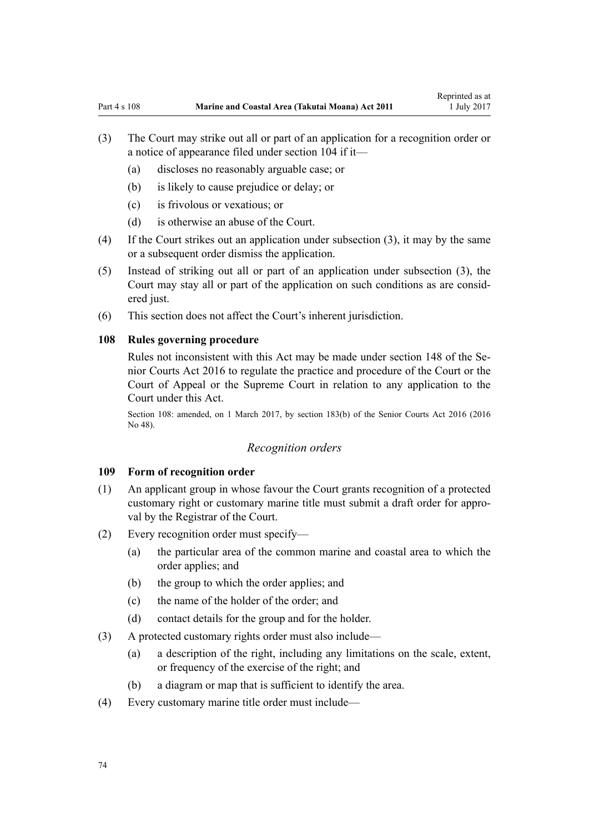- <span id="page-73-0"></span>(3) The Court may strike out all or part of an application for a recognition order or a notice of appearance filed under [section 104](#page-72-0) if it—
	- (a) discloses no reasonably arguable case; or
	- (b) is likely to cause prejudice or delay; or
	- (c) is frivolous or vexatious; or
	- (d) is otherwise an abuse of the Court.
- (4) If the Court strikes out an application under subsection (3), it may by the same or a subsequent order dismiss the application.
- (5) Instead of striking out all or part of an application under subsection (3), the Court may stay all or part of the application on such conditions as are considered just.
- (6) This section does not affect the Court's inherent jurisdiction.

#### **108 Rules governing procedure**

Rules not inconsistent with this Act may be made under [section 148](http://prd-lgnz-nlb.prd.pco.net.nz/pdflink.aspx?id=DLM5759504) of the Senior Courts Act 2016 to regulate the practice and procedure of the Court or the Court of Appeal or the Supreme Court in relation to any application to the Court under this Act.

Section 108: amended, on 1 March 2017, by [section 183\(b\)](http://prd-lgnz-nlb.prd.pco.net.nz/pdflink.aspx?id=DLM5759564) of the Senior Courts Act 2016 (2016 No 48).

#### *Recognition orders*

#### **109 Form of recognition order**

- (1) An applicant group in whose favour the Court grants recognition of a protected customary right or customary marine title must submit a draft order for approval by the Registrar of the Court.
- (2) Every recognition order must specify—
	- (a) the particular area of the common marine and coastal area to which the order applies; and
	- (b) the group to which the order applies; and
	- (c) the name of the holder of the order; and
	- (d) contact details for the group and for the holder.
- (3) A protected customary rights order must also include—
	- (a) a description of the right, including any limitations on the scale, extent, or frequency of the exercise of the right; and
	- (b) a diagram or map that is sufficient to identify the area.
- (4) Every customary marine title order must include—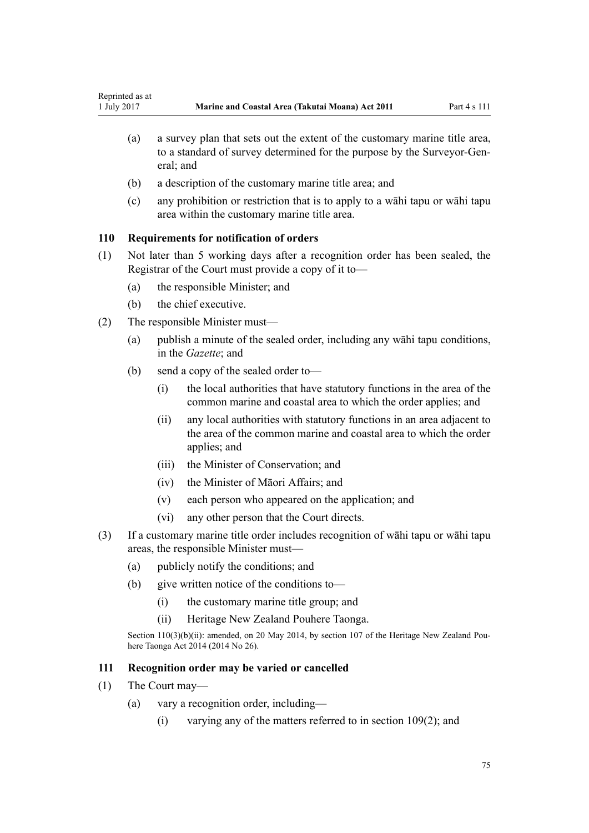- <span id="page-74-0"></span>(a) a survey plan that sets out the extent of the customary marine title area, to a standard of survey determined for the purpose by the Surveyor-General; and
- (b) a description of the customary marine title area; and
- (c) any prohibition or restriction that is to apply to a wāhi tapu or wāhi tapu area within the customary marine title area.

### **110 Requirements for notification of orders**

- (1) Not later than 5 working days after a recognition order has been sealed, the Registrar of the Court must provide a copy of it to—
	- (a) the responsible Minister; and
	- (b) the chief executive.
- (2) The responsible Minister must—
	- (a) publish a minute of the sealed order, including any wāhi tapu conditions, in the *Gazette*; and
	- (b) send a copy of the sealed order to—
		- (i) the local authorities that have statutory functions in the area of the common marine and coastal area to which the order applies; and
		- (ii) any local authorities with statutory functions in an area adjacent to the area of the common marine and coastal area to which the order applies; and
		- (iii) the Minister of Conservation; and
		- (iv) the Minister of Māori Affairs; and
		- (v) each person who appeared on the application; and
		- (vi) any other person that the Court directs.
- (3) If a customary marine title order includes recognition of wāhi tapu or wāhi tapu areas, the responsible Minister must—
	- (a) publicly notify the conditions; and
	- (b) give written notice of the conditions to—
		- (i) the customary marine title group; and
		- (ii) Heritage New Zealand Pouhere Taonga.

Section 110(3)(b)(ii): amended, on 20 May 2014, by [section 107](http://prd-lgnz-nlb.prd.pco.net.nz/pdflink.aspx?id=DLM4005646) of the Heritage New Zealand Pouhere Taonga Act 2014 (2014 No 26).

### **111 Recognition order may be varied or cancelled**

- (1) The Court may—
	- (a) vary a recognition order, including—
		- (i) varying any of the matters referred to in [section 109\(2\);](#page-73-0) and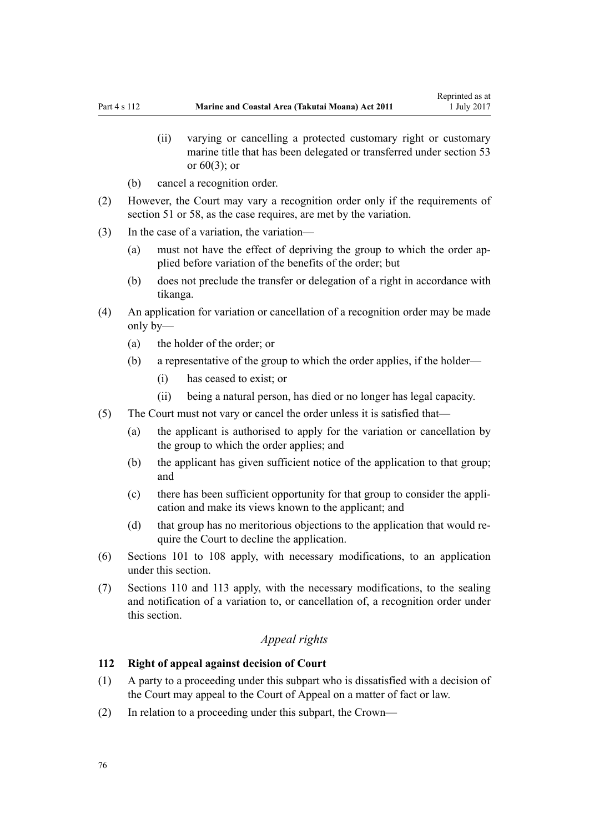- (ii) varying or cancelling a protected customary right or customary marine title that has been delegated or transferred under [section 53](#page-40-0) or  $60(3)$ ; or
- (b) cancel a recognition order.
- (2) However, the Court may vary a recognition order only if the requirements of [section 51](#page-39-0) or [58,](#page-43-0) as the case requires, are met by the variation.
- (3) In the case of a variation, the variation—
	- (a) must not have the effect of depriving the group to which the order applied before variation of the benefits of the order; but
	- (b) does not preclude the transfer or delegation of a right in accordance with tikanga.
- (4) An application for variation or cancellation of a recognition order may be made only by—
	- (a) the holder of the order; or
	- (b) a representative of the group to which the order applies, if the holder—
		- (i) has ceased to exist; or
		- (ii) being a natural person, has died or no longer has legal capacity.
- (5) The Court must not vary or cancel the order unless it is satisfied that—
	- (a) the applicant is authorised to apply for the variation or cancellation by the group to which the order applies; and
	- (b) the applicant has given sufficient notice of the application to that group; and
	- (c) there has been sufficient opportunity for that group to consider the application and make its views known to the applicant; and
	- (d) that group has no meritorious objections to the application that would require the Court to decline the application.
- (6) [Sections 101 to 108](#page-70-0) apply, with necessary modifications, to an application under this section.
- (7) [Sections 110](#page-74-0) and [113](#page-76-0) apply, with the necessary modifications, to the sealing and notification of a variation to, or cancellation of, a recognition order under this section.

## *Appeal rights*

#### **112 Right of appeal against decision of Court**

- (1) A party to a proceeding under this subpart who is dissatisfied with a decision of the Court may appeal to the Court of Appeal on a matter of fact or law.
- (2) In relation to a proceeding under this subpart, the Crown—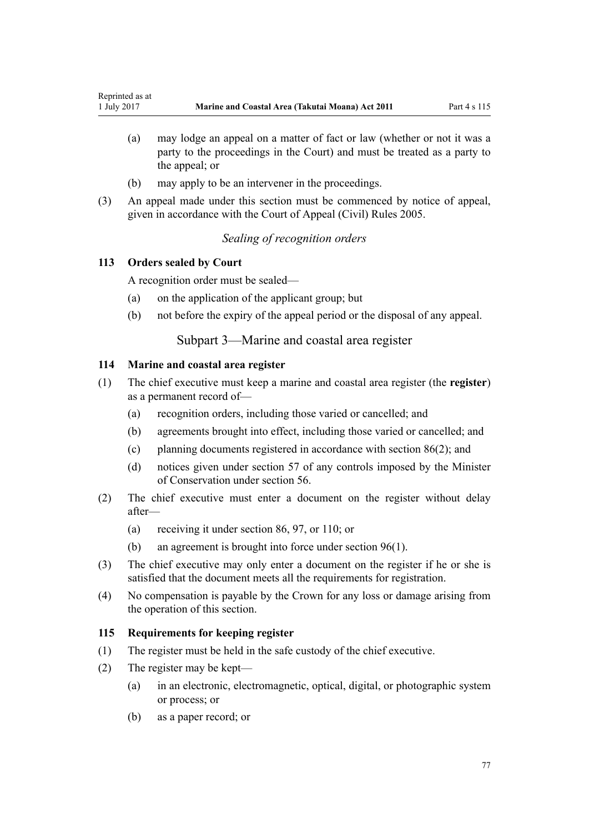- <span id="page-76-0"></span>(a) may lodge an appeal on a matter of fact or law (whether or not it was a party to the proceedings in the Court) and must be treated as a party to the appeal; or
- (b) may apply to be an intervener in the proceedings.
- (3) An appeal made under this section must be commenced by notice of appeal, given in accordance with the [Court of Appeal \(Civil\) Rules 2005](http://prd-lgnz-nlb.prd.pco.net.nz/pdflink.aspx?id=DLM319745).

### *Sealing of recognition orders*

### **113 Orders sealed by Court**

A recognition order must be sealed—

- (a) on the application of the applicant group; but
- (b) not before the expiry of the appeal period or the disposal of any appeal.

## Subpart 3—Marine and coastal area register

### **114 Marine and coastal area register**

- (1) The chief executive must keep a marine and coastal area register (the **register**) as a permanent record of—
	- (a) recognition orders, including those varied or cancelled; and
	- (b) agreements brought into effect, including those varied or cancelled; and
	- (c) planning documents registered in accordance with [section 86\(2\)](#page-64-0); and
	- (d) notices given under [section 57](#page-43-0) of any controls imposed by the Minister of Conservation under [section 56.](#page-42-0)
- (2) The chief executive must enter a document on the register without delay after—
	- (a) receiving it under [section 86](#page-64-0), [97](#page-69-0), or [110](#page-74-0); or
	- (b) an agreement is brought into force under [section 96\(1\).](#page-68-0)
- (3) The chief executive may only enter a document on the register if he or she is satisfied that the document meets all the requirements for registration.
- (4) No compensation is payable by the Crown for any loss or damage arising from the operation of this section.

### **115 Requirements for keeping register**

- (1) The register must be held in the safe custody of the chief executive.
- (2) The register may be kept—
	- (a) in an electronic, electromagnetic, optical, digital, or photographic system or process; or
	- (b) as a paper record; or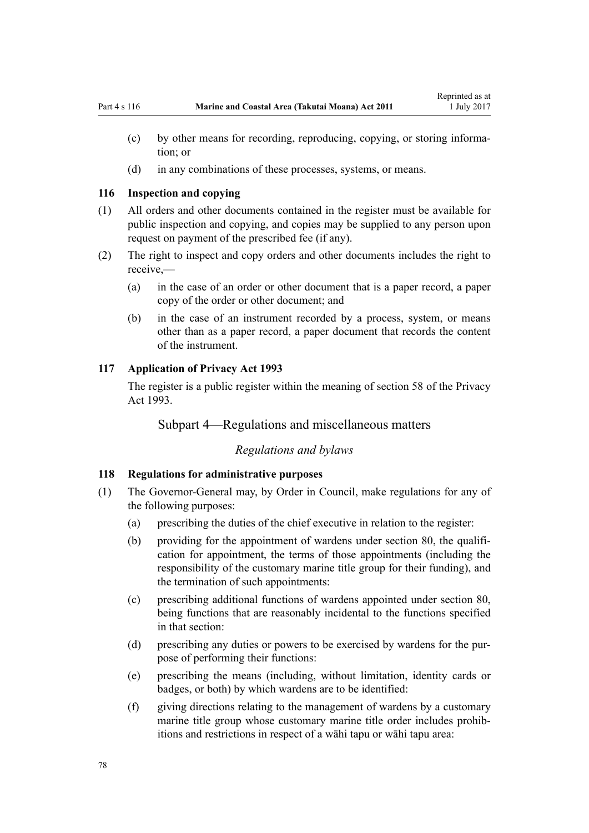- (c) by other means for recording, reproducing, copying, or storing information; or
- (d) in any combinations of these processes, systems, or means.

#### **116 Inspection and copying**

- (1) All orders and other documents contained in the register must be available for public inspection and copying, and copies may be supplied to any person upon request on payment of the prescribed fee (if any).
- (2) The right to inspect and copy orders and other documents includes the right to receive,—
	- (a) in the case of an order or other document that is a paper record, a paper copy of the order or other document; and
	- (b) in the case of an instrument recorded by a process, system, or means other than as a paper record, a paper document that records the content of the instrument.

#### **117 Application of Privacy Act 1993**

The register is a public register within the meaning of [section 58](http://prd-lgnz-nlb.prd.pco.net.nz/pdflink.aspx?id=DLM297424) of the Privacy Act 1993.

### Subpart 4—Regulations and miscellaneous matters

#### *Regulations and bylaws*

#### **118 Regulations for administrative purposes**

- (1) The Governor-General may, by Order in Council, make regulations for any of the following purposes:
	- (a) prescribing the duties of the chief executive in relation to the register:
	- (b) providing for the appointment of wardens under [section 80,](#page-59-0) the qualification for appointment, the terms of those appointments (including the responsibility of the customary marine title group for their funding), and the termination of such appointments:
	- (c) prescribing additional functions of wardens appointed under [section 80](#page-59-0), being functions that are reasonably incidental to the functions specified in that section:
	- (d) prescribing any duties or powers to be exercised by wardens for the purpose of performing their functions:
	- (e) prescribing the means (including, without limitation, identity cards or badges, or both) by which wardens are to be identified:
	- (f) giving directions relating to the management of wardens by a customary marine title group whose customary marine title order includes prohibitions and restrictions in respect of a wāhi tapu or wāhi tapu area: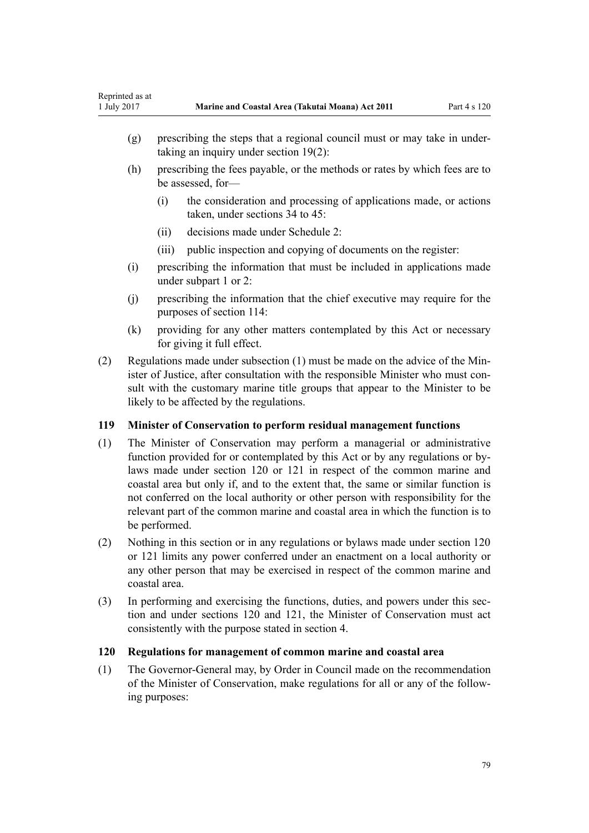- <span id="page-78-0"></span>(g) prescribing the steps that a regional council must or may take in undertaking an inquiry under [section 19\(2\)](#page-20-0):
- (h) prescribing the fees payable, or the methods or rates by which fees are to be assessed, for—
	- (i) the consideration and processing of applications made, or actions taken, under [sections 34 to 45:](#page-28-0)
	- (ii) decisions made under [Schedule 2:](#page-91-0)
	- (iii) public inspection and copying of documents on the register:
- (i) prescribing the information that must be included in applications made under [subpart 1](#page-68-0) or [2:](#page-69-0)
- (j) prescribing the information that the chief executive may require for the purposes of [section 114:](#page-76-0)
- (k) providing for any other matters contemplated by this Act or necessary for giving it full effect.
- (2) Regulations made under subsection (1) must be made on the advice of the Minister of Justice, after consultation with the responsible Minister who must consult with the customary marine title groups that appear to the Minister to be likely to be affected by the regulations.

### **119 Minister of Conservation to perform residual management functions**

- (1) The Minister of Conservation may perform a managerial or administrative function provided for or contemplated by this Act or by any regulations or bylaws made under section 120 or [121](#page-79-0) in respect of the common marine and coastal area but only if, and to the extent that, the same or similar function is not conferred on the local authority or other person with responsibility for the relevant part of the common marine and coastal area in which the function is to be performed.
- (2) Nothing in this section or in any regulations or bylaws made under section 120 or [121](#page-79-0) limits any power conferred under an enactment on a local authority or any other person that may be exercised in respect of the common marine and coastal area.
- (3) In performing and exercising the functions, duties, and powers under this section and under sections 120 and [121,](#page-79-0) the Minister of Conservation must act consistently with the purpose stated in [section 4](#page-8-0).

### **120 Regulations for management of common marine and coastal area**

(1) The Governor-General may, by Order in Council made on the recommendation of the Minister of Conservation, make regulations for all or any of the following purposes: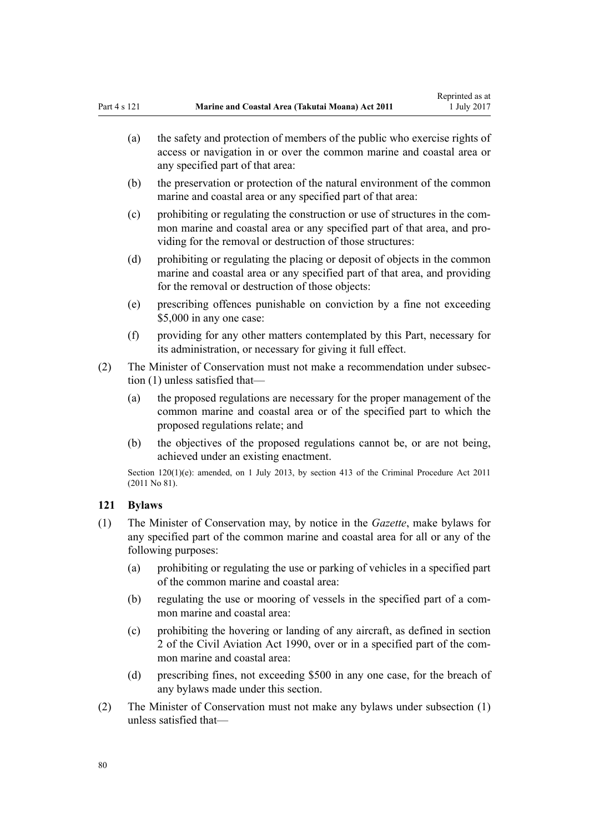- <span id="page-79-0"></span>(a) the safety and protection of members of the public who exercise rights of access or navigation in or over the common marine and coastal area or any specified part of that area:
- (b) the preservation or protection of the natural environment of the common marine and coastal area or any specified part of that area:
- (c) prohibiting or regulating the construction or use of structures in the common marine and coastal area or any specified part of that area, and providing for the removal or destruction of those structures:
- (d) prohibiting or regulating the placing or deposit of objects in the common marine and coastal area or any specified part of that area, and providing for the removal or destruction of those objects:
- (e) prescribing offences punishable on conviction by a fine not exceeding \$5,000 in any one case:
- (f) providing for any other matters contemplated by this Part, necessary for its administration, or necessary for giving it full effect.
- (2) The Minister of Conservation must not make a recommendation under subsection (1) unless satisfied that—
	- (a) the proposed regulations are necessary for the proper management of the common marine and coastal area or of the specified part to which the proposed regulations relate; and
	- (b) the objectives of the proposed regulations cannot be, or are not being, achieved under an existing enactment.

Section 120(1)(e): amended, on 1 July 2013, by [section 413](http://prd-lgnz-nlb.prd.pco.net.nz/pdflink.aspx?id=DLM3360714) of the Criminal Procedure Act 2011 (2011 No 81).

## **121 Bylaws**

- (1) The Minister of Conservation may, by notice in the *Gazette*, make bylaws for any specified part of the common marine and coastal area for all or any of the following purposes:
	- (a) prohibiting or regulating the use or parking of vehicles in a specified part of the common marine and coastal area:
	- (b) regulating the use or mooring of vessels in the specified part of a common marine and coastal area:
	- (c) prohibiting the hovering or landing of any aircraft, as defined in [section](http://prd-lgnz-nlb.prd.pco.net.nz/pdflink.aspx?id=DLM214692) [2](http://prd-lgnz-nlb.prd.pco.net.nz/pdflink.aspx?id=DLM214692) of the Civil Aviation Act 1990, over or in a specified part of the common marine and coastal area:
	- (d) prescribing fines, not exceeding \$500 in any one case, for the breach of any bylaws made under this section.
- (2) The Minister of Conservation must not make any bylaws under subsection (1) unless satisfied that—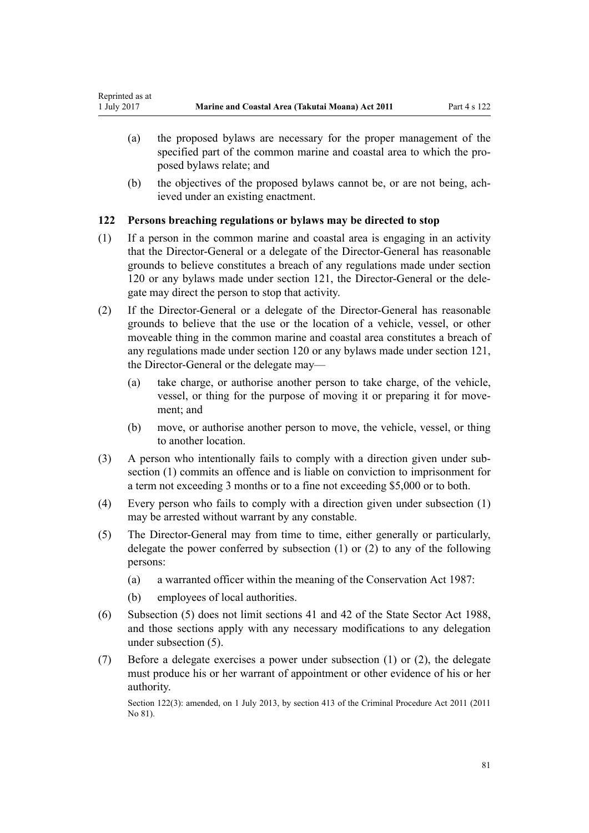- (a) the proposed bylaws are necessary for the proper management of the specified part of the common marine and coastal area to which the proposed bylaws relate; and
- (b) the objectives of the proposed bylaws cannot be, or are not being, achieved under an existing enactment.

## **122 Persons breaching regulations or bylaws may be directed to stop**

- (1) If a person in the common marine and coastal area is engaging in an activity that the Director-General or a delegate of the Director-General has reasonable grounds to believe constitutes a breach of any regulations made under [section](#page-78-0) [120](#page-78-0) or any bylaws made under [section 121](#page-79-0), the Director-General or the delegate may direct the person to stop that activity.
- (2) If the Director-General or a delegate of the Director-General has reasonable grounds to believe that the use or the location of a vehicle, vessel, or other moveable thing in the common marine and coastal area constitutes a breach of any regulations made under [section 120](#page-78-0) or any bylaws made under [section 121](#page-78-0), the Director-General or the delegate may—
	- (a) take charge, or authorise another person to take charge, of the vehicle, vessel, or thing for the purpose of moving it or preparing it for movement; and
	- (b) move, or authorise another person to move, the vehicle, vessel, or thing to another location.
- (3) A person who intentionally fails to comply with a direction given under subsection (1) commits an offence and is liable on conviction to imprisonment for a term not exceeding 3 months or to a fine not exceeding \$5,000 or to both.
- (4) Every person who fails to comply with a direction given under subsection (1) may be arrested without warrant by any constable.
- (5) The Director-General may from time to time, either generally or particularly, delegate the power conferred by subsection (1) or (2) to any of the following persons:
	- (a) a warranted officer within the meaning of the [Conservation Act 1987](http://prd-lgnz-nlb.prd.pco.net.nz/pdflink.aspx?id=DLM103609):
	- (b) employees of local authorities.
- (6) Subsection (5) does not limit [sections 41](http://prd-lgnz-nlb.prd.pco.net.nz/pdflink.aspx?id=DLM129566) and [42](http://prd-lgnz-nlb.prd.pco.net.nz/pdflink.aspx?id=DLM129571) of the State Sector Act 1988, and those sections apply with any necessary modifications to any delegation under subsection (5).
- (7) Before a delegate exercises a power under subsection (1) or (2), the delegate must produce his or her warrant of appointment or other evidence of his or her authority.

Section 122(3): amended, on 1 July 2013, by [section 413](http://prd-lgnz-nlb.prd.pco.net.nz/pdflink.aspx?id=DLM3360714) of the Criminal Procedure Act 2011 (2011) No 81).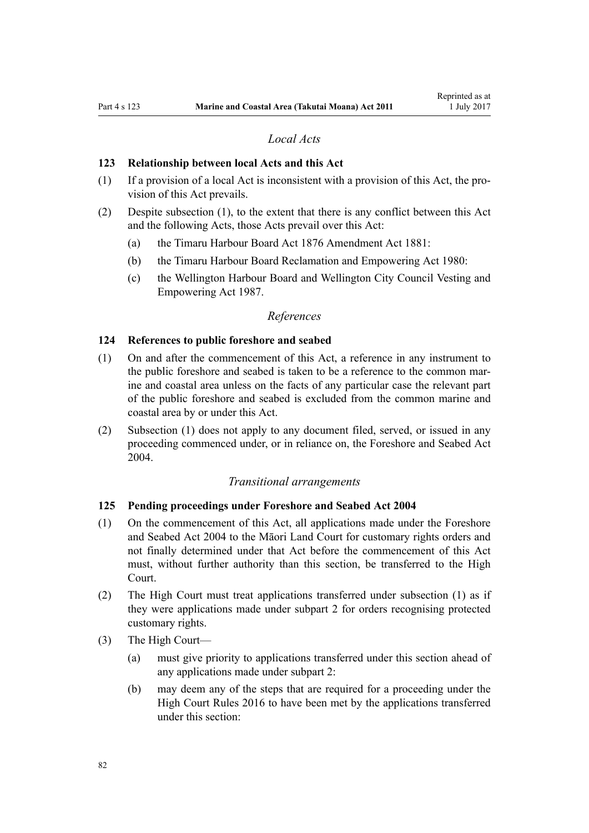## *Local Acts*

#### **123 Relationship between local Acts and this Act**

- (1) If a provision of a local Act is inconsistent with a provision of this Act, the provision of this Act prevails.
- (2) Despite subsection (1), to the extent that there is any conflict between this Act and the following Acts, those Acts prevail over this Act:
	- (a) the [Timaru Harbour Board Act 1876 Amendment Act 1881](http://prd-lgnz-nlb.prd.pco.net.nz/pdflink.aspx?id=DLM15371):
	- (b) the [Timaru Harbour Board Reclamation and Empowering Act 1980:](http://prd-lgnz-nlb.prd.pco.net.nz/pdflink.aspx?id=DLM74774)
	- (c) the [Wellington Harbour Board and Wellington City Council Vesting and](http://prd-lgnz-nlb.prd.pco.net.nz/pdflink.aspx?id=DLM78106) [Empowering Act 1987.](http://prd-lgnz-nlb.prd.pco.net.nz/pdflink.aspx?id=DLM78106)

### *References*

#### **124 References to public foreshore and seabed**

- (1) On and after the commencement of this Act, a reference in any instrument to the public foreshore and seabed is taken to be a reference to the common marine and coastal area unless on the facts of any particular case the relevant part of the public foreshore and seabed is excluded from the common marine and coastal area by or under this Act.
- (2) Subsection (1) does not apply to any document filed, served, or issued in any proceeding commenced under, or in reliance on, the [Foreshore and Seabed Act](http://prd-lgnz-nlb.prd.pco.net.nz/pdflink.aspx?id=DLM319838) [2004](http://prd-lgnz-nlb.prd.pco.net.nz/pdflink.aspx?id=DLM319838).

#### *Transitional arrangements*

### **125 Pending proceedings under Foreshore and Seabed Act 2004**

- (1) On the commencement of this Act, all applications made under the [Foreshore](http://prd-lgnz-nlb.prd.pco.net.nz/pdflink.aspx?id=DLM319838) [and Seabed Act 2004](http://prd-lgnz-nlb.prd.pco.net.nz/pdflink.aspx?id=DLM319838) to the Māori Land Court for customary rights orders and not finally determined under that Act before the commencement of this Act must, without further authority than this section, be transferred to the High Court.
- (2) The High Court must treat applications transferred under subsection (1) as if they were applications made under [subpart 2](#page-69-0) for orders recognising protected customary rights.
- (3) The High Court—
	- (a) must give priority to applications transferred under this section ahead of any applications made under [subpart 2](#page-69-0):
	- (b) may deem any of the steps that are required for a proceeding under the [High Court Rules 2016](http://prd-lgnz-nlb.prd.pco.net.nz/pdflink.aspx?id=DLM6959800) to have been met by the applications transferred under this section: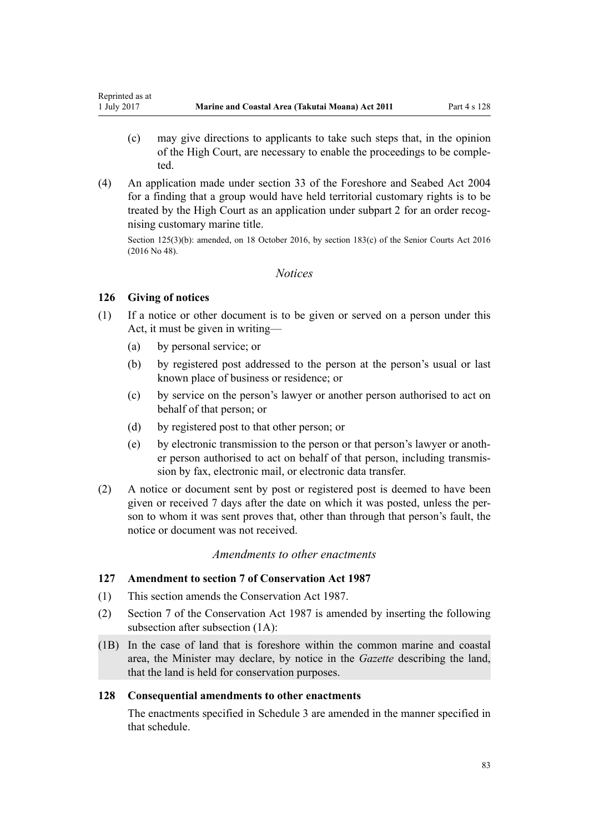- <span id="page-82-0"></span>(c) may give directions to applicants to take such steps that, in the opinion of the High Court, are necessary to enable the proceedings to be completed.
- (4) An application made under [section 33](http://prd-lgnz-nlb.prd.pco.net.nz/pdflink.aspx?id=DLM320263) of the Foreshore and Seabed Act 2004 for a finding that a group would have held territorial customary rights is to be treated by the High Court as an application under [subpart 2](#page-69-0) for an order recognising customary marine title.

Section 125(3)(b): amended, on 18 October 2016, by [section 183\(c\)](http://prd-lgnz-nlb.prd.pco.net.nz/pdflink.aspx?id=DLM5759564) of the Senior Courts Act 2016 (2016 No 48).

### *Notices*

## **126 Giving of notices**

- (1) If a notice or other document is to be given or served on a person under this Act, it must be given in writing—
	- (a) by personal service; or
	- (b) by registered post addressed to the person at the person's usual or last known place of business or residence; or
	- (c) by service on the person's lawyer or another person authorised to act on behalf of that person; or
	- (d) by registered post to that other person; or
	- (e) by electronic transmission to the person or that person's lawyer or another person authorised to act on behalf of that person, including transmission by fax, electronic mail, or electronic data transfer.
- (2) A notice or document sent by post or registered post is deemed to have been given or received 7 days after the date on which it was posted, unless the person to whom it was sent proves that, other than through that person's fault, the notice or document was not received.

## *Amendments to other enactments*

## **127 Amendment to section 7 of Conservation Act 1987**

- (1) This section amends the [Conservation Act 1987.](http://prd-lgnz-nlb.prd.pco.net.nz/pdflink.aspx?id=DLM103609)
- (2) [Section 7](http://prd-lgnz-nlb.prd.pco.net.nz/pdflink.aspx?id=DLM104251) of the Conservation Act 1987 is amended by inserting the following subsection after subsection (1A):
- (1B) In the case of land that is foreshore within the common marine and coastal area, the Minister may declare, by notice in the *Gazette* describing the land, that the land is held for conservation purposes.

## **128 Consequential amendments to other enactments**

The enactments specified in [Schedule 3 a](#page-97-0)re amended in the manner specified in that schedule.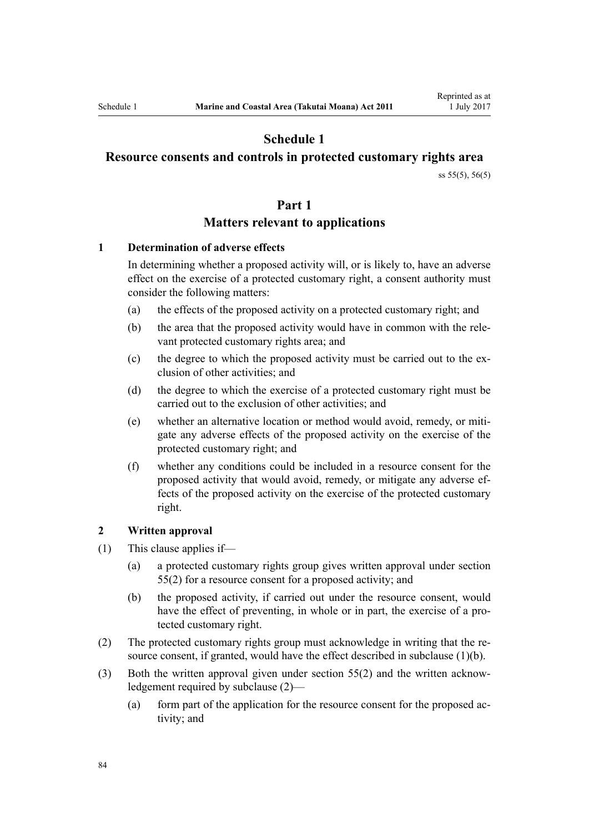# **Schedule 1**

## <span id="page-83-0"></span>**Resource consents and controls in protected customary rights area**

[ss 55\(5\)](#page-41-0), [56\(5\)](#page-42-0)

### **Part 1**

## **Matters relevant to applications**

### **1 Determination of adverse effects**

In determining whether a proposed activity will, or is likely to, have an adverse effect on the exercise of a protected customary right, a consent authority must consider the following matters:

- (a) the effects of the proposed activity on a protected customary right; and
- (b) the area that the proposed activity would have in common with the relevant protected customary rights area; and
- (c) the degree to which the proposed activity must be carried out to the exclusion of other activities; and
- (d) the degree to which the exercise of a protected customary right must be carried out to the exclusion of other activities; and
- (e) whether an alternative location or method would avoid, remedy, or mitigate any adverse effects of the proposed activity on the exercise of the protected customary right; and
- (f) whether any conditions could be included in a resource consent for the proposed activity that would avoid, remedy, or mitigate any adverse effects of the proposed activity on the exercise of the protected customary right.

### **2 Written approval**

- (1) This clause applies if—
	- (a) a protected customary rights group gives written approval under [section](#page-41-0) [55\(2\)](#page-41-0) for a resource consent for a proposed activity; and
	- (b) the proposed activity, if carried out under the resource consent, would have the effect of preventing, in whole or in part, the exercise of a protected customary right.
- (2) The protected customary rights group must acknowledge in writing that the resource consent, if granted, would have the effect described in subclause (1)(b).
- (3) Both the written approval given under [section 55\(2\)](#page-41-0) and the written acknowledgement required by subclause (2)—
	- (a) form part of the application for the resource consent for the proposed activity; and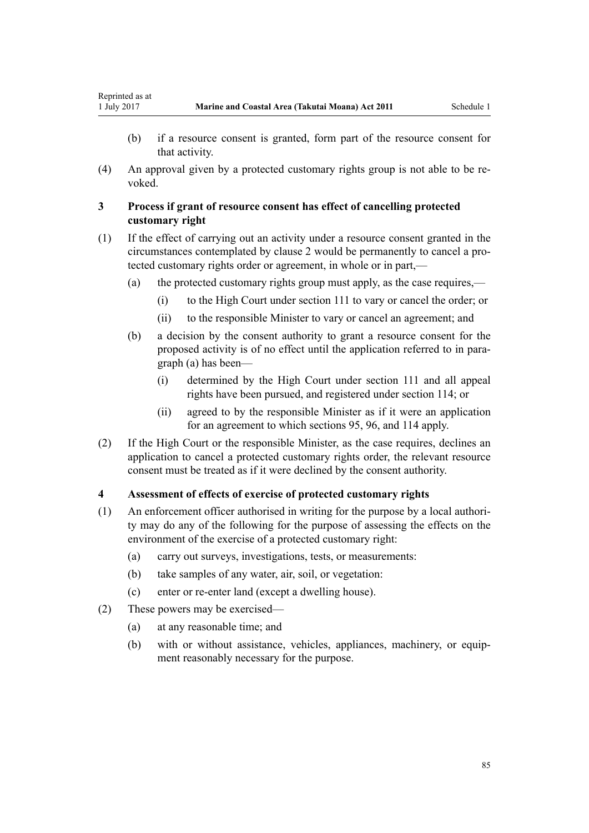Reprinted as at

- (b) if a resource consent is granted, form part of the resource consent for that activity.
- (4) An approval given by a protected customary rights group is not able to be revoked.

### **3 Process if grant of resource consent has effect of cancelling protected customary right**

- (1) If the effect of carrying out an activity under a resource consent granted in the circumstances contemplated by [clause 2](#page-83-0) would be permanently to cancel a protected customary rights order or agreement, in whole or in part,—
	- (a) the protected customary rights group must apply, as the case requires,—
		- (i) to the High Court under [section 111](#page-74-0) to vary or cancel the order; or
		- (ii) to the responsible Minister to vary or cancel an agreement; and
	- (b) a decision by the consent authority to grant a resource consent for the proposed activity is of no effect until the application referred to in paragraph (a) has been—
		- (i) determined by the High Court under [section 111](#page-74-0) and all appeal rights have been pursued, and registered under [section 114;](#page-76-0) or
		- (ii) agreed to by the responsible Minister as if it were an application for an agreement to which [sections 95](#page-68-0), [96](#page-68-0), and [114](#page-76-0) apply.
- (2) If the High Court or the responsible Minister, as the case requires, declines an application to cancel a protected customary rights order, the relevant resource consent must be treated as if it were declined by the consent authority.

### **4 Assessment of effects of exercise of protected customary rights**

- (1) An enforcement officer authorised in writing for the purpose by a local authority may do any of the following for the purpose of assessing the effects on the environment of the exercise of a protected customary right:
	- (a) carry out surveys, investigations, tests, or measurements:
	- (b) take samples of any water, air, soil, or vegetation:
	- (c) enter or re-enter land (except a dwelling house).
- (2) These powers may be exercised—
	- (a) at any reasonable time; and
	- (b) with or without assistance, vehicles, appliances, machinery, or equipment reasonably necessary for the purpose.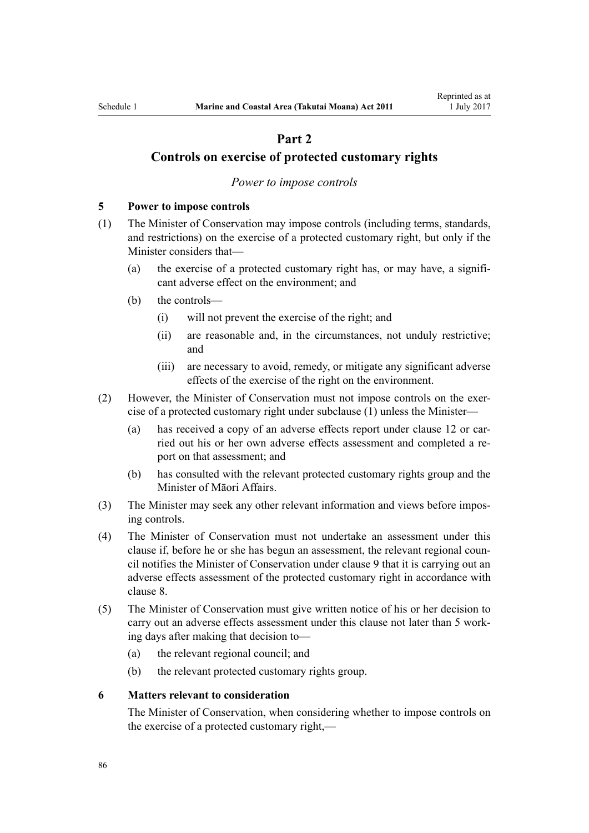# **Part 2**

## <span id="page-85-0"></span>**Controls on exercise of protected customary rights**

#### *Power to impose controls*

#### **5 Power to impose controls**

- (1) The Minister of Conservation may impose controls (including terms, standards, and restrictions) on the exercise of a protected customary right, but only if the Minister considers that—
	- (a) the exercise of a protected customary right has, or may have, a significant adverse effect on the environment; and
	- (b) the controls—
		- (i) will not prevent the exercise of the right; and
		- (ii) are reasonable and, in the circumstances, not unduly restrictive; and
		- (iii) are necessary to avoid, remedy, or mitigate any significant adverse effects of the exercise of the right on the environment.
- (2) However, the Minister of Conservation must not impose controls on the exercise of a protected customary right under subclause (1) unless the Minister—
	- (a) has received a copy of an adverse effects report under [clause 12](#page-89-0) or carried out his or her own adverse effects assessment and completed a report on that assessment; and
	- (b) has consulted with the relevant protected customary rights group and the Minister of Māori Affairs.
- (3) The Minister may seek any other relevant information and views before imposing controls.
- (4) The Minister of Conservation must not undertake an assessment under this clause if, before he or she has begun an assessment, the relevant regional council notifies the Minister of Conservation under [clause 9](#page-87-0) that it is carrying out an adverse effects assessment of the protected customary right in accordance with [clause 8.](#page-86-0)
- (5) The Minister of Conservation must give written notice of his or her decision to carry out an adverse effects assessment under this clause not later than 5 working days after making that decision to—
	- (a) the relevant regional council; and
	- (b) the relevant protected customary rights group.

### **6 Matters relevant to consideration**

The Minister of Conservation, when considering whether to impose controls on the exercise of a protected customary right,—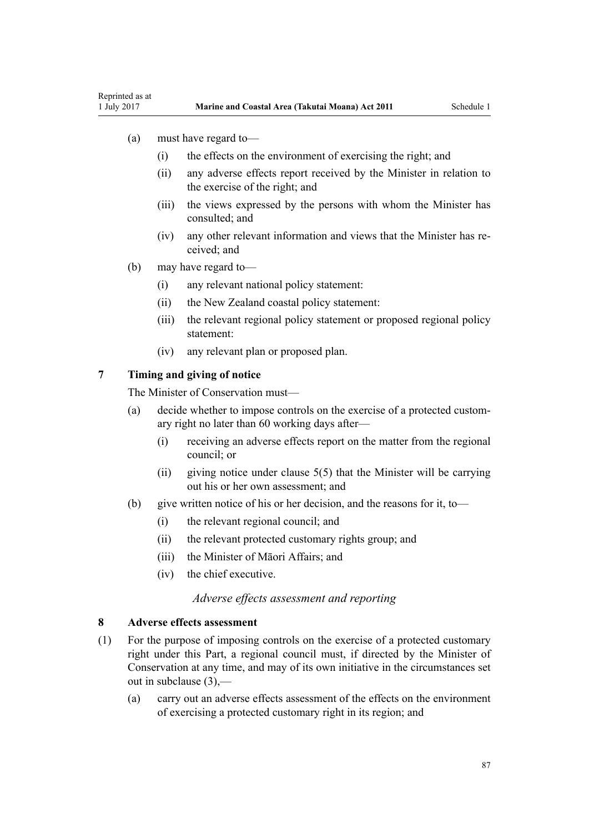- <span id="page-86-0"></span>(a) must have regard to—
	- (i) the effects on the environment of exercising the right; and
	- (ii) any adverse effects report received by the Minister in relation to the exercise of the right; and
	- (iii) the views expressed by the persons with whom the Minister has consulted; and
	- (iv) any other relevant information and views that the Minister has received; and
- (b) may have regard to—
	- (i) any relevant national policy statement:
	- (ii) the New Zealand coastal policy statement:
	- (iii) the relevant regional policy statement or proposed regional policy statement:
	- (iv) any relevant plan or proposed plan.

### **7 Timing and giving of notice**

The Minister of Conservation must—

- (a) decide whether to impose controls on the exercise of a protected customary right no later than 60 working days after—
	- (i) receiving an adverse effects report on the matter from the regional council; or
	- (ii) giving notice under clause  $5(5)$  that the Minister will be carrying out his or her own assessment; and
- (b) give written notice of his or her decision, and the reasons for it, to—
	- (i) the relevant regional council; and
	- (ii) the relevant protected customary rights group; and
	- (iii) the Minister of Māori Affairs; and
	- (iv) the chief executive.

### *Adverse effects assessment and reporting*

#### **8 Adverse effects assessment**

- (1) For the purpose of imposing controls on the exercise of a protected customary right under this Part, a regional council must, if directed by the Minister of Conservation at any time, and may of its own initiative in the circumstances set out in subclause (3),—
	- (a) carry out an adverse effects assessment of the effects on the environment of exercising a protected customary right in its region; and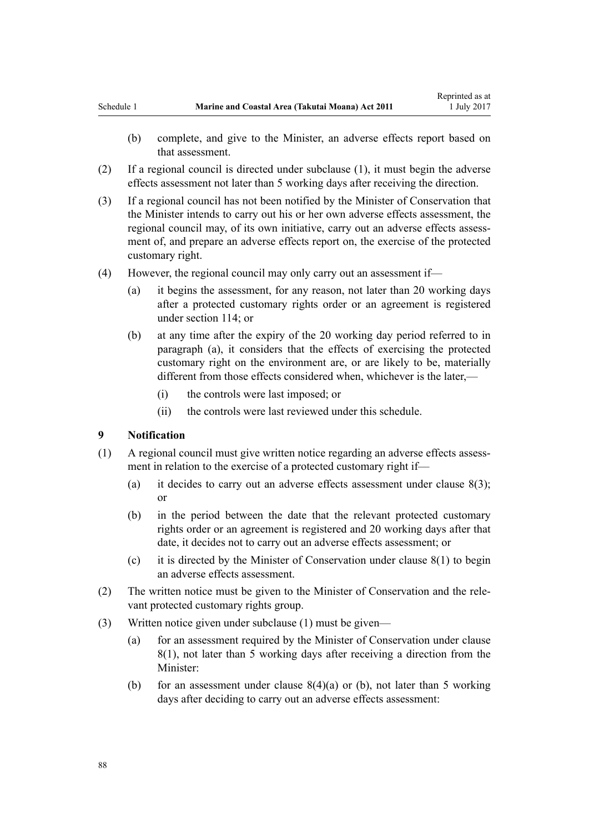- <span id="page-87-0"></span>(b) complete, and give to the Minister, an adverse effects report based on that assessment.
- (2) If a regional council is directed under subclause (1), it must begin the adverse effects assessment not later than 5 working days after receiving the direction.
- (3) If a regional council has not been notified by the Minister of Conservation that the Minister intends to carry out his or her own adverse effects assessment, the regional council may, of its own initiative, carry out an adverse effects assessment of, and prepare an adverse effects report on, the exercise of the protected customary right.
- (4) However, the regional council may only carry out an assessment if—
	- (a) it begins the assessment, for any reason, not later than 20 working days after a protected customary rights order or an agreement is registered under [section 114;](#page-76-0) or
	- (b) at any time after the expiry of the 20 working day period referred to in paragraph (a), it considers that the effects of exercising the protected customary right on the environment are, or are likely to be, materially different from those effects considered when, whichever is the later,—
		- (i) the controls were last imposed; or
		- (ii) the controls were last reviewed under this schedule.

#### **9 Notification**

- (1) A regional council must give written notice regarding an adverse effects assessment in relation to the exercise of a protected customary right if—
	- (a) it decides to carry out an adverse effects assessment under clause  $8(3)$ ; or
	- (b) in the period between the date that the relevant protected customary rights order or an agreement is registered and 20 working days after that date, it decides not to carry out an adverse effects assessment; or
	- (c) it is directed by the Minister of Conservation under [clause 8\(1\)](#page-86-0) to begin an adverse effects assessment.
- (2) The written notice must be given to the Minister of Conservation and the relevant protected customary rights group.
- (3) Written notice given under subclause (1) must be given—
	- (a) for an assessment required by the Minister of Conservation under [clause](#page-86-0) [8\(1\)](#page-86-0), not later than 5 working days after receiving a direction from the Minister:
	- (b) for an assessment under clause  $8(4)(a)$  or (b), not later than 5 working days after deciding to carry out an adverse effects assessment: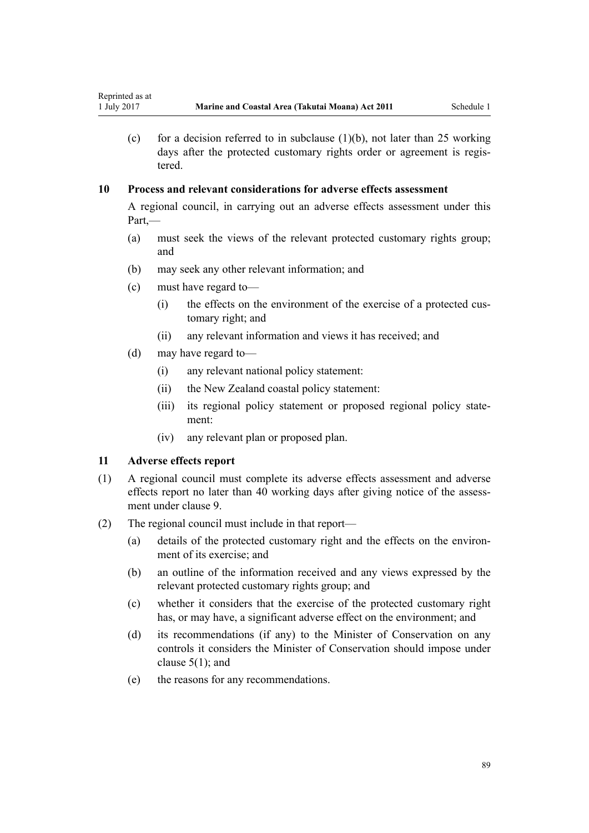(c) for a decision referred to in subclause  $(1)(b)$ , not later than 25 working days after the protected customary rights order or agreement is registered.

## **10 Process and relevant considerations for adverse effects assessment**

A regional council, in carrying out an adverse effects assessment under this Part,—

- (a) must seek the views of the relevant protected customary rights group; and
- (b) may seek any other relevant information; and
- (c) must have regard to—
	- (i) the effects on the environment of the exercise of a protected customary right; and
	- (ii) any relevant information and views it has received; and
- (d) may have regard to—
	- (i) any relevant national policy statement:
	- (ii) the New Zealand coastal policy statement:
	- (iii) its regional policy statement or proposed regional policy statement:
	- (iv) any relevant plan or proposed plan.

### **11 Adverse effects report**

- (1) A regional council must complete its adverse effects assessment and adverse effects report no later than 40 working days after giving notice of the assessment under [clause 9](#page-87-0).
- (2) The regional council must include in that report—
	- (a) details of the protected customary right and the effects on the environment of its exercise; and
	- (b) an outline of the information received and any views expressed by the relevant protected customary rights group; and
	- (c) whether it considers that the exercise of the protected customary right has, or may have, a significant adverse effect on the environment; and
	- (d) its recommendations (if any) to the Minister of Conservation on any controls it considers the Minister of Conservation should impose under [clause 5\(1\);](#page-85-0) and
	- (e) the reasons for any recommendations.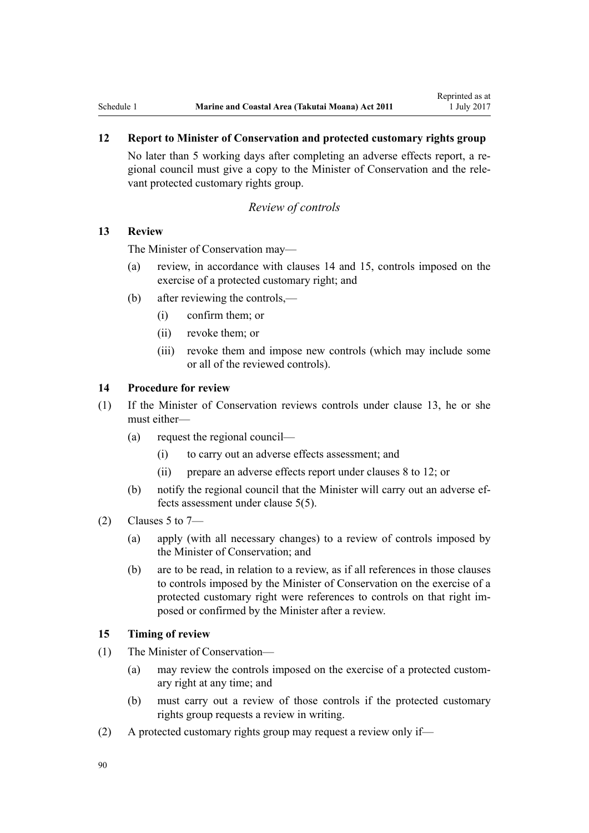## <span id="page-89-0"></span>**12 Report to Minister of Conservation and protected customary rights group**

No later than 5 working days after completing an adverse effects report, a regional council must give a copy to the Minister of Conservation and the relevant protected customary rights group.

#### *Review of controls*

#### **13 Review**

The Minister of Conservation may—

- (a) review, in accordance with clauses 14 and 15, controls imposed on the exercise of a protected customary right; and
- (b) after reviewing the controls,—
	- (i) confirm them; or
	- (ii) revoke them; or
	- (iii) revoke them and impose new controls (which may include some or all of the reviewed controls).

### **14 Procedure for review**

- (1) If the Minister of Conservation reviews controls under clause 13, he or she must either—
	- (a) request the regional council—
		- (i) to carry out an adverse effects assessment; and
		- (ii) prepare an adverse effects report under [clauses 8 to 12](#page-86-0); or
	- (b) notify the regional council that the Minister will carry out an adverse effects assessment under [clause 5\(5\).](#page-85-0)
- (2) Clauses 5 to  $7-$ 
	- (a) apply (with all necessary changes) to a review of controls imposed by the Minister of Conservation; and
	- (b) are to be read, in relation to a review, as if all references in those clauses to controls imposed by the Minister of Conservation on the exercise of a protected customary right were references to controls on that right imposed or confirmed by the Minister after a review.

### **15 Timing of review**

- (1) The Minister of Conservation—
	- (a) may review the controls imposed on the exercise of a protected customary right at any time; and
	- (b) must carry out a review of those controls if the protected customary rights group requests a review in writing.
- (2) A protected customary rights group may request a review only if—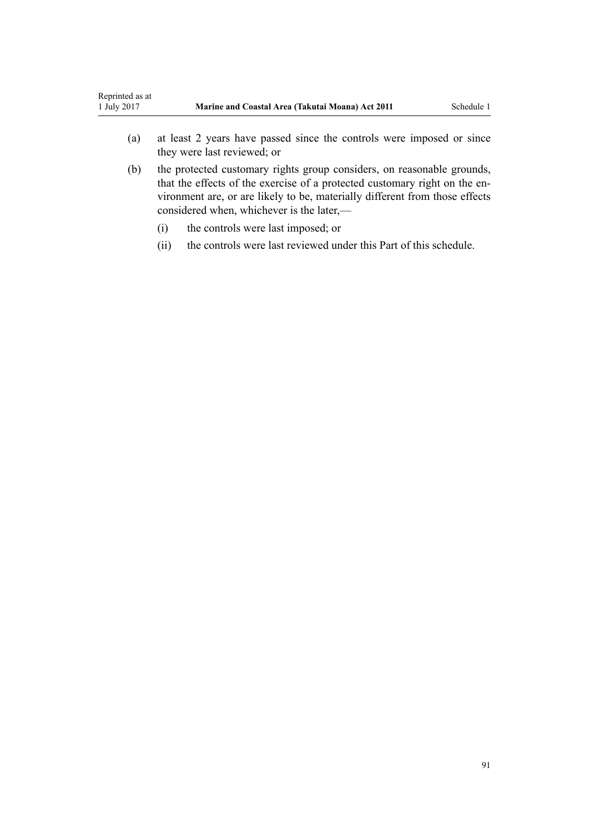- (a) at least 2 years have passed since the controls were imposed or since they were last reviewed; or
- (b) the protected customary rights group considers, on reasonable grounds, that the effects of the exercise of a protected customary right on the environment are, or are likely to be, materially different from those effects considered when, whichever is the later,—
	- (i) the controls were last imposed; or
	- (ii) the controls were last reviewed under this Part of this schedule.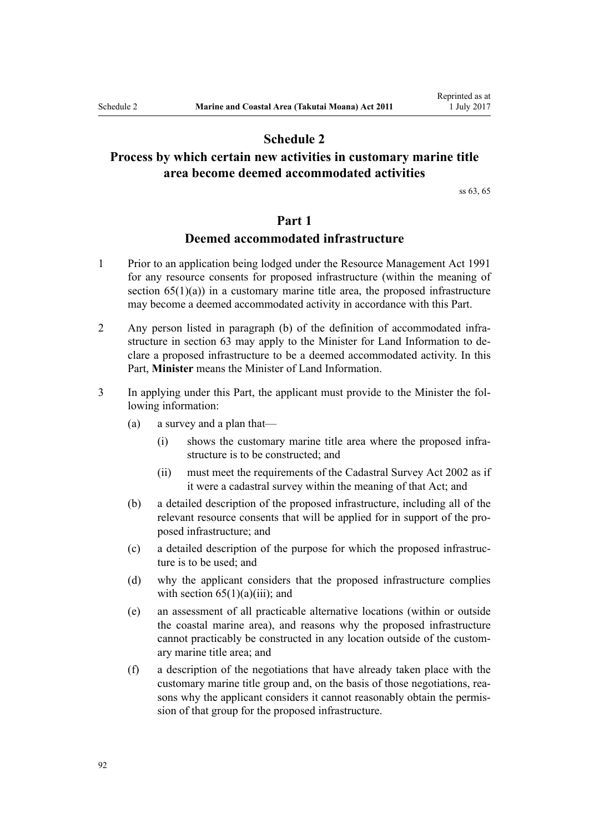## **Schedule 2**

# <span id="page-91-0"></span>**Process by which certain new activities in customary marine title area become deemed accommodated activities**

[ss 63,](#page-47-0) [65](#page-51-0)

## **Part 1**

## **Deemed accommodated infrastructure**

- 1 Prior to an application being lodged under the [Resource Management Act 1991](http://prd-lgnz-nlb.prd.pco.net.nz/pdflink.aspx?id=DLM230264) for any resource consents for proposed infrastructure (within the meaning of section  $65(1)(a)$  in a customary marine title area, the proposed infrastructure may become a deemed accommodated activity in accordance with this Part.
- 2 Any person listed in paragraph (b) of the definition of accommodated infrastructure in [section 63](#page-47-0) may apply to the Minister for Land Information to declare a proposed infrastructure to be a deemed accommodated activity. In this Part, **Minister** means the Minister of Land Information.
- 3 In applying under this Part, the applicant must provide to the Minister the following information:
	- (a) a survey and a plan that—
		- (i) shows the customary marine title area where the proposed infrastructure is to be constructed; and
		- (ii) must meet the requirements of the [Cadastral Survey Act 2002](http://prd-lgnz-nlb.prd.pco.net.nz/pdflink.aspx?id=DLM141994) as if it were a cadastral survey within the meaning of that Act; and
	- (b) a detailed description of the proposed infrastructure, including all of the relevant resource consents that will be applied for in support of the proposed infrastructure; and
	- (c) a detailed description of the purpose for which the proposed infrastructure is to be used; and
	- (d) why the applicant considers that the proposed infrastructure complies with section  $65(1)(a)(iii)$ ; and
	- (e) an assessment of all practicable alternative locations (within or outside the coastal marine area), and reasons why the proposed infrastructure cannot practicably be constructed in any location outside of the customary marine title area; and
	- (f) a description of the negotiations that have already taken place with the customary marine title group and, on the basis of those negotiations, reasons why the applicant considers it cannot reasonably obtain the permission of that group for the proposed infrastructure.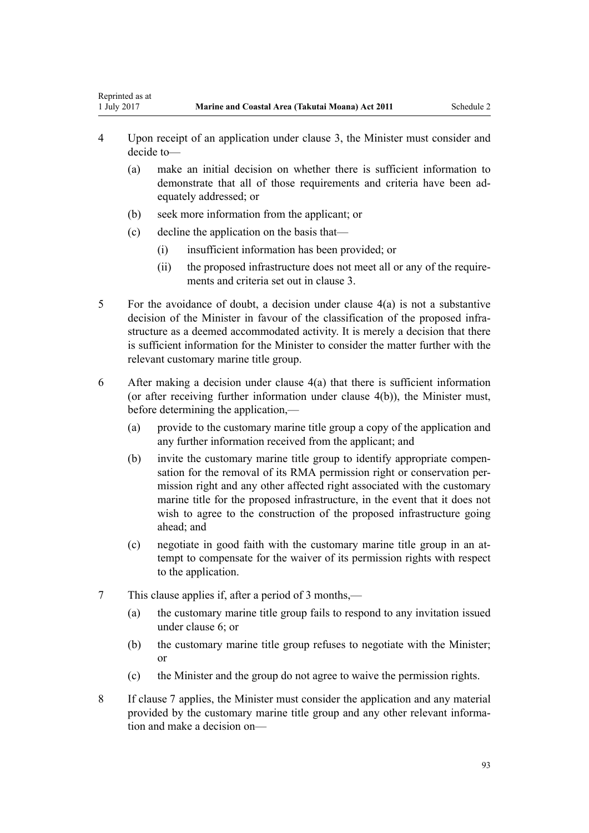- 4 Upon receipt of an application under clause 3, the Minister must consider and decide to—
	- (a) make an initial decision on whether there is sufficient information to demonstrate that all of those requirements and criteria have been adequately addressed; or
	- (b) seek more information from the applicant; or
	- (c) decline the application on the basis that—

<span id="page-92-0"></span>Reprinted as at

- (i) insufficient information has been provided; or
- (ii) the proposed infrastructure does not meet all or any of the requirements and criteria set out in [clause 3.](#page-91-0)
- 5 For the avoidance of doubt, a decision under clause 4(a) is not a substantive decision of the Minister in favour of the classification of the proposed infrastructure as a deemed accommodated activity. It is merely a decision that there is sufficient information for the Minister to consider the matter further with the relevant customary marine title group.
- 6 After making a decision under clause 4(a) that there is sufficient information (or after receiving further information under clause 4(b)), the Minister must, before determining the application,—
	- (a) provide to the customary marine title group a copy of the application and any further information received from the applicant; and
	- (b) invite the customary marine title group to identify appropriate compensation for the removal of its RMA permission right or conservation permission right and any other affected right associated with the customary marine title for the proposed infrastructure, in the event that it does not wish to agree to the construction of the proposed infrastructure going ahead; and
	- (c) negotiate in good faith with the customary marine title group in an attempt to compensate for the waiver of its permission rights with respect to the application.
- 7 This clause applies if, after a period of 3 months,—
	- (a) the customary marine title group fails to respond to any invitation issued under clause 6; or
	- (b) the customary marine title group refuses to negotiate with the Minister; or
	- (c) the Minister and the group do not agree to waive the permission rights.
- 8 If clause 7 applies, the Minister must consider the application and any material provided by the customary marine title group and any other relevant information and make a decision on—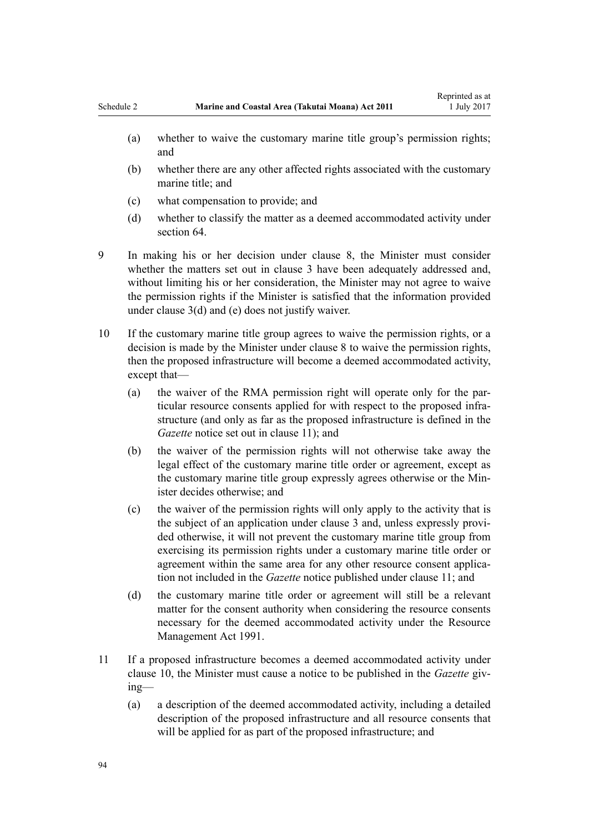- (a) whether to waive the customary marine title group's permission rights; and
- (b) whether there are any other affected rights associated with the customary marine title; and
- (c) what compensation to provide; and
- (d) whether to classify the matter as a deemed accommodated activity under [section 64](#page-49-0).
- 9 In making his or her decision under [clause 8,](#page-92-0) the Minister must consider whether the matters set out in [clause 3](#page-91-0) have been adequately addressed and, without limiting his or her consideration, the Minister may not agree to waive the permission rights if the Minister is satisfied that the information provided under [clause 3\(d\) and \(e\)](#page-91-0) does not justify waiver.
- 10 If the customary marine title group agrees to waive the permission rights, or a decision is made by the Minister under [clause 8](#page-92-0) to waive the permission rights, then the proposed infrastructure will become a deemed accommodated activity, except that—
	- (a) the waiver of the RMA permission right will operate only for the particular resource consents applied for with respect to the proposed infrastructure (and only as far as the proposed infrastructure is defined in the *Gazette* notice set out in clause 11); and
	- (b) the waiver of the permission rights will not otherwise take away the legal effect of the customary marine title order or agreement, except as the customary marine title group expressly agrees otherwise or the Minister decides otherwise; and
	- (c) the waiver of the permission rights will only apply to the activity that is the subject of an application under [clause 3](#page-91-0) and, unless expressly provided otherwise, it will not prevent the customary marine title group from exercising its permission rights under a customary marine title order or agreement within the same area for any other resource consent application not included in the *Gazette* notice published under clause 11; and
	- (d) the customary marine title order or agreement will still be a relevant matter for the consent authority when considering the resource consents necessary for the deemed accommodated activity under the [Resource](http://prd-lgnz-nlb.prd.pco.net.nz/pdflink.aspx?id=DLM230264) [Management Act 1991.](http://prd-lgnz-nlb.prd.pco.net.nz/pdflink.aspx?id=DLM230264)
- 11 If a proposed infrastructure becomes a deemed accommodated activity under clause 10, the Minister must cause a notice to be published in the *Gazette* giving—
	- (a) a description of the deemed accommodated activity, including a detailed description of the proposed infrastructure and all resource consents that will be applied for as part of the proposed infrastructure; and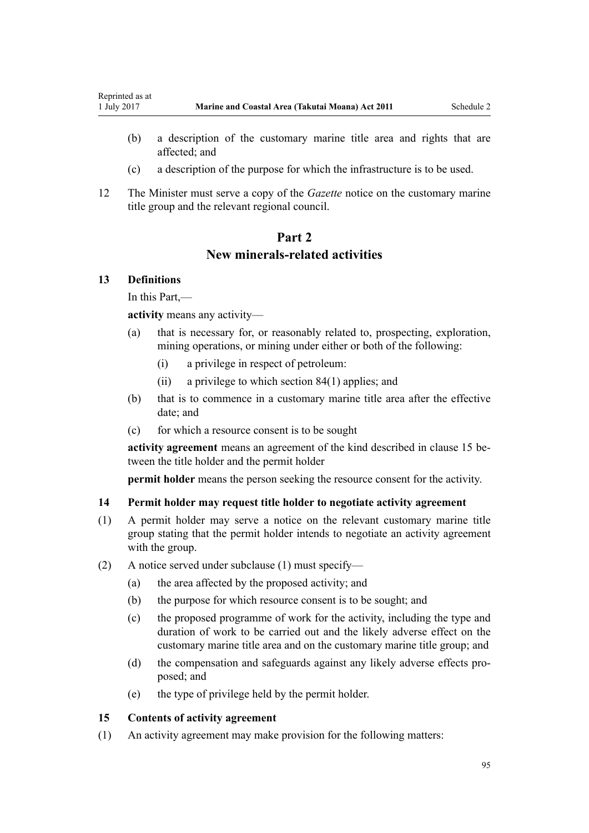- (b) a description of the customary marine title area and rights that are affected; and
- (c) a description of the purpose for which the infrastructure is to be used.
- 12 The Minister must serve a copy of the *Gazette* notice on the customary marine title group and the relevant regional council.

# **Part 2 New minerals-related activities**

### **13 Definitions**

<span id="page-94-0"></span>Reprinted as at

In this Part,—

**activity** means any activity—

- (a) that is necessary for, or reasonably related to, prospecting, exploration, mining operations, or mining under either or both of the following:
	- (i) a privilege in respect of petroleum:
	- (ii) a privilege to which [section 84\(1\)](#page-62-0) applies; and
- (b) that is to commence in a customary marine title area after the effective date; and
- (c) for which a resource consent is to be sought

**activity agreement** means an agreement of the kind described in clause 15 between the title holder and the permit holder

**permit holder** means the person seeking the resource consent for the activity.

#### **14 Permit holder may request title holder to negotiate activity agreement**

- (1) A permit holder may serve a notice on the relevant customary marine title group stating that the permit holder intends to negotiate an activity agreement with the group.
- (2) A notice served under subclause (1) must specify—
	- (a) the area affected by the proposed activity; and
	- (b) the purpose for which resource consent is to be sought; and
	- (c) the proposed programme of work for the activity, including the type and duration of work to be carried out and the likely adverse effect on the customary marine title area and on the customary marine title group; and
	- (d) the compensation and safeguards against any likely adverse effects proposed; and
	- (e) the type of privilege held by the permit holder.

### **15 Contents of activity agreement**

(1) An activity agreement may make provision for the following matters: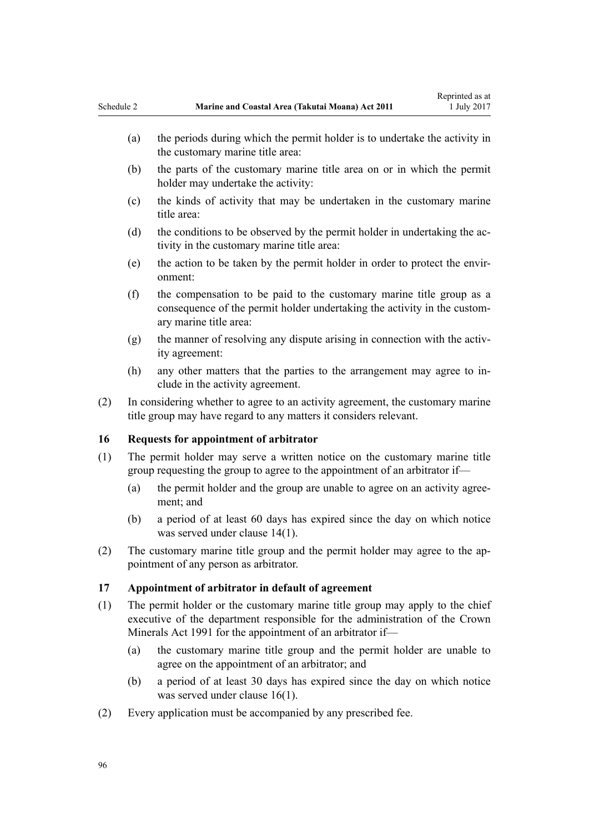- <span id="page-95-0"></span>(b) the parts of the customary marine title area on or in which the permit holder may undertake the activity:
- (c) the kinds of activity that may be undertaken in the customary marine title area:
- (d) the conditions to be observed by the permit holder in undertaking the activity in the customary marine title area:
- (e) the action to be taken by the permit holder in order to protect the environment:
- (f) the compensation to be paid to the customary marine title group as a consequence of the permit holder undertaking the activity in the customary marine title area:
- (g) the manner of resolving any dispute arising in connection with the activity agreement:
- (h) any other matters that the parties to the arrangement may agree to include in the activity agreement.
- (2) In considering whether to agree to an activity agreement, the customary marine title group may have regard to any matters it considers relevant.

### **16 Requests for appointment of arbitrator**

- (1) The permit holder may serve a written notice on the customary marine title group requesting the group to agree to the appointment of an arbitrator if—
	- (a) the permit holder and the group are unable to agree on an activity agreement; and
	- (b) a period of at least 60 days has expired since the day on which notice was served under [clause 14\(1\)](#page-94-0).
- (2) The customary marine title group and the permit holder may agree to the appointment of any person as arbitrator.

### **17 Appointment of arbitrator in default of agreement**

- (1) The permit holder or the customary marine title group may apply to the chief executive of the department responsible for the administration of the [Crown](http://prd-lgnz-nlb.prd.pco.net.nz/pdflink.aspx?id=DLM242535) [Minerals Act 1991](http://prd-lgnz-nlb.prd.pco.net.nz/pdflink.aspx?id=DLM242535) for the appointment of an arbitrator if—
	- (a) the customary marine title group and the permit holder are unable to agree on the appointment of an arbitrator; and
	- (b) a period of at least 30 days has expired since the day on which notice was served under clause 16(1).
- (2) Every application must be accompanied by any prescribed fee.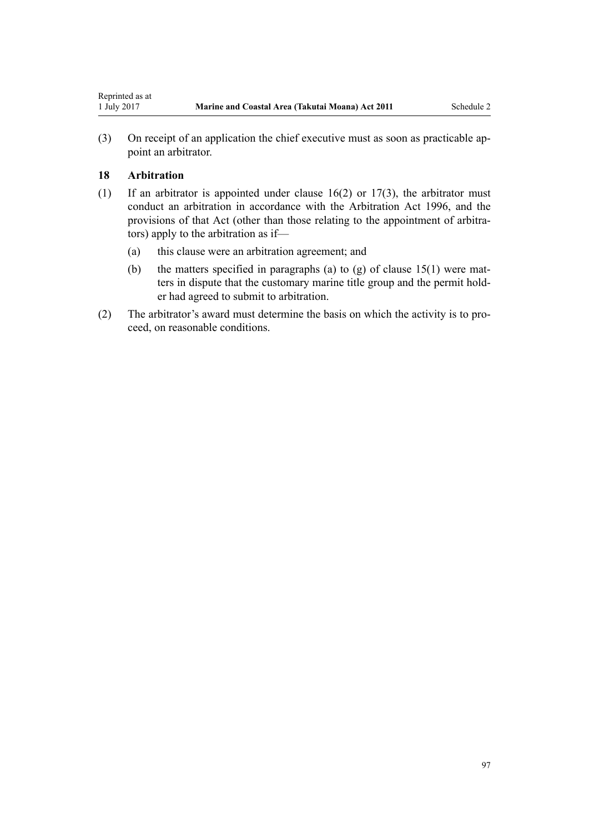(3) On receipt of an application the chief executive must as soon as practicable appoint an arbitrator.

## **18 Arbitration**

- (1) If an arbitrator is appointed under [clause 16\(2\)](#page-95-0) or [17\(3\),](#page-95-0) the arbitrator must conduct an arbitration in accordance with the [Arbitration Act 1996](http://prd-lgnz-nlb.prd.pco.net.nz/pdflink.aspx?id=DLM403276), and the provisions of that Act (other than those relating to the appointment of arbitrators) apply to the arbitration as if—
	- (a) this clause were an arbitration agreement; and
	- (b) the matters specified in paragraphs (a) to (g) of clause  $15(1)$  were matters in dispute that the customary marine title group and the permit holder had agreed to submit to arbitration.
- (2) The arbitrator's award must determine the basis on which the activity is to proceed, on reasonable conditions.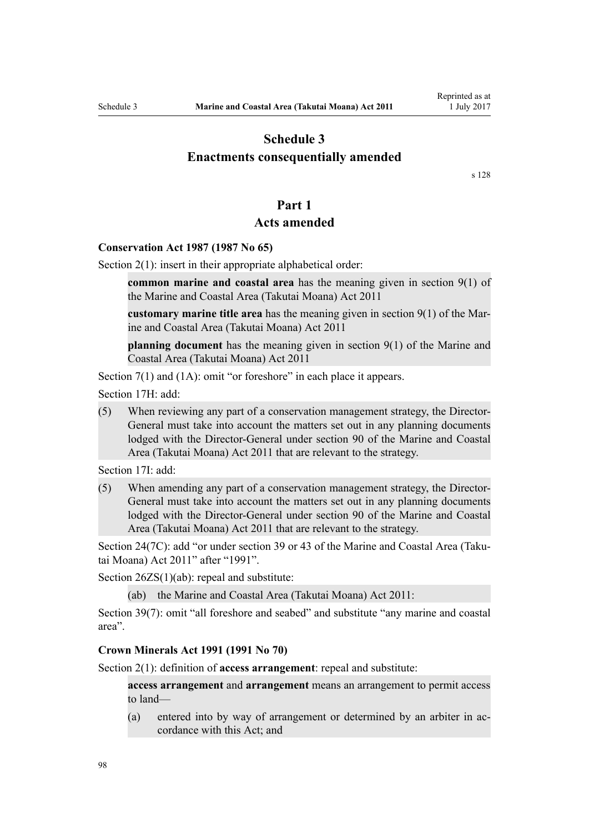# **Schedule 3**

## <span id="page-97-0"></span>**Enactments consequentially amended**

[s 128](#page-82-0)

## **Part 1**

## **Acts amended**

### **[Conservation Act 1987](http://prd-lgnz-nlb.prd.pco.net.nz/pdflink.aspx?id=DLM103609) (1987 No 65)**

[Section 2\(1\):](http://prd-lgnz-nlb.prd.pco.net.nz/pdflink.aspx?id=DLM103616) insert in their appropriate alphabetical order:

**common marine and coastal area** has the meaning given in section 9(1) of the Marine and Coastal Area (Takutai Moana) Act 2011

**customary marine title area** has the meaning given in section 9(1) of the Marine and Coastal Area (Takutai Moana) Act 2011

**planning document** has the meaning given in section 9(1) of the Marine and Coastal Area (Takutai Moana) Act 2011

[Section 7\(1\)](http://prd-lgnz-nlb.prd.pco.net.nz/pdflink.aspx?id=DLM104251) and (1A): omit "or foreshore" in each place it appears.

[Section 17H](http://prd-lgnz-nlb.prd.pco.net.nz/pdflink.aspx?id=DLM104613): add:

(5) When reviewing any part of a conservation management strategy, the Director-General must take into account the matters set out in any planning documents lodged with the Director-General under section 90 of the Marine and Coastal Area (Takutai Moana) Act 2011 that are relevant to the strategy.

[Section 17I:](http://prd-lgnz-nlb.prd.pco.net.nz/pdflink.aspx?id=DLM104615) add:

(5) When amending any part of a conservation management strategy, the Director-General must take into account the matters set out in any planning documents lodged with the Director-General under section 90 of the Marine and Coastal Area (Takutai Moana) Act 2011 that are relevant to the strategy.

[Section 24\(7C\)](http://prd-lgnz-nlb.prd.pco.net.nz/pdflink.aspx?id=DLM104699): add "or under section 39 or 43 of the Marine and Coastal Area (Takutai Moana) Act 2011" after "1991".

[Section 26ZS\(1\)\(ab\)](http://prd-lgnz-nlb.prd.pco.net.nz/pdflink.aspx?id=DLM106043): repeal and substitute:

(ab) the Marine and Coastal Area (Takutai Moana) Act 2011:

[Section 39\(7\):](http://prd-lgnz-nlb.prd.pco.net.nz/pdflink.aspx?id=DLM106641) omit "all foreshore and seabed" and substitute "any marine and coastal area".

#### **[Crown Minerals Act 1991](http://prd-lgnz-nlb.prd.pco.net.nz/pdflink.aspx?id=DLM242535) (1991 No 70)**

[Section 2\(1\):](http://prd-lgnz-nlb.prd.pco.net.nz/pdflink.aspx?id=DLM242543) definition of **access arrangement**: repeal and substitute:

**access arrangement** and **arrangement** means an arrangement to permit access to land—

(a) entered into by way of arrangement or determined by an arbiter in accordance with this Act; and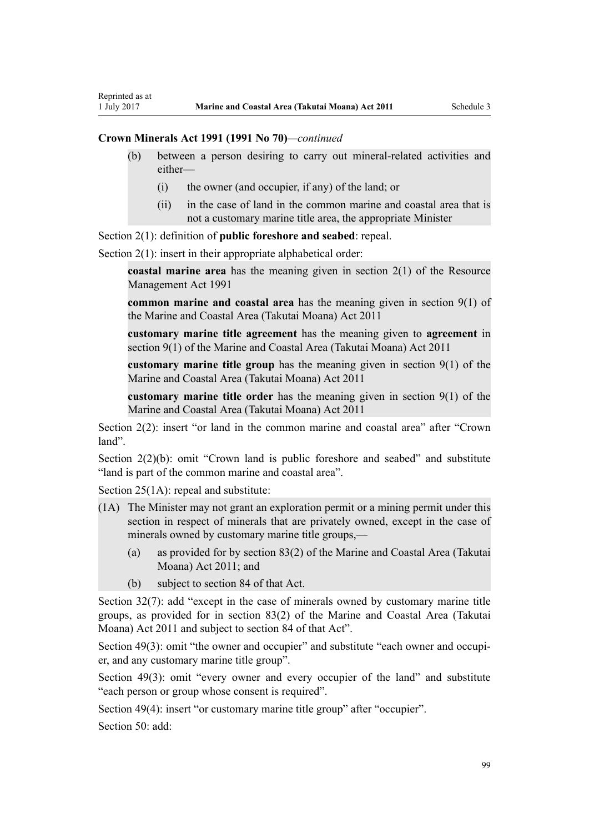#### **Crown Minerals Act 1991 (1991 No 70)***—continued*

Reprinted as at

- (b) between a person desiring to carry out mineral-related activities and either—
	- (i) the owner (and occupier, if any) of the land; or
	- (ii) in the case of land in the common marine and coastal area that is not a customary marine title area, the appropriate Minister

[Section 2\(1\):](http://prd-lgnz-nlb.prd.pco.net.nz/pdflink.aspx?id=DLM242543) definition of **public foreshore and seabed**: repeal.

[Section 2\(1\):](http://prd-lgnz-nlb.prd.pco.net.nz/pdflink.aspx?id=DLM242543) insert in their appropriate alphabetical order:

**coastal marine area** has the meaning given in section 2(1) of the Resource Management Act 1991

**common marine and coastal area** has the meaning given in section 9(1) of the Marine and Coastal Area (Takutai Moana) Act 2011

**customary marine title agreement** has the meaning given to **agreement** in section 9(1) of the Marine and Coastal Area (Takutai Moana) Act 2011

**customary marine title group** has the meaning given in section 9(1) of the Marine and Coastal Area (Takutai Moana) Act 2011

**customary marine title order** has the meaning given in section 9(1) of the Marine and Coastal Area (Takutai Moana) Act 2011

[Section 2\(2\)](http://prd-lgnz-nlb.prd.pco.net.nz/pdflink.aspx?id=DLM242543): insert "or land in the common marine and coastal area" after "Crown land".

[Section 2\(2\)\(b\)](http://prd-lgnz-nlb.prd.pco.net.nz/pdflink.aspx?id=DLM242543): omit "Crown land is public foreshore and seabed" and substitute "land is part of the common marine and coastal area".

[Section 25\(1A\):](http://prd-lgnz-nlb.prd.pco.net.nz/pdflink.aspx?id=DLM246328) repeal and substitute:

- (1A) The Minister may not grant an exploration permit or a mining permit under this section in respect of minerals that are privately owned, except in the case of minerals owned by customary marine title groups,—
	- (a) as provided for by section 83(2) of the Marine and Coastal Area (Takutai Moana) Act 2011; and
	- (b) subject to section 84 of that Act.

[Section 32\(7\):](http://prd-lgnz-nlb.prd.pco.net.nz/pdflink.aspx?id=DLM246341) add "except in the case of minerals owned by customary marine title groups, as provided for in section 83(2) of the Marine and Coastal Area (Takutai Moana) Act 2011 and subject to section 84 of that Act".

[Section 49\(3\):](http://prd-lgnz-nlb.prd.pco.net.nz/pdflink.aspx?id=DLM246396) omit "the owner and occupier" and substitute "each owner and occupier, and any customary marine title group".

[Section 49\(3\):](http://prd-lgnz-nlb.prd.pco.net.nz/pdflink.aspx?id=DLM246396) omit "every owner and every occupier of the land" and substitute "each person or group whose consent is required".

[Section 49\(4\)](http://prd-lgnz-nlb.prd.pco.net.nz/pdflink.aspx?id=DLM246396): insert "or customary marine title group" after "occupier".

[Section 50](http://prd-lgnz-nlb.prd.pco.net.nz/pdflink.aspx?id=DLM246397): add: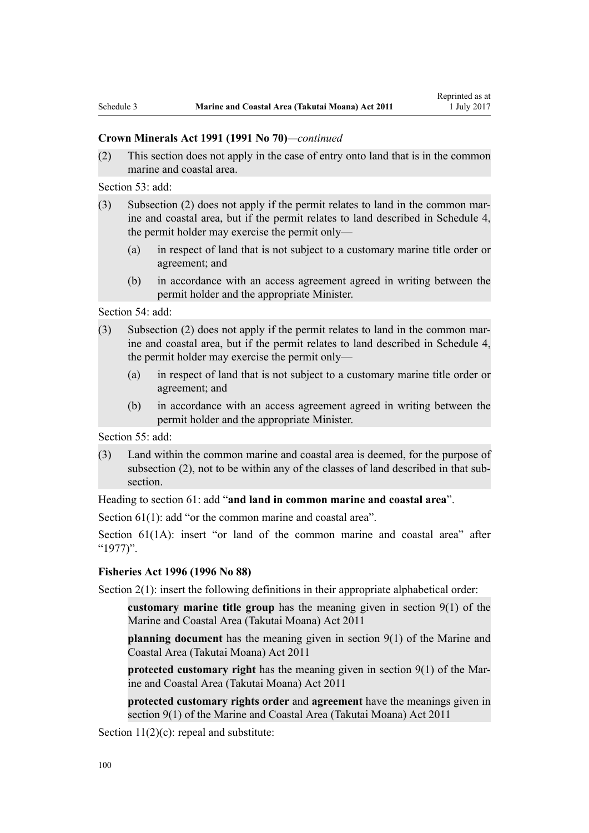#### **Crown Minerals Act 1991 (1991 No 70)***—continued*

(2) This section does not apply in the case of entry onto land that is in the common marine and coastal area.

[Section 53](http://prd-lgnz-nlb.prd.pco.net.nz/pdflink.aspx?id=DLM246703): add:

- (3) Subsection (2) does not apply if the permit relates to land in the common marine and coastal area, but if the permit relates to land described in Schedule 4, the permit holder may exercise the permit only—
	- (a) in respect of land that is not subject to a customary marine title order or agreement; and
	- (b) in accordance with an access agreement agreed in writing between the permit holder and the appropriate Minister.

[Section 54](http://prd-lgnz-nlb.prd.pco.net.nz/pdflink.aspx?id=DLM246704): add:

- (3) Subsection (2) does not apply if the permit relates to land in the common marine and coastal area, but if the permit relates to land described in Schedule 4, the permit holder may exercise the permit only—
	- (a) in respect of land that is not subject to a customary marine title order or agreement; and
	- (b) in accordance with an access agreement agreed in writing between the permit holder and the appropriate Minister.

[Section 55](http://prd-lgnz-nlb.prd.pco.net.nz/pdflink.aspx?id=DLM246706): add:

(3) Land within the common marine and coastal area is deemed, for the purpose of subsection (2), not to be within any of the classes of land described in that subsection.

Heading to [section 61:](http://prd-lgnz-nlb.prd.pco.net.nz/pdflink.aspx?id=DLM246714) add "**and land in common marine and coastal area**".

[Section 61\(1\)](http://prd-lgnz-nlb.prd.pco.net.nz/pdflink.aspx?id=DLM246714): add "or the common marine and coastal area".

[Section 61\(1A\)](http://prd-lgnz-nlb.prd.pco.net.nz/pdflink.aspx?id=DLM246714): insert "or land of the common marine and coastal area" after "1977)".

### **[Fisheries Act 1996](http://prd-lgnz-nlb.prd.pco.net.nz/pdflink.aspx?id=DLM394191) (1996 No 88)**

[Section 2\(1\):](http://prd-lgnz-nlb.prd.pco.net.nz/pdflink.aspx?id=DLM394199) insert the following definitions in their appropriate alphabetical order:

**customary marine title group** has the meaning given in section 9(1) of the Marine and Coastal Area (Takutai Moana) Act 2011

**planning document** has the meaning given in section 9(1) of the Marine and Coastal Area (Takutai Moana) Act 2011

**protected customary right** has the meaning given in section 9(1) of the Marine and Coastal Area (Takutai Moana) Act 2011

**protected customary rights order** and **agreement** have the meanings given in section 9(1) of the Marine and Coastal Area (Takutai Moana) Act 2011

[Section 11\(2\)\(c\):](http://prd-lgnz-nlb.prd.pco.net.nz/pdflink.aspx?id=DLM395397) repeal and substitute: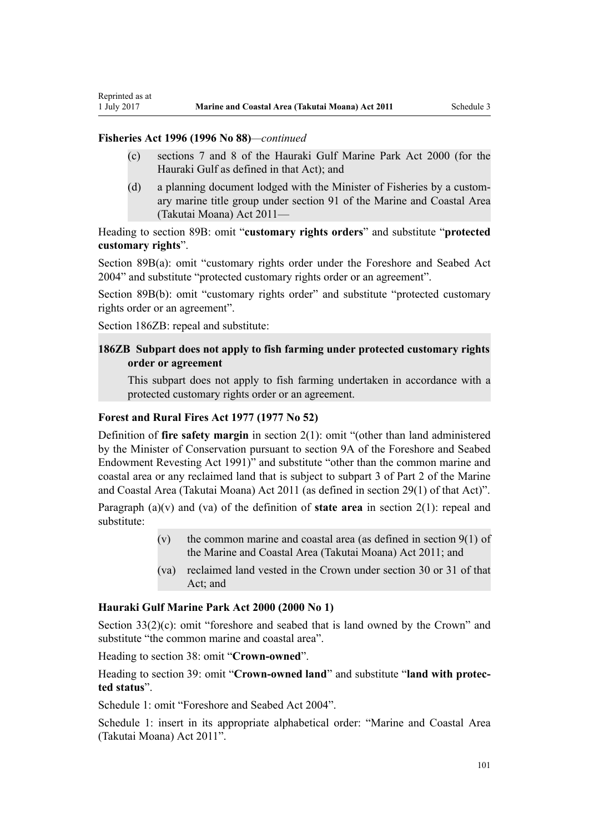### **Fisheries Act 1996 (1996 No 88)***—continued*

Reprinted as at

- (c) sections 7 and 8 of the Hauraki Gulf Marine Park Act 2000 (for the Hauraki Gulf as defined in that Act); and
- (d) a planning document lodged with the Minister of Fisheries by a customary marine title group under section 91 of the Marine and Coastal Area (Takutai Moana) Act 2011—

Heading to [section 89B](http://prd-lgnz-nlb.prd.pco.net.nz/pdflink.aspx?id=DLM396920): omit "**customary rights orders**" and substitute "**protected customary rights**".

[Section 89B\(a\)](http://prd-lgnz-nlb.prd.pco.net.nz/pdflink.aspx?id=DLM396920): omit "customary rights order under the Foreshore and Seabed Act 2004" and substitute "protected customary rights order or an agreement".

[Section 89B\(b\):](http://prd-lgnz-nlb.prd.pco.net.nz/pdflink.aspx?id=DLM396920) omit "customary rights order" and substitute "protected customary rights order or an agreement".

[Section 186ZB:](http://prd-lgnz-nlb.prd.pco.net.nz/pdflink.aspx?id=DLM398342) repeal and substitute:

### **186ZB Subpart does not apply to fish farming under protected customary rights order or agreement**

This subpart does not apply to fish farming undertaken in accordance with a protected customary rights order or an agreement.

### **[Forest and Rural Fires Act 1977](http://prd-lgnz-nlb.prd.pco.net.nz/pdflink.aspx?id=DLM442946) (1977 No 52)**

Definition of **fire safety margin** in [section 2\(1\):](http://prd-lgnz-nlb.prd.pco.net.nz/pdflink.aspx?id=DLM442952) omit "(other than land administered by the Minister of Conservation pursuant to section 9A of the Foreshore and Seabed Endowment Revesting Act 1991)" and substitute "other than the common marine and coastal area or any reclaimed land that is subject to subpart 3 of Part 2 of the Marine and Coastal Area (Takutai Moana) Act 2011 (as defined in section 29(1) of that Act)".

Paragraph (a)(v) and (va) of the definition of **state area** in [section 2\(1\):](http://prd-lgnz-nlb.prd.pco.net.nz/pdflink.aspx?id=DLM442952) repeal and substitute:

- (v) the common marine and coastal area (as defined in section  $9(1)$  of the Marine and Coastal Area (Takutai Moana) Act 2011; and
- (va) reclaimed land vested in the Crown under section 30 or 31 of that Act; and

#### **[Hauraki Gulf Marine Park Act 2000](http://prd-lgnz-nlb.prd.pco.net.nz/pdflink.aspx?id=DLM52557) (2000 No 1)**

[Section 33\(2\)\(c\)](http://prd-lgnz-nlb.prd.pco.net.nz/pdflink.aspx?id=DLM53174): omit "foreshore and seabed that is land owned by the Crown" and substitute "the common marine and coastal area".

Heading to [section 38:](http://prd-lgnz-nlb.prd.pco.net.nz/pdflink.aspx?id=DLM53180) omit "**Crown-owned**".

Heading to [section 39:](http://prd-lgnz-nlb.prd.pco.net.nz/pdflink.aspx?id=DLM53181) omit "**Crown-owned land**" and substitute "**land with protected status**".

[Schedule 1:](http://prd-lgnz-nlb.prd.pco.net.nz/pdflink.aspx?id=DLM53199) omit "Foreshore and Seabed Act 2004".

[Schedule 1:](http://prd-lgnz-nlb.prd.pco.net.nz/pdflink.aspx?id=DLM53199) insert in its appropriate alphabetical order: "Marine and Coastal Area (Takutai Moana) Act 2011".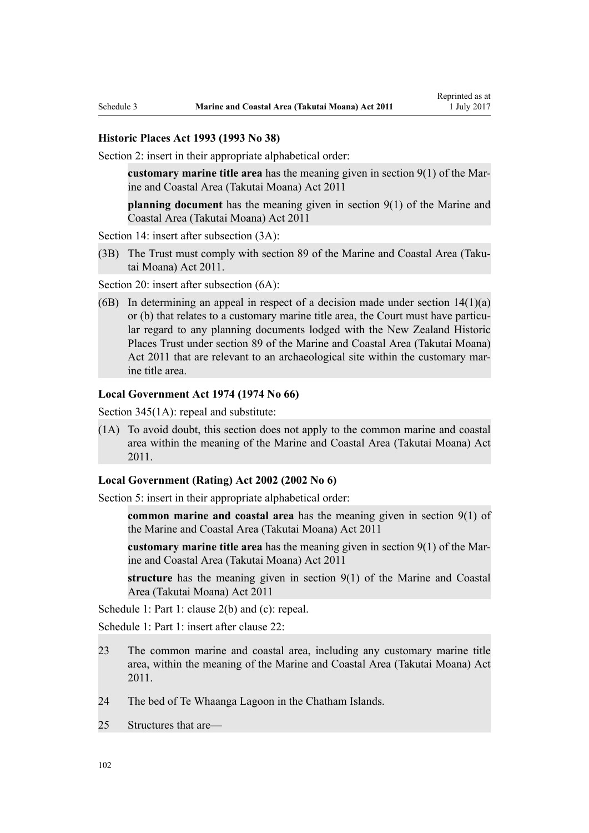#### **[Historic Places Act 1993](http://prd-lgnz-nlb.prd.pco.net.nz/pdflink.aspx?id=DLM300510) (1993 No 38)**

[Section 2](http://prd-lgnz-nlb.prd.pco.net.nz/pdflink.aspx?id=DLM300516): insert in their appropriate alphabetical order:

**customary marine title area** has the meaning given in section 9(1) of the Marine and Coastal Area (Takutai Moana) Act 2011

**planning document** has the meaning given in section 9(1) of the Marine and Coastal Area (Takutai Moana) Act 2011

[Section 14](http://prd-lgnz-nlb.prd.pco.net.nz/pdflink.aspx?id=DLM300610): insert after subsection  $(3A)$ :

(3B) The Trust must comply with section 89 of the Marine and Coastal Area (Takutai Moana) Act 2011.

[Section 20](http://prd-lgnz-nlb.prd.pco.net.nz/pdflink.aspx?id=DLM300622): insert after subsection  $(6A)$ :

(6B) In determining an appeal in respect of a decision made under section  $14(1)(a)$ or (b) that relates to a customary marine title area, the Court must have particular regard to any planning documents lodged with the New Zealand Historic Places Trust under section 89 of the Marine and Coastal Area (Takutai Moana) Act 2011 that are relevant to an archaeological site within the customary marine title area.

#### **[Local Government Act 1974](http://prd-lgnz-nlb.prd.pco.net.nz/pdflink.aspx?id=DLM415531) (1974 No 66)**

[Section 345\(1A\):](http://prd-lgnz-nlb.prd.pco.net.nz/pdflink.aspx?id=DLM420626) repeal and substitute:

(1A) To avoid doubt, this section does not apply to the common marine and coastal area within the meaning of the Marine and Coastal Area (Takutai Moana) Act 2011.

### **[Local Government \(Rating\) Act 2002](http://prd-lgnz-nlb.prd.pco.net.nz/pdflink.aspx?id=DLM131393) (2002 No 6)**

[Section 5](http://prd-lgnz-nlb.prd.pco.net.nz/pdflink.aspx?id=DLM132004): insert in their appropriate alphabetical order:

**common marine and coastal area** has the meaning given in section 9(1) of the Marine and Coastal Area (Takutai Moana) Act 2011

**customary marine title area** has the meaning given in section 9(1) of the Marine and Coastal Area (Takutai Moana) Act 2011

**structure** has the meaning given in section 9(1) of the Marine and Coastal Area (Takutai Moana) Act 2011

[Schedule 1:](http://prd-lgnz-nlb.prd.pco.net.nz/pdflink.aspx?id=DLM133512) Part 1: clause 2(b) and (c): repeal.

[Schedule 1:](http://prd-lgnz-nlb.prd.pco.net.nz/pdflink.aspx?id=DLM133512) Part 1: insert after clause 22:

- 23 The common marine and coastal area, including any customary marine title area, within the meaning of the Marine and Coastal Area (Takutai Moana) Act 2011.
- 24 The bed of Te Whaanga Lagoon in the Chatham Islands.
- 25 Structures that are—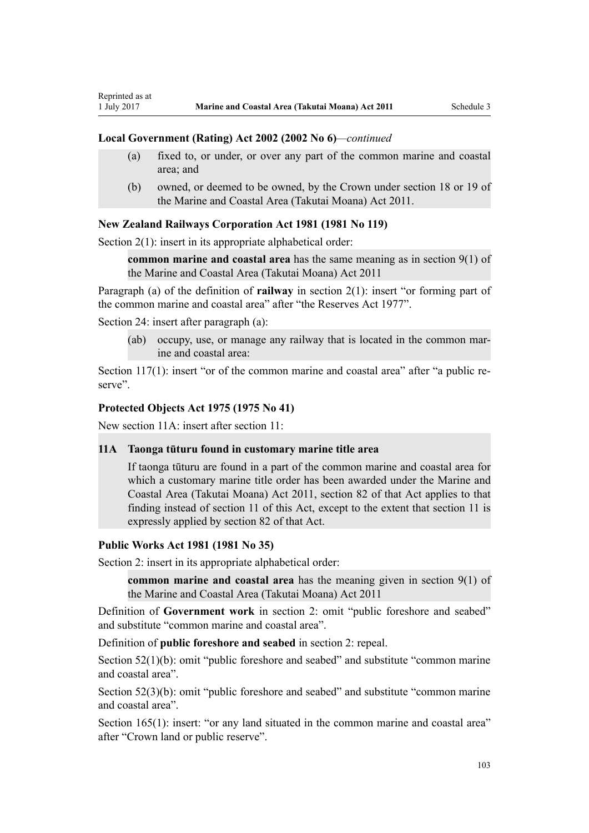#### **Local Government (Rating) Act 2002 (2002 No 6)***—continued*

- (a) fixed to, or under, or over any part of the common marine and coastal area; and
- (b) owned, or deemed to be owned, by the Crown under section 18 or 19 of the Marine and Coastal Area (Takutai Moana) Act 2011.

#### **[New Zealand Railways Corporation Act 1981](http://prd-lgnz-nlb.prd.pco.net.nz/pdflink.aspx?id=DLM57005) (1981 No 119)**

[Section 2\(1\):](http://prd-lgnz-nlb.prd.pco.net.nz/pdflink.aspx?id=DLM57011) insert in its appropriate alphabetical order:

**common marine and coastal area** has the same meaning as in section 9(1) of the Marine and Coastal Area (Takutai Moana) Act 2011

Paragraph (a) of the definition of **railway** in section 2(1): insert "or forming part of the common marine and coastal area" after "the Reserves Act 1977".

[Section 24](http://prd-lgnz-nlb.prd.pco.net.nz/pdflink.aspx?id=DLM57642): insert after paragraph (a):

Reprinted as at

(ab) occupy, use, or manage any railway that is located in the common marine and coastal area:

[Section 117\(1\)](http://prd-lgnz-nlb.prd.pco.net.nz/pdflink.aspx?id=DLM58268): insert "or of the common marine and coastal area" after "a public reserve".

### **[Protected Objects Act 1975](http://prd-lgnz-nlb.prd.pco.net.nz/pdflink.aspx?id=DLM432115) (1975 No 41)**

New section 11A: insert after section 11:

#### **11A Taonga tūturu found in customary marine title area**

If taonga tūturu are found in a part of the common marine and coastal area for which a customary marine title order has been awarded under the Marine and Coastal Area (Takutai Moana) Act 2011, section 82 of that Act applies to that finding instead of section 11 of this Act, except to the extent that section 11 is expressly applied by section 82 of that Act.

#### **[Public Works Act 1981](http://prd-lgnz-nlb.prd.pco.net.nz/pdflink.aspx?id=DLM45426) (1981 No 35)**

Section 2: insert in its appropriate alphabetical order:

**common marine and coastal area** has the meaning given in section 9(1) of the Marine and Coastal Area (Takutai Moana) Act 2011

Definition of **Government work** in section 2: omit "public foreshore and seabed" and substitute "common marine and coastal area".

Definition of **public foreshore and seabed** in section 2: repeal.

[Section 52\(1\)\(b\)](http://prd-lgnz-nlb.prd.pco.net.nz/pdflink.aspx?id=DLM46307): omit "public foreshore and seabed" and substitute "common marine" and coastal area".

[Section 52\(3\)\(b\)](http://prd-lgnz-nlb.prd.pco.net.nz/pdflink.aspx?id=DLM46307): omit "public foreshore and seabed" and substitute "common marine and coastal area".

[Section 165\(1\):](http://prd-lgnz-nlb.prd.pco.net.nz/pdflink.aspx?id=DLM47750) insert: "or any land situated in the common marine and coastal area" after "Crown land or public reserve".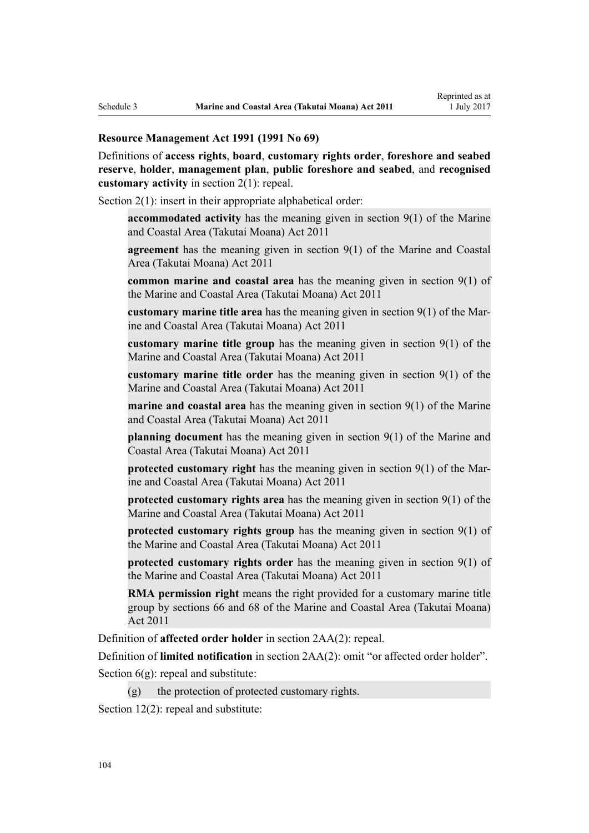#### **[Resource Management Act 1991](http://prd-lgnz-nlb.prd.pco.net.nz/pdflink.aspx?id=DLM230264) (1991 No 69)**

Definitions of **access rights**, **board**, **customary rights order**, **foreshore and seabed reserve**, **holder**, **management plan**, **public foreshore and seabed**, and **recognised customary activity** in [section 2\(1\):](http://prd-lgnz-nlb.prd.pco.net.nz/pdflink.aspx?id=DLM230272) repeal.

[Section 2\(1\):](http://prd-lgnz-nlb.prd.pco.net.nz/pdflink.aspx?id=DLM230272) insert in their appropriate alphabetical order:

**accommodated activity** has the meaning given in section 9(1) of the Marine and Coastal Area (Takutai Moana) Act 2011

**agreement** has the meaning given in section 9(1) of the Marine and Coastal Area (Takutai Moana) Act 2011

**common marine and coastal area** has the meaning given in section 9(1) of the Marine and Coastal Area (Takutai Moana) Act 2011

**customary marine title area** has the meaning given in section 9(1) of the Marine and Coastal Area (Takutai Moana) Act 2011

**customary marine title group** has the meaning given in section 9(1) of the Marine and Coastal Area (Takutai Moana) Act 2011

**customary marine title order** has the meaning given in section 9(1) of the Marine and Coastal Area (Takutai Moana) Act 2011

**marine and coastal area** has the meaning given in section 9(1) of the Marine and Coastal Area (Takutai Moana) Act 2011

**planning document** has the meaning given in section 9(1) of the Marine and Coastal Area (Takutai Moana) Act 2011

**protected customary right** has the meaning given in section 9(1) of the Marine and Coastal Area (Takutai Moana) Act 2011

**protected customary rights area** has the meaning given in section 9(1) of the Marine and Coastal Area (Takutai Moana) Act 2011

**protected customary rights group** has the meaning given in section 9(1) of the Marine and Coastal Area (Takutai Moana) Act 2011

**protected customary rights order** has the meaning given in section 9(1) of the Marine and Coastal Area (Takutai Moana) Act 2011

**RMA permission right** means the right provided for a customary marine title group by sections 66 and 68 of the Marine and Coastal Area (Takutai Moana) Act 2011

Definition of **affected order holder** in [section 2AA\(2\):](http://prd-lgnz-nlb.prd.pco.net.nz/pdflink.aspx?id=DLM2408220) repeal.

Definition of **limited notification** in [section 2AA\(2\)](http://prd-lgnz-nlb.prd.pco.net.nz/pdflink.aspx?id=DLM2408220): omit "or affected order holder".

Section  $6(g)$ : repeal and substitute:

 $(g)$  the protection of protected customary rights.

[Section 12\(2\)](http://prd-lgnz-nlb.prd.pco.net.nz/pdflink.aspx?id=DLM231949): repeal and substitute: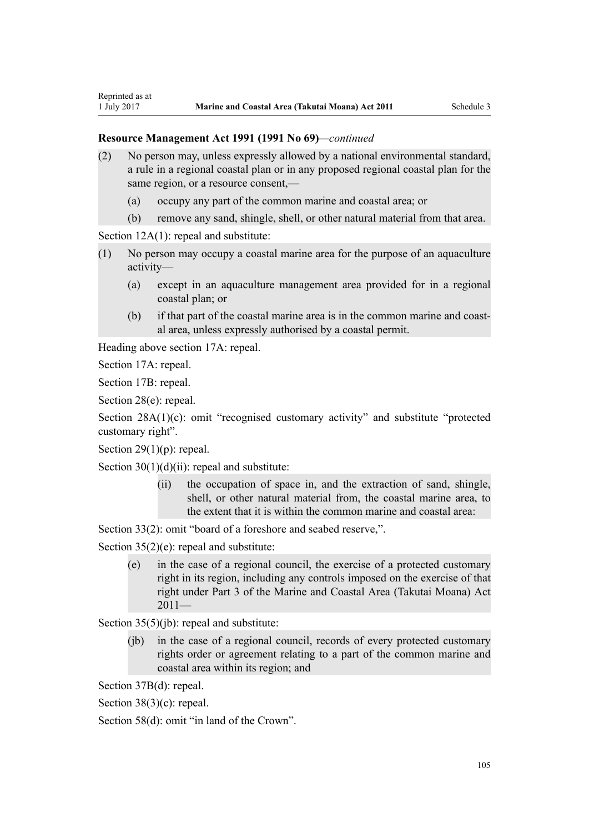- (2) No person may, unless expressly allowed by a national environmental standard, a rule in a regional coastal plan or in any proposed regional coastal plan for the same region, or a resource consent,—
	- (a) occupy any part of the common marine and coastal area; or
	- (b) remove any sand, shingle, shell, or other natural material from that area.

[Section 12A\(1\):](http://prd-lgnz-nlb.prd.pco.net.nz/pdflink.aspx?id=DLM231965) repeal and substitute:

- (1) No person may occupy a coastal marine area for the purpose of an aquaculture activity—
	- (a) except in an aquaculture management area provided for in a regional coastal plan; or
	- (b) if that part of the coastal marine area is in the common marine and coastal area, unless expressly authorised by a coastal permit.

Heading above [section 17A:](http://prd-lgnz-nlb.prd.pco.net.nz/pdflink.aspx?id=DLM232508) repeal.

[Section 17A](http://prd-lgnz-nlb.prd.pco.net.nz/pdflink.aspx?id=DLM232508): repeal.

Reprinted as at

[Section 17B:](http://prd-lgnz-nlb.prd.pco.net.nz/pdflink.aspx?id=DLM232510) repeal.

[Section 28\(e\):](http://prd-lgnz-nlb.prd.pco.net.nz/pdflink.aspx?id=DLM232548) repeal.

[Section 28A\(1\)\(c\):](http://prd-lgnz-nlb.prd.pco.net.nz/pdflink.aspx?id=DLM232552) omit "recognised customary activity" and substitute "protected customary right".

Section  $29(1)(p)$ : repeal.

Section  $30(1)(d)(ii)$ : repeal and substitute:

(ii) the occupation of space in, and the extraction of sand, shingle, shell, or other natural material from, the coastal marine area, to the extent that it is within the common marine and coastal area:

[Section 33\(2\)](http://prd-lgnz-nlb.prd.pco.net.nz/pdflink.aspx?id=DLM232593): omit "board of a foreshore and seabed reserve,".

[Section 35\(2\)\(e\)](http://prd-lgnz-nlb.prd.pco.net.nz/pdflink.aspx?id=DLM233009): repeal and substitute:

(e) in the case of a regional council, the exercise of a protected customary right in its region, including any controls imposed on the exercise of that right under Part 3 of the Marine and Coastal Area (Takutai Moana) Act  $2011-$ 

[Section 35\(5\)\(jb\)](http://prd-lgnz-nlb.prd.pco.net.nz/pdflink.aspx?id=DLM233009): repeal and substitute:

(jb) in the case of a regional council, records of every protected customary rights order or agreement relating to a part of the common marine and coastal area within its region; and

[Section 37B\(d\)](http://prd-lgnz-nlb.prd.pco.net.nz/pdflink.aspx?id=DLM233052): repeal.

[Section 38\(3\)\(c\)](http://prd-lgnz-nlb.prd.pco.net.nz/pdflink.aspx?id=DLM233057): repeal.

[Section 58\(d\)](http://prd-lgnz-nlb.prd.pco.net.nz/pdflink.aspx?id=DLM233381): omit "in land of the Crown".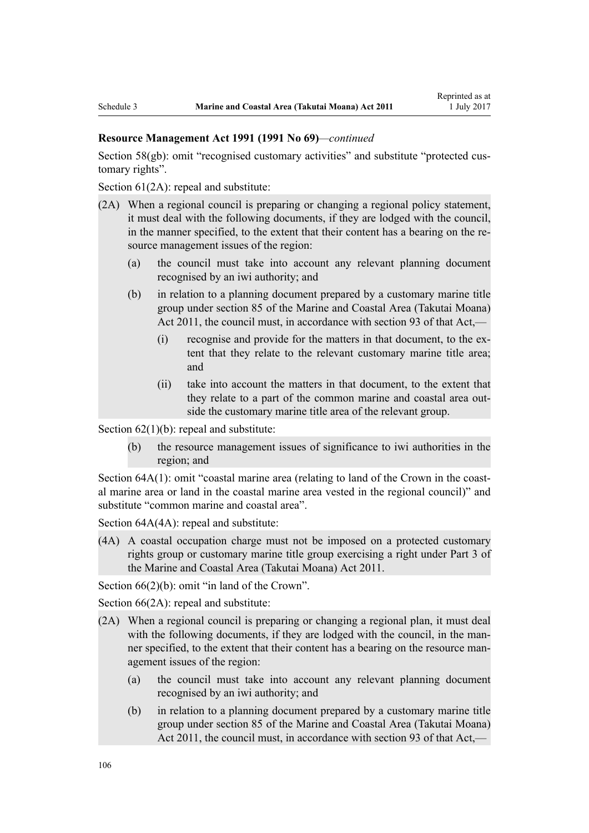[Section 58\(gb\):](http://prd-lgnz-nlb.prd.pco.net.nz/pdflink.aspx?id=DLM233381) omit "recognised customary activities" and substitute "protected customary rights".

[Section 61\(2A\):](http://prd-lgnz-nlb.prd.pco.net.nz/pdflink.aspx?id=DLM233389) repeal and substitute:

- (2A) When a regional council is preparing or changing a regional policy statement, it must deal with the following documents, if they are lodged with the council, in the manner specified, to the extent that their content has a bearing on the resource management issues of the region:
	- (a) the council must take into account any relevant planning document recognised by an iwi authority; and
	- (b) in relation to a planning document prepared by a customary marine title group under section 85 of the Marine and Coastal Area (Takutai Moana) Act 2011, the council must, in accordance with section 93 of that Act,—
		- (i) recognise and provide for the matters in that document, to the extent that they relate to the relevant customary marine title area; and
		- (ii) take into account the matters in that document, to the extent that they relate to a part of the common marine and coastal area outside the customary marine title area of the relevant group.

Section  $62(1)(b)$ : repeal and substitute:

(b) the resource management issues of significance to iwi authorities in the region; and

[Section 64A\(1\)](http://prd-lgnz-nlb.prd.pco.net.nz/pdflink.aspx?id=DLM233610): omit "coastal marine area (relating to land of the Crown in the coastal marine area or land in the coastal marine area vested in the regional council)" and substitute "common marine and coastal area".

Section  $64A(4A)$ : repeal and substitute:

(4A) A coastal occupation charge must not be imposed on a protected customary rights group or customary marine title group exercising a right under Part 3 of the Marine and Coastal Area (Takutai Moana) Act 2011.

[Section 66\(2\)\(b\):](http://prd-lgnz-nlb.prd.pco.net.nz/pdflink.aspx?id=DLM233620) omit "in land of the Crown".

[Section 66\(2A\):](http://prd-lgnz-nlb.prd.pco.net.nz/pdflink.aspx?id=DLM233620) repeal and substitute:

- (2A) When a regional council is preparing or changing a regional plan, it must deal with the following documents, if they are lodged with the council, in the manner specified, to the extent that their content has a bearing on the resource management issues of the region:
	- (a) the council must take into account any relevant planning document recognised by an iwi authority; and
	- (b) in relation to a planning document prepared by a customary marine title group under section 85 of the Marine and Coastal Area (Takutai Moana) Act 2011, the council must, in accordance with section 93 of that Act,—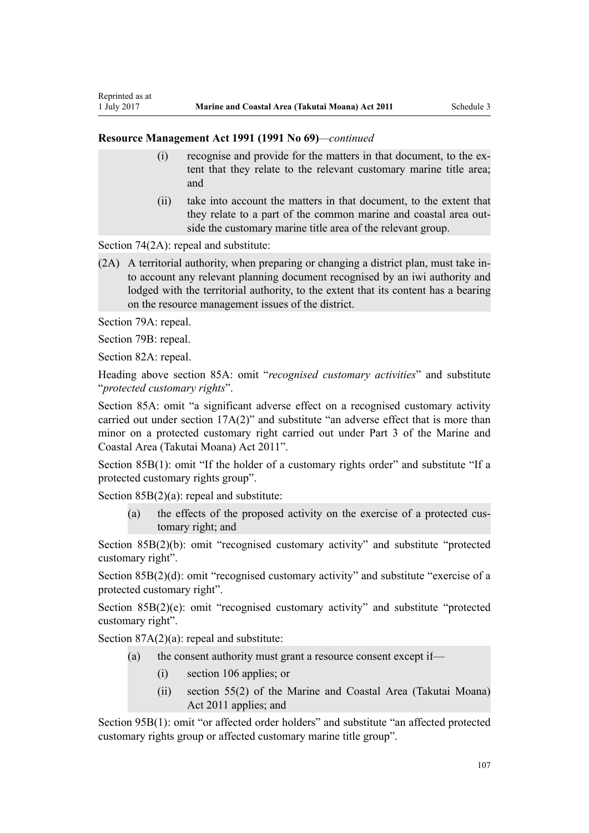- (i) recognise and provide for the matters in that document, to the extent that they relate to the relevant customary marine title area; and
- (ii) take into account the matters in that document, to the extent that they relate to a part of the common marine and coastal area outside the customary marine title area of the relevant group.

[Section 74\(2A\):](http://prd-lgnz-nlb.prd.pco.net.nz/pdflink.aspx?id=DLM233671) repeal and substitute:

(2A) A territorial authority, when preparing or changing a district plan, must take into account any relevant planning document recognised by an iwi authority and lodged with the territorial authority, to the extent that its content has a bearing on the resource management issues of the district.

[Section 79A](http://prd-lgnz-nlb.prd.pco.net.nz/pdflink.aspx?id=DLM233815): repeal.

Reprinted as at

[Section 79B:](http://prd-lgnz-nlb.prd.pco.net.nz/pdflink.aspx?id=DLM233818) repeal.

[Section 82A](http://prd-lgnz-nlb.prd.pco.net.nz/pdflink.aspx?id=DLM233827): repeal.

Heading above [section 85A](http://prd-lgnz-nlb.prd.pco.net.nz/pdflink.aspx?id=DLM233840): omit "*recognised customary activities*" and substitute "*protected customary rights*".

[Section 85A](http://prd-lgnz-nlb.prd.pco.net.nz/pdflink.aspx?id=DLM233840): omit "a significant adverse effect on a recognised customary activity carried out under section 17A(2)" and substitute "an adverse effect that is more than minor on a protected customary right carried out under Part 3 of the Marine and Coastal Area (Takutai Moana) Act 2011".

[Section 85B\(1\)](http://prd-lgnz-nlb.prd.pco.net.nz/pdflink.aspx?id=DLM233842): omit "If the holder of a customary rights order" and substitute "If a protected customary rights group".

[Section 85B\(2\)\(a\):](http://prd-lgnz-nlb.prd.pco.net.nz/pdflink.aspx?id=DLM233842) repeal and substitute:

(a) the effects of the proposed activity on the exercise of a protected customary right; and

[Section 85B\(2\)\(b\):](http://prd-lgnz-nlb.prd.pco.net.nz/pdflink.aspx?id=DLM233842) omit "recognised customary activity" and substitute "protected customary right".

[Section 85B\(2\)\(d\):](http://prd-lgnz-nlb.prd.pco.net.nz/pdflink.aspx?id=DLM233842) omit "recognised customary activity" and substitute "exercise of a protected customary right".

[Section 85B\(2\)\(e\)](http://prd-lgnz-nlb.prd.pco.net.nz/pdflink.aspx?id=DLM233842): omit "recognised customary activity" and substitute "protected customary right".

Section  $87A(2)(a)$ : repeal and substitute:

- (a) the consent authority must grant a resource consent except if—
	- (i) section 106 applies; or
	- (ii) section 55(2) of the Marine and Coastal Area (Takutai Moana) Act 2011 applies; and

[Section 95B\(1\)](http://prd-lgnz-nlb.prd.pco.net.nz/pdflink.aspx?id=DLM2416410): omit "or affected order holders" and substitute "an affected protected customary rights group or affected customary marine title group".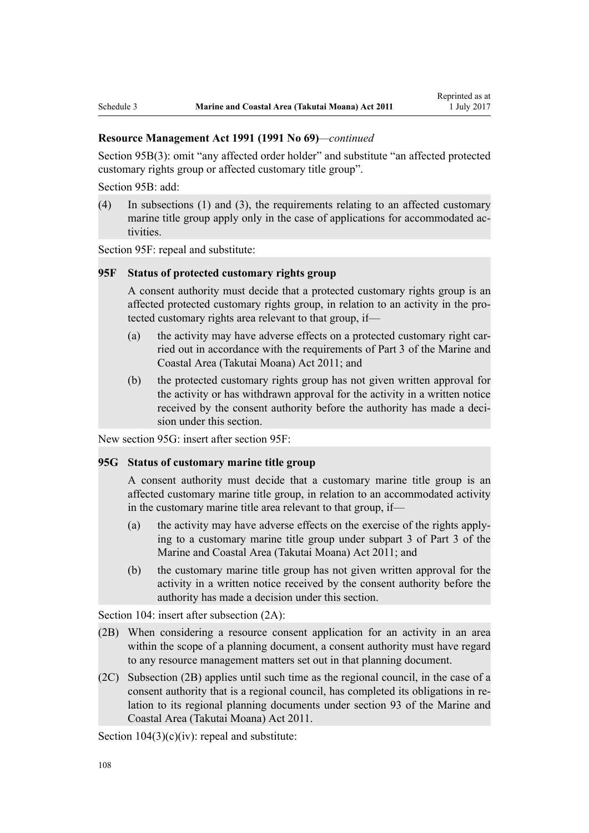[Section 95B\(3\)](http://prd-lgnz-nlb.prd.pco.net.nz/pdflink.aspx?id=DLM2416410): omit "any affected order holder" and substitute "an affected protected customary rights group or affected customary title group".

[Section 95B:](http://prd-lgnz-nlb.prd.pco.net.nz/pdflink.aspx?id=DLM2416410) add:

(4) In subsections (1) and (3), the requirements relating to an affected customary marine title group apply only in the case of applications for accommodated activities.

[Section 95F](http://prd-lgnz-nlb.prd.pco.net.nz/pdflink.aspx?id=DLM2416414): repeal and substitute:

#### **95F Status of protected customary rights group**

A consent authority must decide that a protected customary rights group is an affected protected customary rights group, in relation to an activity in the protected customary rights area relevant to that group, if—

- (a) the activity may have adverse effects on a protected customary right carried out in accordance with the requirements of Part 3 of the Marine and Coastal Area (Takutai Moana) Act 2011; and
- (b) the protected customary rights group has not given written approval for the activity or has withdrawn approval for the activity in a written notice received by the consent authority before the authority has made a decision under this section.

New section 95G: insert after [section 95F:](http://prd-lgnz-nlb.prd.pco.net.nz/pdflink.aspx?id=DLM2416414)

#### **95G Status of customary marine title group**

A consent authority must decide that a customary marine title group is an affected customary marine title group, in relation to an accommodated activity in the customary marine title area relevant to that group, if—

- (a) the activity may have adverse effects on the exercise of the rights applying to a customary marine title group under subpart 3 of Part 3 of the Marine and Coastal Area (Takutai Moana) Act 2011; and
- (b) the customary marine title group has not given written approval for the activity in a written notice received by the consent authority before the authority has made a decision under this section.

[Section 104:](http://prd-lgnz-nlb.prd.pco.net.nz/pdflink.aspx?id=DLM234355) insert after subsection  $(2A)$ :

- (2B) When considering a resource consent application for an activity in an area within the scope of a planning document, a consent authority must have regard to any resource management matters set out in that planning document.
- (2C) Subsection (2B) applies until such time as the regional council, in the case of a consent authority that is a regional council, has completed its obligations in relation to its regional planning documents under section 93 of the Marine and Coastal Area (Takutai Moana) Act 2011.

Section  $104(3)(c)(iv)$ : repeal and substitute: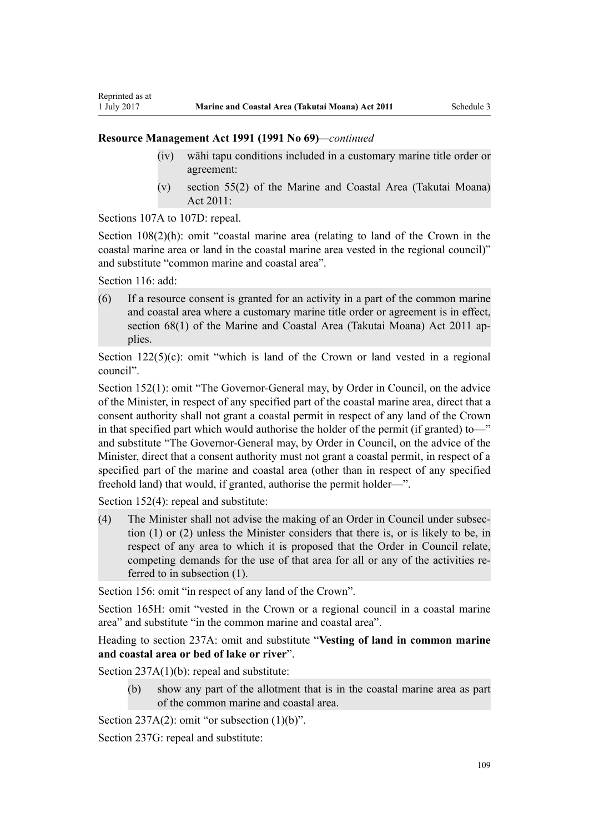- (iv) wāhi tapu conditions included in a customary marine title order or agreement:
- (v) section 55(2) of the Marine and Coastal Area (Takutai Moana) Act 2011:

[Sections 107A to 107D:](http://prd-lgnz-nlb.prd.pco.net.nz/pdflink.aspx?id=DLM234801) repeal.

[Section 108\(2\)\(h\)](http://prd-lgnz-nlb.prd.pco.net.nz/pdflink.aspx?id=DLM234810): omit "coastal marine area (relating to land of the Crown in the coastal marine area or land in the coastal marine area vested in the regional council)" and substitute "common marine and coastal area".

[Section 116](http://prd-lgnz-nlb.prd.pco.net.nz/pdflink.aspx?id=DLM234865): add:

Reprinted as at

(6) If a resource consent is granted for an activity in a part of the common marine and coastal area where a customary marine title order or agreement is in effect, section 68(1) of the Marine and Coastal Area (Takutai Moana) Act 2011 applies.

Section  $122(5)(c)$ : omit "which is land of the Crown or land vested in a regional council".

[Section 152\(1\)](http://prd-lgnz-nlb.prd.pco.net.nz/pdflink.aspx?id=DLM235468): omit "The Governor-General may, by Order in Council, on the advice of the Minister, in respect of any specified part of the coastal marine area, direct that a consent authority shall not grant a coastal permit in respect of any land of the Crown in that specified part which would authorise the holder of the permit (if granted) to—" and substitute "The Governor-General may, by Order in Council, on the advice of the Minister, direct that a consent authority must not grant a coastal permit, in respect of a specified part of the marine and coastal area (other than in respect of any specified freehold land) that would, if granted, authorise the permit holder—".

[Section 152\(4\)](http://prd-lgnz-nlb.prd.pco.net.nz/pdflink.aspx?id=DLM235468): repeal and substitute:

(4) The Minister shall not advise the making of an Order in Council under subsection (1) or (2) unless the Minister considers that there is, or is likely to be, in respect of any area to which it is proposed that the Order in Council relate, competing demands for the use of that area for all or any of the activities referred to in subsection (1).

[Section 156:](http://prd-lgnz-nlb.prd.pco.net.nz/pdflink.aspx?id=DLM235484) omit "in respect of any land of the Crown".

[Section 165H:](http://prd-lgnz-nlb.prd.pco.net.nz/pdflink.aspx?id=DLM236036) omit "vested in the Crown or a regional council in a coastal marine area" and substitute "in the common marine and coastal area".

Heading to section 237A: omit and substitute "**Vesting of land in common marine and coastal area or bed of lake or river**".

[Section 237A\(1\)\(b\):](http://prd-lgnz-nlb.prd.pco.net.nz/pdflink.aspx?id=DLM237276) repeal and substitute:

(b) show any part of the allotment that is in the coastal marine area as part of the common marine and coastal area.

[Section 237A\(2\):](http://prd-lgnz-nlb.prd.pco.net.nz/pdflink.aspx?id=DLM237276) omit "or subsection  $(1)(b)$ ".

[Section 237G](http://prd-lgnz-nlb.prd.pco.net.nz/pdflink.aspx?id=DLM237291): repeal and substitute: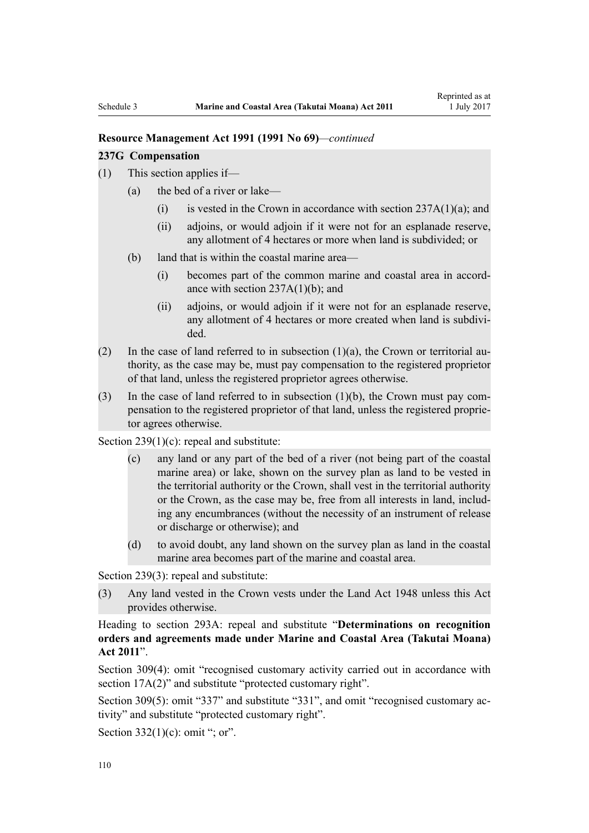#### **237G Compensation**

- (1) This section applies if—
	- (a) the bed of a river or lake—
		- (i) is vested in the Crown in accordance with section  $237A(1)(a)$ ; and
		- (ii) adjoins, or would adjoin if it were not for an esplanade reserve, any allotment of 4 hectares or more when land is subdivided; or
	- (b) land that is within the coastal marine area—
		- (i) becomes part of the common marine and coastal area in accordance with section 237A(1)(b); and
		- (ii) adjoins, or would adjoin if it were not for an esplanade reserve, any allotment of 4 hectares or more created when land is subdivided.
- (2) In the case of land referred to in subsection  $(1)(a)$ , the Crown or territorial authority, as the case may be, must pay compensation to the registered proprietor of that land, unless the registered proprietor agrees otherwise.
- (3) In the case of land referred to in subsection (1)(b), the Crown must pay compensation to the registered proprietor of that land, unless the registered proprietor agrees otherwise.

[Section 239\(1\)\(c\):](http://prd-lgnz-nlb.prd.pco.net.nz/pdflink.aspx?id=DLM237600) repeal and substitute:

- (c) any land or any part of the bed of a river (not being part of the coastal marine area) or lake, shown on the survey plan as land to be vested in the territorial authority or the Crown, shall vest in the territorial authority or the Crown, as the case may be, free from all interests in land, including any encumbrances (without the necessity of an instrument of release or discharge or otherwise); and
- (d) to avoid doubt, any land shown on the survey plan as land in the coastal marine area becomes part of the marine and coastal area.

[Section 239\(3\)](http://prd-lgnz-nlb.prd.pco.net.nz/pdflink.aspx?id=DLM237600): repeal and substitute:

(3) Any land vested in the Crown vests under the Land Act 1948 unless this Act provides otherwise.

Heading to [section 293A:](http://prd-lgnz-nlb.prd.pco.net.nz/pdflink.aspx?id=DLM238254) repeal and substitute "**Determinations on recognition orders and agreements made under Marine and Coastal Area (Takutai Moana) Act 2011**".

[Section 309\(4\):](http://prd-lgnz-nlb.prd.pco.net.nz/pdflink.aspx?id=DLM238505) omit "recognised customary activity carried out in accordance with section  $17A(2)$ " and substitute "protected customary right".

[Section 309\(5\)](http://prd-lgnz-nlb.prd.pco.net.nz/pdflink.aspx?id=DLM238505): omit "337" and substitute "331", and omit "recognised customary activity" and substitute "protected customary right".

Section  $332(1)(c)$ : omit "; or".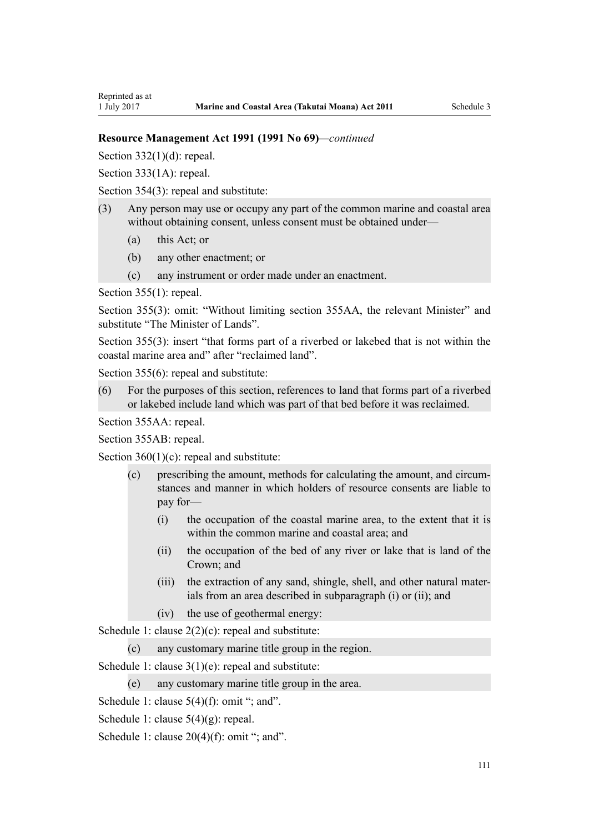Section  $332(1)(d)$ : repeal.

Reprinted as at

[Section 333\(1A\):](http://prd-lgnz-nlb.prd.pco.net.nz/pdflink.aspx?id=DLM239027) repeal.

[Section 354\(3\)](http://prd-lgnz-nlb.prd.pco.net.nz/pdflink.aspx?id=DLM239318): repeal and substitute:

- (3) Any person may use or occupy any part of the common marine and coastal area without obtaining consent, unless consent must be obtained under—
	- (a) this Act; or
	- (b) any other enactment; or
	- (c) any instrument or order made under an enactment.

[Section 355\(1\)](http://prd-lgnz-nlb.prd.pco.net.nz/pdflink.aspx?id=DLM239322): repeal.

[Section 355\(3\):](http://prd-lgnz-nlb.prd.pco.net.nz/pdflink.aspx?id=DLM239322) omit: "Without limiting section 355AA, the relevant Minister" and substitute "The Minister of Lands".

[Section 355\(3\)](http://prd-lgnz-nlb.prd.pco.net.nz/pdflink.aspx?id=DLM239322): insert "that forms part of a riverbed or lakebed that is not within the coastal marine area and" after "reclaimed land".

[Section 355\(6\)](http://prd-lgnz-nlb.prd.pco.net.nz/pdflink.aspx?id=DLM239322): repeal and substitute:

(6) For the purposes of this section, references to land that forms part of a riverbed or lakebed include land which was part of that bed before it was reclaimed.

[Section 355AA](http://prd-lgnz-nlb.prd.pco.net.nz/pdflink.aspx?id=DLM239326): repeal.

[Section 355AB:](http://prd-lgnz-nlb.prd.pco.net.nz/pdflink.aspx?id=DLM239328) repeal.

Section  $360(1)(c)$ : repeal and substitute:

- (c) prescribing the amount, methods for calculating the amount, and circumstances and manner in which holders of resource consents are liable to pay for—
	- (i) the occupation of the coastal marine area, to the extent that it is within the common marine and coastal area; and
	- (ii) the occupation of the bed of any river or lake that is land of the Crown; and
	- (iii) the extraction of any sand, shingle, shell, and other natural materials from an area described in subparagraph (i) or (ii); and
	- (iv) the use of geothermal energy:

[Schedule 1:](http://prd-lgnz-nlb.prd.pco.net.nz/pdflink.aspx?id=DLM240686) clause  $2(2)(c)$ : repeal and substitute:

(c) any customary marine title group in the region.

[Schedule 1:](http://prd-lgnz-nlb.prd.pco.net.nz/pdflink.aspx?id=DLM240686) clause 3(1)(e): repeal and substitute:

(e) any customary marine title group in the area.

[Schedule 1:](http://prd-lgnz-nlb.prd.pco.net.nz/pdflink.aspx?id=DLM240686) clause  $5(4)(f)$ : omit "; and".

[Schedule 1:](http://prd-lgnz-nlb.prd.pco.net.nz/pdflink.aspx?id=DLM240686) clause 5(4)(g): repeal.

[Schedule 1:](http://prd-lgnz-nlb.prd.pco.net.nz/pdflink.aspx?id=DLM240686) clause  $20(4)(f)$ : omit "; and".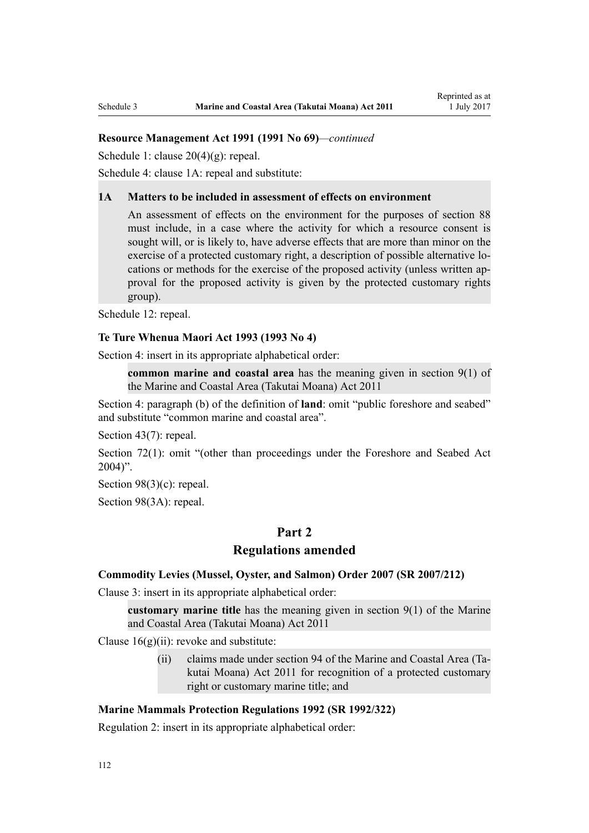[Schedule 1:](http://prd-lgnz-nlb.prd.pco.net.nz/pdflink.aspx?id=DLM240686) clause 20(4)(g): repeal.

[Schedule 4:](http://prd-lgnz-nlb.prd.pco.net.nz/pdflink.aspx?id=DLM242008) clause 1A: repeal and substitute:

#### **1A Matters to be included in assessment of effects on environment**

An assessment of effects on the environment for the purposes of section 88 must include, in a case where the activity for which a resource consent is sought will, or is likely to, have adverse effects that are more than minor on the exercise of a protected customary right, a description of possible alternative locations or methods for the exercise of the proposed activity (unless written approval for the proposed activity is given by the protected customary rights group).

[Schedule 12:](http://prd-lgnz-nlb.prd.pco.net.nz/pdflink.aspx?id=DLM242515) repeal.

#### **[Te Ture Whenua Maori Act 1993](http://prd-lgnz-nlb.prd.pco.net.nz/pdflink.aspx?id=DLM289881) (1993 No 4)**

[Section 4](http://prd-lgnz-nlb.prd.pco.net.nz/pdflink.aspx?id=DLM289897): insert in its appropriate alphabetical order:

**common marine and coastal area** has the meaning given in section 9(1) of the Marine and Coastal Area (Takutai Moana) Act 2011

[Section 4:](http://prd-lgnz-nlb.prd.pco.net.nz/pdflink.aspx?id=DLM289897) paragraph (b) of the definition of **land**: omit "public foreshore and seabed" and substitute "common marine and coastal area".

[Section 43\(7\)](http://prd-lgnz-nlb.prd.pco.net.nz/pdflink.aspx?id=DLM290907): repeal.

[Section 72\(1\)](http://prd-lgnz-nlb.prd.pco.net.nz/pdflink.aspx?id=DLM290961): omit "(other than proceedings under the Foreshore and Seabed Act  $2004$ ".

[Section 98\(3\)\(c\)](http://prd-lgnz-nlb.prd.pco.net.nz/pdflink.aspx?id=DLM291203): repeal.

[Section 98\(3A\):](http://prd-lgnz-nlb.prd.pco.net.nz/pdflink.aspx?id=DLM291203) repeal.

# **Part 2**

## **Regulations amended**

#### **[Commodity Levies \(Mussel, Oyster, and Salmon\) Order 2007](http://prd-lgnz-nlb.prd.pco.net.nz/pdflink.aspx?id=DLM443982) (SR 2007/212)**

[Clause 3](http://prd-lgnz-nlb.prd.pco.net.nz/pdflink.aspx?id=DLM443990): insert in its appropriate alphabetical order:

**customary marine title** has the meaning given in section 9(1) of the Marine and Coastal Area (Takutai Moana) Act 2011

Clause  $16(g)(ii)$ : revoke and substitute:

(ii) claims made under section 94 of the Marine and Coastal Area (Takutai Moana) Act 2011 for recognition of a protected customary right or customary marine title; and

## **[Marine Mammals Protection Regulations 1992](http://prd-lgnz-nlb.prd.pco.net.nz/pdflink.aspx?id=DLM168285) (SR 1992/322)**

[Regulation 2](http://prd-lgnz-nlb.prd.pco.net.nz/pdflink.aspx?id=DLM168290): insert in its appropriate alphabetical order: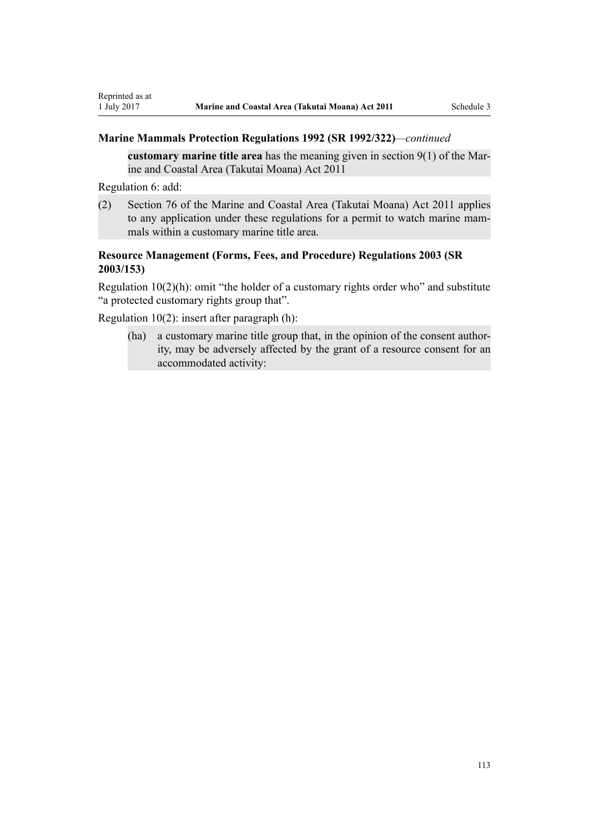# **Marine Mammals Protection Regulations 1992 (SR 1992/322)***—continued*

**customary marine title area** has the meaning given in section 9(1) of the Marine and Coastal Area (Takutai Moana) Act 2011

[Regulation 6](http://prd-lgnz-nlb.prd.pco.net.nz/pdflink.aspx?id=DLM168824): add:

(2) Section 76 of the Marine and Coastal Area (Takutai Moana) Act 2011 applies to any application under these regulations for a permit to watch marine mammals within a customary marine title area.

# **[Resource Management \(Forms, Fees, and Procedure\) Regulations 2003](http://prd-lgnz-nlb.prd.pco.net.nz/pdflink.aspx?id=DLM195259) (SR 2003/153)**

[Regulation 10\(2\)\(h\)](http://prd-lgnz-nlb.prd.pco.net.nz/pdflink.aspx?id=DLM168828): omit "the holder of a customary rights order who" and substitute "a protected customary rights group that".

[Regulation 10\(2\)](http://prd-lgnz-nlb.prd.pco.net.nz/pdflink.aspx?id=DLM168828): insert after paragraph (h):

(ha) a customary marine title group that, in the opinion of the consent authority, may be adversely affected by the grant of a resource consent for an accommodated activity: